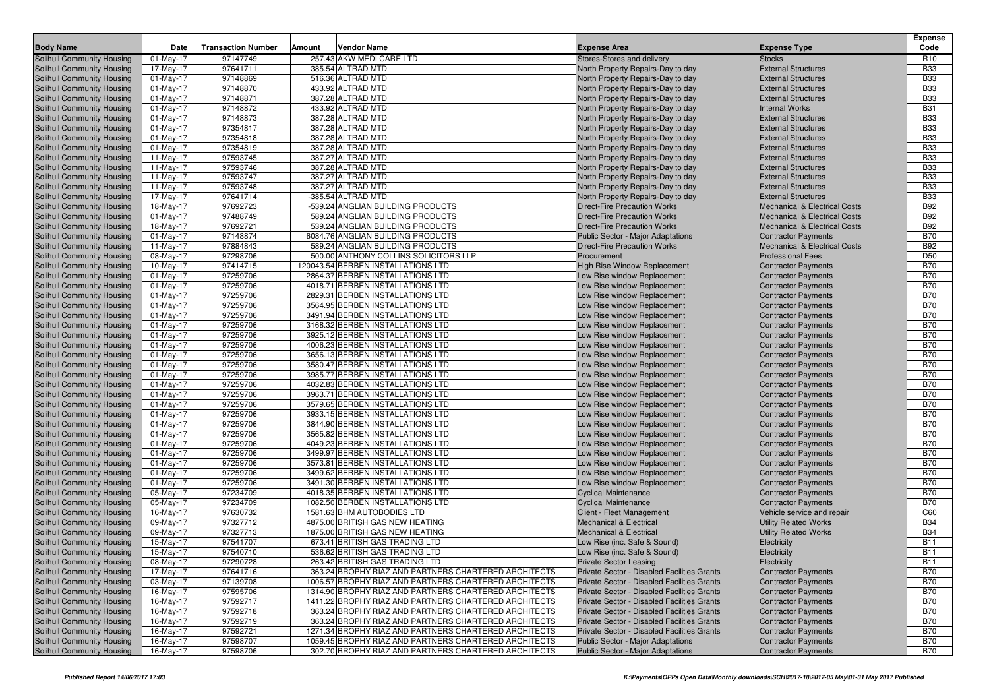|                                   |              |                           |        |                                                       |                                             |                                          | <b>Expense</b>  |
|-----------------------------------|--------------|---------------------------|--------|-------------------------------------------------------|---------------------------------------------|------------------------------------------|-----------------|
| <b>Body Name</b>                  | Date         | <b>Transaction Number</b> | Amount | <b>Vendor Name</b>                                    | <b>Expense Area</b>                         | <b>Expense Type</b>                      | Code            |
| <b>Solihull Community Housing</b> | $01$ -May-17 | 97147749                  |        | 257.43 AKW MEDI CARE LTD                              | Stores-Stores and delivery                  | <b>Stocks</b>                            | R <sub>10</sub> |
| Solihull Community Housing        | 17-May-17    | 97641711                  |        | 385.54 ALTRAD MTD                                     | North Property Repairs-Day to day           | <b>External Structures</b>               | <b>B33</b>      |
| <b>Solihull Community Housing</b> | $01$ -May-17 | 97148869                  |        | 516.36 ALTRAD MTD                                     | North Property Repairs-Day to day           | <b>External Structures</b>               | <b>B33</b>      |
| <b>Solihull Community Housing</b> | $01$ -May-17 | 97148870                  |        | 433.92 ALTRAD MTD                                     | North Property Repairs-Day to day           | <b>External Structures</b>               | <b>B33</b>      |
| <b>Solihull Community Housing</b> | 01-May-17    | 97148871                  |        | 387.28 ALTRAD MTD                                     | North Property Repairs-Day to day           | <b>External Structures</b>               | <b>B33</b>      |
| <b>Solihull Community Housing</b> | $01-May-17$  | 97148872                  |        | 433.92 ALTRAD MTD                                     | North Property Repairs-Day to day           | <b>Internal Works</b>                    | <b>B31</b>      |
| Solihull Community Housing        | 01-May-17    | 97148873                  |        | 387.28 ALTRAD MTD                                     | North Property Repairs-Day to day           | <b>External Structures</b>               | <b>B33</b>      |
| <b>Solihull Community Housing</b> | $01$ -May-17 | 97354817                  |        | 387.28 ALTRAD MTD                                     | North Property Repairs-Day to day           | <b>External Structures</b>               | <b>B33</b>      |
| <b>Solihull Community Housing</b> | $01$ -May-17 | 97354818                  |        | 387.28 ALTRAD MTD                                     | North Property Repairs-Day to day           | <b>External Structures</b>               | <b>B33</b>      |
| <b>Solihull Community Housing</b> | $01$ -May-17 | 97354819                  |        | 387.28 ALTRAD MTD                                     | North Property Repairs-Day to day           | <b>External Structures</b>               | <b>B33</b>      |
| <b>Solihull Community Housing</b> | 11-May-17    | 97593745                  |        | 387.27 ALTRAD MTD                                     | North Property Repairs-Day to day           | <b>External Structures</b>               | <b>B33</b>      |
| <b>Solihull Community Housing</b> | 11-May-17    | 97593746                  |        | 387.28 ALTRAD MTD                                     | North Property Repairs-Day to day           | <b>External Structures</b>               | <b>B33</b>      |
| <b>Solihull Community Housing</b> | 11-May-17    | 97593747                  |        | 387.27 ALTRAD MTD                                     | North Property Repairs-Day to day           | <b>External Structures</b>               | <b>B33</b>      |
| <b>Solihull Community Housing</b> | 11-May-17    | 97593748                  |        | 387.27 ALTRAD MTD                                     | North Property Repairs-Day to day           | <b>External Structures</b>               | <b>B33</b>      |
| <b>Solihull Community Housing</b> | 17-May-17    | 97641714                  |        | -385.54 ALTRAD MTD                                    | North Property Repairs-Day to day           | <b>External Structures</b>               | <b>B33</b>      |
| <b>Solihull Community Housing</b> | 18-May-17    | 97692723                  |        | -539.24 ANGLIAN BUILDING PRODUCTS                     | <b>Direct-Fire Precaution Works</b>         | <b>Mechanical &amp; Electrical Costs</b> | <b>B92</b>      |
| <b>Solihull Community Housing</b> | 01-May-17    | 97488749                  |        | 589.24 ANGLIAN BUILDING PRODUCTS                      | <b>Direct-Fire Precaution Works</b>         | <b>Mechanical &amp; Electrical Costs</b> | <b>B92</b>      |
| <b>Solihull Community Housing</b> | 18-May-17    | 97692721                  |        | 539.24 ANGLIAN BUILDING PRODUCTS                      | <b>Direct-Fire Precaution Works</b>         | <b>Mechanical &amp; Electrical Costs</b> | <b>B92</b>      |
| <b>Solihull Community Housing</b> | $01$ -May-17 | 97148874                  |        | 6084.76 ANGLIAN BUILDING PRODUCTS                     | Public Sector - Major Adaptations           | <b>Contractor Payments</b>               | <b>B70</b>      |
| <b>Solihull Community Housing</b> | 11-May-17    | 97884843                  |        | 589.24 ANGLIAN BUILDING PRODUCTS                      | <b>Direct-Fire Precaution Works</b>         | <b>Mechanical &amp; Electrical Costs</b> | <b>B92</b>      |
| <b>Solihull Community Housing</b> | 08-May-17    | 97298706                  |        | 500.00 ANTHONY COLLINS SOLICITORS LLP                 | Procurement                                 | <b>Professional Fees</b>                 | D <sub>50</sub> |
| <b>Solihull Community Housing</b> | 10-May-17    | 97414715                  |        | 120043.54 BERBEN INSTALLATIONS LTD                    | High Rise Window Replacement                | <b>Contractor Payments</b>               | <b>B70</b>      |
| <b>Solihull Community Housing</b> | $01$ -May-17 | 97259706                  |        | 2864.37 BERBEN INSTALLATIONS LTD                      | Low Rise window Replacement                 | <b>Contractor Payments</b>               | <b>B70</b>      |
| <b>Solihull Community Housing</b> | $01$ -May-17 | 97259706                  |        | 4018.71 BERBEN INSTALLATIONS LTD                      | Low Rise window Replacement                 | <b>Contractor Payments</b>               | <b>B70</b>      |
| <b>Solihull Community Housing</b> | $01$ -May-17 | 97259706                  |        | 2829.31 BERBEN INSTALLATIONS LTD                      | Low Rise window Replacement                 | <b>Contractor Payments</b>               | <b>B70</b>      |
| <b>Solihull Community Housing</b> | $01-May-17$  | 97259706                  |        | 3564.95 BERBEN INSTALLATIONS LTD                      | Low Rise window Replacement                 | <b>Contractor Payments</b>               | <b>B70</b>      |
| Solihull Community Housing        | $01$ -May-17 | 97259706                  |        | 3491.94 BERBEN INSTALLATIONS LTD                      | Low Rise window Replacement                 | <b>Contractor Payments</b>               | <b>B70</b>      |
| <b>Solihull Community Housing</b> | $01-May-17$  | 97259706                  |        | 3168.32 BERBEN INSTALLATIONS LTD                      | Low Rise window Replacement                 | <b>Contractor Payments</b>               | <b>B70</b>      |
| <b>Solihull Community Housing</b> | $01-May-17$  | 97259706                  |        | 3925.12 BERBEN INSTALLATIONS LTD                      | Low Rise window Replacement                 | <b>Contractor Payments</b>               | <b>B70</b>      |
| <b>Solihull Community Housing</b> | $01$ -May-17 | 97259706                  |        | 4006.23 BERBEN INSTALLATIONS LTD                      | Low Rise window Replacement                 | <b>Contractor Payments</b>               | <b>B70</b>      |
| <b>Solihull Community Housing</b> | $01-May-17$  | 97259706                  |        | 3656.13 BERBEN INSTALLATIONS LTD                      | Low Rise window Replacement                 | <b>Contractor Payments</b>               | <b>B70</b>      |
| <b>Solihull Community Housing</b> | 01-May-17    | 97259706                  |        | 3580.47 BERBEN INSTALLATIONS LTD                      | Low Rise window Replacement                 | <b>Contractor Payments</b>               | <b>B70</b>      |
| <b>Solihull Community Housing</b> | $01-May-17$  | 97259706                  |        | 3985.77 BERBEN INSTALLATIONS LTD                      | Low Rise window Replacement                 | <b>Contractor Payments</b>               | <b>B70</b>      |
| <b>Solihull Community Housing</b> | $01-May-17$  | 97259706                  |        | 4032.83 BERBEN INSTALLATIONS LTD                      | Low Rise window Replacement                 | <b>Contractor Payments</b>               | <b>B70</b>      |
| <b>Solihull Community Housing</b> | $01-May-17$  | 97259706                  |        | 3963.71 BERBEN INSTALLATIONS LTD                      | Low Rise window Replacement                 | <b>Contractor Payments</b>               | <b>B70</b>      |
| <b>Solihull Community Housing</b> | $01-May-17$  | 97259706                  |        | 3579.65 BERBEN INSTALLATIONS LTD                      | Low Rise window Replacement                 | <b>Contractor Payments</b>               | <b>B70</b>      |
| <b>Solihull Community Housing</b> | 01-May-17    | 97259706                  |        | 3933.15 BERBEN INSTALLATIONS LTD                      | Low Rise window Replacement                 | <b>Contractor Payments</b>               | <b>B70</b>      |
| <b>Solihull Community Housing</b> | $01-May-17$  | 97259706                  |        | 3844.90 BERBEN INSTALLATIONS LTD                      | Low Rise window Replacement                 | <b>Contractor Payments</b>               | <b>B70</b>      |
| <b>Solihull Community Housing</b> | $01-May-17$  | 97259706                  |        | 3565.82 BERBEN INSTALLATIONS LTD                      | Low Rise window Replacement                 | <b>Contractor Payments</b>               | <b>B70</b>      |
| <b>Solihull Community Housing</b> | $01-May-17$  | 97259706                  |        | 4049.23 BERBEN INSTALLATIONS LTD                      | Low Rise window Replacement                 | <b>Contractor Payments</b>               | <b>B70</b>      |
| <b>Solihull Community Housing</b> | $01-May-17$  | 97259706                  |        | 3499.97 BERBEN INSTALLATIONS LTD                      | Low Rise window Replacement                 | <b>Contractor Payments</b>               | <b>B70</b>      |
| <b>Solihull Community Housing</b> | 01-May-17    | 97259706                  |        | 3573.81 BERBEN INSTALLATIONS LTD                      | Low Rise window Replacement                 | <b>Contractor Payments</b>               | <b>B70</b>      |
| <b>Solihull Community Housing</b> | $01-May-17$  | 97259706                  |        | 3499.62 BERBEN INSTALLATIONS LTD                      | Low Rise window Replacement                 | <b>Contractor Payments</b>               | <b>B70</b>      |
| <b>Solihull Community Housing</b> | $01-May-17$  | 97259706                  |        | 3491.30 BERBEN INSTALLATIONS LTD                      | Low Rise window Replacement                 | <b>Contractor Payments</b>               | <b>B70</b>      |
| <b>Solihull Community Housing</b> | 05-May-17    | 97234709                  |        | 4018.35 BERBEN INSTALLATIONS LTD                      | <b>Cyclical Maintenance</b>                 | <b>Contractor Payments</b>               | <b>B70</b>      |
| <b>Solihull Community Housing</b> | 05-May-17    | 97234709                  |        | 1082.50 BERBEN INSTALLATIONS LTD                      | <b>Cyclical Maintenance</b>                 | <b>Contractor Payments</b>               | <b>B70</b>      |
| <b>Solihull Community Housing</b> | 16-May-17    | 97630732                  |        | 1581.63 BHM AUTOBODIES LTD                            | Client - Fleet Management                   | Vehicle service and repair               | C60             |
| <b>Solihull Community Housing</b> | 09-May-17    | 97327712                  |        | 4875.00 BRITISH GAS NEW HEATING                       | <b>Mechanical &amp; Electrical</b>          | <b>Utility Related Works</b>             | <b>B34</b>      |
| <b>Solihull Community Housing</b> | 09-May-17    | 97327713                  |        | 1875.00 BRITISH GAS NEW HEATING                       | <b>Mechanical &amp; Electrical</b>          | <b>Utility Related Works</b>             | <b>B34</b>      |
| <b>Solihull Community Housing</b> | 15-May-17    | 97541707                  |        | 673.41 BRITISH GAS TRADING LTD                        | Low Rise (inc. Safe & Sound)                | Electricity                              | <b>B11</b>      |
| <b>Solihull Community Housing</b> | 15-May-17    | 97540710                  |        | 536.62 BRITISH GAS TRADING LTD                        | Low Rise (inc. Safe & Sound)                | Electricity                              | <b>B11</b>      |
| <b>Solihull Community Housing</b> | 08-May-17    | 97290728                  |        | 263.42 BRITISH GAS TRADING LTD                        | <b>Private Sector Leasing</b>               | Electricity                              | <b>B11</b>      |
| Solihull Community Housing        | 17-May-17    | 97641716                  |        | 363.24 BROPHY RIAZ AND PARTNERS CHARTERED ARCHITECTS  | Private Sector - Disabled Facilities Grants | <b>Contractor Payments</b>               | <b>B70</b>      |
| Solihull Community Housing        | 03-May-17    | 97139708                  |        | 1006.57 BROPHY RIAZ AND PARTNERS CHARTERED ARCHITECTS | Private Sector - Disabled Facilities Grants | <b>Contractor Payments</b>               | <b>B70</b>      |
| <b>Solihull Community Housing</b> | 16-May-17    | 97595706                  |        | 1314.90 BROPHY RIAZ AND PARTNERS CHARTERED ARCHITECTS | Private Sector - Disabled Facilities Grants | <b>Contractor Payments</b>               | <b>B70</b>      |
| Solihull Community Housing        | 16-May-17    | 97592717                  |        | 1411.22 BROPHY RIAZ AND PARTNERS CHARTERED ARCHITECTS | Private Sector - Disabled Facilities Grants | <b>Contractor Payments</b>               | <b>B70</b>      |
| Solihull Community Housing        | 16-May-17    | 97592718                  |        | 363.24 BROPHY RIAZ AND PARTNERS CHARTERED ARCHITECTS  | Private Sector - Disabled Facilities Grants | <b>Contractor Payments</b>               | <b>B70</b>      |
| <b>Solihull Community Housing</b> | 16-May-17    | 97592719                  |        | 363.24 BROPHY RIAZ AND PARTNERS CHARTERED ARCHITECTS  | Private Sector - Disabled Facilities Grants | <b>Contractor Payments</b>               | <b>B70</b>      |
| <b>Solihull Community Housing</b> | 16-May-17    | 97592721                  |        | 1271.34 BROPHY RIAZ AND PARTNERS CHARTERED ARCHITECTS | Private Sector - Disabled Facilities Grants | <b>Contractor Payments</b>               | <b>B70</b>      |
| Solihull Community Housing        | 16-May-17    | 97598707                  |        | 1059.45 BROPHY RIAZ AND PARTNERS CHARTERED ARCHITECTS | Public Sector - Major Adaptations           | <b>Contractor Payments</b>               | <b>B70</b>      |
| Solihull Community Housing        | 16-May-17    | 97598706                  |        | 302.70 BROPHY RIAZ AND PARTNERS CHARTERED ARCHITECTS  | <b>Public Sector - Major Adaptations</b>    | <b>Contractor Payments</b>               | <b>B70</b>      |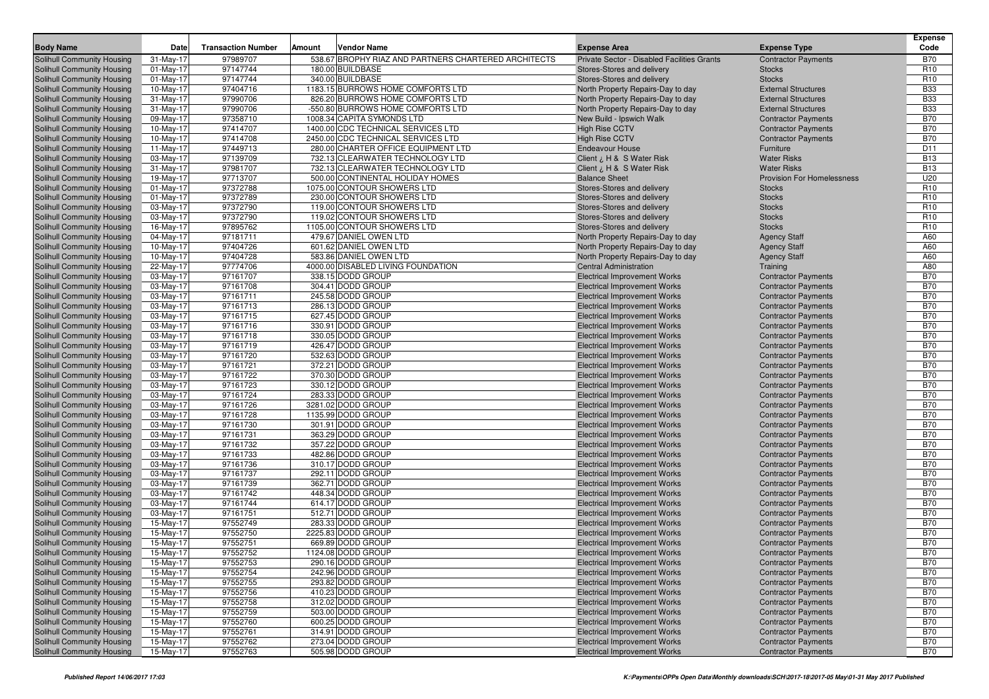| <b>Body Name</b>                                         | Date                   | <b>Transaction Number</b> | Amount | <b>Vendor Name</b>                                           | <b>Expense Area</b>                                                        | <b>Expense Type</b>                                      | <b>Expense</b><br>Code   |
|----------------------------------------------------------|------------------------|---------------------------|--------|--------------------------------------------------------------|----------------------------------------------------------------------------|----------------------------------------------------------|--------------------------|
| Solihull Community Housing                               | 31-May-17              | 97989707                  |        | 538.67 BROPHY RIAZ AND PARTNERS CHARTERED ARCHITECTS         | Private Sector - Disabled Facilities Grants                                | <b>Contractor Payments</b>                               | <b>B70</b>               |
| Solihull Community Housing                               | $01$ -May-17           | 97147744                  |        | 180.00 BUILDBASE                                             | Stores-Stores and delivery                                                 | <b>Stocks</b>                                            | R <sub>10</sub>          |
| Solihull Community Housing                               | $01$ -May-17           | 97147744                  |        | 340.00 BUILDBASE                                             | Stores-Stores and delivery                                                 | <b>Stocks</b>                                            | R <sub>10</sub>          |
| Solihull Community Housing                               | 10-May-17              | 97404716                  |        | 1183.15 BURROWS HOME COMFORTS LTD                            | North Property Repairs-Day to day                                          | <b>External Structures</b>                               | <b>B33</b>               |
| Solihull Community Housing                               | 31-May-17              | 97990706                  |        | 826.20 BURROWS HOME COMFORTS LTD                             | North Property Repairs-Day to day                                          | <b>External Structures</b>                               | <b>B33</b>               |
| Solihull Community Housing                               | 31-May-17              | 97990706                  |        | -550.80 BURROWS HOME COMFORTS LTD                            | North Property Repairs-Day to day                                          | <b>External Structures</b>                               | <b>B33</b>               |
| <b>Solihull Community Housing</b>                        | 09-May-17              | 97358710                  |        | 1008.34 CAPITA SYMONDS LTD                                   | New Build - Ipswich Walk                                                   | <b>Contractor Payments</b>                               | <b>B70</b>               |
| <b>Solihull Community Housing</b>                        | 10-May-17              | 97414707                  |        | 1400.00 CDC TECHNICAL SERVICES LTD                           | <b>High Rise CCTV</b>                                                      | <b>Contractor Payments</b>                               | <b>B70</b>               |
| Solihull Community Housing                               | 10-May-17              | 97414708                  |        | 2450.00 CDC TECHNICAL SERVICES LTD                           | <b>High Rise CCTV</b>                                                      | <b>Contractor Payments</b>                               | <b>B70</b>               |
| Solihull Community Housing                               | 11-May-17              | 97449713                  |        | 280.00 CHARTER OFFICE EQUIPMENT LTD                          | <b>Endeavour House</b>                                                     | Furniture                                                | D11                      |
| Solihull Community Housing                               | 03-May-17              | 97139709                  |        | 732.13 CLEARWATER TECHNOLOGY LTD                             | Client ¿ H & S Water Risk                                                  | <b>Water Risks</b>                                       | <b>B13</b>               |
| Solihull Community Housing                               | 31-May-17              | 97981707                  |        | 732.13 CLEARWATER TECHNOLOGY LTD                             | Client ¿ H & S Water Risk                                                  | <b>Water Risks</b>                                       | <b>B13</b>               |
| <b>Solihull Community Housing</b>                        | 19-May-17              | 97713707                  |        | 500.00 CONTINENTAL HOLIDAY HOMES                             | <b>Balance Sheet</b>                                                       | <b>Provision For Homelessness</b>                        | U20                      |
| Solihull Community Housing                               | $01$ -May-17           | 97372788                  |        | 1075.00 CONTOUR SHOWERS LTD                                  | Stores-Stores and delivery                                                 | <b>Stocks</b>                                            | R <sub>10</sub>          |
| Solihull Community Housing                               | 01-May-17              | 97372789                  |        | 230.00 CONTOUR SHOWERS LTD                                   | Stores-Stores and delivery                                                 | <b>Stocks</b>                                            | R <sub>10</sub>          |
| <b>Solihull Community Housing</b>                        | 03-May-17              | 97372790                  |        | 119.00 CONTOUR SHOWERS LTD                                   | Stores-Stores and delivery                                                 | <b>Stocks</b>                                            | R <sub>10</sub>          |
| <b>Solihull Community Housing</b>                        | 03-May-17              | 97372790                  |        | 119.02 CONTOUR SHOWERS LTD                                   | Stores-Stores and delivery                                                 | <b>Stocks</b>                                            | R <sub>10</sub>          |
| Solihull Community Housing                               | 16-May-17              | 97895762                  |        | 1105.00 CONTOUR SHOWERS LTD                                  | Stores-Stores and delivery                                                 | <b>Stocks</b>                                            | R <sub>10</sub>          |
| Solihull Community Housing                               | 04-May-17              | 97181711<br>97404726      |        | 479.67 DANIEL OWEN LTD                                       | North Property Repairs-Day to day                                          | <b>Agency Staff</b>                                      | A60<br>A60               |
| Solihull Community Housing                               | 10-May-17              | 97404728                  |        | 601.62 DANIEL OWEN LTD                                       | North Property Repairs-Day to day                                          | <b>Agency Staff</b>                                      | A60                      |
| Solihull Community Housing<br>Solihull Community Housing | 10-May-17<br>22-May-17 | 97774706                  |        | 583.86 DANIEL OWEN LTD<br>4000.00 DISABLED LIVING FOUNDATION | North Property Repairs-Day to day<br><b>Central Administration</b>         | <b>Agency Staff</b>                                      | A80                      |
| Solihull Community Housing                               | 03-May-17              | 97161707                  |        | 338.15 DODD GROUP                                            | <b>Electrical Improvement Works</b>                                        | Training<br><b>Contractor Payments</b>                   | <b>B70</b>               |
| Solihull Community Housing                               | 03-May-17              | 97161708                  |        | 304.41 DODD GROUP                                            | <b>Electrical Improvement Works</b>                                        | <b>Contractor Payments</b>                               | <b>B70</b>               |
| Solihull Community Housing                               | 03-May-17              | 97161711                  |        | 245.58 DODD GROUP                                            | <b>Electrical Improvement Works</b>                                        | <b>Contractor Payments</b>                               | <b>B70</b>               |
| Solihull Community Housing                               | 03-May-17              | 97161713                  |        | 286.13 DODD GROUP                                            | <b>Electrical Improvement Works</b>                                        | <b>Contractor Payments</b>                               | <b>B70</b>               |
| Solihull Community Housing                               | 03-May-17              | 97161715                  |        | 627.45 DODD GROUP                                            | <b>Electrical Improvement Works</b>                                        | <b>Contractor Payments</b>                               | <b>B70</b>               |
| Solihull Community Housing                               | 03-May-17              | 97161716                  |        | 330.91 DODD GROUP                                            | <b>Electrical Improvement Works</b>                                        | <b>Contractor Payments</b>                               | <b>B70</b>               |
| Solihull Community Housing                               | 03-May-17              | 97161718                  |        | 330.05 DODD GROUP                                            | <b>Electrical Improvement Works</b>                                        | <b>Contractor Payments</b>                               | <b>B70</b>               |
| Solihull Community Housing                               | 03-May-17              | 97161719                  |        | 426.47 DODD GROUP                                            | <b>Electrical Improvement Works</b>                                        | <b>Contractor Payments</b>                               | <b>B70</b>               |
| Solihull Community Housing                               | 03-May-17              | 97161720                  |        | 532.63 DODD GROUP                                            | <b>Electrical Improvement Works</b>                                        | <b>Contractor Payments</b>                               | <b>B70</b>               |
| Solihull Community Housing                               | 03-May-17              | 97161721                  |        | 372.21 DODD GROUP                                            | <b>Electrical Improvement Works</b>                                        | <b>Contractor Payments</b>                               | <b>B70</b>               |
| Solihull Community Housing                               | 03-May-17              | 97161722                  |        | 370.30 DODD GROUP                                            | <b>Electrical Improvement Works</b>                                        | <b>Contractor Payments</b>                               | <b>B70</b>               |
| Solihull Community Housing                               | 03-May-17              | 97161723                  |        | 330.12 DODD GROUP                                            | <b>Electrical Improvement Works</b>                                        | <b>Contractor Payments</b>                               | <b>B70</b>               |
| Solihull Community Housing                               | 03-May-17              | 97161724                  |        | 283.33 DODD GROUP                                            | <b>Electrical Improvement Works</b>                                        | <b>Contractor Payments</b>                               | <b>B70</b>               |
| Solihull Community Housing                               | 03-May-17              | 97161726                  |        | 3281.02 DODD GROUP                                           | <b>Electrical Improvement Works</b>                                        | <b>Contractor Payments</b>                               | <b>B70</b>               |
| Solihull Community Housing                               | 03-May-17              | 97161728                  |        | 1135.99 DODD GROUP                                           | <b>Electrical Improvement Works</b>                                        | <b>Contractor Payments</b>                               | <b>B70</b>               |
| Solihull Community Housing                               | 03-May-17              | 97161730                  |        | 301.91 DODD GROUP                                            | <b>Electrical Improvement Works</b>                                        | <b>Contractor Payments</b>                               | <b>B70</b>               |
| Solihull Community Housing                               | 03-May-17              | 97161731                  |        | 363.29 DODD GROUP                                            | <b>Electrical Improvement Works</b>                                        | <b>Contractor Payments</b>                               | <b>B70</b>               |
| Solihull Community Housing                               | 03-May-17              | 97161732                  |        | 357.22 DODD GROUP                                            | <b>Electrical Improvement Works</b>                                        | <b>Contractor Payments</b>                               | <b>B70</b>               |
| Solihull Community Housing                               | 03-May-17              | 97161733                  |        | 482.86 DODD GROUP                                            | <b>Electrical Improvement Works</b>                                        | <b>Contractor Payments</b>                               | <b>B70</b>               |
| Solihull Community Housing                               | 03-May-17              | 97161736                  |        | 310.17 DODD GROUP                                            | <b>Electrical Improvement Works</b>                                        | <b>Contractor Payments</b>                               | <b>B70</b>               |
| Solihull Community Housing                               | 03-May-17              | 97161737                  |        | 292.11 DODD GROUP                                            | <b>Electrical Improvement Works</b>                                        | <b>Contractor Payments</b>                               | <b>B70</b>               |
| Solihull Community Housing                               | 03-May-17              | 97161739                  |        | 362.71 DODD GROUP                                            | <b>Electrical Improvement Works</b>                                        | <b>Contractor Payments</b>                               | <b>B70</b>               |
| Solihull Community Housing                               | 03-May-17              | 97161742                  |        | 448.34 DODD GROUP                                            | <b>Electrical Improvement Works</b>                                        | <b>Contractor Payments</b>                               | <b>B70</b>               |
| Solihull Community Housing                               | 03-May-17              | 97161744                  |        | 614.17 DODD GROUP<br>512.71 DODD GROUP                       | <b>Electrical Improvement Works</b>                                        | <b>Contractor Payments</b>                               | <b>B70</b><br><b>B70</b> |
| Solihull Community Housing                               | 03-May-17              | 97161751<br>97552749      |        |                                                              | <b>Electrical Improvement Works</b><br><b>Electrical Improvement Works</b> | <b>Contractor Payments</b>                               | <b>B70</b>               |
| Solihull Community Housing<br>Solihull Community Housing | 15-May-17<br>15-May-17 | 97552750                  |        | 283.33 DODD GROUP<br>2225.83 DODD GROUP                      | <b>Electrical Improvement Works</b>                                        | <b>Contractor Payments</b><br><b>Contractor Payments</b> | <b>B70</b>               |
| Solihull Community Housing                               | 15-May-17              | 97552751                  |        | 669.89 DODD GROUP                                            | <b>Electrical Improvement Works</b>                                        | <b>Contractor Payments</b>                               | <b>B70</b>               |
| Solihull Community Housing                               | 15-May-17              | 97552752                  |        | 1124.08 DODD GROUP                                           | <b>Electrical Improvement Works</b>                                        | <b>Contractor Payments</b>                               | <b>B70</b>               |
| Solihull Community Housing                               | 15-May-17              | 97552753                  |        | 290.16 DODD GROUP                                            | <b>Electrical Improvement Works</b>                                        | <b>Contractor Payments</b>                               | <b>B70</b>               |
| Solihull Community Housing                               | 15-May-17              | 97552754                  |        | 242.96 DODD GROUP                                            | <b>Electrical Improvement Works</b>                                        | <b>Contractor Payments</b>                               | <b>B70</b>               |
| Solihull Community Housing                               | 15-May-17              | 97552755                  |        | 293.82 DODD GROUP                                            | <b>Electrical Improvement Works</b>                                        | <b>Contractor Payments</b>                               | <b>B70</b>               |
| Solihull Community Housing                               | 15-May-17              | 97552756                  |        | 410.23 DODD GROUP                                            | <b>Electrical Improvement Works</b>                                        | <b>Contractor Payments</b>                               | <b>B70</b>               |
| Solihull Community Housing                               | 15-May-17              | 97552758                  |        | 312.02 DODD GROUP                                            | <b>Electrical Improvement Works</b>                                        | <b>Contractor Payments</b>                               | <b>B70</b>               |
| Solihull Community Housing                               | 15-May-17              | 97552759                  |        | 503.00 DODD GROUP                                            | <b>Electrical Improvement Works</b>                                        | <b>Contractor Payments</b>                               | <b>B70</b>               |
| Solihull Community Housing                               | 15-May-17              | 97552760                  |        | 600.25 DODD GROUP                                            | <b>Electrical Improvement Works</b>                                        | <b>Contractor Payments</b>                               | <b>B70</b>               |
| Solihull Community Housing                               | 15-May-17              | 97552761                  |        | 314.91 DODD GROUP                                            | <b>Electrical Improvement Works</b>                                        | <b>Contractor Payments</b>                               | <b>B70</b>               |
| Solihull Community Housing                               | 15-May-17              | 97552762                  |        | 273.04 DODD GROUP                                            | <b>Electrical Improvement Works</b>                                        | <b>Contractor Payments</b>                               | <b>B70</b>               |
| Solihull Community Housing                               | 15-May-17              | 97552763                  |        | 505.98 DODD GROUP                                            | <b>Electrical Improvement Works</b>                                        | <b>Contractor Payments</b>                               | <b>B70</b>               |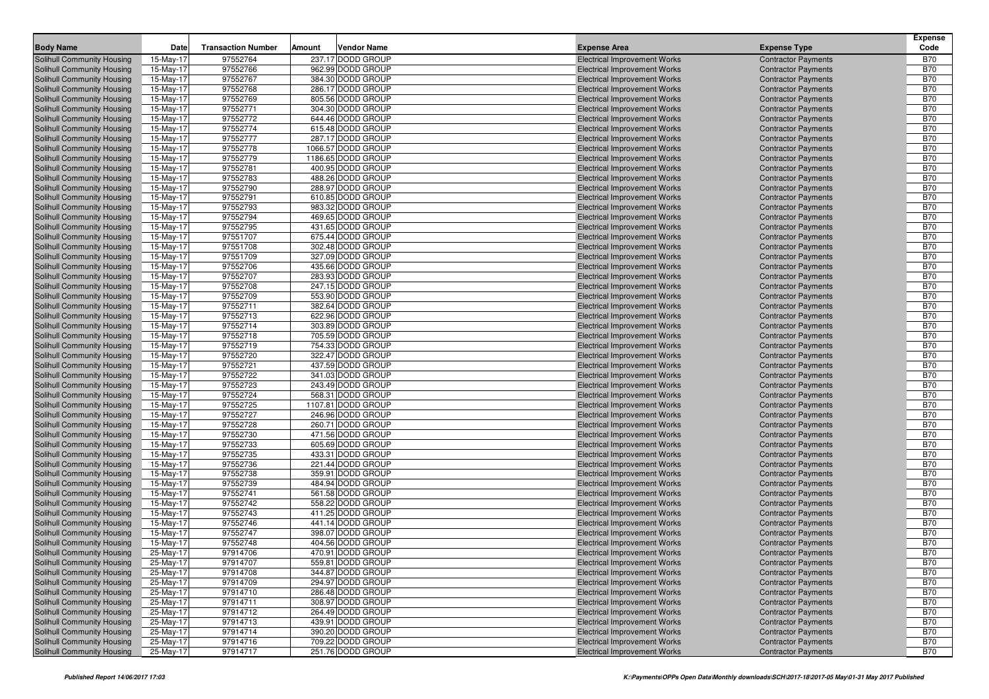|                                                                 |                        |                           |        |                                         |                                                                            |                                                          | <b>Expense</b>           |
|-----------------------------------------------------------------|------------------------|---------------------------|--------|-----------------------------------------|----------------------------------------------------------------------------|----------------------------------------------------------|--------------------------|
| <b>Body Name</b>                                                | Date                   | <b>Transaction Number</b> | Amount | <b>Vendor Name</b>                      | <b>Expense Area</b>                                                        | <b>Expense Type</b>                                      | Code                     |
| Solihull Community Housing                                      | 15-May-17              | 97552764                  |        | 237.17 DODD GROUP                       | <b>Electrical Improvement Works</b>                                        | <b>Contractor Payments</b>                               | <b>B70</b>               |
| <b>Solihull Community Housing</b>                               | 15-May-17              | 97552766                  |        | 962.99 DODD GROUP                       | <b>Electrical Improvement Works</b>                                        | <b>Contractor Payments</b>                               | <b>B70</b>               |
| Solihull Community Housing                                      | 15-May-17              | 97552767                  |        | 384.30 DODD GROUP                       | <b>Electrical Improvement Works</b>                                        | <b>Contractor Payments</b>                               | <b>B70</b>               |
| Solihull Community Housing                                      | 15-May-17              | 97552768<br>97552769      |        | 286.17 DODD GROUP<br>805.56 DODD GROUP  | <b>Electrical Improvement Works</b>                                        | <b>Contractor Payments</b>                               | <b>B70</b><br><b>B70</b> |
| <b>Solihull Community Housing</b><br>Solihull Community Housing | 15-May-17<br>15-May-17 | 97552771                  |        | 304.30 DODD GROUP                       | <b>Electrical Improvement Works</b><br><b>Electrical Improvement Works</b> | <b>Contractor Payments</b>                               | <b>B70</b>               |
| <b>Solihull Community Housing</b>                               | 15-May-17              | 97552772                  |        | 644.46 DODD GROUP                       | <b>Electrical Improvement Works</b>                                        | <b>Contractor Payments</b><br><b>Contractor Payments</b> | <b>B70</b>               |
| Solihull Community Housing                                      | 15-May-17              | 97552774                  |        | 615.48 DODD GROUP                       | <b>Electrical Improvement Works</b>                                        | <b>Contractor Payments</b>                               | <b>B70</b>               |
| Solihull Community Housing                                      | 15-May-17              | 97552777                  |        | 287.17 DODD GROUP                       | <b>Electrical Improvement Works</b>                                        | <b>Contractor Payments</b>                               | <b>B70</b>               |
| Solihull Community Housing                                      | 15-May-17              | 97552778                  |        | 1066.57 DODD GROUP                      | <b>Electrical Improvement Works</b>                                        | <b>Contractor Payments</b>                               | <b>B70</b>               |
| Solihull Community Housing                                      | 15-May-17              | 97552779                  |        | 1186.65 DODD GROUP                      | <b>Electrical Improvement Works</b>                                        | <b>Contractor Payments</b>                               | <b>B70</b>               |
| <b>Solihull Community Housing</b>                               | 15-May-17              | 97552781                  |        | 400.95 DODD GROUP                       | <b>Electrical Improvement Works</b>                                        | <b>Contractor Payments</b>                               | <b>B70</b>               |
| Solihull Community Housing                                      | 15-May-17              | 97552783                  |        | 488.26 DODD GROUP                       | <b>Electrical Improvement Works</b>                                        | <b>Contractor Payments</b>                               | <b>B70</b>               |
| Solihull Community Housing                                      | 15-May-17              | 97552790                  |        | 288.97 DODD GROUP                       | <b>Electrical Improvement Works</b>                                        | <b>Contractor Payments</b>                               | <b>B70</b>               |
| Solihull Community Housing                                      | 15-May-17              | 97552791                  |        | 610.85 DODD GROUP                       | <b>Electrical Improvement Works</b>                                        | <b>Contractor Payments</b>                               | <b>B70</b>               |
| <b>Solihull Community Housing</b>                               | 15-May-17              | 97552793                  |        | 983.32 DODD GROUP                       | <b>Electrical Improvement Works</b>                                        | <b>Contractor Payments</b>                               | <b>B70</b>               |
| Solihull Community Housing                                      | 15-May-17              | 97552794                  |        | 469.65 DODD GROUP                       | <b>Electrical Improvement Works</b>                                        | <b>Contractor Payments</b>                               | <b>B70</b>               |
| <b>Solihull Community Housing</b>                               | 15-May-17              | 97552795                  |        | 431.65 DODD GROUP                       | <b>Electrical Improvement Works</b>                                        | <b>Contractor Payments</b>                               | <b>B70</b>               |
| Solihull Community Housing                                      | 15-May-17              | 97551707                  |        | 675.44 DODD GROUP                       | <b>Electrical Improvement Works</b>                                        | <b>Contractor Payments</b>                               | <b>B70</b>               |
| Solihull Community Housing                                      | 15-May-17              | 97551708                  |        | 302.48 DODD GROUP                       | <b>Electrical Improvement Works</b>                                        | <b>Contractor Payments</b>                               | <b>B70</b>               |
| Solihull Community Housing                                      | 15-May-17              | 97551709                  |        | 327.09 DODD GROUP                       | <b>Electrical Improvement Works</b>                                        | <b>Contractor Payments</b>                               | <b>B70</b>               |
| Solihull Community Housing                                      | 15-May-17              | 97552706                  |        | 435.66 DODD GROUP                       | <b>Electrical Improvement Works</b>                                        | <b>Contractor Payments</b>                               | <b>B70</b>               |
| Solihull Community Housing                                      | 15-May-17              | 97552707                  |        | 283.93 DODD GROUP                       | <b>Electrical Improvement Works</b>                                        | <b>Contractor Payments</b>                               | <b>B70</b>               |
| Solihull Community Housing                                      | 15-May-17              | 97552708                  |        | 247.15 DODD GROUP                       | <b>Electrical Improvement Works</b>                                        | <b>Contractor Payments</b>                               | <b>B70</b>               |
| Solihull Community Housing                                      | 15-May-17              | 97552709                  |        | 553.90 DODD GROUP                       | <b>Electrical Improvement Works</b>                                        | <b>Contractor Payments</b>                               | <b>B70</b>               |
| <b>Solihull Community Housing</b>                               | 15-May-17              | 97552711                  |        | 382.64 DODD GROUP                       | <b>Electrical Improvement Works</b>                                        | <b>Contractor Payments</b>                               | <b>B70</b>               |
| Solihull Community Housing                                      | 15-May-17              | 97552713                  |        | 622.96 DODD GROUP                       | <b>Electrical Improvement Works</b>                                        | <b>Contractor Payments</b>                               | <b>B70</b>               |
| <b>Solihull Community Housing</b>                               | 15-May-17              | 97552714                  |        | 303.89 DODD GROUP                       | <b>Electrical Improvement Works</b>                                        | <b>Contractor Payments</b>                               | <b>B70</b>               |
| Solihull Community Housing                                      | 15-May-17              | 97552718                  |        | 705.59 DODD GROUP                       | <b>Electrical Improvement Works</b>                                        | <b>Contractor Payments</b>                               | <b>B70</b>               |
| Solihull Community Housing                                      | 15-May-17              | 97552719                  |        | 754.33 DODD GROUP                       | <b>Electrical Improvement Works</b>                                        | <b>Contractor Payments</b>                               | <b>B70</b>               |
| Solihull Community Housing                                      | 15-May-17              | 97552720                  |        | 322.47 DODD GROUP                       | <b>Electrical Improvement Works</b>                                        | <b>Contractor Payments</b>                               | <b>B70</b>               |
| Solihull Community Housing                                      | 15-May-17              | 97552721                  |        | 437.59 DODD GROUP                       | <b>Electrical Improvement Works</b>                                        | <b>Contractor Payments</b>                               | <b>B70</b>               |
| Solihull Community Housing                                      | 15-May-17              | 97552722                  |        | 341.03 DODD GROUP                       | <b>Electrical Improvement Works</b>                                        | <b>Contractor Payments</b>                               | <b>B70</b>               |
| Solihull Community Housing                                      | 15-May-17              | 97552723                  |        | 243.49 DODD GROUP                       | <b>Electrical Improvement Works</b>                                        | <b>Contractor Payments</b>                               | <b>B70</b>               |
| <b>Solihull Community Housing</b>                               | 15-May-17              | 97552724                  |        | 568.31 DODD GROUP                       | <b>Electrical Improvement Works</b>                                        | <b>Contractor Payments</b>                               | <b>B70</b>               |
| Solihull Community Housing                                      | 15-May-17              | 97552725                  |        | 1107.81 DODD GROUP<br>246.96 DODD GROUP | <b>Electrical Improvement Works</b>                                        | <b>Contractor Payments</b>                               | <b>B70</b><br><b>B70</b> |
| Solihull Community Housing                                      | 15-May-17<br>15-May-17 | 97552727<br>97552728      |        | 260.71 DODD GROUP                       | <b>Electrical Improvement Works</b>                                        | <b>Contractor Payments</b>                               | <b>B70</b>               |
| Solihull Community Housing<br>Solihull Community Housing        | 15-May-17              | 97552730                  |        | 471.56 DODD GROUP                       | <b>Electrical Improvement Works</b><br><b>Electrical Improvement Works</b> | <b>Contractor Payments</b><br><b>Contractor Payments</b> | <b>B70</b>               |
| Solihull Community Housing                                      | 15-May-17              | 97552733                  |        | 605.69 DODD GROUP                       | <b>Electrical Improvement Works</b>                                        | <b>Contractor Payments</b>                               | <b>B70</b>               |
| Solihull Community Housing                                      | 15-May-17              | 97552735                  |        | 433.31 DODD GROUP                       | <b>Electrical Improvement Works</b>                                        | <b>Contractor Payments</b>                               | <b>B70</b>               |
| Solihull Community Housing                                      | 15-May-17              | 97552736                  |        | 221.44 DODD GROUP                       | <b>Electrical Improvement Works</b>                                        | <b>Contractor Payments</b>                               | <b>B70</b>               |
| Solihull Community Housing                                      | 15-May-17              | 97552738                  |        | 359.91 DODD GROUP                       | <b>Electrical Improvement Works</b>                                        | <b>Contractor Payments</b>                               | <b>B70</b>               |
| Solihull Community Housing                                      | 15-May-17              | 97552739                  |        | 484.94 DODD GROUP                       | <b>Electrical Improvement Works</b>                                        | <b>Contractor Payments</b>                               | <b>B70</b>               |
| Solihull Community Housing                                      | 15-May-17              | 97552741                  |        | 561.58 DODD GROUP                       | <b>Electrical Improvement Works</b>                                        | <b>Contractor Payments</b>                               | <b>B70</b>               |
| Solihull Community Housing                                      | 15-May-17              | 97552742                  |        | 558.22 DODD GROUP                       | <b>Electrical Improvement Works</b>                                        | <b>Contractor Payments</b>                               | <b>B70</b>               |
| Solihull Community Housing                                      | 15-May-17              | 97552743                  |        | 411.25 DODD GROUP                       | <b>Electrical Improvement Works</b>                                        | <b>Contractor Payments</b>                               | <b>B70</b>               |
| Solihull Community Housing                                      | 15-May-17              | 97552746                  |        | 441.14 DODD GROUP                       | <b>Electrical Improvement Works</b>                                        | <b>Contractor Payments</b>                               | <b>B70</b>               |
| Solihull Community Housing                                      | 15-May-17              | 97552747                  |        | 398.07 DODD GROUP                       | <b>Electrical Improvement Works</b>                                        | <b>Contractor Payments</b>                               | <b>B70</b>               |
| Solihull Community Housing                                      | 15-May-17              | 97552748                  |        | 404.56 DODD GROUP                       | <b>Electrical Improvement Works</b>                                        | <b>Contractor Payments</b>                               | <b>B70</b>               |
| <b>Solihull Community Housing</b>                               | 25-May-17              | 97914706                  |        | 470.91 DODD GROUP                       | <b>Electrical Improvement Works</b>                                        | <b>Contractor Payments</b>                               | <b>B70</b>               |
| Solihull Community Housing                                      | 25-May-17              | 97914707                  |        | 559.81 DODD GROUP                       | <b>Electrical Improvement Works</b>                                        | <b>Contractor Payments</b>                               | <b>B70</b>               |
| <b>Solihull Community Housing</b>                               | 25-May-17              | 97914708                  |        | 344.87 DODD GROUP                       | <b>Electrical Improvement Works</b>                                        | <b>Contractor Payments</b>                               | <b>B70</b>               |
| <b>Solihull Community Housing</b>                               | 25-May-17              | 97914709                  |        | 294.97 DODD GROUP                       | <b>Electrical Improvement Works</b>                                        | <b>Contractor Payments</b>                               | <b>B70</b>               |
| Solihull Community Housing                                      | 25-May-17              | 97914710                  |        | 286.48 DODD GROUP                       | <b>Electrical Improvement Works</b>                                        | <b>Contractor Payments</b>                               | <b>B70</b>               |
| Solihull Community Housing                                      | 25-May-17              | 97914711                  |        | 308.97 DODD GROUP                       | <b>Electrical Improvement Works</b>                                        | <b>Contractor Payments</b>                               | <b>B70</b>               |
| <b>Solihull Community Housing</b>                               | 25-May-17              | 97914712                  |        | 264.49 DODD GROUP                       | <b>Electrical Improvement Works</b>                                        | <b>Contractor Payments</b>                               | <b>B70</b>               |
| Solihull Community Housing                                      | 25-May-17              | 97914713                  |        | 439.91 DODD GROUP                       | <b>Electrical Improvement Works</b>                                        | <b>Contractor Payments</b>                               | <b>B70</b>               |
| Solihull Community Housing                                      | 25-May-17              | 97914714                  |        | 390.20 DODD GROUP                       | <b>Electrical Improvement Works</b>                                        | <b>Contractor Payments</b>                               | <b>B70</b>               |
| Solihull Community Housing                                      | 25-May-17              | 97914716                  |        | 709.22 DODD GROUP                       | <b>Electrical Improvement Works</b>                                        | <b>Contractor Payments</b>                               | <b>B70</b>               |
| Solihull Community Housing                                      | 25-May-17              | 97914717                  |        | 251.76 DODD GROUP                       | <b>Electrical Improvement Works</b>                                        | <b>Contractor Payments</b>                               | <b>B70</b>               |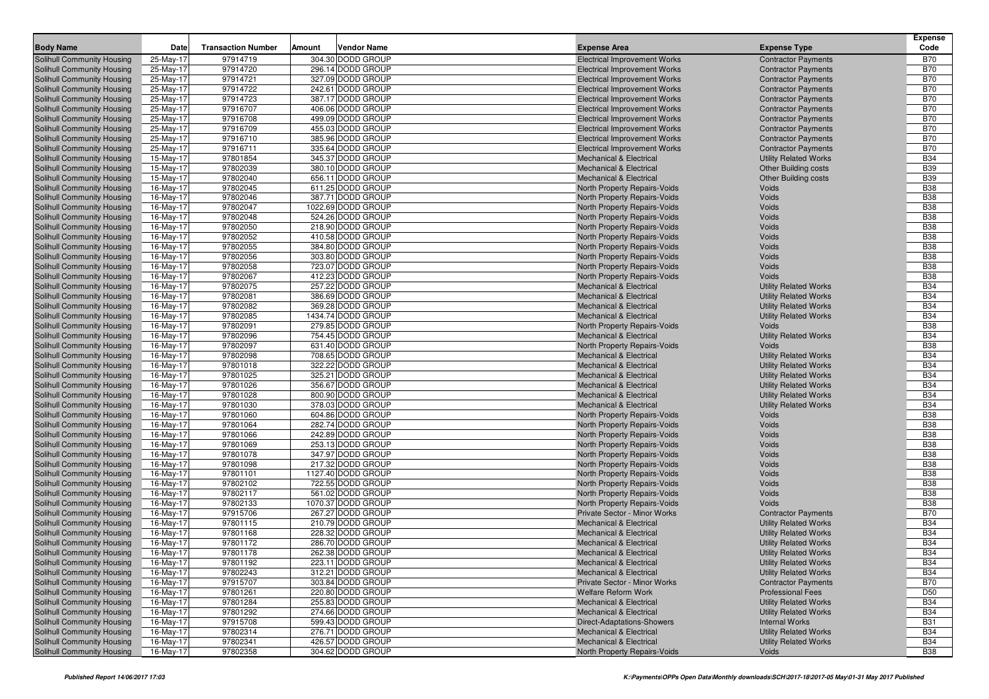| <b>Body Name</b>                                         | <b>Date</b>            | <b>Transaction Number</b> | Amount | <b>Vendor Name</b>                     | <b>Expense Area</b>                                          | <b>Expense Type</b>          | <b>Expense</b><br>Code   |
|----------------------------------------------------------|------------------------|---------------------------|--------|----------------------------------------|--------------------------------------------------------------|------------------------------|--------------------------|
| <b>Solihull Community Housing</b>                        | 25-May-17              | 97914719                  |        | 304.30 DODD GROUP                      | <b>Electrical Improvement Works</b>                          | <b>Contractor Payments</b>   | <b>B70</b>               |
| Solihull Community Housing                               | 25-May-17              | 97914720                  |        | 296.14 DODD GROUP                      | <b>Electrical Improvement Works</b>                          | <b>Contractor Payments</b>   | <b>B70</b>               |
| <b>Solihull Community Housing</b>                        | 25-May-17              | 97914721                  |        | 327.09 DODD GROUP                      | <b>Electrical Improvement Works</b>                          | <b>Contractor Payments</b>   | <b>B70</b>               |
| <b>Solihull Community Housing</b>                        | 25-May-17              | 97914722                  |        | 242.61 DODD GROUP                      | <b>Electrical Improvement Works</b>                          | <b>Contractor Payments</b>   | <b>B70</b>               |
| Solihull Community Housing                               | 25-May-17              | 97914723                  |        | 387.17 DODD GROUP                      | <b>Electrical Improvement Works</b>                          | <b>Contractor Payments</b>   | <b>B70</b>               |
| Solihull Community Housing                               | 25-May-17              | 97916707                  |        | 406.06 DODD GROUP                      | <b>Electrical Improvement Works</b>                          | <b>Contractor Payments</b>   | <b>B70</b>               |
| <b>Solihull Community Housing</b>                        | 25-May-17              | 97916708                  |        | 499.09 DODD GROUP                      | <b>Electrical Improvement Works</b>                          | <b>Contractor Payments</b>   | <b>B70</b>               |
| <b>Solihull Community Housing</b>                        | 25-May-17              | 97916709                  |        | 455.03 DODD GROUP                      | <b>Electrical Improvement Works</b>                          | <b>Contractor Payments</b>   | <b>B70</b>               |
| <b>Solihull Community Housing</b>                        | 25-May-17              | 97916710                  |        | 385.96 DODD GROUP                      | <b>Electrical Improvement Works</b>                          | <b>Contractor Payments</b>   | <b>B70</b>               |
| <b>Solihull Community Housing</b>                        | 25-May-17              | 97916711                  |        | 335.64 DODD GROUP                      | <b>Electrical Improvement Works</b>                          | <b>Contractor Payments</b>   | <b>B70</b>               |
| <b>Solihull Community Housing</b>                        | 15-May-17              | 97801854                  |        | 345.37 DODD GROUP                      | <b>Mechanical &amp; Electrical</b>                           | <b>Utility Related Works</b> | <b>B34</b>               |
| <b>Solihull Community Housing</b>                        | 15-May-17              | 97802039                  |        | 380.10 DODD GROUP                      | <b>Mechanical &amp; Electrical</b>                           | <b>Other Building costs</b>  | <b>B39</b>               |
| Solihull Community Housing                               | 15-May-17              | 97802040                  |        | 656.11 DODD GROUP                      | <b>Mechanical &amp; Electrical</b>                           | <b>Other Building costs</b>  | <b>B39</b>               |
| <b>Solihull Community Housing</b>                        | 16-May-17              | 97802045                  |        | 611.25 DODD GROUP                      | North Property Repairs-Voids                                 | Voids                        | <b>B38</b>               |
| <b>Solihull Community Housing</b>                        | 16-May-17              | 97802046                  |        | 387.71 DODD GROUP                      | North Property Repairs-Voids                                 | Voids                        | <b>B38</b>               |
| Solihull Community Housing                               | 16-May-17              | 97802047                  |        | 1022.69 DODD GROUP                     | North Property Repairs-Voids                                 | Voids                        | <b>B38</b>               |
| <b>Solihull Community Housing</b>                        | 16-May-17              | 97802048                  |        | 524.26 DODD GROUP                      | North Property Repairs-Voids                                 | Voids                        | <b>B38</b>               |
| <b>Solihull Community Housing</b>                        | 16-May-17              | 97802050                  |        | 218.90 DODD GROUP                      | North Property Repairs-Voids                                 | Voids                        | <b>B38</b>               |
| <b>Solihull Community Housing</b>                        | 16-May-17              | 97802052                  |        | 410.58 DODD GROUP                      | North Property Repairs-Voids                                 | Voids                        | <b>B38</b>               |
| <b>Solihull Community Housing</b>                        | 16-May-17              | 97802055                  |        | 384.80 DODD GROUP                      | North Property Repairs-Voids                                 | Voids                        | <b>B38</b>               |
| <b>Solihull Community Housing</b>                        | 16-May-17              | 97802056                  |        | 303.80 DODD GROUP                      | North Property Repairs-Voids                                 | Voids                        | <b>B38</b>               |
| <b>Solihull Community Housing</b>                        | 16-May-17              | 97802058                  |        | 723.07 DODD GROUP                      | North Property Repairs-Voids                                 | Voids                        | <b>B38</b>               |
| Solihull Community Housing                               | 16-May-17              | 97802067                  |        | 412.23 DODD GROUP                      | North Property Repairs-Voids                                 | Voids                        | <b>B38</b>               |
| <b>Solihull Community Housing</b>                        | 16-May-17              | 97802075                  |        | 257.22 DODD GROUP                      | <b>Mechanical &amp; Electrical</b>                           | <b>Utility Related Works</b> | <b>B34</b>               |
| <b>Solihull Community Housing</b>                        | 16-May-17              | 97802081                  |        | 386.69 DODD GROUP                      | <b>Mechanical &amp; Electrical</b>                           | <b>Utility Related Works</b> | <b>B34</b>               |
| <b>Solihull Community Housing</b>                        | 16-May-17              | 97802082                  |        | 369.28 DODD GROUP                      | <b>Mechanical &amp; Electrical</b>                           | <b>Utility Related Works</b> | <b>B34</b>               |
| <b>Solihull Community Housing</b>                        | 16-May-17              | 97802085                  |        | 1434.74 DODD GROUP                     | <b>Mechanical &amp; Electrical</b>                           | <b>Utility Related Works</b> | <b>B34</b>               |
| <b>Solihull Community Housing</b>                        | 16-May-17              | 97802091                  |        | 279.85 DODD GROUP                      | North Property Repairs-Voids                                 | Voids                        | <b>B38</b>               |
| <b>Solihull Community Housing</b>                        | 16-May-17              | 97802096                  |        | 754.45 DODD GROUP                      | <b>Mechanical &amp; Electrical</b>                           | <b>Utility Related Works</b> | <b>B34</b>               |
| <b>Solihull Community Housing</b>                        | 16-May-17              | 97802097                  |        | 631.40 DODD GROUP                      | North Property Repairs-Voids                                 | Voids                        | <b>B38</b>               |
| <b>Solihull Community Housing</b>                        | 16-May-17              | 97802098                  |        | 708.65 DODD GROUP                      | <b>Mechanical &amp; Electrical</b>                           | <b>Utility Related Works</b> | <b>B34</b>               |
| <b>Solihull Community Housing</b>                        | 16-May-17              | 97801018                  |        | 322.22 DODD GROUP                      | <b>Mechanical &amp; Electrical</b>                           | <b>Utility Related Works</b> | <b>B34</b>               |
| <b>Solihull Community Housing</b>                        | 16-May-17              | 97801025                  |        | 325.21 DODD GROUP                      | <b>Mechanical &amp; Electrical</b>                           | <b>Utility Related Works</b> | <b>B34</b>               |
| <b>Solihull Community Housing</b>                        | 16-May-17              | 97801026                  |        | 356.67 DODD GROUP                      | <b>Mechanical &amp; Electrical</b>                           | <b>Utility Related Works</b> | <b>B34</b>               |
| <b>Solihull Community Housing</b>                        | 16-May-17              | 97801028                  |        | 800.90 DODD GROUP                      | <b>Mechanical &amp; Electrical</b>                           | <b>Utility Related Works</b> | <b>B34</b>               |
| Solihull Community Housing                               | 16-May-17              | 97801030                  |        | 378.03 DODD GROUP                      | <b>Mechanical &amp; Electrical</b>                           | <b>Utility Related Works</b> | <b>B34</b><br><b>B38</b> |
| <b>Solihull Community Housing</b>                        | 16-May-17<br>16-May-17 | 97801060<br>97801064      |        | 604.86 DODD GROUP<br>282.74 DODD GROUP | North Property Repairs-Voids                                 | Voids<br>Voids               | <b>B38</b>               |
| Solihull Community Housing<br>Solihull Community Housing | 16-May-17              | 97801066                  |        | 242.89 DODD GROUP                      | North Property Repairs-Voids<br>North Property Repairs-Voids | Voids                        | <b>B38</b>               |
| Solihull Community Housing                               | 16-May-17              | 97801069                  |        | 253.13 DODD GROUP                      | North Property Repairs-Voids                                 | Voids                        | <b>B38</b>               |
| Solihull Community Housing                               | 16-May-17              | 97801078                  |        | 347.97 DODD GROUP                      | North Property Repairs-Voids                                 | Voids                        | <b>B38</b>               |
| Solihull Community Housing                               | 16-May-17              | 97801098                  |        | 217.32 DODD GROUP                      | North Property Repairs-Voids                                 | Voids                        | <b>B38</b>               |
| Solihull Community Housing                               | 16-May-17              | 97801101                  |        | 1127.40 DODD GROUP                     | North Property Repairs-Voids                                 | Voids                        | <b>B38</b>               |
| Solihull Community Housing                               | 16-May-17              | 97802102                  |        | 722.55 DODD GROUP                      | North Property Repairs-Voids                                 | Voids                        | <b>B38</b>               |
| Solihull Community Housing                               | 16-May-17              | 97802117                  |        | 561.02 DODD GROUP                      | North Property Repairs-Voids                                 | Voids                        | <b>B38</b>               |
| <b>Solihull Community Housing</b>                        | 16-May-17              | 97802133                  |        | 1070.37 DODD GROUP                     | North Property Repairs-Voids                                 | Voids                        | <b>B38</b>               |
| Solihull Community Housing                               | 16-May-17              | 97915706                  |        | 267.27 DODD GROUP                      | <b>Private Sector - Minor Works</b>                          | <b>Contractor Payments</b>   | <b>B70</b>               |
| Solihull Community Housing                               | 16-May-17              | 97801115                  |        | 210.79 DODD GROUP                      | <b>Mechanical &amp; Electrical</b>                           | <b>Utility Related Works</b> | <b>B34</b>               |
| <b>Solihull Community Housing</b>                        | 16-May-17              | 97801168                  |        | 228.32 DODD GROUP                      | <b>Mechanical &amp; Electrical</b>                           | <b>Utility Related Works</b> | <b>B34</b>               |
| <b>Solihull Community Housing</b>                        | 16-May-17              | 97801172                  |        | 286.70 DODD GROUP                      | <b>Mechanical &amp; Electrical</b>                           | <b>Utility Related Works</b> | <b>B34</b>               |
| Solihull Community Housing                               | 16-May-17              | 97801178                  |        | 262.38 DODD GROUP                      | <b>Mechanical &amp; Electrical</b>                           | <b>Utility Related Works</b> | <b>B34</b>               |
| Solihull Community Housing                               | 16-May-17              | 97801192                  |        | 223.11 DODD GROUP                      | Mechanical & Electrical                                      | <b>Utility Related Works</b> | <b>B34</b>               |
| Solihull Community Housing                               | 16-May-17              | 97802243                  |        | 312.21 DODD GROUP                      | <b>Mechanical &amp; Electrical</b>                           | <b>Utility Related Works</b> | <b>B34</b>               |
| Solihull Community Housing                               | 16-May-17              | 97915707                  |        | 303.84 DODD GROUP                      | Private Sector - Minor Works                                 | <b>Contractor Payments</b>   | <b>B70</b>               |
| Solihull Community Housing                               | 16-May-17              | 97801261                  |        | 220.80 DODD GROUP                      | <b>Welfare Reform Work</b>                                   | <b>Professional Fees</b>     | D <sub>50</sub>          |
| Solihull Community Housing                               | 16-May-17              | 97801284                  |        | 255.83 DODD GROUP                      | <b>Mechanical &amp; Electrical</b>                           | <b>Utility Related Works</b> | <b>B34</b>               |
| <b>Solihull Community Housing</b>                        | 16-May-17              | 97801292                  |        | 274.66 DODD GROUP                      | <b>Mechanical &amp; Electrical</b>                           | <b>Utility Related Works</b> | <b>B34</b>               |
| Solihull Community Housing                               | 16-May-17              | 97915708                  |        | 599.43 DODD GROUP                      | Direct-Adaptations-Showers                                   | <b>Internal Works</b>        | <b>B31</b>               |
| Solihull Community Housing                               | 16-May-17              | 97802314                  |        | 276.71 DODD GROUP                      | <b>Mechanical &amp; Electrical</b>                           | <b>Utility Related Works</b> | <b>B34</b>               |
| Solihull Community Housing                               | 16-May-17              | 97802341                  |        | 426.57 DODD GROUP                      | <b>Mechanical &amp; Electrical</b>                           | <b>Utility Related Works</b> | <b>B34</b>               |
| <b>Solihull Community Housing</b>                        | 16-May-17              | 97802358                  |        | 304.62 DODD GROUP                      | North Property Repairs-Voids                                 | Voids                        | <b>B38</b>               |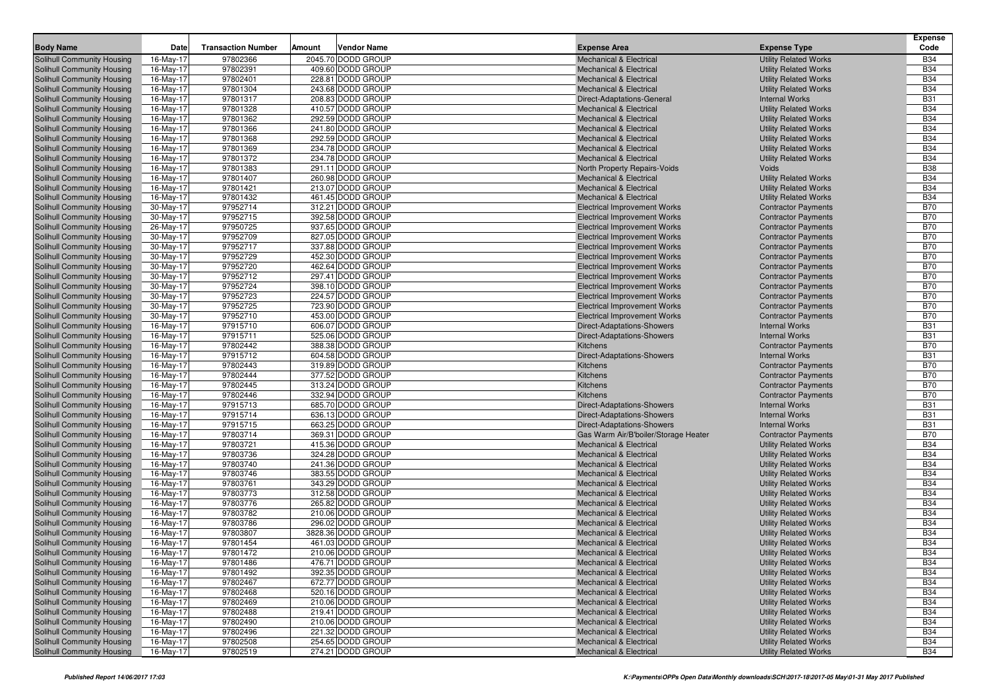| 97802366<br>2045.70 DODD GROUP<br><b>Utility Related Works</b><br><b>B34</b><br>Solihull Community Housing<br>16-May-17<br><b>Mechanical &amp; Electrical</b><br>97802391<br>409.60 DODD GROUP<br><b>B34</b><br>Solihull Community Housing<br>16-May-17<br><b>Utility Related Works</b><br><b>Mechanical &amp; Electrical</b><br><b>B34</b><br>16-May-17<br>97802401<br>228.81 DODD GROUP<br>Solihull Community Housing<br><b>Mechanical &amp; Electrical</b><br><b>Utility Related Works</b><br>97801304<br>243.68 DODD GROUP<br><b>B34</b><br>16-May-17<br><b>Utility Related Works</b><br>Solihull Community Housing<br><b>Mechanical &amp; Electrical</b><br>208.83 DODD GROUP<br>16-May-17<br>97801317<br><b>Internal Works</b><br><b>B31</b><br>Solihull Community Housing<br>Direct-Adaptations-General<br>97801328<br>410.57 DODD GROUP<br><b>B34</b><br>16-May-17<br><b>Utility Related Works</b><br><b>Solihull Community Housing</b><br><b>Mechanical &amp; Electrical</b><br>97801362<br>292.59 DODD GROUP<br><b>B34</b><br>Solihull Community Housing<br>16-May-17<br><b>Utility Related Works</b><br><b>Mechanical &amp; Electrical</b><br>97801366<br><b>B34</b><br>16-May-17<br>241.80 DODD GROUP<br>Solihull Community Housing<br><b>Mechanical &amp; Electrical</b><br><b>Utility Related Works</b><br>97801368<br>292.59 DODD GROUP<br><b>B34</b><br>16-May-17<br><b>Utility Related Works</b><br>Solihull Community Housing<br><b>Mechanical &amp; Electrical</b><br><b>B34</b><br>Solihull Community Housing<br>16-May-17<br>97801369<br>234.78 DODD GROUP<br><b>Mechanical &amp; Electrical</b><br><b>Utility Related Works</b><br>97801372<br>234.78 DODD GROUP<br><b>B34</b><br><b>Solihull Community Housing</b><br>16-May-17<br><b>Utility Related Works</b><br><b>Mechanical &amp; Electrical</b><br>97801383<br>291.11 DODD GROUP<br><b>B38</b><br><b>Solihull Community Housing</b><br>16-May-17<br>North Property Repairs-Voids<br>Voids<br><b>B34</b><br>16-May-17<br>97801407<br>260.98 DODD GROUP<br><b>Utility Related Works</b><br>Solihull Community Housing<br><b>Mechanical &amp; Electrical</b><br>97801421<br>213.07 DODD GROUP<br><b>B34</b><br>16-May-17<br><b>Utility Related Works</b><br>Solihull Community Housing<br><b>Mechanical &amp; Electrical</b><br><b>B34</b><br>16-May-17<br>97801432<br>461.45 DODD GROUP<br><b>Mechanical &amp; Electrical</b><br>Solihull Community Housing<br><b>Utility Related Works</b><br>97952714<br>312.21 DODD GROUP<br><b>B70</b><br><b>Solihull Community Housing</b><br>30-May-17<br><b>Contractor Payments</b><br><b>Electrical Improvement Works</b><br>97952715<br>392.58 DODD GROUP<br><b>B70</b><br>30-May-17<br><b>Contractor Payments</b><br>Solihull Community Housing<br><b>Electrical Improvement Works</b><br>97950725<br><b>B70</b><br>26-May-17<br>937.65 DODD GROUP<br>Solihull Community Housing<br><b>Electrical Improvement Works</b><br><b>Contractor Payments</b><br>97952709<br>827.05 DODD GROUP<br><b>B70</b><br>30-May-17<br><b>Electrical Improvement Works</b><br><b>Contractor Payments</b><br>Solihull Community Housing<br>97952717<br><b>B70</b><br>30-May-17<br>337.88 DODD GROUP<br><b>Contractor Payments</b><br>Solihull Community Housing<br><b>Electrical Improvement Works</b><br>97952729<br>452.30 DODD GROUP<br><b>B70</b><br>30-May-17<br><b>Electrical Improvement Works</b><br>Solihull Community Housing<br><b>Contractor Payments</b><br>97952720<br>462.64 DODD GROUP<br><b>B70</b><br>Solihull Community Housing<br>30-May-17<br><b>Electrical Improvement Works</b><br><b>Contractor Payments</b><br>97952712<br><b>B70</b><br>30-May-17<br>297.41 DODD GROUP<br>Solihull Community Housing<br><b>Electrical Improvement Works</b><br><b>Contractor Payments</b><br>97952724<br>398.10 DODD GROUP<br><b>B70</b><br>30-May-17<br><b>Contractor Payments</b><br>Solihull Community Housing<br><b>Electrical Improvement Works</b><br>97952723<br>224.57 DODD GROUP<br><b>B70</b><br>30-May-17<br><b>Contractor Payments</b><br>Solihull Community Housing<br><b>Electrical Improvement Works</b><br>97952725<br>723.90 DODD GROUP<br><b>B70</b><br><b>Solihull Community Housing</b><br>30-May-17<br><b>Electrical Improvement Works</b><br><b>Contractor Payments</b><br>97952710<br>453.00 DODD GROUP<br><b>B70</b><br>30-May-17<br><b>Electrical Improvement Works</b><br><b>Contractor Payments</b><br>Solihull Community Housing<br>97915710<br><b>B31</b><br>16-May-17<br>606.07 DODD GROUP<br><b>Internal Works</b><br>Solihull Community Housing<br>Direct-Adaptations-Showers<br>97915711<br>525.06 DODD GROUP<br><b>B31</b><br>16-May-17<br>Direct-Adaptations-Showers<br><b>Internal Works</b><br>Solihull Community Housing<br>97802442<br>388.38 DODD GROUP<br><b>B70</b><br>16-May-17<br>Kitchens<br>Solihull Community Housing<br><b>Contractor Payments</b><br>97915712<br>604.58 DODD GROUP<br><b>B31</b><br>16-May-17<br>Direct-Adaptations-Showers<br><b>Internal Works</b><br>Solihull Community Housing<br>97802443<br>319.89 DODD GROUP<br>Solihull Community Housing<br>16-May-17<br>Kitchens<br><b>Contractor Payments</b><br><b>B70</b><br>97802444<br><b>B70</b><br>16-May-17<br>377.52 DODD GROUP<br>Kitchens<br>Solihull Community Housing<br><b>Contractor Payments</b><br>97802445<br>313.24 DODD GROUP<br><b>B70</b><br>16-May-17<br>Kitchens<br><b>Contractor Payments</b><br>Solihull Community Housing<br>97802446<br>332.94 DODD GROUP<br><b>B70</b><br>16-May-17<br><b>Kitchens</b><br><b>Contractor Payments</b><br>Solihull Community Housing<br>97915713<br>685.70 DODD GROUP<br><b>B31</b><br><b>Solihull Community Housing</b><br>16-May-17<br>Direct-Adaptations-Showers<br><b>Internal Works</b><br>97915714<br>636.13 DODD GROUP<br>Solihull Community Housing<br>16-May-17<br><b>Internal Works</b><br><b>B31</b><br>Direct-Adaptations-Showers<br>97915715<br><b>B31</b><br>16-May-17<br>663.25 DODD GROUP<br><b>Internal Works</b><br>Solihull Community Housing<br><b>Direct-Adaptations-Showers</b><br>97803714<br>369.31 DODD GROUP<br><b>B70</b><br>16-May-17<br>Gas Warm Air/B'boiler/Storage Heater<br><b>Contractor Payments</b><br>Solihull Community Housing<br>16-May-17<br>97803721<br>415.36 DODD GROUP<br><b>Mechanical &amp; Electrical</b><br><b>B34</b><br>Solihull Community Housing<br><b>Utility Related Works</b><br>97803736<br>324.28 DODD GROUP<br><b>B34</b><br>16-May-17<br><b>Utility Related Works</b><br>Solihull Community Housing<br><b>Mechanical &amp; Electrical</b><br>97803740<br><b>B34</b><br>Solihull Community Housing<br>16-May-17<br>241.36 DODD GROUP<br><b>Utility Related Works</b><br><b>Mechanical &amp; Electrical</b><br>97803746<br><b>B34</b><br>16-May-17<br>383.55 DODD GROUP<br>Solihull Community Housing<br><b>Mechanical &amp; Electrical</b><br><b>Utility Related Works</b><br>97803761<br>343.29 DODD GROUP<br><b>B34</b><br>16-May-17<br><b>Utility Related Works</b><br>Solihull Community Housing<br><b>Mechanical &amp; Electrical</b><br>16-May-17<br>97803773<br>312.58 DODD GROUP<br><b>B34</b><br>Solihull Community Housing<br><b>Mechanical &amp; Electrical</b><br><b>Utility Related Works</b><br>97803776<br>265.82 DODD GROUP<br><b>B34</b><br>16-May-17<br><b>Utility Related Works</b><br>Solihull Community Housing<br><b>Mechanical &amp; Electrical</b><br>97803782<br>210.06 DODD GROUP<br><b>B34</b><br>16-May-17<br><b>Utility Related Works</b><br>Solihull Community Housing<br><b>Mechanical &amp; Electrical</b><br>97803786<br><b>B34</b><br>16-May-17<br>296.02 DODD GROUP<br>Solihull Community Housing<br><b>Mechanical &amp; Electrical</b><br><b>Utility Related Works</b><br>97803807<br>3828.36 DODD GROUP<br><b>B34</b><br><b>Solihull Community Housing</b><br>16-May-17<br><b>Utility Related Works</b><br><b>Mechanical &amp; Electrical</b><br>461.03 DODD GROUP<br><b>B34</b><br>16-May-17<br>97801454<br>Solihull Community Housing<br><b>Mechanical &amp; Electrical</b><br><b>Utility Related Works</b><br><b>B34</b><br>16-May-17<br>97801472<br>210.06 DODD GROUP<br>Solihull Community Housing<br><b>Mechanical &amp; Electrical</b><br><b>Utility Related Works</b><br>Solihull Community Housing<br>16-May-17<br>97801486<br>476.71 DODD GROUP<br><b>Mechanical &amp; Electrical</b><br><b>Utility Related Works</b><br><b>B34</b><br><b>B34</b><br>97801492<br>Solihull Community Housing<br>16-May-17<br>392.35 DODD GROUP<br><b>Utility Related Works</b><br><b>Mechanical &amp; Electrical</b><br>97802467<br>672.77 DODD GROUP<br><b>B34</b><br>Solihull Community Housing<br>16-May-17<br><b>Utility Related Works</b><br><b>Mechanical &amp; Electrical</b><br>520.16 DODD GROUP<br><b>B34</b><br>Solihull Community Housing<br>16-May-17<br>97802468<br><b>Mechanical &amp; Electrical</b><br><b>Utility Related Works</b><br>97802469<br>210.06 DODD GROUP<br><b>B34</b><br>Solihull Community Housing<br>16-May-17<br><b>Mechanical &amp; Electrical</b><br><b>Utility Related Works</b><br>219.41 DODD GROUP<br>Solihull Community Housing<br>16-May-17<br>97802488<br><b>Utility Related Works</b><br><b>B34</b><br><b>Mechanical &amp; Electrical</b><br>97802490<br><b>B34</b><br>Solihull Community Housing<br>16-May-17<br>210.06 DODD GROUP<br><b>Mechanical &amp; Electrical</b><br><b>Utility Related Works</b><br>Solihull Community Housing<br>16-May-17<br>97802496<br>221.32 DODD GROUP<br><b>Utility Related Works</b><br><b>B34</b><br><b>Mechanical &amp; Electrical</b><br><b>B34</b><br>Solihull Community Housing<br>16-May-17<br>97802508<br>254.65 DODD GROUP<br><b>Mechanical &amp; Electrical</b><br><b>Utility Related Works</b> | <b>Body Name</b>           | Date      | <b>Transaction Number</b> | Amount<br><b>Vendor Name</b> | <b>Expense Area</b>                | <b>Expense Type</b>          | <b>Expense</b><br>Code |
|-----------------------------------------------------------------------------------------------------------------------------------------------------------------------------------------------------------------------------------------------------------------------------------------------------------------------------------------------------------------------------------------------------------------------------------------------------------------------------------------------------------------------------------------------------------------------------------------------------------------------------------------------------------------------------------------------------------------------------------------------------------------------------------------------------------------------------------------------------------------------------------------------------------------------------------------------------------------------------------------------------------------------------------------------------------------------------------------------------------------------------------------------------------------------------------------------------------------------------------------------------------------------------------------------------------------------------------------------------------------------------------------------------------------------------------------------------------------------------------------------------------------------------------------------------------------------------------------------------------------------------------------------------------------------------------------------------------------------------------------------------------------------------------------------------------------------------------------------------------------------------------------------------------------------------------------------------------------------------------------------------------------------------------------------------------------------------------------------------------------------------------------------------------------------------------------------------------------------------------------------------------------------------------------------------------------------------------------------------------------------------------------------------------------------------------------------------------------------------------------------------------------------------------------------------------------------------------------------------------------------------------------------------------------------------------------------------------------------------------------------------------------------------------------------------------------------------------------------------------------------------------------------------------------------------------------------------------------------------------------------------------------------------------------------------------------------------------------------------------------------------------------------------------------------------------------------------------------------------------------------------------------------------------------------------------------------------------------------------------------------------------------------------------------------------------------------------------------------------------------------------------------------------------------------------------------------------------------------------------------------------------------------------------------------------------------------------------------------------------------------------------------------------------------------------------------------------------------------------------------------------------------------------------------------------------------------------------------------------------------------------------------------------------------------------------------------------------------------------------------------------------------------------------------------------------------------------------------------------------------------------------------------------------------------------------------------------------------------------------------------------------------------------------------------------------------------------------------------------------------------------------------------------------------------------------------------------------------------------------------------------------------------------------------------------------------------------------------------------------------------------------------------------------------------------------------------------------------------------------------------------------------------------------------------------------------------------------------------------------------------------------------------------------------------------------------------------------------------------------------------------------------------------------------------------------------------------------------------------------------------------------------------------------------------------------------------------------------------------------------------------------------------------------------------------------------------------------------------------------------------------------------------------------------------------------------------------------------------------------------------------------------------------------------------------------------------------------------------------------------------------------------------------------------------------------------------------------------------------------------------------------------------------------------------------------------------------------------------------------------------------------------------------------------------------------------------------------------------------------------------------------------------------------------------------------------------------------------------------------------------------------------------------------------------------------------------------------------------------------------------------------------------------------------------------------------------------------------------------------------------------------------------------------------------------------------------------------------------------------------------------------------------------------------------------------------------------------------------------------------------------------------------------------------------------------------------------------------------------------------------------------------------------------------------------------------------------------------------------------------------------------------------------------------------------------------------------------------------------------------------------------------------------------------------------------------------------------------------------------------------------------------------------------------------------------------------------------------------------------------------------------------------------------------------------------------------------------------------------------------------------------------------------------------------------------------------------------------------------------------------------------------------------------------------------------------------------------------------------------------------------------------------------------------------------------------------------------------------------------------------------------------------------------------------------------------------------------------------------------------------------------------------------------------------------------------------------------------------------------------------------------------------------------------------------------------------------------------------------------------------------------------------------------------------------------------------------------------------------------------------------------------------------------------------------------------------------------------------------------------------------------------------------------------------------------------------------------------------------------------------------------------------------------------------------------------------------------------------------------------------------------------------------------------------------------------------------------------------------------------------------------------------------------------------------------------------------------------------------------------------------------------------------------------------------------------------------------------------------------------------------------------------------------------------------------------------------------------------------------------------------------------------------------------------------------------------------------------------------------------------------------------------------------------------------------------------------------------------------------------------------------------------------------------------------------------------------------------------------------------------------------------------------------------------------------------------------------------------------------------------------------------|----------------------------|-----------|---------------------------|------------------------------|------------------------------------|------------------------------|------------------------|
|                                                                                                                                                                                                                                                                                                                                                                                                                                                                                                                                                                                                                                                                                                                                                                                                                                                                                                                                                                                                                                                                                                                                                                                                                                                                                                                                                                                                                                                                                                                                                                                                                                                                                                                                                                                                                                                                                                                                                                                                                                                                                                                                                                                                                                                                                                                                                                                                                                                                                                                                                                                                                                                                                                                                                                                                                                                                                                                                                                                                                                                                                                                                                                                                                                                                                                                                                                                                                                                                                                                                                                                                                                                                                                                                                                                                                                                                                                                                                                                                                                                                                                                                                                                                                                                                                                                                                                                                                                                                                                                                                                                                                                                                                                                                                                                                                                                                                                                                                                                                                                                                                                                                                                                                                                                                                                                                                                                                                                                                                                                                                                                                                                                                                                                                                                                                                                                                                                                                                                                                                                                                                                                                                                                                                                                                                                                                                                                                                                                                                                                                                                                                                                                                                                                                                                                                                                                                                                                                                                                                                                                                                                                                                                                                                                                                                                                                                                                                                                                                                                                                                                                                                                                                                                                                                                                                                                                                                                                                                                                                                                                                                                                                                                                                                                                                                                                                                                                                                                                                                                                                                                                                                                                                                                                                                                                                                                                                                                                                                                                                                                                                                                                                                                                                                                                                                                                                                                                                                                                                                                                                                                                                                                                                                                                                                                 |                            |           |                           |                              |                                    |                              |                        |
|                                                                                                                                                                                                                                                                                                                                                                                                                                                                                                                                                                                                                                                                                                                                                                                                                                                                                                                                                                                                                                                                                                                                                                                                                                                                                                                                                                                                                                                                                                                                                                                                                                                                                                                                                                                                                                                                                                                                                                                                                                                                                                                                                                                                                                                                                                                                                                                                                                                                                                                                                                                                                                                                                                                                                                                                                                                                                                                                                                                                                                                                                                                                                                                                                                                                                                                                                                                                                                                                                                                                                                                                                                                                                                                                                                                                                                                                                                                                                                                                                                                                                                                                                                                                                                                                                                                                                                                                                                                                                                                                                                                                                                                                                                                                                                                                                                                                                                                                                                                                                                                                                                                                                                                                                                                                                                                                                                                                                                                                                                                                                                                                                                                                                                                                                                                                                                                                                                                                                                                                                                                                                                                                                                                                                                                                                                                                                                                                                                                                                                                                                                                                                                                                                                                                                                                                                                                                                                                                                                                                                                                                                                                                                                                                                                                                                                                                                                                                                                                                                                                                                                                                                                                                                                                                                                                                                                                                                                                                                                                                                                                                                                                                                                                                                                                                                                                                                                                                                                                                                                                                                                                                                                                                                                                                                                                                                                                                                                                                                                                                                                                                                                                                                                                                                                                                                                                                                                                                                                                                                                                                                                                                                                                                                                                                                                 |                            |           |                           |                              |                                    |                              |                        |
|                                                                                                                                                                                                                                                                                                                                                                                                                                                                                                                                                                                                                                                                                                                                                                                                                                                                                                                                                                                                                                                                                                                                                                                                                                                                                                                                                                                                                                                                                                                                                                                                                                                                                                                                                                                                                                                                                                                                                                                                                                                                                                                                                                                                                                                                                                                                                                                                                                                                                                                                                                                                                                                                                                                                                                                                                                                                                                                                                                                                                                                                                                                                                                                                                                                                                                                                                                                                                                                                                                                                                                                                                                                                                                                                                                                                                                                                                                                                                                                                                                                                                                                                                                                                                                                                                                                                                                                                                                                                                                                                                                                                                                                                                                                                                                                                                                                                                                                                                                                                                                                                                                                                                                                                                                                                                                                                                                                                                                                                                                                                                                                                                                                                                                                                                                                                                                                                                                                                                                                                                                                                                                                                                                                                                                                                                                                                                                                                                                                                                                                                                                                                                                                                                                                                                                                                                                                                                                                                                                                                                                                                                                                                                                                                                                                                                                                                                                                                                                                                                                                                                                                                                                                                                                                                                                                                                                                                                                                                                                                                                                                                                                                                                                                                                                                                                                                                                                                                                                                                                                                                                                                                                                                                                                                                                                                                                                                                                                                                                                                                                                                                                                                                                                                                                                                                                                                                                                                                                                                                                                                                                                                                                                                                                                                                                                 |                            |           |                           |                              |                                    |                              |                        |
|                                                                                                                                                                                                                                                                                                                                                                                                                                                                                                                                                                                                                                                                                                                                                                                                                                                                                                                                                                                                                                                                                                                                                                                                                                                                                                                                                                                                                                                                                                                                                                                                                                                                                                                                                                                                                                                                                                                                                                                                                                                                                                                                                                                                                                                                                                                                                                                                                                                                                                                                                                                                                                                                                                                                                                                                                                                                                                                                                                                                                                                                                                                                                                                                                                                                                                                                                                                                                                                                                                                                                                                                                                                                                                                                                                                                                                                                                                                                                                                                                                                                                                                                                                                                                                                                                                                                                                                                                                                                                                                                                                                                                                                                                                                                                                                                                                                                                                                                                                                                                                                                                                                                                                                                                                                                                                                                                                                                                                                                                                                                                                                                                                                                                                                                                                                                                                                                                                                                                                                                                                                                                                                                                                                                                                                                                                                                                                                                                                                                                                                                                                                                                                                                                                                                                                                                                                                                                                                                                                                                                                                                                                                                                                                                                                                                                                                                                                                                                                                                                                                                                                                                                                                                                                                                                                                                                                                                                                                                                                                                                                                                                                                                                                                                                                                                                                                                                                                                                                                                                                                                                                                                                                                                                                                                                                                                                                                                                                                                                                                                                                                                                                                                                                                                                                                                                                                                                                                                                                                                                                                                                                                                                                                                                                                                                                 |                            |           |                           |                              |                                    |                              |                        |
|                                                                                                                                                                                                                                                                                                                                                                                                                                                                                                                                                                                                                                                                                                                                                                                                                                                                                                                                                                                                                                                                                                                                                                                                                                                                                                                                                                                                                                                                                                                                                                                                                                                                                                                                                                                                                                                                                                                                                                                                                                                                                                                                                                                                                                                                                                                                                                                                                                                                                                                                                                                                                                                                                                                                                                                                                                                                                                                                                                                                                                                                                                                                                                                                                                                                                                                                                                                                                                                                                                                                                                                                                                                                                                                                                                                                                                                                                                                                                                                                                                                                                                                                                                                                                                                                                                                                                                                                                                                                                                                                                                                                                                                                                                                                                                                                                                                                                                                                                                                                                                                                                                                                                                                                                                                                                                                                                                                                                                                                                                                                                                                                                                                                                                                                                                                                                                                                                                                                                                                                                                                                                                                                                                                                                                                                                                                                                                                                                                                                                                                                                                                                                                                                                                                                                                                                                                                                                                                                                                                                                                                                                                                                                                                                                                                                                                                                                                                                                                                                                                                                                                                                                                                                                                                                                                                                                                                                                                                                                                                                                                                                                                                                                                                                                                                                                                                                                                                                                                                                                                                                                                                                                                                                                                                                                                                                                                                                                                                                                                                                                                                                                                                                                                                                                                                                                                                                                                                                                                                                                                                                                                                                                                                                                                                                                                 |                            |           |                           |                              |                                    |                              |                        |
|                                                                                                                                                                                                                                                                                                                                                                                                                                                                                                                                                                                                                                                                                                                                                                                                                                                                                                                                                                                                                                                                                                                                                                                                                                                                                                                                                                                                                                                                                                                                                                                                                                                                                                                                                                                                                                                                                                                                                                                                                                                                                                                                                                                                                                                                                                                                                                                                                                                                                                                                                                                                                                                                                                                                                                                                                                                                                                                                                                                                                                                                                                                                                                                                                                                                                                                                                                                                                                                                                                                                                                                                                                                                                                                                                                                                                                                                                                                                                                                                                                                                                                                                                                                                                                                                                                                                                                                                                                                                                                                                                                                                                                                                                                                                                                                                                                                                                                                                                                                                                                                                                                                                                                                                                                                                                                                                                                                                                                                                                                                                                                                                                                                                                                                                                                                                                                                                                                                                                                                                                                                                                                                                                                                                                                                                                                                                                                                                                                                                                                                                                                                                                                                                                                                                                                                                                                                                                                                                                                                                                                                                                                                                                                                                                                                                                                                                                                                                                                                                                                                                                                                                                                                                                                                                                                                                                                                                                                                                                                                                                                                                                                                                                                                                                                                                                                                                                                                                                                                                                                                                                                                                                                                                                                                                                                                                                                                                                                                                                                                                                                                                                                                                                                                                                                                                                                                                                                                                                                                                                                                                                                                                                                                                                                                                                                 |                            |           |                           |                              |                                    |                              |                        |
|                                                                                                                                                                                                                                                                                                                                                                                                                                                                                                                                                                                                                                                                                                                                                                                                                                                                                                                                                                                                                                                                                                                                                                                                                                                                                                                                                                                                                                                                                                                                                                                                                                                                                                                                                                                                                                                                                                                                                                                                                                                                                                                                                                                                                                                                                                                                                                                                                                                                                                                                                                                                                                                                                                                                                                                                                                                                                                                                                                                                                                                                                                                                                                                                                                                                                                                                                                                                                                                                                                                                                                                                                                                                                                                                                                                                                                                                                                                                                                                                                                                                                                                                                                                                                                                                                                                                                                                                                                                                                                                                                                                                                                                                                                                                                                                                                                                                                                                                                                                                                                                                                                                                                                                                                                                                                                                                                                                                                                                                                                                                                                                                                                                                                                                                                                                                                                                                                                                                                                                                                                                                                                                                                                                                                                                                                                                                                                                                                                                                                                                                                                                                                                                                                                                                                                                                                                                                                                                                                                                                                                                                                                                                                                                                                                                                                                                                                                                                                                                                                                                                                                                                                                                                                                                                                                                                                                                                                                                                                                                                                                                                                                                                                                                                                                                                                                                                                                                                                                                                                                                                                                                                                                                                                                                                                                                                                                                                                                                                                                                                                                                                                                                                                                                                                                                                                                                                                                                                                                                                                                                                                                                                                                                                                                                                                                 |                            |           |                           |                              |                                    |                              |                        |
|                                                                                                                                                                                                                                                                                                                                                                                                                                                                                                                                                                                                                                                                                                                                                                                                                                                                                                                                                                                                                                                                                                                                                                                                                                                                                                                                                                                                                                                                                                                                                                                                                                                                                                                                                                                                                                                                                                                                                                                                                                                                                                                                                                                                                                                                                                                                                                                                                                                                                                                                                                                                                                                                                                                                                                                                                                                                                                                                                                                                                                                                                                                                                                                                                                                                                                                                                                                                                                                                                                                                                                                                                                                                                                                                                                                                                                                                                                                                                                                                                                                                                                                                                                                                                                                                                                                                                                                                                                                                                                                                                                                                                                                                                                                                                                                                                                                                                                                                                                                                                                                                                                                                                                                                                                                                                                                                                                                                                                                                                                                                                                                                                                                                                                                                                                                                                                                                                                                                                                                                                                                                                                                                                                                                                                                                                                                                                                                                                                                                                                                                                                                                                                                                                                                                                                                                                                                                                                                                                                                                                                                                                                                                                                                                                                                                                                                                                                                                                                                                                                                                                                                                                                                                                                                                                                                                                                                                                                                                                                                                                                                                                                                                                                                                                                                                                                                                                                                                                                                                                                                                                                                                                                                                                                                                                                                                                                                                                                                                                                                                                                                                                                                                                                                                                                                                                                                                                                                                                                                                                                                                                                                                                                                                                                                                                                 |                            |           |                           |                              |                                    |                              |                        |
|                                                                                                                                                                                                                                                                                                                                                                                                                                                                                                                                                                                                                                                                                                                                                                                                                                                                                                                                                                                                                                                                                                                                                                                                                                                                                                                                                                                                                                                                                                                                                                                                                                                                                                                                                                                                                                                                                                                                                                                                                                                                                                                                                                                                                                                                                                                                                                                                                                                                                                                                                                                                                                                                                                                                                                                                                                                                                                                                                                                                                                                                                                                                                                                                                                                                                                                                                                                                                                                                                                                                                                                                                                                                                                                                                                                                                                                                                                                                                                                                                                                                                                                                                                                                                                                                                                                                                                                                                                                                                                                                                                                                                                                                                                                                                                                                                                                                                                                                                                                                                                                                                                                                                                                                                                                                                                                                                                                                                                                                                                                                                                                                                                                                                                                                                                                                                                                                                                                                                                                                                                                                                                                                                                                                                                                                                                                                                                                                                                                                                                                                                                                                                                                                                                                                                                                                                                                                                                                                                                                                                                                                                                                                                                                                                                                                                                                                                                                                                                                                                                                                                                                                                                                                                                                                                                                                                                                                                                                                                                                                                                                                                                                                                                                                                                                                                                                                                                                                                                                                                                                                                                                                                                                                                                                                                                                                                                                                                                                                                                                                                                                                                                                                                                                                                                                                                                                                                                                                                                                                                                                                                                                                                                                                                                                                                                 |                            |           |                           |                              |                                    |                              |                        |
|                                                                                                                                                                                                                                                                                                                                                                                                                                                                                                                                                                                                                                                                                                                                                                                                                                                                                                                                                                                                                                                                                                                                                                                                                                                                                                                                                                                                                                                                                                                                                                                                                                                                                                                                                                                                                                                                                                                                                                                                                                                                                                                                                                                                                                                                                                                                                                                                                                                                                                                                                                                                                                                                                                                                                                                                                                                                                                                                                                                                                                                                                                                                                                                                                                                                                                                                                                                                                                                                                                                                                                                                                                                                                                                                                                                                                                                                                                                                                                                                                                                                                                                                                                                                                                                                                                                                                                                                                                                                                                                                                                                                                                                                                                                                                                                                                                                                                                                                                                                                                                                                                                                                                                                                                                                                                                                                                                                                                                                                                                                                                                                                                                                                                                                                                                                                                                                                                                                                                                                                                                                                                                                                                                                                                                                                                                                                                                                                                                                                                                                                                                                                                                                                                                                                                                                                                                                                                                                                                                                                                                                                                                                                                                                                                                                                                                                                                                                                                                                                                                                                                                                                                                                                                                                                                                                                                                                                                                                                                                                                                                                                                                                                                                                                                                                                                                                                                                                                                                                                                                                                                                                                                                                                                                                                                                                                                                                                                                                                                                                                                                                                                                                                                                                                                                                                                                                                                                                                                                                                                                                                                                                                                                                                                                                                                                 |                            |           |                           |                              |                                    |                              |                        |
|                                                                                                                                                                                                                                                                                                                                                                                                                                                                                                                                                                                                                                                                                                                                                                                                                                                                                                                                                                                                                                                                                                                                                                                                                                                                                                                                                                                                                                                                                                                                                                                                                                                                                                                                                                                                                                                                                                                                                                                                                                                                                                                                                                                                                                                                                                                                                                                                                                                                                                                                                                                                                                                                                                                                                                                                                                                                                                                                                                                                                                                                                                                                                                                                                                                                                                                                                                                                                                                                                                                                                                                                                                                                                                                                                                                                                                                                                                                                                                                                                                                                                                                                                                                                                                                                                                                                                                                                                                                                                                                                                                                                                                                                                                                                                                                                                                                                                                                                                                                                                                                                                                                                                                                                                                                                                                                                                                                                                                                                                                                                                                                                                                                                                                                                                                                                                                                                                                                                                                                                                                                                                                                                                                                                                                                                                                                                                                                                                                                                                                                                                                                                                                                                                                                                                                                                                                                                                                                                                                                                                                                                                                                                                                                                                                                                                                                                                                                                                                                                                                                                                                                                                                                                                                                                                                                                                                                                                                                                                                                                                                                                                                                                                                                                                                                                                                                                                                                                                                                                                                                                                                                                                                                                                                                                                                                                                                                                                                                                                                                                                                                                                                                                                                                                                                                                                                                                                                                                                                                                                                                                                                                                                                                                                                                                                                 |                            |           |                           |                              |                                    |                              |                        |
|                                                                                                                                                                                                                                                                                                                                                                                                                                                                                                                                                                                                                                                                                                                                                                                                                                                                                                                                                                                                                                                                                                                                                                                                                                                                                                                                                                                                                                                                                                                                                                                                                                                                                                                                                                                                                                                                                                                                                                                                                                                                                                                                                                                                                                                                                                                                                                                                                                                                                                                                                                                                                                                                                                                                                                                                                                                                                                                                                                                                                                                                                                                                                                                                                                                                                                                                                                                                                                                                                                                                                                                                                                                                                                                                                                                                                                                                                                                                                                                                                                                                                                                                                                                                                                                                                                                                                                                                                                                                                                                                                                                                                                                                                                                                                                                                                                                                                                                                                                                                                                                                                                                                                                                                                                                                                                                                                                                                                                                                                                                                                                                                                                                                                                                                                                                                                                                                                                                                                                                                                                                                                                                                                                                                                                                                                                                                                                                                                                                                                                                                                                                                                                                                                                                                                                                                                                                                                                                                                                                                                                                                                                                                                                                                                                                                                                                                                                                                                                                                                                                                                                                                                                                                                                                                                                                                                                                                                                                                                                                                                                                                                                                                                                                                                                                                                                                                                                                                                                                                                                                                                                                                                                                                                                                                                                                                                                                                                                                                                                                                                                                                                                                                                                                                                                                                                                                                                                                                                                                                                                                                                                                                                                                                                                                                                                 |                            |           |                           |                              |                                    |                              |                        |
|                                                                                                                                                                                                                                                                                                                                                                                                                                                                                                                                                                                                                                                                                                                                                                                                                                                                                                                                                                                                                                                                                                                                                                                                                                                                                                                                                                                                                                                                                                                                                                                                                                                                                                                                                                                                                                                                                                                                                                                                                                                                                                                                                                                                                                                                                                                                                                                                                                                                                                                                                                                                                                                                                                                                                                                                                                                                                                                                                                                                                                                                                                                                                                                                                                                                                                                                                                                                                                                                                                                                                                                                                                                                                                                                                                                                                                                                                                                                                                                                                                                                                                                                                                                                                                                                                                                                                                                                                                                                                                                                                                                                                                                                                                                                                                                                                                                                                                                                                                                                                                                                                                                                                                                                                                                                                                                                                                                                                                                                                                                                                                                                                                                                                                                                                                                                                                                                                                                                                                                                                                                                                                                                                                                                                                                                                                                                                                                                                                                                                                                                                                                                                                                                                                                                                                                                                                                                                                                                                                                                                                                                                                                                                                                                                                                                                                                                                                                                                                                                                                                                                                                                                                                                                                                                                                                                                                                                                                                                                                                                                                                                                                                                                                                                                                                                                                                                                                                                                                                                                                                                                                                                                                                                                                                                                                                                                                                                                                                                                                                                                                                                                                                                                                                                                                                                                                                                                                                                                                                                                                                                                                                                                                                                                                                                                                 |                            |           |                           |                              |                                    |                              |                        |
|                                                                                                                                                                                                                                                                                                                                                                                                                                                                                                                                                                                                                                                                                                                                                                                                                                                                                                                                                                                                                                                                                                                                                                                                                                                                                                                                                                                                                                                                                                                                                                                                                                                                                                                                                                                                                                                                                                                                                                                                                                                                                                                                                                                                                                                                                                                                                                                                                                                                                                                                                                                                                                                                                                                                                                                                                                                                                                                                                                                                                                                                                                                                                                                                                                                                                                                                                                                                                                                                                                                                                                                                                                                                                                                                                                                                                                                                                                                                                                                                                                                                                                                                                                                                                                                                                                                                                                                                                                                                                                                                                                                                                                                                                                                                                                                                                                                                                                                                                                                                                                                                                                                                                                                                                                                                                                                                                                                                                                                                                                                                                                                                                                                                                                                                                                                                                                                                                                                                                                                                                                                                                                                                                                                                                                                                                                                                                                                                                                                                                                                                                                                                                                                                                                                                                                                                                                                                                                                                                                                                                                                                                                                                                                                                                                                                                                                                                                                                                                                                                                                                                                                                                                                                                                                                                                                                                                                                                                                                                                                                                                                                                                                                                                                                                                                                                                                                                                                                                                                                                                                                                                                                                                                                                                                                                                                                                                                                                                                                                                                                                                                                                                                                                                                                                                                                                                                                                                                                                                                                                                                                                                                                                                                                                                                                                                 |                            |           |                           |                              |                                    |                              |                        |
|                                                                                                                                                                                                                                                                                                                                                                                                                                                                                                                                                                                                                                                                                                                                                                                                                                                                                                                                                                                                                                                                                                                                                                                                                                                                                                                                                                                                                                                                                                                                                                                                                                                                                                                                                                                                                                                                                                                                                                                                                                                                                                                                                                                                                                                                                                                                                                                                                                                                                                                                                                                                                                                                                                                                                                                                                                                                                                                                                                                                                                                                                                                                                                                                                                                                                                                                                                                                                                                                                                                                                                                                                                                                                                                                                                                                                                                                                                                                                                                                                                                                                                                                                                                                                                                                                                                                                                                                                                                                                                                                                                                                                                                                                                                                                                                                                                                                                                                                                                                                                                                                                                                                                                                                                                                                                                                                                                                                                                                                                                                                                                                                                                                                                                                                                                                                                                                                                                                                                                                                                                                                                                                                                                                                                                                                                                                                                                                                                                                                                                                                                                                                                                                                                                                                                                                                                                                                                                                                                                                                                                                                                                                                                                                                                                                                                                                                                                                                                                                                                                                                                                                                                                                                                                                                                                                                                                                                                                                                                                                                                                                                                                                                                                                                                                                                                                                                                                                                                                                                                                                                                                                                                                                                                                                                                                                                                                                                                                                                                                                                                                                                                                                                                                                                                                                                                                                                                                                                                                                                                                                                                                                                                                                                                                                                                                 |                            |           |                           |                              |                                    |                              |                        |
|                                                                                                                                                                                                                                                                                                                                                                                                                                                                                                                                                                                                                                                                                                                                                                                                                                                                                                                                                                                                                                                                                                                                                                                                                                                                                                                                                                                                                                                                                                                                                                                                                                                                                                                                                                                                                                                                                                                                                                                                                                                                                                                                                                                                                                                                                                                                                                                                                                                                                                                                                                                                                                                                                                                                                                                                                                                                                                                                                                                                                                                                                                                                                                                                                                                                                                                                                                                                                                                                                                                                                                                                                                                                                                                                                                                                                                                                                                                                                                                                                                                                                                                                                                                                                                                                                                                                                                                                                                                                                                                                                                                                                                                                                                                                                                                                                                                                                                                                                                                                                                                                                                                                                                                                                                                                                                                                                                                                                                                                                                                                                                                                                                                                                                                                                                                                                                                                                                                                                                                                                                                                                                                                                                                                                                                                                                                                                                                                                                                                                                                                                                                                                                                                                                                                                                                                                                                                                                                                                                                                                                                                                                                                                                                                                                                                                                                                                                                                                                                                                                                                                                                                                                                                                                                                                                                                                                                                                                                                                                                                                                                                                                                                                                                                                                                                                                                                                                                                                                                                                                                                                                                                                                                                                                                                                                                                                                                                                                                                                                                                                                                                                                                                                                                                                                                                                                                                                                                                                                                                                                                                                                                                                                                                                                                                                                 |                            |           |                           |                              |                                    |                              |                        |
|                                                                                                                                                                                                                                                                                                                                                                                                                                                                                                                                                                                                                                                                                                                                                                                                                                                                                                                                                                                                                                                                                                                                                                                                                                                                                                                                                                                                                                                                                                                                                                                                                                                                                                                                                                                                                                                                                                                                                                                                                                                                                                                                                                                                                                                                                                                                                                                                                                                                                                                                                                                                                                                                                                                                                                                                                                                                                                                                                                                                                                                                                                                                                                                                                                                                                                                                                                                                                                                                                                                                                                                                                                                                                                                                                                                                                                                                                                                                                                                                                                                                                                                                                                                                                                                                                                                                                                                                                                                                                                                                                                                                                                                                                                                                                                                                                                                                                                                                                                                                                                                                                                                                                                                                                                                                                                                                                                                                                                                                                                                                                                                                                                                                                                                                                                                                                                                                                                                                                                                                                                                                                                                                                                                                                                                                                                                                                                                                                                                                                                                                                                                                                                                                                                                                                                                                                                                                                                                                                                                                                                                                                                                                                                                                                                                                                                                                                                                                                                                                                                                                                                                                                                                                                                                                                                                                                                                                                                                                                                                                                                                                                                                                                                                                                                                                                                                                                                                                                                                                                                                                                                                                                                                                                                                                                                                                                                                                                                                                                                                                                                                                                                                                                                                                                                                                                                                                                                                                                                                                                                                                                                                                                                                                                                                                                                 |                            |           |                           |                              |                                    |                              |                        |
|                                                                                                                                                                                                                                                                                                                                                                                                                                                                                                                                                                                                                                                                                                                                                                                                                                                                                                                                                                                                                                                                                                                                                                                                                                                                                                                                                                                                                                                                                                                                                                                                                                                                                                                                                                                                                                                                                                                                                                                                                                                                                                                                                                                                                                                                                                                                                                                                                                                                                                                                                                                                                                                                                                                                                                                                                                                                                                                                                                                                                                                                                                                                                                                                                                                                                                                                                                                                                                                                                                                                                                                                                                                                                                                                                                                                                                                                                                                                                                                                                                                                                                                                                                                                                                                                                                                                                                                                                                                                                                                                                                                                                                                                                                                                                                                                                                                                                                                                                                                                                                                                                                                                                                                                                                                                                                                                                                                                                                                                                                                                                                                                                                                                                                                                                                                                                                                                                                                                                                                                                                                                                                                                                                                                                                                                                                                                                                                                                                                                                                                                                                                                                                                                                                                                                                                                                                                                                                                                                                                                                                                                                                                                                                                                                                                                                                                                                                                                                                                                                                                                                                                                                                                                                                                                                                                                                                                                                                                                                                                                                                                                                                                                                                                                                                                                                                                                                                                                                                                                                                                                                                                                                                                                                                                                                                                                                                                                                                                                                                                                                                                                                                                                                                                                                                                                                                                                                                                                                                                                                                                                                                                                                                                                                                                                                                 |                            |           |                           |                              |                                    |                              |                        |
|                                                                                                                                                                                                                                                                                                                                                                                                                                                                                                                                                                                                                                                                                                                                                                                                                                                                                                                                                                                                                                                                                                                                                                                                                                                                                                                                                                                                                                                                                                                                                                                                                                                                                                                                                                                                                                                                                                                                                                                                                                                                                                                                                                                                                                                                                                                                                                                                                                                                                                                                                                                                                                                                                                                                                                                                                                                                                                                                                                                                                                                                                                                                                                                                                                                                                                                                                                                                                                                                                                                                                                                                                                                                                                                                                                                                                                                                                                                                                                                                                                                                                                                                                                                                                                                                                                                                                                                                                                                                                                                                                                                                                                                                                                                                                                                                                                                                                                                                                                                                                                                                                                                                                                                                                                                                                                                                                                                                                                                                                                                                                                                                                                                                                                                                                                                                                                                                                                                                                                                                                                                                                                                                                                                                                                                                                                                                                                                                                                                                                                                                                                                                                                                                                                                                                                                                                                                                                                                                                                                                                                                                                                                                                                                                                                                                                                                                                                                                                                                                                                                                                                                                                                                                                                                                                                                                                                                                                                                                                                                                                                                                                                                                                                                                                                                                                                                                                                                                                                                                                                                                                                                                                                                                                                                                                                                                                                                                                                                                                                                                                                                                                                                                                                                                                                                                                                                                                                                                                                                                                                                                                                                                                                                                                                                                                                 |                            |           |                           |                              |                                    |                              |                        |
|                                                                                                                                                                                                                                                                                                                                                                                                                                                                                                                                                                                                                                                                                                                                                                                                                                                                                                                                                                                                                                                                                                                                                                                                                                                                                                                                                                                                                                                                                                                                                                                                                                                                                                                                                                                                                                                                                                                                                                                                                                                                                                                                                                                                                                                                                                                                                                                                                                                                                                                                                                                                                                                                                                                                                                                                                                                                                                                                                                                                                                                                                                                                                                                                                                                                                                                                                                                                                                                                                                                                                                                                                                                                                                                                                                                                                                                                                                                                                                                                                                                                                                                                                                                                                                                                                                                                                                                                                                                                                                                                                                                                                                                                                                                                                                                                                                                                                                                                                                                                                                                                                                                                                                                                                                                                                                                                                                                                                                                                                                                                                                                                                                                                                                                                                                                                                                                                                                                                                                                                                                                                                                                                                                                                                                                                                                                                                                                                                                                                                                                                                                                                                                                                                                                                                                                                                                                                                                                                                                                                                                                                                                                                                                                                                                                                                                                                                                                                                                                                                                                                                                                                                                                                                                                                                                                                                                                                                                                                                                                                                                                                                                                                                                                                                                                                                                                                                                                                                                                                                                                                                                                                                                                                                                                                                                                                                                                                                                                                                                                                                                                                                                                                                                                                                                                                                                                                                                                                                                                                                                                                                                                                                                                                                                                                                                 |                            |           |                           |                              |                                    |                              |                        |
|                                                                                                                                                                                                                                                                                                                                                                                                                                                                                                                                                                                                                                                                                                                                                                                                                                                                                                                                                                                                                                                                                                                                                                                                                                                                                                                                                                                                                                                                                                                                                                                                                                                                                                                                                                                                                                                                                                                                                                                                                                                                                                                                                                                                                                                                                                                                                                                                                                                                                                                                                                                                                                                                                                                                                                                                                                                                                                                                                                                                                                                                                                                                                                                                                                                                                                                                                                                                                                                                                                                                                                                                                                                                                                                                                                                                                                                                                                                                                                                                                                                                                                                                                                                                                                                                                                                                                                                                                                                                                                                                                                                                                                                                                                                                                                                                                                                                                                                                                                                                                                                                                                                                                                                                                                                                                                                                                                                                                                                                                                                                                                                                                                                                                                                                                                                                                                                                                                                                                                                                                                                                                                                                                                                                                                                                                                                                                                                                                                                                                                                                                                                                                                                                                                                                                                                                                                                                                                                                                                                                                                                                                                                                                                                                                                                                                                                                                                                                                                                                                                                                                                                                                                                                                                                                                                                                                                                                                                                                                                                                                                                                                                                                                                                                                                                                                                                                                                                                                                                                                                                                                                                                                                                                                                                                                                                                                                                                                                                                                                                                                                                                                                                                                                                                                                                                                                                                                                                                                                                                                                                                                                                                                                                                                                                                                                 |                            |           |                           |                              |                                    |                              |                        |
|                                                                                                                                                                                                                                                                                                                                                                                                                                                                                                                                                                                                                                                                                                                                                                                                                                                                                                                                                                                                                                                                                                                                                                                                                                                                                                                                                                                                                                                                                                                                                                                                                                                                                                                                                                                                                                                                                                                                                                                                                                                                                                                                                                                                                                                                                                                                                                                                                                                                                                                                                                                                                                                                                                                                                                                                                                                                                                                                                                                                                                                                                                                                                                                                                                                                                                                                                                                                                                                                                                                                                                                                                                                                                                                                                                                                                                                                                                                                                                                                                                                                                                                                                                                                                                                                                                                                                                                                                                                                                                                                                                                                                                                                                                                                                                                                                                                                                                                                                                                                                                                                                                                                                                                                                                                                                                                                                                                                                                                                                                                                                                                                                                                                                                                                                                                                                                                                                                                                                                                                                                                                                                                                                                                                                                                                                                                                                                                                                                                                                                                                                                                                                                                                                                                                                                                                                                                                                                                                                                                                                                                                                                                                                                                                                                                                                                                                                                                                                                                                                                                                                                                                                                                                                                                                                                                                                                                                                                                                                                                                                                                                                                                                                                                                                                                                                                                                                                                                                                                                                                                                                                                                                                                                                                                                                                                                                                                                                                                                                                                                                                                                                                                                                                                                                                                                                                                                                                                                                                                                                                                                                                                                                                                                                                                                                                 |                            |           |                           |                              |                                    |                              |                        |
|                                                                                                                                                                                                                                                                                                                                                                                                                                                                                                                                                                                                                                                                                                                                                                                                                                                                                                                                                                                                                                                                                                                                                                                                                                                                                                                                                                                                                                                                                                                                                                                                                                                                                                                                                                                                                                                                                                                                                                                                                                                                                                                                                                                                                                                                                                                                                                                                                                                                                                                                                                                                                                                                                                                                                                                                                                                                                                                                                                                                                                                                                                                                                                                                                                                                                                                                                                                                                                                                                                                                                                                                                                                                                                                                                                                                                                                                                                                                                                                                                                                                                                                                                                                                                                                                                                                                                                                                                                                                                                                                                                                                                                                                                                                                                                                                                                                                                                                                                                                                                                                                                                                                                                                                                                                                                                                                                                                                                                                                                                                                                                                                                                                                                                                                                                                                                                                                                                                                                                                                                                                                                                                                                                                                                                                                                                                                                                                                                                                                                                                                                                                                                                                                                                                                                                                                                                                                                                                                                                                                                                                                                                                                                                                                                                                                                                                                                                                                                                                                                                                                                                                                                                                                                                                                                                                                                                                                                                                                                                                                                                                                                                                                                                                                                                                                                                                                                                                                                                                                                                                                                                                                                                                                                                                                                                                                                                                                                                                                                                                                                                                                                                                                                                                                                                                                                                                                                                                                                                                                                                                                                                                                                                                                                                                                                                 |                            |           |                           |                              |                                    |                              |                        |
|                                                                                                                                                                                                                                                                                                                                                                                                                                                                                                                                                                                                                                                                                                                                                                                                                                                                                                                                                                                                                                                                                                                                                                                                                                                                                                                                                                                                                                                                                                                                                                                                                                                                                                                                                                                                                                                                                                                                                                                                                                                                                                                                                                                                                                                                                                                                                                                                                                                                                                                                                                                                                                                                                                                                                                                                                                                                                                                                                                                                                                                                                                                                                                                                                                                                                                                                                                                                                                                                                                                                                                                                                                                                                                                                                                                                                                                                                                                                                                                                                                                                                                                                                                                                                                                                                                                                                                                                                                                                                                                                                                                                                                                                                                                                                                                                                                                                                                                                                                                                                                                                                                                                                                                                                                                                                                                                                                                                                                                                                                                                                                                                                                                                                                                                                                                                                                                                                                                                                                                                                                                                                                                                                                                                                                                                                                                                                                                                                                                                                                                                                                                                                                                                                                                                                                                                                                                                                                                                                                                                                                                                                                                                                                                                                                                                                                                                                                                                                                                                                                                                                                                                                                                                                                                                                                                                                                                                                                                                                                                                                                                                                                                                                                                                                                                                                                                                                                                                                                                                                                                                                                                                                                                                                                                                                                                                                                                                                                                                                                                                                                                                                                                                                                                                                                                                                                                                                                                                                                                                                                                                                                                                                                                                                                                                                                 |                            |           |                           |                              |                                    |                              |                        |
|                                                                                                                                                                                                                                                                                                                                                                                                                                                                                                                                                                                                                                                                                                                                                                                                                                                                                                                                                                                                                                                                                                                                                                                                                                                                                                                                                                                                                                                                                                                                                                                                                                                                                                                                                                                                                                                                                                                                                                                                                                                                                                                                                                                                                                                                                                                                                                                                                                                                                                                                                                                                                                                                                                                                                                                                                                                                                                                                                                                                                                                                                                                                                                                                                                                                                                                                                                                                                                                                                                                                                                                                                                                                                                                                                                                                                                                                                                                                                                                                                                                                                                                                                                                                                                                                                                                                                                                                                                                                                                                                                                                                                                                                                                                                                                                                                                                                                                                                                                                                                                                                                                                                                                                                                                                                                                                                                                                                                                                                                                                                                                                                                                                                                                                                                                                                                                                                                                                                                                                                                                                                                                                                                                                                                                                                                                                                                                                                                                                                                                                                                                                                                                                                                                                                                                                                                                                                                                                                                                                                                                                                                                                                                                                                                                                                                                                                                                                                                                                                                                                                                                                                                                                                                                                                                                                                                                                                                                                                                                                                                                                                                                                                                                                                                                                                                                                                                                                                                                                                                                                                                                                                                                                                                                                                                                                                                                                                                                                                                                                                                                                                                                                                                                                                                                                                                                                                                                                                                                                                                                                                                                                                                                                                                                                                                                 |                            |           |                           |                              |                                    |                              |                        |
|                                                                                                                                                                                                                                                                                                                                                                                                                                                                                                                                                                                                                                                                                                                                                                                                                                                                                                                                                                                                                                                                                                                                                                                                                                                                                                                                                                                                                                                                                                                                                                                                                                                                                                                                                                                                                                                                                                                                                                                                                                                                                                                                                                                                                                                                                                                                                                                                                                                                                                                                                                                                                                                                                                                                                                                                                                                                                                                                                                                                                                                                                                                                                                                                                                                                                                                                                                                                                                                                                                                                                                                                                                                                                                                                                                                                                                                                                                                                                                                                                                                                                                                                                                                                                                                                                                                                                                                                                                                                                                                                                                                                                                                                                                                                                                                                                                                                                                                                                                                                                                                                                                                                                                                                                                                                                                                                                                                                                                                                                                                                                                                                                                                                                                                                                                                                                                                                                                                                                                                                                                                                                                                                                                                                                                                                                                                                                                                                                                                                                                                                                                                                                                                                                                                                                                                                                                                                                                                                                                                                                                                                                                                                                                                                                                                                                                                                                                                                                                                                                                                                                                                                                                                                                                                                                                                                                                                                                                                                                                                                                                                                                                                                                                                                                                                                                                                                                                                                                                                                                                                                                                                                                                                                                                                                                                                                                                                                                                                                                                                                                                                                                                                                                                                                                                                                                                                                                                                                                                                                                                                                                                                                                                                                                                                                                                 |                            |           |                           |                              |                                    |                              |                        |
|                                                                                                                                                                                                                                                                                                                                                                                                                                                                                                                                                                                                                                                                                                                                                                                                                                                                                                                                                                                                                                                                                                                                                                                                                                                                                                                                                                                                                                                                                                                                                                                                                                                                                                                                                                                                                                                                                                                                                                                                                                                                                                                                                                                                                                                                                                                                                                                                                                                                                                                                                                                                                                                                                                                                                                                                                                                                                                                                                                                                                                                                                                                                                                                                                                                                                                                                                                                                                                                                                                                                                                                                                                                                                                                                                                                                                                                                                                                                                                                                                                                                                                                                                                                                                                                                                                                                                                                                                                                                                                                                                                                                                                                                                                                                                                                                                                                                                                                                                                                                                                                                                                                                                                                                                                                                                                                                                                                                                                                                                                                                                                                                                                                                                                                                                                                                                                                                                                                                                                                                                                                                                                                                                                                                                                                                                                                                                                                                                                                                                                                                                                                                                                                                                                                                                                                                                                                                                                                                                                                                                                                                                                                                                                                                                                                                                                                                                                                                                                                                                                                                                                                                                                                                                                                                                                                                                                                                                                                                                                                                                                                                                                                                                                                                                                                                                                                                                                                                                                                                                                                                                                                                                                                                                                                                                                                                                                                                                                                                                                                                                                                                                                                                                                                                                                                                                                                                                                                                                                                                                                                                                                                                                                                                                                                                                                 |                            |           |                           |                              |                                    |                              |                        |
|                                                                                                                                                                                                                                                                                                                                                                                                                                                                                                                                                                                                                                                                                                                                                                                                                                                                                                                                                                                                                                                                                                                                                                                                                                                                                                                                                                                                                                                                                                                                                                                                                                                                                                                                                                                                                                                                                                                                                                                                                                                                                                                                                                                                                                                                                                                                                                                                                                                                                                                                                                                                                                                                                                                                                                                                                                                                                                                                                                                                                                                                                                                                                                                                                                                                                                                                                                                                                                                                                                                                                                                                                                                                                                                                                                                                                                                                                                                                                                                                                                                                                                                                                                                                                                                                                                                                                                                                                                                                                                                                                                                                                                                                                                                                                                                                                                                                                                                                                                                                                                                                                                                                                                                                                                                                                                                                                                                                                                                                                                                                                                                                                                                                                                                                                                                                                                                                                                                                                                                                                                                                                                                                                                                                                                                                                                                                                                                                                                                                                                                                                                                                                                                                                                                                                                                                                                                                                                                                                                                                                                                                                                                                                                                                                                                                                                                                                                                                                                                                                                                                                                                                                                                                                                                                                                                                                                                                                                                                                                                                                                                                                                                                                                                                                                                                                                                                                                                                                                                                                                                                                                                                                                                                                                                                                                                                                                                                                                                                                                                                                                                                                                                                                                                                                                                                                                                                                                                                                                                                                                                                                                                                                                                                                                                                                                 |                            |           |                           |                              |                                    |                              |                        |
|                                                                                                                                                                                                                                                                                                                                                                                                                                                                                                                                                                                                                                                                                                                                                                                                                                                                                                                                                                                                                                                                                                                                                                                                                                                                                                                                                                                                                                                                                                                                                                                                                                                                                                                                                                                                                                                                                                                                                                                                                                                                                                                                                                                                                                                                                                                                                                                                                                                                                                                                                                                                                                                                                                                                                                                                                                                                                                                                                                                                                                                                                                                                                                                                                                                                                                                                                                                                                                                                                                                                                                                                                                                                                                                                                                                                                                                                                                                                                                                                                                                                                                                                                                                                                                                                                                                                                                                                                                                                                                                                                                                                                                                                                                                                                                                                                                                                                                                                                                                                                                                                                                                                                                                                                                                                                                                                                                                                                                                                                                                                                                                                                                                                                                                                                                                                                                                                                                                                                                                                                                                                                                                                                                                                                                                                                                                                                                                                                                                                                                                                                                                                                                                                                                                                                                                                                                                                                                                                                                                                                                                                                                                                                                                                                                                                                                                                                                                                                                                                                                                                                                                                                                                                                                                                                                                                                                                                                                                                                                                                                                                                                                                                                                                                                                                                                                                                                                                                                                                                                                                                                                                                                                                                                                                                                                                                                                                                                                                                                                                                                                                                                                                                                                                                                                                                                                                                                                                                                                                                                                                                                                                                                                                                                                                                                                 |                            |           |                           |                              |                                    |                              |                        |
|                                                                                                                                                                                                                                                                                                                                                                                                                                                                                                                                                                                                                                                                                                                                                                                                                                                                                                                                                                                                                                                                                                                                                                                                                                                                                                                                                                                                                                                                                                                                                                                                                                                                                                                                                                                                                                                                                                                                                                                                                                                                                                                                                                                                                                                                                                                                                                                                                                                                                                                                                                                                                                                                                                                                                                                                                                                                                                                                                                                                                                                                                                                                                                                                                                                                                                                                                                                                                                                                                                                                                                                                                                                                                                                                                                                                                                                                                                                                                                                                                                                                                                                                                                                                                                                                                                                                                                                                                                                                                                                                                                                                                                                                                                                                                                                                                                                                                                                                                                                                                                                                                                                                                                                                                                                                                                                                                                                                                                                                                                                                                                                                                                                                                                                                                                                                                                                                                                                                                                                                                                                                                                                                                                                                                                                                                                                                                                                                                                                                                                                                                                                                                                                                                                                                                                                                                                                                                                                                                                                                                                                                                                                                                                                                                                                                                                                                                                                                                                                                                                                                                                                                                                                                                                                                                                                                                                                                                                                                                                                                                                                                                                                                                                                                                                                                                                                                                                                                                                                                                                                                                                                                                                                                                                                                                                                                                                                                                                                                                                                                                                                                                                                                                                                                                                                                                                                                                                                                                                                                                                                                                                                                                                                                                                                                                                 |                            |           |                           |                              |                                    |                              |                        |
|                                                                                                                                                                                                                                                                                                                                                                                                                                                                                                                                                                                                                                                                                                                                                                                                                                                                                                                                                                                                                                                                                                                                                                                                                                                                                                                                                                                                                                                                                                                                                                                                                                                                                                                                                                                                                                                                                                                                                                                                                                                                                                                                                                                                                                                                                                                                                                                                                                                                                                                                                                                                                                                                                                                                                                                                                                                                                                                                                                                                                                                                                                                                                                                                                                                                                                                                                                                                                                                                                                                                                                                                                                                                                                                                                                                                                                                                                                                                                                                                                                                                                                                                                                                                                                                                                                                                                                                                                                                                                                                                                                                                                                                                                                                                                                                                                                                                                                                                                                                                                                                                                                                                                                                                                                                                                                                                                                                                                                                                                                                                                                                                                                                                                                                                                                                                                                                                                                                                                                                                                                                                                                                                                                                                                                                                                                                                                                                                                                                                                                                                                                                                                                                                                                                                                                                                                                                                                                                                                                                                                                                                                                                                                                                                                                                                                                                                                                                                                                                                                                                                                                                                                                                                                                                                                                                                                                                                                                                                                                                                                                                                                                                                                                                                                                                                                                                                                                                                                                                                                                                                                                                                                                                                                                                                                                                                                                                                                                                                                                                                                                                                                                                                                                                                                                                                                                                                                                                                                                                                                                                                                                                                                                                                                                                                                                 |                            |           |                           |                              |                                    |                              |                        |
|                                                                                                                                                                                                                                                                                                                                                                                                                                                                                                                                                                                                                                                                                                                                                                                                                                                                                                                                                                                                                                                                                                                                                                                                                                                                                                                                                                                                                                                                                                                                                                                                                                                                                                                                                                                                                                                                                                                                                                                                                                                                                                                                                                                                                                                                                                                                                                                                                                                                                                                                                                                                                                                                                                                                                                                                                                                                                                                                                                                                                                                                                                                                                                                                                                                                                                                                                                                                                                                                                                                                                                                                                                                                                                                                                                                                                                                                                                                                                                                                                                                                                                                                                                                                                                                                                                                                                                                                                                                                                                                                                                                                                                                                                                                                                                                                                                                                                                                                                                                                                                                                                                                                                                                                                                                                                                                                                                                                                                                                                                                                                                                                                                                                                                                                                                                                                                                                                                                                                                                                                                                                                                                                                                                                                                                                                                                                                                                                                                                                                                                                                                                                                                                                                                                                                                                                                                                                                                                                                                                                                                                                                                                                                                                                                                                                                                                                                                                                                                                                                                                                                                                                                                                                                                                                                                                                                                                                                                                                                                                                                                                                                                                                                                                                                                                                                                                                                                                                                                                                                                                                                                                                                                                                                                                                                                                                                                                                                                                                                                                                                                                                                                                                                                                                                                                                                                                                                                                                                                                                                                                                                                                                                                                                                                                                                                 |                            |           |                           |                              |                                    |                              |                        |
|                                                                                                                                                                                                                                                                                                                                                                                                                                                                                                                                                                                                                                                                                                                                                                                                                                                                                                                                                                                                                                                                                                                                                                                                                                                                                                                                                                                                                                                                                                                                                                                                                                                                                                                                                                                                                                                                                                                                                                                                                                                                                                                                                                                                                                                                                                                                                                                                                                                                                                                                                                                                                                                                                                                                                                                                                                                                                                                                                                                                                                                                                                                                                                                                                                                                                                                                                                                                                                                                                                                                                                                                                                                                                                                                                                                                                                                                                                                                                                                                                                                                                                                                                                                                                                                                                                                                                                                                                                                                                                                                                                                                                                                                                                                                                                                                                                                                                                                                                                                                                                                                                                                                                                                                                                                                                                                                                                                                                                                                                                                                                                                                                                                                                                                                                                                                                                                                                                                                                                                                                                                                                                                                                                                                                                                                                                                                                                                                                                                                                                                                                                                                                                                                                                                                                                                                                                                                                                                                                                                                                                                                                                                                                                                                                                                                                                                                                                                                                                                                                                                                                                                                                                                                                                                                                                                                                                                                                                                                                                                                                                                                                                                                                                                                                                                                                                                                                                                                                                                                                                                                                                                                                                                                                                                                                                                                                                                                                                                                                                                                                                                                                                                                                                                                                                                                                                                                                                                                                                                                                                                                                                                                                                                                                                                                                                 |                            |           |                           |                              |                                    |                              |                        |
|                                                                                                                                                                                                                                                                                                                                                                                                                                                                                                                                                                                                                                                                                                                                                                                                                                                                                                                                                                                                                                                                                                                                                                                                                                                                                                                                                                                                                                                                                                                                                                                                                                                                                                                                                                                                                                                                                                                                                                                                                                                                                                                                                                                                                                                                                                                                                                                                                                                                                                                                                                                                                                                                                                                                                                                                                                                                                                                                                                                                                                                                                                                                                                                                                                                                                                                                                                                                                                                                                                                                                                                                                                                                                                                                                                                                                                                                                                                                                                                                                                                                                                                                                                                                                                                                                                                                                                                                                                                                                                                                                                                                                                                                                                                                                                                                                                                                                                                                                                                                                                                                                                                                                                                                                                                                                                                                                                                                                                                                                                                                                                                                                                                                                                                                                                                                                                                                                                                                                                                                                                                                                                                                                                                                                                                                                                                                                                                                                                                                                                                                                                                                                                                                                                                                                                                                                                                                                                                                                                                                                                                                                                                                                                                                                                                                                                                                                                                                                                                                                                                                                                                                                                                                                                                                                                                                                                                                                                                                                                                                                                                                                                                                                                                                                                                                                                                                                                                                                                                                                                                                                                                                                                                                                                                                                                                                                                                                                                                                                                                                                                                                                                                                                                                                                                                                                                                                                                                                                                                                                                                                                                                                                                                                                                                                                                 |                            |           |                           |                              |                                    |                              |                        |
|                                                                                                                                                                                                                                                                                                                                                                                                                                                                                                                                                                                                                                                                                                                                                                                                                                                                                                                                                                                                                                                                                                                                                                                                                                                                                                                                                                                                                                                                                                                                                                                                                                                                                                                                                                                                                                                                                                                                                                                                                                                                                                                                                                                                                                                                                                                                                                                                                                                                                                                                                                                                                                                                                                                                                                                                                                                                                                                                                                                                                                                                                                                                                                                                                                                                                                                                                                                                                                                                                                                                                                                                                                                                                                                                                                                                                                                                                                                                                                                                                                                                                                                                                                                                                                                                                                                                                                                                                                                                                                                                                                                                                                                                                                                                                                                                                                                                                                                                                                                                                                                                                                                                                                                                                                                                                                                                                                                                                                                                                                                                                                                                                                                                                                                                                                                                                                                                                                                                                                                                                                                                                                                                                                                                                                                                                                                                                                                                                                                                                                                                                                                                                                                                                                                                                                                                                                                                                                                                                                                                                                                                                                                                                                                                                                                                                                                                                                                                                                                                                                                                                                                                                                                                                                                                                                                                                                                                                                                                                                                                                                                                                                                                                                                                                                                                                                                                                                                                                                                                                                                                                                                                                                                                                                                                                                                                                                                                                                                                                                                                                                                                                                                                                                                                                                                                                                                                                                                                                                                                                                                                                                                                                                                                                                                                                                 |                            |           |                           |                              |                                    |                              |                        |
|                                                                                                                                                                                                                                                                                                                                                                                                                                                                                                                                                                                                                                                                                                                                                                                                                                                                                                                                                                                                                                                                                                                                                                                                                                                                                                                                                                                                                                                                                                                                                                                                                                                                                                                                                                                                                                                                                                                                                                                                                                                                                                                                                                                                                                                                                                                                                                                                                                                                                                                                                                                                                                                                                                                                                                                                                                                                                                                                                                                                                                                                                                                                                                                                                                                                                                                                                                                                                                                                                                                                                                                                                                                                                                                                                                                                                                                                                                                                                                                                                                                                                                                                                                                                                                                                                                                                                                                                                                                                                                                                                                                                                                                                                                                                                                                                                                                                                                                                                                                                                                                                                                                                                                                                                                                                                                                                                                                                                                                                                                                                                                                                                                                                                                                                                                                                                                                                                                                                                                                                                                                                                                                                                                                                                                                                                                                                                                                                                                                                                                                                                                                                                                                                                                                                                                                                                                                                                                                                                                                                                                                                                                                                                                                                                                                                                                                                                                                                                                                                                                                                                                                                                                                                                                                                                                                                                                                                                                                                                                                                                                                                                                                                                                                                                                                                                                                                                                                                                                                                                                                                                                                                                                                                                                                                                                                                                                                                                                                                                                                                                                                                                                                                                                                                                                                                                                                                                                                                                                                                                                                                                                                                                                                                                                                                                                 |                            |           |                           |                              |                                    |                              |                        |
|                                                                                                                                                                                                                                                                                                                                                                                                                                                                                                                                                                                                                                                                                                                                                                                                                                                                                                                                                                                                                                                                                                                                                                                                                                                                                                                                                                                                                                                                                                                                                                                                                                                                                                                                                                                                                                                                                                                                                                                                                                                                                                                                                                                                                                                                                                                                                                                                                                                                                                                                                                                                                                                                                                                                                                                                                                                                                                                                                                                                                                                                                                                                                                                                                                                                                                                                                                                                                                                                                                                                                                                                                                                                                                                                                                                                                                                                                                                                                                                                                                                                                                                                                                                                                                                                                                                                                                                                                                                                                                                                                                                                                                                                                                                                                                                                                                                                                                                                                                                                                                                                                                                                                                                                                                                                                                                                                                                                                                                                                                                                                                                                                                                                                                                                                                                                                                                                                                                                                                                                                                                                                                                                                                                                                                                                                                                                                                                                                                                                                                                                                                                                                                                                                                                                                                                                                                                                                                                                                                                                                                                                                                                                                                                                                                                                                                                                                                                                                                                                                                                                                                                                                                                                                                                                                                                                                                                                                                                                                                                                                                                                                                                                                                                                                                                                                                                                                                                                                                                                                                                                                                                                                                                                                                                                                                                                                                                                                                                                                                                                                                                                                                                                                                                                                                                                                                                                                                                                                                                                                                                                                                                                                                                                                                                                                                 |                            |           |                           |                              |                                    |                              |                        |
|                                                                                                                                                                                                                                                                                                                                                                                                                                                                                                                                                                                                                                                                                                                                                                                                                                                                                                                                                                                                                                                                                                                                                                                                                                                                                                                                                                                                                                                                                                                                                                                                                                                                                                                                                                                                                                                                                                                                                                                                                                                                                                                                                                                                                                                                                                                                                                                                                                                                                                                                                                                                                                                                                                                                                                                                                                                                                                                                                                                                                                                                                                                                                                                                                                                                                                                                                                                                                                                                                                                                                                                                                                                                                                                                                                                                                                                                                                                                                                                                                                                                                                                                                                                                                                                                                                                                                                                                                                                                                                                                                                                                                                                                                                                                                                                                                                                                                                                                                                                                                                                                                                                                                                                                                                                                                                                                                                                                                                                                                                                                                                                                                                                                                                                                                                                                                                                                                                                                                                                                                                                                                                                                                                                                                                                                                                                                                                                                                                                                                                                                                                                                                                                                                                                                                                                                                                                                                                                                                                                                                                                                                                                                                                                                                                                                                                                                                                                                                                                                                                                                                                                                                                                                                                                                                                                                                                                                                                                                                                                                                                                                                                                                                                                                                                                                                                                                                                                                                                                                                                                                                                                                                                                                                                                                                                                                                                                                                                                                                                                                                                                                                                                                                                                                                                                                                                                                                                                                                                                                                                                                                                                                                                                                                                                                                                 |                            |           |                           |                              |                                    |                              |                        |
|                                                                                                                                                                                                                                                                                                                                                                                                                                                                                                                                                                                                                                                                                                                                                                                                                                                                                                                                                                                                                                                                                                                                                                                                                                                                                                                                                                                                                                                                                                                                                                                                                                                                                                                                                                                                                                                                                                                                                                                                                                                                                                                                                                                                                                                                                                                                                                                                                                                                                                                                                                                                                                                                                                                                                                                                                                                                                                                                                                                                                                                                                                                                                                                                                                                                                                                                                                                                                                                                                                                                                                                                                                                                                                                                                                                                                                                                                                                                                                                                                                                                                                                                                                                                                                                                                                                                                                                                                                                                                                                                                                                                                                                                                                                                                                                                                                                                                                                                                                                                                                                                                                                                                                                                                                                                                                                                                                                                                                                                                                                                                                                                                                                                                                                                                                                                                                                                                                                                                                                                                                                                                                                                                                                                                                                                                                                                                                                                                                                                                                                                                                                                                                                                                                                                                                                                                                                                                                                                                                                                                                                                                                                                                                                                                                                                                                                                                                                                                                                                                                                                                                                                                                                                                                                                                                                                                                                                                                                                                                                                                                                                                                                                                                                                                                                                                                                                                                                                                                                                                                                                                                                                                                                                                                                                                                                                                                                                                                                                                                                                                                                                                                                                                                                                                                                                                                                                                                                                                                                                                                                                                                                                                                                                                                                                                                 |                            |           |                           |                              |                                    |                              |                        |
|                                                                                                                                                                                                                                                                                                                                                                                                                                                                                                                                                                                                                                                                                                                                                                                                                                                                                                                                                                                                                                                                                                                                                                                                                                                                                                                                                                                                                                                                                                                                                                                                                                                                                                                                                                                                                                                                                                                                                                                                                                                                                                                                                                                                                                                                                                                                                                                                                                                                                                                                                                                                                                                                                                                                                                                                                                                                                                                                                                                                                                                                                                                                                                                                                                                                                                                                                                                                                                                                                                                                                                                                                                                                                                                                                                                                                                                                                                                                                                                                                                                                                                                                                                                                                                                                                                                                                                                                                                                                                                                                                                                                                                                                                                                                                                                                                                                                                                                                                                                                                                                                                                                                                                                                                                                                                                                                                                                                                                                                                                                                                                                                                                                                                                                                                                                                                                                                                                                                                                                                                                                                                                                                                                                                                                                                                                                                                                                                                                                                                                                                                                                                                                                                                                                                                                                                                                                                                                                                                                                                                                                                                                                                                                                                                                                                                                                                                                                                                                                                                                                                                                                                                                                                                                                                                                                                                                                                                                                                                                                                                                                                                                                                                                                                                                                                                                                                                                                                                                                                                                                                                                                                                                                                                                                                                                                                                                                                                                                                                                                                                                                                                                                                                                                                                                                                                                                                                                                                                                                                                                                                                                                                                                                                                                                                                                 |                            |           |                           |                              |                                    |                              |                        |
|                                                                                                                                                                                                                                                                                                                                                                                                                                                                                                                                                                                                                                                                                                                                                                                                                                                                                                                                                                                                                                                                                                                                                                                                                                                                                                                                                                                                                                                                                                                                                                                                                                                                                                                                                                                                                                                                                                                                                                                                                                                                                                                                                                                                                                                                                                                                                                                                                                                                                                                                                                                                                                                                                                                                                                                                                                                                                                                                                                                                                                                                                                                                                                                                                                                                                                                                                                                                                                                                                                                                                                                                                                                                                                                                                                                                                                                                                                                                                                                                                                                                                                                                                                                                                                                                                                                                                                                                                                                                                                                                                                                                                                                                                                                                                                                                                                                                                                                                                                                                                                                                                                                                                                                                                                                                                                                                                                                                                                                                                                                                                                                                                                                                                                                                                                                                                                                                                                                                                                                                                                                                                                                                                                                                                                                                                                                                                                                                                                                                                                                                                                                                                                                                                                                                                                                                                                                                                                                                                                                                                                                                                                                                                                                                                                                                                                                                                                                                                                                                                                                                                                                                                                                                                                                                                                                                                                                                                                                                                                                                                                                                                                                                                                                                                                                                                                                                                                                                                                                                                                                                                                                                                                                                                                                                                                                                                                                                                                                                                                                                                                                                                                                                                                                                                                                                                                                                                                                                                                                                                                                                                                                                                                                                                                                                                                 |                            |           |                           |                              |                                    |                              |                        |
|                                                                                                                                                                                                                                                                                                                                                                                                                                                                                                                                                                                                                                                                                                                                                                                                                                                                                                                                                                                                                                                                                                                                                                                                                                                                                                                                                                                                                                                                                                                                                                                                                                                                                                                                                                                                                                                                                                                                                                                                                                                                                                                                                                                                                                                                                                                                                                                                                                                                                                                                                                                                                                                                                                                                                                                                                                                                                                                                                                                                                                                                                                                                                                                                                                                                                                                                                                                                                                                                                                                                                                                                                                                                                                                                                                                                                                                                                                                                                                                                                                                                                                                                                                                                                                                                                                                                                                                                                                                                                                                                                                                                                                                                                                                                                                                                                                                                                                                                                                                                                                                                                                                                                                                                                                                                                                                                                                                                                                                                                                                                                                                                                                                                                                                                                                                                                                                                                                                                                                                                                                                                                                                                                                                                                                                                                                                                                                                                                                                                                                                                                                                                                                                                                                                                                                                                                                                                                                                                                                                                                                                                                                                                                                                                                                                                                                                                                                                                                                                                                                                                                                                                                                                                                                                                                                                                                                                                                                                                                                                                                                                                                                                                                                                                                                                                                                                                                                                                                                                                                                                                                                                                                                                                                                                                                                                                                                                                                                                                                                                                                                                                                                                                                                                                                                                                                                                                                                                                                                                                                                                                                                                                                                                                                                                                                                 |                            |           |                           |                              |                                    |                              |                        |
|                                                                                                                                                                                                                                                                                                                                                                                                                                                                                                                                                                                                                                                                                                                                                                                                                                                                                                                                                                                                                                                                                                                                                                                                                                                                                                                                                                                                                                                                                                                                                                                                                                                                                                                                                                                                                                                                                                                                                                                                                                                                                                                                                                                                                                                                                                                                                                                                                                                                                                                                                                                                                                                                                                                                                                                                                                                                                                                                                                                                                                                                                                                                                                                                                                                                                                                                                                                                                                                                                                                                                                                                                                                                                                                                                                                                                                                                                                                                                                                                                                                                                                                                                                                                                                                                                                                                                                                                                                                                                                                                                                                                                                                                                                                                                                                                                                                                                                                                                                                                                                                                                                                                                                                                                                                                                                                                                                                                                                                                                                                                                                                                                                                                                                                                                                                                                                                                                                                                                                                                                                                                                                                                                                                                                                                                                                                                                                                                                                                                                                                                                                                                                                                                                                                                                                                                                                                                                                                                                                                                                                                                                                                                                                                                                                                                                                                                                                                                                                                                                                                                                                                                                                                                                                                                                                                                                                                                                                                                                                                                                                                                                                                                                                                                                                                                                                                                                                                                                                                                                                                                                                                                                                                                                                                                                                                                                                                                                                                                                                                                                                                                                                                                                                                                                                                                                                                                                                                                                                                                                                                                                                                                                                                                                                                                                                 |                            |           |                           |                              |                                    |                              |                        |
|                                                                                                                                                                                                                                                                                                                                                                                                                                                                                                                                                                                                                                                                                                                                                                                                                                                                                                                                                                                                                                                                                                                                                                                                                                                                                                                                                                                                                                                                                                                                                                                                                                                                                                                                                                                                                                                                                                                                                                                                                                                                                                                                                                                                                                                                                                                                                                                                                                                                                                                                                                                                                                                                                                                                                                                                                                                                                                                                                                                                                                                                                                                                                                                                                                                                                                                                                                                                                                                                                                                                                                                                                                                                                                                                                                                                                                                                                                                                                                                                                                                                                                                                                                                                                                                                                                                                                                                                                                                                                                                                                                                                                                                                                                                                                                                                                                                                                                                                                                                                                                                                                                                                                                                                                                                                                                                                                                                                                                                                                                                                                                                                                                                                                                                                                                                                                                                                                                                                                                                                                                                                                                                                                                                                                                                                                                                                                                                                                                                                                                                                                                                                                                                                                                                                                                                                                                                                                                                                                                                                                                                                                                                                                                                                                                                                                                                                                                                                                                                                                                                                                                                                                                                                                                                                                                                                                                                                                                                                                                                                                                                                                                                                                                                                                                                                                                                                                                                                                                                                                                                                                                                                                                                                                                                                                                                                                                                                                                                                                                                                                                                                                                                                                                                                                                                                                                                                                                                                                                                                                                                                                                                                                                                                                                                                                                 |                            |           |                           |                              |                                    |                              |                        |
|                                                                                                                                                                                                                                                                                                                                                                                                                                                                                                                                                                                                                                                                                                                                                                                                                                                                                                                                                                                                                                                                                                                                                                                                                                                                                                                                                                                                                                                                                                                                                                                                                                                                                                                                                                                                                                                                                                                                                                                                                                                                                                                                                                                                                                                                                                                                                                                                                                                                                                                                                                                                                                                                                                                                                                                                                                                                                                                                                                                                                                                                                                                                                                                                                                                                                                                                                                                                                                                                                                                                                                                                                                                                                                                                                                                                                                                                                                                                                                                                                                                                                                                                                                                                                                                                                                                                                                                                                                                                                                                                                                                                                                                                                                                                                                                                                                                                                                                                                                                                                                                                                                                                                                                                                                                                                                                                                                                                                                                                                                                                                                                                                                                                                                                                                                                                                                                                                                                                                                                                                                                                                                                                                                                                                                                                                                                                                                                                                                                                                                                                                                                                                                                                                                                                                                                                                                                                                                                                                                                                                                                                                                                                                                                                                                                                                                                                                                                                                                                                                                                                                                                                                                                                                                                                                                                                                                                                                                                                                                                                                                                                                                                                                                                                                                                                                                                                                                                                                                                                                                                                                                                                                                                                                                                                                                                                                                                                                                                                                                                                                                                                                                                                                                                                                                                                                                                                                                                                                                                                                                                                                                                                                                                                                                                                                                 |                            |           |                           |                              |                                    |                              |                        |
|                                                                                                                                                                                                                                                                                                                                                                                                                                                                                                                                                                                                                                                                                                                                                                                                                                                                                                                                                                                                                                                                                                                                                                                                                                                                                                                                                                                                                                                                                                                                                                                                                                                                                                                                                                                                                                                                                                                                                                                                                                                                                                                                                                                                                                                                                                                                                                                                                                                                                                                                                                                                                                                                                                                                                                                                                                                                                                                                                                                                                                                                                                                                                                                                                                                                                                                                                                                                                                                                                                                                                                                                                                                                                                                                                                                                                                                                                                                                                                                                                                                                                                                                                                                                                                                                                                                                                                                                                                                                                                                                                                                                                                                                                                                                                                                                                                                                                                                                                                                                                                                                                                                                                                                                                                                                                                                                                                                                                                                                                                                                                                                                                                                                                                                                                                                                                                                                                                                                                                                                                                                                                                                                                                                                                                                                                                                                                                                                                                                                                                                                                                                                                                                                                                                                                                                                                                                                                                                                                                                                                                                                                                                                                                                                                                                                                                                                                                                                                                                                                                                                                                                                                                                                                                                                                                                                                                                                                                                                                                                                                                                                                                                                                                                                                                                                                                                                                                                                                                                                                                                                                                                                                                                                                                                                                                                                                                                                                                                                                                                                                                                                                                                                                                                                                                                                                                                                                                                                                                                                                                                                                                                                                                                                                                                                                                 |                            |           |                           |                              |                                    |                              |                        |
|                                                                                                                                                                                                                                                                                                                                                                                                                                                                                                                                                                                                                                                                                                                                                                                                                                                                                                                                                                                                                                                                                                                                                                                                                                                                                                                                                                                                                                                                                                                                                                                                                                                                                                                                                                                                                                                                                                                                                                                                                                                                                                                                                                                                                                                                                                                                                                                                                                                                                                                                                                                                                                                                                                                                                                                                                                                                                                                                                                                                                                                                                                                                                                                                                                                                                                                                                                                                                                                                                                                                                                                                                                                                                                                                                                                                                                                                                                                                                                                                                                                                                                                                                                                                                                                                                                                                                                                                                                                                                                                                                                                                                                                                                                                                                                                                                                                                                                                                                                                                                                                                                                                                                                                                                                                                                                                                                                                                                                                                                                                                                                                                                                                                                                                                                                                                                                                                                                                                                                                                                                                                                                                                                                                                                                                                                                                                                                                                                                                                                                                                                                                                                                                                                                                                                                                                                                                                                                                                                                                                                                                                                                                                                                                                                                                                                                                                                                                                                                                                                                                                                                                                                                                                                                                                                                                                                                                                                                                                                                                                                                                                                                                                                                                                                                                                                                                                                                                                                                                                                                                                                                                                                                                                                                                                                                                                                                                                                                                                                                                                                                                                                                                                                                                                                                                                                                                                                                                                                                                                                                                                                                                                                                                                                                                                                                 |                            |           |                           |                              |                                    |                              |                        |
|                                                                                                                                                                                                                                                                                                                                                                                                                                                                                                                                                                                                                                                                                                                                                                                                                                                                                                                                                                                                                                                                                                                                                                                                                                                                                                                                                                                                                                                                                                                                                                                                                                                                                                                                                                                                                                                                                                                                                                                                                                                                                                                                                                                                                                                                                                                                                                                                                                                                                                                                                                                                                                                                                                                                                                                                                                                                                                                                                                                                                                                                                                                                                                                                                                                                                                                                                                                                                                                                                                                                                                                                                                                                                                                                                                                                                                                                                                                                                                                                                                                                                                                                                                                                                                                                                                                                                                                                                                                                                                                                                                                                                                                                                                                                                                                                                                                                                                                                                                                                                                                                                                                                                                                                                                                                                                                                                                                                                                                                                                                                                                                                                                                                                                                                                                                                                                                                                                                                                                                                                                                                                                                                                                                                                                                                                                                                                                                                                                                                                                                                                                                                                                                                                                                                                                                                                                                                                                                                                                                                                                                                                                                                                                                                                                                                                                                                                                                                                                                                                                                                                                                                                                                                                                                                                                                                                                                                                                                                                                                                                                                                                                                                                                                                                                                                                                                                                                                                                                                                                                                                                                                                                                                                                                                                                                                                                                                                                                                                                                                                                                                                                                                                                                                                                                                                                                                                                                                                                                                                                                                                                                                                                                                                                                                                                                 |                            |           |                           |                              |                                    |                              |                        |
|                                                                                                                                                                                                                                                                                                                                                                                                                                                                                                                                                                                                                                                                                                                                                                                                                                                                                                                                                                                                                                                                                                                                                                                                                                                                                                                                                                                                                                                                                                                                                                                                                                                                                                                                                                                                                                                                                                                                                                                                                                                                                                                                                                                                                                                                                                                                                                                                                                                                                                                                                                                                                                                                                                                                                                                                                                                                                                                                                                                                                                                                                                                                                                                                                                                                                                                                                                                                                                                                                                                                                                                                                                                                                                                                                                                                                                                                                                                                                                                                                                                                                                                                                                                                                                                                                                                                                                                                                                                                                                                                                                                                                                                                                                                                                                                                                                                                                                                                                                                                                                                                                                                                                                                                                                                                                                                                                                                                                                                                                                                                                                                                                                                                                                                                                                                                                                                                                                                                                                                                                                                                                                                                                                                                                                                                                                                                                                                                                                                                                                                                                                                                                                                                                                                                                                                                                                                                                                                                                                                                                                                                                                                                                                                                                                                                                                                                                                                                                                                                                                                                                                                                                                                                                                                                                                                                                                                                                                                                                                                                                                                                                                                                                                                                                                                                                                                                                                                                                                                                                                                                                                                                                                                                                                                                                                                                                                                                                                                                                                                                                                                                                                                                                                                                                                                                                                                                                                                                                                                                                                                                                                                                                                                                                                                                                                 |                            |           |                           |                              |                                    |                              |                        |
|                                                                                                                                                                                                                                                                                                                                                                                                                                                                                                                                                                                                                                                                                                                                                                                                                                                                                                                                                                                                                                                                                                                                                                                                                                                                                                                                                                                                                                                                                                                                                                                                                                                                                                                                                                                                                                                                                                                                                                                                                                                                                                                                                                                                                                                                                                                                                                                                                                                                                                                                                                                                                                                                                                                                                                                                                                                                                                                                                                                                                                                                                                                                                                                                                                                                                                                                                                                                                                                                                                                                                                                                                                                                                                                                                                                                                                                                                                                                                                                                                                                                                                                                                                                                                                                                                                                                                                                                                                                                                                                                                                                                                                                                                                                                                                                                                                                                                                                                                                                                                                                                                                                                                                                                                                                                                                                                                                                                                                                                                                                                                                                                                                                                                                                                                                                                                                                                                                                                                                                                                                                                                                                                                                                                                                                                                                                                                                                                                                                                                                                                                                                                                                                                                                                                                                                                                                                                                                                                                                                                                                                                                                                                                                                                                                                                                                                                                                                                                                                                                                                                                                                                                                                                                                                                                                                                                                                                                                                                                                                                                                                                                                                                                                                                                                                                                                                                                                                                                                                                                                                                                                                                                                                                                                                                                                                                                                                                                                                                                                                                                                                                                                                                                                                                                                                                                                                                                                                                                                                                                                                                                                                                                                                                                                                                                                 |                            |           |                           |                              |                                    |                              |                        |
|                                                                                                                                                                                                                                                                                                                                                                                                                                                                                                                                                                                                                                                                                                                                                                                                                                                                                                                                                                                                                                                                                                                                                                                                                                                                                                                                                                                                                                                                                                                                                                                                                                                                                                                                                                                                                                                                                                                                                                                                                                                                                                                                                                                                                                                                                                                                                                                                                                                                                                                                                                                                                                                                                                                                                                                                                                                                                                                                                                                                                                                                                                                                                                                                                                                                                                                                                                                                                                                                                                                                                                                                                                                                                                                                                                                                                                                                                                                                                                                                                                                                                                                                                                                                                                                                                                                                                                                                                                                                                                                                                                                                                                                                                                                                                                                                                                                                                                                                                                                                                                                                                                                                                                                                                                                                                                                                                                                                                                                                                                                                                                                                                                                                                                                                                                                                                                                                                                                                                                                                                                                                                                                                                                                                                                                                                                                                                                                                                                                                                                                                                                                                                                                                                                                                                                                                                                                                                                                                                                                                                                                                                                                                                                                                                                                                                                                                                                                                                                                                                                                                                                                                                                                                                                                                                                                                                                                                                                                                                                                                                                                                                                                                                                                                                                                                                                                                                                                                                                                                                                                                                                                                                                                                                                                                                                                                                                                                                                                                                                                                                                                                                                                                                                                                                                                                                                                                                                                                                                                                                                                                                                                                                                                                                                                                                                 |                            |           |                           |                              |                                    |                              |                        |
|                                                                                                                                                                                                                                                                                                                                                                                                                                                                                                                                                                                                                                                                                                                                                                                                                                                                                                                                                                                                                                                                                                                                                                                                                                                                                                                                                                                                                                                                                                                                                                                                                                                                                                                                                                                                                                                                                                                                                                                                                                                                                                                                                                                                                                                                                                                                                                                                                                                                                                                                                                                                                                                                                                                                                                                                                                                                                                                                                                                                                                                                                                                                                                                                                                                                                                                                                                                                                                                                                                                                                                                                                                                                                                                                                                                                                                                                                                                                                                                                                                                                                                                                                                                                                                                                                                                                                                                                                                                                                                                                                                                                                                                                                                                                                                                                                                                                                                                                                                                                                                                                                                                                                                                                                                                                                                                                                                                                                                                                                                                                                                                                                                                                                                                                                                                                                                                                                                                                                                                                                                                                                                                                                                                                                                                                                                                                                                                                                                                                                                                                                                                                                                                                                                                                                                                                                                                                                                                                                                                                                                                                                                                                                                                                                                                                                                                                                                                                                                                                                                                                                                                                                                                                                                                                                                                                                                                                                                                                                                                                                                                                                                                                                                                                                                                                                                                                                                                                                                                                                                                                                                                                                                                                                                                                                                                                                                                                                                                                                                                                                                                                                                                                                                                                                                                                                                                                                                                                                                                                                                                                                                                                                                                                                                                                                                 |                            |           |                           |                              |                                    |                              |                        |
|                                                                                                                                                                                                                                                                                                                                                                                                                                                                                                                                                                                                                                                                                                                                                                                                                                                                                                                                                                                                                                                                                                                                                                                                                                                                                                                                                                                                                                                                                                                                                                                                                                                                                                                                                                                                                                                                                                                                                                                                                                                                                                                                                                                                                                                                                                                                                                                                                                                                                                                                                                                                                                                                                                                                                                                                                                                                                                                                                                                                                                                                                                                                                                                                                                                                                                                                                                                                                                                                                                                                                                                                                                                                                                                                                                                                                                                                                                                                                                                                                                                                                                                                                                                                                                                                                                                                                                                                                                                                                                                                                                                                                                                                                                                                                                                                                                                                                                                                                                                                                                                                                                                                                                                                                                                                                                                                                                                                                                                                                                                                                                                                                                                                                                                                                                                                                                                                                                                                                                                                                                                                                                                                                                                                                                                                                                                                                                                                                                                                                                                                                                                                                                                                                                                                                                                                                                                                                                                                                                                                                                                                                                                                                                                                                                                                                                                                                                                                                                                                                                                                                                                                                                                                                                                                                                                                                                                                                                                                                                                                                                                                                                                                                                                                                                                                                                                                                                                                                                                                                                                                                                                                                                                                                                                                                                                                                                                                                                                                                                                                                                                                                                                                                                                                                                                                                                                                                                                                                                                                                                                                                                                                                                                                                                                                                                 |                            |           |                           |                              |                                    |                              |                        |
|                                                                                                                                                                                                                                                                                                                                                                                                                                                                                                                                                                                                                                                                                                                                                                                                                                                                                                                                                                                                                                                                                                                                                                                                                                                                                                                                                                                                                                                                                                                                                                                                                                                                                                                                                                                                                                                                                                                                                                                                                                                                                                                                                                                                                                                                                                                                                                                                                                                                                                                                                                                                                                                                                                                                                                                                                                                                                                                                                                                                                                                                                                                                                                                                                                                                                                                                                                                                                                                                                                                                                                                                                                                                                                                                                                                                                                                                                                                                                                                                                                                                                                                                                                                                                                                                                                                                                                                                                                                                                                                                                                                                                                                                                                                                                                                                                                                                                                                                                                                                                                                                                                                                                                                                                                                                                                                                                                                                                                                                                                                                                                                                                                                                                                                                                                                                                                                                                                                                                                                                                                                                                                                                                                                                                                                                                                                                                                                                                                                                                                                                                                                                                                                                                                                                                                                                                                                                                                                                                                                                                                                                                                                                                                                                                                                                                                                                                                                                                                                                                                                                                                                                                                                                                                                                                                                                                                                                                                                                                                                                                                                                                                                                                                                                                                                                                                                                                                                                                                                                                                                                                                                                                                                                                                                                                                                                                                                                                                                                                                                                                                                                                                                                                                                                                                                                                                                                                                                                                                                                                                                                                                                                                                                                                                                                                                 |                            |           |                           |                              |                                    |                              |                        |
|                                                                                                                                                                                                                                                                                                                                                                                                                                                                                                                                                                                                                                                                                                                                                                                                                                                                                                                                                                                                                                                                                                                                                                                                                                                                                                                                                                                                                                                                                                                                                                                                                                                                                                                                                                                                                                                                                                                                                                                                                                                                                                                                                                                                                                                                                                                                                                                                                                                                                                                                                                                                                                                                                                                                                                                                                                                                                                                                                                                                                                                                                                                                                                                                                                                                                                                                                                                                                                                                                                                                                                                                                                                                                                                                                                                                                                                                                                                                                                                                                                                                                                                                                                                                                                                                                                                                                                                                                                                                                                                                                                                                                                                                                                                                                                                                                                                                                                                                                                                                                                                                                                                                                                                                                                                                                                                                                                                                                                                                                                                                                                                                                                                                                                                                                                                                                                                                                                                                                                                                                                                                                                                                                                                                                                                                                                                                                                                                                                                                                                                                                                                                                                                                                                                                                                                                                                                                                                                                                                                                                                                                                                                                                                                                                                                                                                                                                                                                                                                                                                                                                                                                                                                                                                                                                                                                                                                                                                                                                                                                                                                                                                                                                                                                                                                                                                                                                                                                                                                                                                                                                                                                                                                                                                                                                                                                                                                                                                                                                                                                                                                                                                                                                                                                                                                                                                                                                                                                                                                                                                                                                                                                                                                                                                                                                                 |                            |           |                           |                              |                                    |                              |                        |
|                                                                                                                                                                                                                                                                                                                                                                                                                                                                                                                                                                                                                                                                                                                                                                                                                                                                                                                                                                                                                                                                                                                                                                                                                                                                                                                                                                                                                                                                                                                                                                                                                                                                                                                                                                                                                                                                                                                                                                                                                                                                                                                                                                                                                                                                                                                                                                                                                                                                                                                                                                                                                                                                                                                                                                                                                                                                                                                                                                                                                                                                                                                                                                                                                                                                                                                                                                                                                                                                                                                                                                                                                                                                                                                                                                                                                                                                                                                                                                                                                                                                                                                                                                                                                                                                                                                                                                                                                                                                                                                                                                                                                                                                                                                                                                                                                                                                                                                                                                                                                                                                                                                                                                                                                                                                                                                                                                                                                                                                                                                                                                                                                                                                                                                                                                                                                                                                                                                                                                                                                                                                                                                                                                                                                                                                                                                                                                                                                                                                                                                                                                                                                                                                                                                                                                                                                                                                                                                                                                                                                                                                                                                                                                                                                                                                                                                                                                                                                                                                                                                                                                                                                                                                                                                                                                                                                                                                                                                                                                                                                                                                                                                                                                                                                                                                                                                                                                                                                                                                                                                                                                                                                                                                                                                                                                                                                                                                                                                                                                                                                                                                                                                                                                                                                                                                                                                                                                                                                                                                                                                                                                                                                                                                                                                                                                 |                            |           |                           |                              |                                    |                              |                        |
|                                                                                                                                                                                                                                                                                                                                                                                                                                                                                                                                                                                                                                                                                                                                                                                                                                                                                                                                                                                                                                                                                                                                                                                                                                                                                                                                                                                                                                                                                                                                                                                                                                                                                                                                                                                                                                                                                                                                                                                                                                                                                                                                                                                                                                                                                                                                                                                                                                                                                                                                                                                                                                                                                                                                                                                                                                                                                                                                                                                                                                                                                                                                                                                                                                                                                                                                                                                                                                                                                                                                                                                                                                                                                                                                                                                                                                                                                                                                                                                                                                                                                                                                                                                                                                                                                                                                                                                                                                                                                                                                                                                                                                                                                                                                                                                                                                                                                                                                                                                                                                                                                                                                                                                                                                                                                                                                                                                                                                                                                                                                                                                                                                                                                                                                                                                                                                                                                                                                                                                                                                                                                                                                                                                                                                                                                                                                                                                                                                                                                                                                                                                                                                                                                                                                                                                                                                                                                                                                                                                                                                                                                                                                                                                                                                                                                                                                                                                                                                                                                                                                                                                                                                                                                                                                                                                                                                                                                                                                                                                                                                                                                                                                                                                                                                                                                                                                                                                                                                                                                                                                                                                                                                                                                                                                                                                                                                                                                                                                                                                                                                                                                                                                                                                                                                                                                                                                                                                                                                                                                                                                                                                                                                                                                                                                                                 |                            |           |                           |                              |                                    |                              |                        |
|                                                                                                                                                                                                                                                                                                                                                                                                                                                                                                                                                                                                                                                                                                                                                                                                                                                                                                                                                                                                                                                                                                                                                                                                                                                                                                                                                                                                                                                                                                                                                                                                                                                                                                                                                                                                                                                                                                                                                                                                                                                                                                                                                                                                                                                                                                                                                                                                                                                                                                                                                                                                                                                                                                                                                                                                                                                                                                                                                                                                                                                                                                                                                                                                                                                                                                                                                                                                                                                                                                                                                                                                                                                                                                                                                                                                                                                                                                                                                                                                                                                                                                                                                                                                                                                                                                                                                                                                                                                                                                                                                                                                                                                                                                                                                                                                                                                                                                                                                                                                                                                                                                                                                                                                                                                                                                                                                                                                                                                                                                                                                                                                                                                                                                                                                                                                                                                                                                                                                                                                                                                                                                                                                                                                                                                                                                                                                                                                                                                                                                                                                                                                                                                                                                                                                                                                                                                                                                                                                                                                                                                                                                                                                                                                                                                                                                                                                                                                                                                                                                                                                                                                                                                                                                                                                                                                                                                                                                                                                                                                                                                                                                                                                                                                                                                                                                                                                                                                                                                                                                                                                                                                                                                                                                                                                                                                                                                                                                                                                                                                                                                                                                                                                                                                                                                                                                                                                                                                                                                                                                                                                                                                                                                                                                                                                                 |                            |           |                           |                              |                                    |                              |                        |
|                                                                                                                                                                                                                                                                                                                                                                                                                                                                                                                                                                                                                                                                                                                                                                                                                                                                                                                                                                                                                                                                                                                                                                                                                                                                                                                                                                                                                                                                                                                                                                                                                                                                                                                                                                                                                                                                                                                                                                                                                                                                                                                                                                                                                                                                                                                                                                                                                                                                                                                                                                                                                                                                                                                                                                                                                                                                                                                                                                                                                                                                                                                                                                                                                                                                                                                                                                                                                                                                                                                                                                                                                                                                                                                                                                                                                                                                                                                                                                                                                                                                                                                                                                                                                                                                                                                                                                                                                                                                                                                                                                                                                                                                                                                                                                                                                                                                                                                                                                                                                                                                                                                                                                                                                                                                                                                                                                                                                                                                                                                                                                                                                                                                                                                                                                                                                                                                                                                                                                                                                                                                                                                                                                                                                                                                                                                                                                                                                                                                                                                                                                                                                                                                                                                                                                                                                                                                                                                                                                                                                                                                                                                                                                                                                                                                                                                                                                                                                                                                                                                                                                                                                                                                                                                                                                                                                                                                                                                                                                                                                                                                                                                                                                                                                                                                                                                                                                                                                                                                                                                                                                                                                                                                                                                                                                                                                                                                                                                                                                                                                                                                                                                                                                                                                                                                                                                                                                                                                                                                                                                                                                                                                                                                                                                                                                 | Solihull Community Housing | 16-May-17 | 97802519                  | 274.21 DODD GROUP            | <b>Mechanical &amp; Electrical</b> | <b>Utility Related Works</b> | <b>B34</b>             |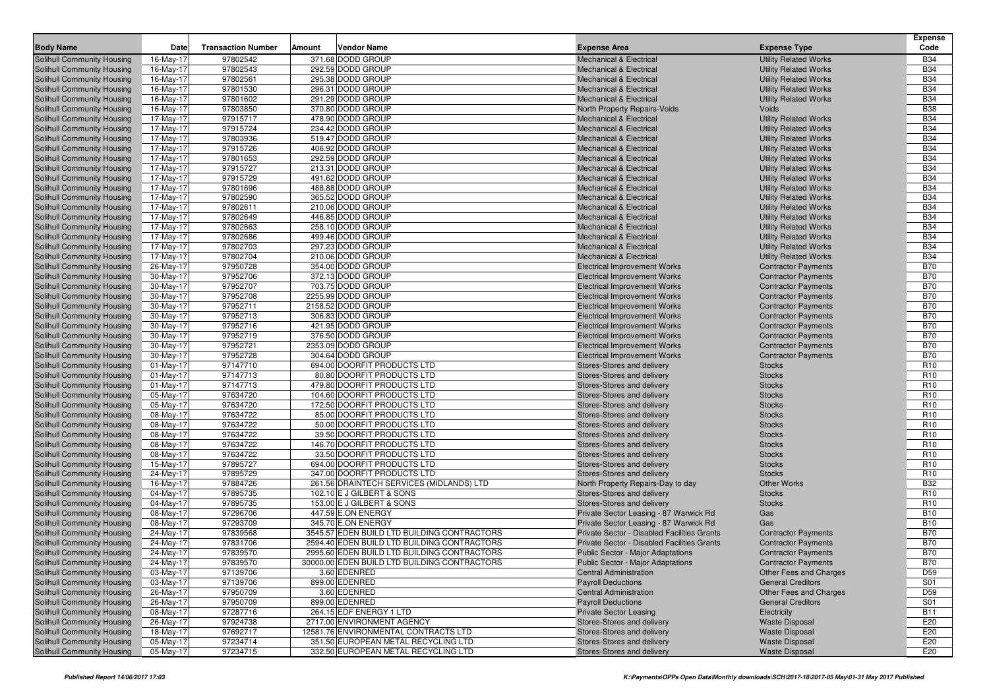|                                                                        |                         |                           |        |                                              |                                                                          |                                                              | <b>Expense</b>                |
|------------------------------------------------------------------------|-------------------------|---------------------------|--------|----------------------------------------------|--------------------------------------------------------------------------|--------------------------------------------------------------|-------------------------------|
| <b>Body Name</b>                                                       | Date                    | <b>Transaction Number</b> | Amount | <b>Vendor Name</b>                           | <b>Expense Area</b>                                                      | <b>Expense Type</b>                                          | Code                          |
| Solihull Community Housing                                             | 16-May-17               | 97802542                  |        | 371.68 DODD GROUP                            | <b>Mechanical &amp; Electrical</b>                                       | <b>Utility Related Works</b>                                 | <b>B34</b>                    |
| <b>Solihull Community Housing</b>                                      | 16-May-17               | 97802543                  |        | 292.59 DODD GROUP                            | <b>Mechanical &amp; Electrical</b>                                       | <b>Utility Related Works</b>                                 | <b>B34</b>                    |
| <b>Solihull Community Housing</b>                                      | 16-May-17               | 97802561                  |        | 295.38 DODD GROUP                            | <b>Mechanical &amp; Electrical</b>                                       | <b>Utility Related Works</b>                                 | <b>B34</b>                    |
| <b>Solihull Community Housing</b>                                      | 16-May-17               | 97801530                  |        | 296.31 DODD GROUP                            | <b>Mechanical &amp; Electrical</b>                                       | <b>Utility Related Works</b>                                 | <b>B34</b>                    |
| <b>Solihull Community Housing</b>                                      | 16-May-17               | 97801602                  |        | 291.29 DODD GROUP                            | <b>Mechanical &amp; Electrical</b>                                       | <b>Utility Related Works</b>                                 | <b>B34</b>                    |
| Solihull Community Housing                                             | 16-May-17               | 97803850                  |        | 370.80 DODD GROUP                            | North Property Repairs-Voids                                             | Voids                                                        | <b>B38</b>                    |
| <b>Solihull Community Housing</b>                                      | 17-May-17               | 97915717                  |        | 478.90 DODD GROUP                            | <b>Mechanical &amp; Electrical</b>                                       | <b>Utility Related Works</b>                                 | <b>B34</b>                    |
| <b>Solihull Community Housing</b>                                      | 17-May-17               | 97915724                  |        | 234.42 DODD GROUP                            | <b>Mechanical &amp; Electrical</b>                                       | <b>Utility Related Works</b>                                 | <b>B34</b>                    |
| <b>Solihull Community Housing</b>                                      | 17-May-17               | 97803936                  |        | 519.47 DODD GROUP                            | <b>Mechanical &amp; Electrical</b>                                       | <b>Utility Related Works</b>                                 | <b>B34</b>                    |
| <b>Solihull Community Housing</b>                                      | 17-May-17               | 97915726                  |        | 406.92 DODD GROUP                            | <b>Mechanical &amp; Electrical</b>                                       | <b>Utility Related Works</b>                                 | <b>B34</b>                    |
| <b>Solihull Community Housing</b>                                      | 17-May-17               | 97801653                  |        | 292.59 DODD GROUP                            | <b>Mechanical &amp; Electrical</b>                                       | <b>Utility Related Works</b>                                 | <b>B34</b>                    |
| <b>Solihull Community Housing</b>                                      | 17-May-17               | 97915727<br>97915729      |        | 213.31 DODD GROUP<br>491.62 DODD GROUP       | <b>Mechanical &amp; Electrical</b><br><b>Mechanical &amp; Electrical</b> | <b>Utility Related Works</b>                                 | <b>B34</b><br><b>B34</b>      |
| <b>Solihull Community Housing</b>                                      | 17-May-17               | 97801696                  |        | 488.88 DODD GROUP                            |                                                                          | <b>Utility Related Works</b>                                 | <b>B34</b>                    |
| <b>Solihull Community Housing</b><br><b>Solihull Community Housing</b> | 17-May-17<br>17-May-17  | 97802590                  |        | 365.52 DODD GROUP                            | <b>Mechanical &amp; Electrical</b><br><b>Mechanical &amp; Electrical</b> | <b>Utility Related Works</b><br><b>Utility Related Works</b> | <b>B34</b>                    |
| <b>Solihull Community Housing</b>                                      | 17-May-17               | 97802611                  |        | 210.06 DODD GROUP                            | <b>Mechanical &amp; Electrical</b>                                       | <b>Utility Related Works</b>                                 | <b>B34</b>                    |
| <b>Solihull Community Housing</b>                                      | 17-May-17               | 97802649                  |        | 446.85 DODD GROUP                            | <b>Mechanical &amp; Electrical</b>                                       | <b>Utility Related Works</b>                                 | <b>B34</b>                    |
| <b>Solihull Community Housing</b>                                      | 17-May-17               | 97802663                  |        | 258.10 DODD GROUP                            | <b>Mechanical &amp; Electrical</b>                                       | <b>Utility Related Works</b>                                 | <b>B34</b>                    |
| <b>Solihull Community Housing</b>                                      | 17-May-17               | 97802686                  |        | 499.46 DODD GROUP                            | <b>Mechanical &amp; Electrical</b>                                       | <b>Utility Related Works</b>                                 | <b>B34</b>                    |
| <b>Solihull Community Housing</b>                                      | 17-May-17               | 97802703                  |        | 297.23 DODD GROUP                            | <b>Mechanical &amp; Electrical</b>                                       | <b>Utility Related Works</b>                                 | <b>B34</b>                    |
| <b>Solihull Community Housing</b>                                      | 17-May-17               | 97802704                  |        | 210.06 DODD GROUP                            | <b>Mechanical &amp; Electrical</b>                                       | <b>Utility Related Works</b>                                 | <b>B34</b>                    |
| <b>Solihull Community Housing</b>                                      | 26-May-17               | 97950728                  |        | 354.00 DODD GROUP                            | <b>Electrical Improvement Works</b>                                      | <b>Contractor Payments</b>                                   | <b>B70</b>                    |
| <b>Solihull Community Housing</b>                                      | 30-May-17               | 97952706                  |        | 372.13 DODD GROUP                            | <b>Electrical Improvement Works</b>                                      | <b>Contractor Payments</b>                                   | <b>B70</b>                    |
| Solihull Community Housing                                             | 30-May-17               | 97952707                  |        | 703.75 DODD GROUP                            | <b>Electrical Improvement Works</b>                                      | <b>Contractor Payments</b>                                   | <b>B70</b>                    |
| <b>Solihull Community Housing</b>                                      | 30-May-17               | 97952708                  |        | 2255.99 DODD GROUP                           | <b>Electrical Improvement Works</b>                                      | <b>Contractor Payments</b>                                   | <b>B70</b>                    |
| Solihull Community Housing                                             | 30-May-17               | 97952711                  |        | 2158.52 DODD GROUP                           | <b>Electrical Improvement Works</b>                                      | <b>Contractor Payments</b>                                   | <b>B70</b>                    |
| <b>Solihull Community Housing</b>                                      | 30-May-17               | 97952713                  |        | 306.83 DODD GROUP                            | <b>Electrical Improvement Works</b>                                      | <b>Contractor Payments</b>                                   | <b>B70</b>                    |
| <b>Solihull Community Housing</b>                                      | 30-May-17               | 97952716                  |        | 421.95 DODD GROUP                            | <b>Electrical Improvement Works</b>                                      | <b>Contractor Payments</b>                                   | <b>B70</b>                    |
| Solihull Community Housing                                             | 30-May-17               | 97952719                  |        | 376.50 DODD GROUP                            | <b>Electrical Improvement Works</b>                                      | <b>Contractor Payments</b>                                   | <b>B70</b>                    |
| <b>Solihull Community Housing</b>                                      | 30-May-17               | 97952721                  |        | 2353.09 DODD GROUP                           | <b>Electrical Improvement Works</b>                                      | <b>Contractor Payments</b>                                   | <b>B70</b>                    |
| <b>Solihull Community Housing</b>                                      | 30-May-17               | 97952728                  |        | 304.64 DODD GROUP                            | <b>Electrical Improvement Works</b>                                      | <b>Contractor Payments</b>                                   | <b>B70</b>                    |
| <b>Solihull Community Housing</b>                                      | 01-May-17               | 97147710                  |        | 694.00 DOORFIT PRODUCTS LTD                  | Stores-Stores and delivery                                               | <b>Stocks</b>                                                | R <sub>10</sub>               |
| <b>Solihull Community Housing</b>                                      | $01$ -May-17            | 97147713                  |        | 80.80 DOORFIT PRODUCTS LTD                   | Stores-Stores and delivery                                               | <b>Stocks</b>                                                | R <sub>10</sub>               |
| <b>Solihull Community Housing</b>                                      | 01-May-17               | 97147713                  |        | 479.80 DOORFIT PRODUCTS LTD                  | Stores-Stores and delivery                                               | <b>Stocks</b>                                                | R <sub>10</sub>               |
| <b>Solihull Community Housing</b>                                      | 05-May-17               | 97634720                  |        | 104.60 DOORFIT PRODUCTS LTD                  | Stores-Stores and delivery                                               | <b>Stocks</b>                                                | R <sub>10</sub>               |
| <b>Solihull Community Housing</b>                                      | 05-May-17               | 97634720                  |        | 172.50 DOORFIT PRODUCTS LTD                  | Stores-Stores and delivery                                               | <b>Stocks</b>                                                | R <sub>10</sub>               |
| <b>Solihull Community Housing</b>                                      | 08-May-17               | 97634722                  |        | 85.00 DOORFIT PRODUCTS LTD                   | Stores-Stores and delivery                                               | <b>Stocks</b>                                                | R <sub>10</sub>               |
| <b>Solihull Community Housing</b>                                      | 08-May-17               | 97634722                  |        | 50.00 DOORFIT PRODUCTS LTD                   | Stores-Stores and delivery                                               | <b>Stocks</b>                                                | R <sub>10</sub>               |
| <b>Solihull Community Housing</b>                                      | 08-May-17               | 97634722                  |        | 39.50 DOORFIT PRODUCTS LTD                   | Stores-Stores and delivery                                               | <b>Stocks</b>                                                | R <sub>10</sub>               |
| <b>Solihull Community Housing</b>                                      | 08-May-17               | 97634722                  |        | 146.70 DOORFIT PRODUCTS LTD                  | Stores-Stores and delivery                                               | <b>Stocks</b>                                                | R <sub>10</sub>               |
| <b>Solihull Community Housing</b>                                      | 08-May-17               | 97634722                  |        | 33.50 DOORFIT PRODUCTS LTD                   | Stores-Stores and delivery                                               | <b>Stocks</b>                                                | R <sub>10</sub>               |
| <b>Solihull Community Housing</b>                                      | 15-May-17               | 97895727                  |        | 694.00 DOORFIT PRODUCTS LTD                  | Stores-Stores and delivery                                               | <b>Stocks</b>                                                | R <sub>10</sub>               |
| <b>Solihull Community Housing</b>                                      | 24-May-17               | 97895729                  |        | 347.00 DOORFIT PRODUCTS LTD                  | Stores-Stores and delivery                                               | <b>Stocks</b>                                                | R <sub>10</sub>               |
| <b>Solihull Community Housing</b>                                      | 16-May-17               | 97884726                  |        | 261.56 DRAINTECH SERVICES (MIDLANDS) LTD     | North Property Repairs-Day to day                                        | <b>Other Works</b>                                           | <b>B32</b>                    |
| <b>Solihull Community Housing</b>                                      | 04-May-17               | 97895735                  |        | 102.10 E J GILBERT & SONS                    | Stores-Stores and delivery                                               | <b>Stocks</b>                                                | R <sub>10</sub>               |
| <b>Solihull Community Housing</b>                                      | 04-May-17               | 97895735                  |        | 153.00 E J GILBERT & SONS                    | Stores-Stores and delivery                                               | <b>Stocks</b>                                                | R <sub>10</sub>               |
| Solihull Community Housing                                             | 08-May-17               | 97296706                  |        | 447.59 E.ON ENERGY                           | Private Sector Leasing - 87 Warwick Rd                                   | Gas                                                          | <b>B10</b>                    |
| <b>Solihull Community Housing</b>                                      | $08$ -May-17            | 97293709                  |        | 345.70 E.ON ENERGY                           | Private Sector Leasing - 87 Warwick Rd                                   | Gas                                                          | <b>B10</b>                    |
| <b>Solihull Community Housing</b>                                      | 24-May-17               | 97839568                  |        | 3545.57 EDEN BUILD LTD BUILDING CONTRACTORS  | Private Sector - Disabled Facilities Grants                              | <b>Contractor Payments</b>                                   | <b>B70</b>                    |
| <b>Solihull Community Housing</b>                                      | 24-May-17               | 97831706                  |        | 2594.40 EDEN BUILD LTD BUILDING CONTRACTORS  | Private Sector - Disabled Facilities Grants                              | <b>Contractor Payments</b>                                   | <b>B70</b>                    |
| <b>Solihull Community Housing</b>                                      | 24-May-17               | 97839570                  |        | 2995.60 EDEN BUILD LTD BUILDING CONTRACTORS  | Public Sector - Major Adaptations                                        | <b>Contractor Payments</b>                                   | <b>B70</b>                    |
| <b>Solihull Community Housing</b>                                      | 24-May-17               | 97839570                  |        | 30000.00 EDEN BUILD LTD BUILDING CONTRACTORS | Public Sector - Major Adaptations                                        | <b>Contractor Payments</b>                                   | <b>B70</b><br>D <sub>59</sub> |
| Solihull Community Housing                                             | 03-May-17               | 97139706                  |        | 3.60 EDENRED                                 | <b>Central Administration</b>                                            | Other Fees and Charges                                       |                               |
| Solihull Community Housing<br><b>Solihull Community Housing</b>        | 03-May-17<br>26-May-17  | 97139706<br>97950709      |        | 899.00 EDENRED<br>3.60 EDENRED               | <b>Payroll Deductions</b><br><b>Central Administration</b>               | <b>General Creditors</b><br>Other Fees and Charges           | S01<br>D <sub>59</sub>        |
| <b>Solihull Community Housing</b>                                      | 26-May-17               | 97950709                  |        | 899.00 EDENRED                               | <b>Payroll Deductions</b>                                                | <b>General Creditors</b>                                     | S01                           |
| <b>Solihull Community Housing</b>                                      | 08-May-17               | 97287716                  |        | 264.15 EDF ENERGY 1 LTD                      | <b>Private Sector Leasing</b>                                            | Electricity                                                  | <b>B11</b>                    |
| <b>Solihull Community Housing</b>                                      | 26-May-17               | 97924738                  |        | 2717.00 ENVIRONMENT AGENCY                   | Stores-Stores and delivery                                               | <b>Waste Disposal</b>                                        | E20                           |
| Solihull Community Housing                                             | 18-May-17               | 97692717                  |        | 12581.76 ENVIRONMENTAL CONTRACTS LTD         | Stores-Stores and delivery                                               | <b>Waste Disposal</b>                                        | E20                           |
| <b>Solihull Community Housing</b>                                      | 05-May-17               | 97234714                  |        | 351.50 EUROPEAN METAL RECYCLING LTD          | Stores-Stores and delivery                                               | <b>Waste Disposal</b>                                        | E20                           |
| <b>Solihull Community Housing</b>                                      | $\overline{05}$ -May-17 | 97234715                  |        | 332.50 EUROPEAN METAL RECYCLING LTD          | Stores-Stores and delivery                                               | <b>Waste Disposal</b>                                        | E20                           |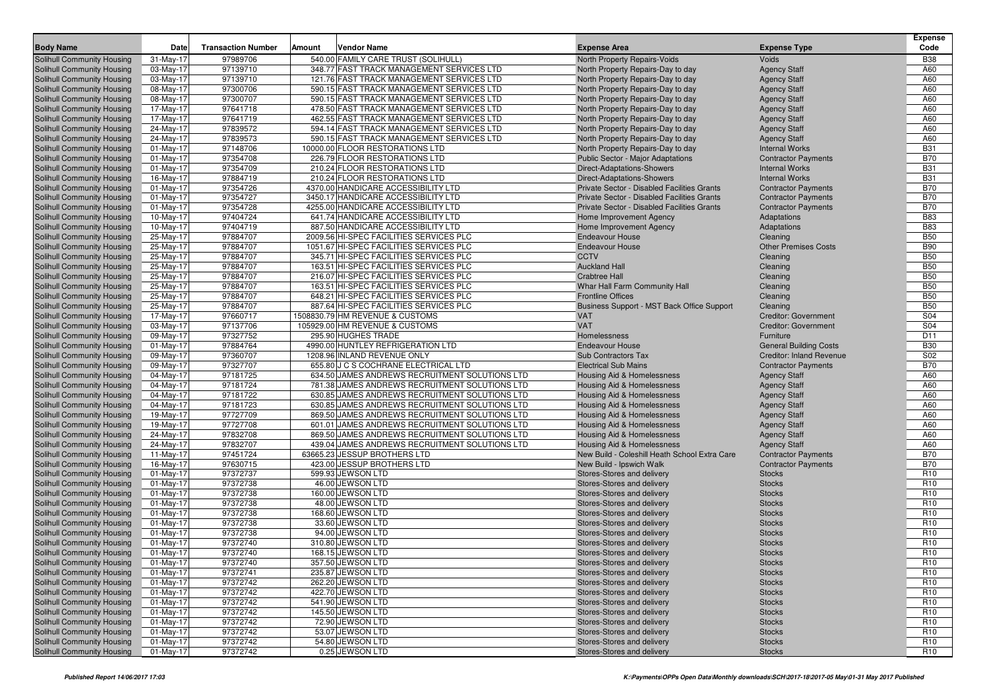| <b>Body Name</b>                                         | <b>Date</b>               | <b>Transaction Number</b> | Amount | <b>Vendor Name</b>                                       | <b>Expense Area</b>                                      | <b>Expense Type</b>                                              | <b>Expense</b><br>Code        |
|----------------------------------------------------------|---------------------------|---------------------------|--------|----------------------------------------------------------|----------------------------------------------------------|------------------------------------------------------------------|-------------------------------|
| Solihull Community Housing                               | 31-May-17                 | 97989706                  |        | 540.00 FAMILY CARE TRUST (SOLIHULL)                      | North Property Repairs-Voids                             | Voids                                                            | <b>B38</b>                    |
| Solihull Community Housing                               | 03-May-17                 | 97139710                  |        | 348.77 FAST TRACK MANAGEMENT SERVICES LTD                | North Property Repairs-Day to day                        | <b>Agency Staff</b>                                              | A60                           |
| Solihull Community Housing                               | 03-May-17                 | 97139710                  |        | 121.76 FAST TRACK MANAGEMENT SERVICES LTD                | North Property Repairs-Day to day                        | <b>Agency Staff</b>                                              | A60                           |
| Solihull Community Housing                               | 08-May-17                 | 97300706                  |        | 590.15 FAST TRACK MANAGEMENT SERVICES LTD                | North Property Repairs-Day to day                        | <b>Agency Staff</b>                                              | A60                           |
| Solihull Community Housing                               | 08-May-17                 | 97300707                  |        | 590.15 FAST TRACK MANAGEMENT SERVICES LTD                | North Property Repairs-Day to day                        | <b>Agency Staff</b>                                              | A60                           |
| Solihull Community Housing                               | 17-May-17                 | 97641718                  |        | 478.50 FAST TRACK MANAGEMENT SERVICES LTD                | North Property Repairs-Day to day                        | <b>Agency Staff</b>                                              | A60                           |
| Solihull Community Housing                               | 17-May-17                 | 97641719                  |        | 462.55 FAST TRACK MANAGEMENT SERVICES LTD                | North Property Repairs-Day to day                        | <b>Agency Staff</b>                                              | A60                           |
| Solihull Community Housing                               | 24-May-17                 | 97839572                  |        | 594.14 FAST TRACK MANAGEMENT SERVICES LTD                | North Property Repairs-Day to day                        | <b>Agency Staff</b>                                              | A60                           |
| Solihull Community Housing                               | 24-May-17                 | 97839573                  |        | 590.15 FAST TRACK MANAGEMENT SERVICES LTD                | North Property Repairs-Day to day                        | <b>Agency Staff</b>                                              | A60                           |
| Solihull Community Housing                               | $01$ -May-17              | 97148706                  |        | 10000.00 FLOOR RESTORATIONS LTD                          | North Property Repairs-Day to day                        | <b>Internal Works</b>                                            | <b>B31</b>                    |
| Solihull Community Housing                               | $01$ -May-17              | 97354708                  |        | 226.79 FLOOR RESTORATIONS LTD                            | <b>Public Sector - Major Adaptations</b>                 | <b>Contractor Payments</b>                                       | <b>B70</b>                    |
| Solihull Community Housing                               | 01-May-17                 | 97354709                  |        | 210.24 FLOOR RESTORATIONS LTD                            | <b>Direct-Adaptations-Showers</b>                        | <b>Internal Works</b>                                            | <b>B31</b>                    |
| Solihull Community Housing                               | 16-May-17                 | 97884719                  |        | 210.24 FLOOR RESTORATIONS LTD                            | Direct-Adaptations-Showers                               | <b>Internal Works</b>                                            | <b>B31</b>                    |
| Solihull Community Housing                               | $01$ -May-17              | 97354726                  |        | 4370.00 HANDICARE ACCESSIBILITY LTD                      | Private Sector - Disabled Facilities Grants              | <b>Contractor Payments</b>                                       | <b>B70</b>                    |
| Solihull Community Housing                               | $01$ -May-17              | 97354727                  |        | 3450.17 HANDICARE ACCESSIBILITY LTD                      | Private Sector - Disabled Facilities Grants              | <b>Contractor Payments</b>                                       | <b>B70</b>                    |
| Solihull Community Housing                               | $01$ -May-17              | 97354728                  |        | 4255.00 HANDICARE ACCESSIBILITY LTD                      | Private Sector - Disabled Facilities Grants              | <b>Contractor Payments</b>                                       | <b>B70</b>                    |
| Solihull Community Housing                               | 10-May-17                 | 97404724                  |        | 641.74 HANDICARE ACCESSIBILITY LTD                       | Home Improvement Agency                                  | Adaptations                                                      | <b>B83</b>                    |
| Solihull Community Housing                               | 10-May-17                 | 97404719                  |        | 887.50 HANDICARE ACCESSIBILITY LTD                       | Home Improvement Agency                                  | Adaptations                                                      | <b>B83</b>                    |
| Solihull Community Housing                               | 25-May-17                 | 97884707                  |        | 2009.56 HI-SPEC FACILITIES SERVICES PLC                  | <b>Endeavour House</b>                                   | Cleaning                                                         | <b>B50</b>                    |
| Solihull Community Housing                               | 25-May-17                 | 97884707                  |        | 1051.67 HI-SPEC FACILITIES SERVICES PLC                  | <b>Endeavour House</b>                                   | <b>Other Premises Costs</b>                                      | <b>B90</b>                    |
| Solihull Community Housing                               | 25-May-17                 | 97884707                  |        | 345.71 HI-SPEC FACILITIES SERVICES PLC                   | <b>CCTV</b>                                              | Cleaning                                                         | <b>B50</b>                    |
| Solihull Community Housing                               | 25-May-17                 | 97884707                  |        | 163.51 HI-SPEC FACILITIES SERVICES PLC                   | <b>Auckland Hall</b>                                     | Cleaning                                                         | <b>B50</b>                    |
| Solihull Community Housing                               | 25-May-17                 | 97884707                  |        | 216.07 HI-SPEC FACILITIES SERVICES PLC                   | <b>Crabtree Hall</b>                                     | Cleaning                                                         | <b>B50</b>                    |
| Solihull Community Housing                               | 25-May-17                 | 97884707                  |        | 163.51 HI-SPEC FACILITIES SERVICES PLC                   | Whar Hall Farm Community Hall                            | Cleaning                                                         | <b>B50</b>                    |
| Solihull Community Housing                               | 25-May-17                 | 97884707                  |        | 648.21 HI-SPEC FACILITIES SERVICES PLC                   | <b>Frontline Offices</b>                                 | Cleaning                                                         | <b>B50</b>                    |
| Solihull Community Housing                               | 25-May-17                 | 97884707                  |        | 887.64 HI-SPEC FACILITIES SERVICES PLC                   | Business Support - MST Back Office Support               | Cleaning                                                         | <b>B50</b>                    |
| Solihull Community Housing                               | 17-May-17                 | 97660717                  |        | 1508830.79 HM REVENUE & CUSTOMS                          | <b>VAT</b>                                               | <b>Creditor: Government</b>                                      | S04<br>S04                    |
| Solihull Community Housing                               | 03-May-17                 | 97137706                  |        | 105929.00 HM REVENUE & CUSTOMS                           | <b>VAT</b>                                               | <b>Creditor: Government</b>                                      |                               |
| Solihull Community Housing<br>Solihull Community Housing | 09-May-17<br>$01$ -May-17 | 97327752<br>97884764      |        | 295.90 HUGHES TRADE<br>4990.00 HUNTLEY REFRIGERATION LTD | Homelessness<br><b>Endeavour House</b>                   | Furniture                                                        | D <sub>11</sub><br><b>B30</b> |
| Solihull Community Housing                               | 09-May-17                 | 97360707                  |        | 1208.96 INLAND REVENUE ONLY                              | <b>Sub Contractors Tax</b>                               | <b>General Building Costs</b><br><b>Creditor: Inland Revenue</b> | S02                           |
| Solihull Community Housing                               | 09-May-17                 | 97327707                  |        | 655.80 J C S COCHRANE ELECTRICAL LTD                     | <b>Electrical Sub Mains</b>                              | <b>Contractor Payments</b>                                       | <b>B70</b>                    |
| Solihull Community Housing                               | 04-May-17                 | 97181725                  |        | 634.50 JAMES ANDREWS RECRUITMENT SOLUTIONS LTD           | Housing Aid & Homelessness                               | <b>Agency Staff</b>                                              | A60                           |
| Solihull Community Housing                               | 04-May-17                 | 97181724                  |        | 781.38 JAMES ANDREWS RECRUITMENT SOLUTIONS LTD           | Housing Aid & Homelessness                               | <b>Agency Staff</b>                                              | A60                           |
| Solihull Community Housing                               | 04-May-17                 | 97181722                  |        | 630.85 JAMES ANDREWS RECRUITMENT SOLUTIONS LTD           | Housing Aid & Homelessness                               | <b>Agency Staff</b>                                              | A60                           |
| Solihull Community Housing                               | 04-May-17                 | 97181723                  |        | 630.85 JAMES ANDREWS RECRUITMENT SOLUTIONS LTD           | <b>Housing Aid &amp; Homelessness</b>                    | <b>Agency Staff</b>                                              | A60                           |
| Solihull Community Housing                               | 19-May-17                 | 97727709                  |        | 869.50 JAMES ANDREWS RECRUITMENT SOLUTIONS LTD           | Housing Aid & Homelessness                               | <b>Agency Staff</b>                                              | A60                           |
| Solihull Community Housing                               | 19-May-17                 | 97727708                  |        | 601.01 JAMES ANDREWS RECRUITMENT SOLUTIONS LTD           | Housing Aid & Homelessness                               | <b>Agency Staff</b>                                              | A60                           |
| Solihull Community Housing                               | 24-May-17                 | 97832708                  |        | 869.50 JAMES ANDREWS RECRUITMENT SOLUTIONS LTD           | Housing Aid & Homelessness                               | <b>Agency Staff</b>                                              | A60                           |
| Solihull Community Housing                               | 24-May-17                 | 97832707                  |        | 439.04 JAMES ANDREWS RECRUITMENT SOLUTIONS LTD           | Housing Aid & Homelessness                               | <b>Agency Staff</b>                                              | A60                           |
| Solihull Community Housing                               | 11-May-17                 | 97451724                  |        | 63665.23 JESSUP BROTHERS LTD                             | New Build - Coleshill Heath School Extra Care            | <b>Contractor Payments</b>                                       | <b>B70</b>                    |
| Solihull Community Housing                               | 16-May-17                 | 97630715                  |        | 423.00 JESSUP BROTHERS LTD                               | New Build - Ipswich Walk                                 | <b>Contractor Payments</b>                                       | <b>B70</b>                    |
| Solihull Community Housing                               | 01-May-17                 | 97372737                  |        | 599.93 JEWSON LTD                                        | Stores-Stores and delivery                               | <b>Stocks</b>                                                    | R <sub>10</sub>               |
| Solihull Community Housing                               | 01-May-17                 | 97372738                  |        | 46.00 JEWSON LTD                                         | Stores-Stores and delivery                               | <b>Stocks</b>                                                    | R <sub>10</sub>               |
| Solihull Community Housing                               | $01-May-17$               | 97372738                  |        | 160.00 JEWSON LTD                                        | Stores-Stores and delivery                               | <b>Stocks</b>                                                    | R <sub>10</sub>               |
| Solihull Community Housing                               | 01-May-17                 | 97372738                  |        | 48.00 JEWSON LTD                                         | Stores-Stores and delivery                               | <b>Stocks</b>                                                    | R <sub>10</sub>               |
| Solihull Community Housing                               | 01-May-17                 | 97372738                  |        | 168.60 JEWSON LTD                                        | Stores-Stores and delivery                               | <b>Stocks</b>                                                    | R <sub>10</sub>               |
| Solihull Community Housing                               | 01-May-17                 | 97372738                  |        | 33.60 JEWSON LTD                                         | Stores-Stores and delivery                               | <b>Stocks</b>                                                    | R <sub>10</sub>               |
| Solihull Community Housing                               | $01$ -May-17              | 97372738                  |        | 94.00 JEWSON LTD                                         | Stores-Stores and delivery                               | <b>Stocks</b>                                                    | R <sub>10</sub>               |
| Solihull Community Housing                               | $01$ -May-17              | 97372740                  |        | 310.80 JEWSON LTD                                        | Stores-Stores and delivery                               | <b>Stocks</b>                                                    | R <sub>10</sub>               |
| Solihull Community Housing                               | $01$ -May-17              | 97372740                  |        | 168.15 JEWSON LTD                                        | Stores-Stores and delivery                               | <b>Stocks</b>                                                    | R <sub>10</sub>               |
| Solihull Community Housing                               | 01-May-17                 | 97372740                  |        | 357.50 JEWSON LTD                                        | Stores-Stores and delivery                               | <b>Stocks</b>                                                    | R <sub>10</sub>               |
| Solihull Community Housing                               | $01$ -May-17              | 97372741                  |        | 235.87 JEWSON LTD                                        | Stores-Stores and delivery                               | <b>Stocks</b>                                                    | R <sub>10</sub>               |
| Solihull Community Housing                               | 01-May-17                 | 97372742                  |        | 262.20 JEWSON LTD                                        | Stores-Stores and delivery                               | <b>Stocks</b>                                                    | R <sub>10</sub>               |
| Solihull Community Housing                               | 01-May-17                 | 97372742                  |        | 422.70 JEWSON LTD                                        | Stores-Stores and delivery                               | <b>Stocks</b>                                                    | R <sub>10</sub>               |
| Solihull Community Housing                               | $01$ -May-17              | 97372742                  |        | 541.90 JEWSON LTD                                        | Stores-Stores and delivery                               | <b>Stocks</b>                                                    | R <sub>10</sub>               |
| Solihull Community Housing                               | 01-May-17                 | 97372742                  |        | 145.50 JEWSON LTD                                        | Stores-Stores and delivery                               | <b>Stocks</b>                                                    | R <sub>10</sub>               |
| Solihull Community Housing                               | $01$ -May-17              | 97372742                  |        | 72.90 JEWSON LTD                                         | Stores-Stores and delivery                               | <b>Stocks</b>                                                    | R <sub>10</sub>               |
| Solihull Community Housing                               | 01-May-17                 | 97372742                  |        | 53.07 JEWSON LTD                                         | Stores-Stores and delivery<br>Stores-Stores and delivery | <b>Stocks</b>                                                    | R <sub>10</sub>               |
| Solihull Community Housing<br>Solihull Community Housing | 01-May-17                 | 97372742                  |        | 54.80 JEWSON LTD                                         |                                                          | <b>Stocks</b>                                                    | R <sub>10</sub>               |
|                                                          | 01-May-17                 | 97372742                  |        | 0.25 JEWSON LTD                                          | Stores-Stores and delivery                               | <b>Stocks</b>                                                    | R <sub>10</sub>               |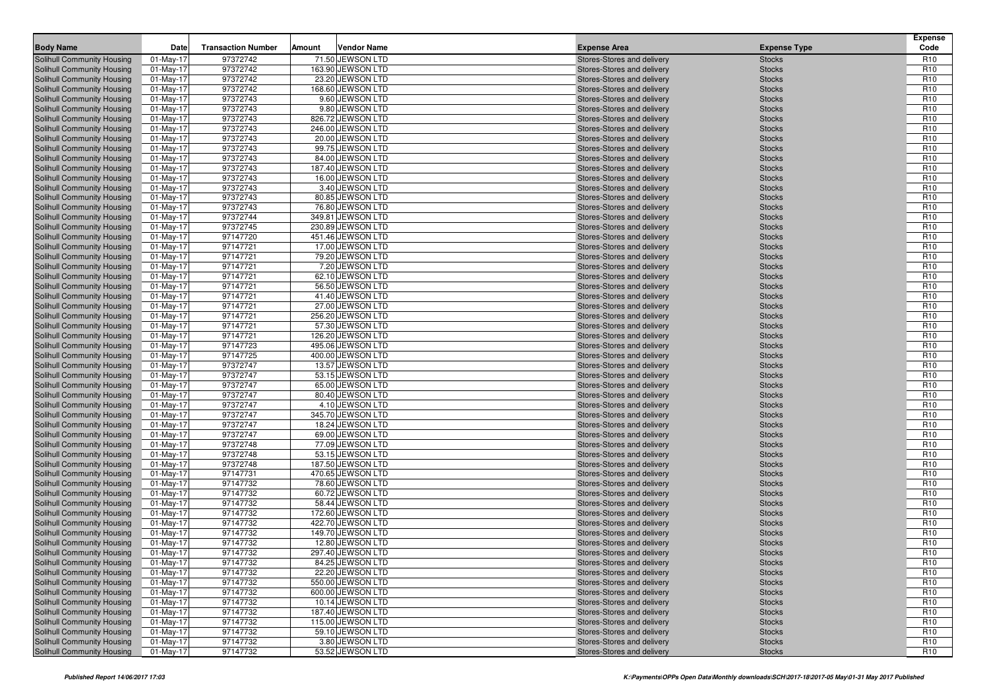| 97372742<br>71.50 JEWSON LTD<br>Solihull Community Housing<br>$01$ -May-17<br>Stores-Stores and delivery<br><b>Stocks</b><br>R <sub>10</sub><br>97372742<br>163.90 JEWSON LTD<br>R <sub>10</sub><br>Solihull Community Housing<br>01-May-17<br><b>Stocks</b><br>Stores-Stores and delivery<br>97372742<br>R <sub>10</sub><br>Solihull Community Housing<br>$01$ -May-17<br>23.20 JEWSON LTD<br>Stores-Stores and delivery<br><b>Stocks</b><br>97372742<br>168.60 JEWSON LTD<br>R <sub>10</sub><br>Solihull Community Housing<br>$01$ -May-17<br><b>Stocks</b><br>Stores-Stores and delivery<br>Solihull Community Housing<br>$01$ -May-17<br>97372743<br>9.60 JEWSON LTD<br>R <sub>10</sub><br>Stores-Stores and delivery<br><b>Stocks</b><br>97372743<br>R <sub>10</sub><br>9.80 JEWSON LTD<br>Solihull Community Housing<br>01-May-17<br>Stores-Stores and delivery<br><b>Stocks</b><br>97372743<br>826.72 JEWSON LTD<br>R <sub>10</sub><br>Solihull Community Housing<br>01-May-17<br>Stores-Stores and delivery<br><b>Stocks</b><br>97372743<br>R <sub>10</sub><br>$01$ -May-17<br>246.00 JEWSON LTD<br><b>Stocks</b><br>Solihull Community Housing<br>Stores-Stores and delivery<br>97372743<br>R <sub>10</sub><br>Solihull Community Housing<br>$01$ -May-17<br>20.00 JEWSON LTD<br><b>Stocks</b><br>Stores-Stores and delivery<br>Solihull Community Housing<br>$01$ -May-17<br>97372743<br>99.75 JEWSON LTD<br>R <sub>10</sub><br>Stores-Stores and delivery<br><b>Stocks</b><br>97372743<br>R <sub>10</sub><br>Solihull Community Housing<br>$01$ -May-17<br>84.00 JEWSON LTD<br>Stores-Stores and delivery<br><b>Stocks</b><br>97372743<br>187.40 JEWSON LTD<br>R <sub>10</sub><br><b>Solihull Community Housing</b><br>01-May-17<br><b>Stocks</b><br>Stores-Stores and delivery<br>R <sub>10</sub><br>$01$ -May-17<br>97372743<br>16.00 JEWSON LTD<br>Solihull Community Housing<br>Stores-Stores and delivery<br><b>Stocks</b><br>97372743<br>R <sub>10</sub><br>Solihull Community Housing<br>$01$ -May-17<br>3.40 JEWSON LTD<br><b>Stocks</b><br>Stores-Stores and delivery<br>Solihull Community Housing<br>$01$ -May-17<br>97372743<br>80.85 JEWSON LTD<br>R <sub>10</sub><br>Stores-Stores and delivery<br><b>Stocks</b><br>97372743<br>R <sub>10</sub><br>Solihull Community Housing<br>$01$ -May-17<br>76.80 JEWSON LTD<br>Stores-Stores and delivery<br><b>Stocks</b><br>97372744<br>349.81 JEWSON LTD<br>R <sub>10</sub><br>01-May-17<br>Solihull Community Housing<br>Stores-Stores and delivery<br><b>Stocks</b><br>97372745<br>R <sub>10</sub><br>$01$ -May-17<br>230.89 JEWSON LTD<br>Solihull Community Housing<br>Stores-Stores and delivery<br><b>Stocks</b><br>97147720<br>451.46 JEWSON LTD<br>R <sub>10</sub><br><b>Solihull Community Housing</b><br>$01$ -May-17<br><b>Stocks</b><br>Stores-Stores and delivery<br>Solihull Community Housing<br>$01-May-17$<br>97147721<br>17.00 JEWSON LTD<br>R <sub>10</sub><br>Stores-Stores and delivery<br><b>Stocks</b><br>97147721<br>79.20 JEWSON LTD<br>R <sub>10</sub><br><b>Solihull Community Housing</b><br>$01-May-17$<br>Stores-Stores and delivery<br><b>Stocks</b><br>97147721<br>7.20 JEWSON LTD<br>R <sub>10</sub><br><b>Solihull Community Housing</b><br>$01$ -May-17<br>Stores-Stores and delivery<br><b>Stocks</b><br>R <sub>10</sub><br>$01-May-17$<br>97147721<br>62.10 JEWSON LTD<br>Solihull Community Housing<br>Stores-Stores and delivery<br><b>Stocks</b><br>97147721<br>56.50 JEWSON LTD<br>R <sub>10</sub><br><b>Solihull Community Housing</b><br>$01-May-17$<br><b>Stocks</b><br>Stores-Stores and delivery<br>Solihull Community Housing<br>$01-May-17$<br>97147721<br>41.40 JEWSON LTD<br>R <sub>10</sub><br>Stores-Stores and delivery<br><b>Stocks</b><br>97147721<br>R <sub>10</sub><br>Solihull Community Housing<br>$01-May-17$<br>27.00 JEWSON LTD<br>Stores-Stores and delivery<br><b>Stocks</b><br>97147721<br>256.20 JEWSON LTD<br>R <sub>10</sub><br>01-May-17<br><b>Solihull Community Housing</b><br>Stores-Stores and delivery<br><b>Stocks</b><br>97147721<br>R <sub>10</sub><br>$01-May-17$<br>57.30 JEWSON LTD<br>Solihull Community Housing<br>Stores-Stores and delivery<br><b>Stocks</b><br>97147721<br>126.20 JEWSON LTD<br>R <sub>10</sub><br><b>Solihull Community Housing</b><br>$01-May-17$<br><b>Stocks</b><br>Stores-Stores and delivery<br>Solihull Community Housing<br>$01-May-17$<br>97147723<br>495.06 JEWSON LTD<br>R <sub>10</sub><br>Stores-Stores and delivery<br><b>Stocks</b><br>97147725<br>400.00 JEWSON LTD<br>R <sub>10</sub><br>Solihull Community Housing<br>$01-May-17$<br>Stores-Stores and delivery<br><b>Stocks</b><br>97372747<br>13.57 JEWSON LTD<br>R <sub>10</sub><br><b>Solihull Community Housing</b><br>$01$ -May-17<br>Stores-Stores and delivery<br><b>Stocks</b><br>97372747<br>R <sub>10</sub><br>$01-May-17$<br>53.15 JEWSON LTD<br>Solihull Community Housing<br>Stores-Stores and delivery<br><b>Stocks</b><br>97372747<br>65.00 JEWSON LTD<br>R <sub>10</sub><br>Solihull Community Housing<br>$01-May-17$<br><b>Stocks</b><br>Stores-Stores and delivery<br>97372747<br>R <sub>10</sub><br>Solihull Community Housing<br>$01-May-17$<br>80.40 JEWSON LTD<br>Stores-Stores and delivery<br><b>Stocks</b><br>97372747<br>4.10 JEWSON LTD<br>R <sub>10</sub><br>Solihull Community Housing<br>01-May-17<br>Stores-Stores and delivery<br><b>Stocks</b><br>97372747<br>345.70 JEWSON LTD<br>R <sub>10</sub><br>01-May-17<br>Solihull Community Housing<br>Stores-Stores and delivery<br><b>Stocks</b><br>97372747<br>R <sub>10</sub><br>$01-May-17$<br>18.24 JEWSON LTD<br>Solihull Community Housing<br>Stores-Stores and delivery<br><b>Stocks</b><br>97372747<br>69.00 JEWSON LTD<br>R <sub>10</sub><br>Solihull Community Housing<br>$01-May-17$<br><b>Stocks</b><br>Stores-Stores and delivery<br>Solihull Community Housing<br>$01-May-17$<br>97372748<br>77.09 JEWSON LTD<br>R <sub>10</sub><br>Stores-Stores and delivery<br><b>Stocks</b><br>97372748<br>53.15 JEWSON LTD<br>R <sub>10</sub><br>Solihull Community Housing<br>$01-May-17$<br>Stores-Stores and delivery<br><b>Stocks</b><br>R <sub>10</sub><br><b>Solihull Community Housing</b><br>01-May-17<br>97372748<br>187.50 JEWSON LTD<br>Stores-Stores and delivery<br><b>Stocks</b><br>01-May-17<br>97147731<br>470.65 JEWSON LTD<br>R <sub>10</sub><br>Solihull Community Housing<br>Stores-Stores and delivery<br><b>Stocks</b><br>97147732<br>78.60 JEWSON LTD<br>R <sub>10</sub><br>Solihull Community Housing<br>$01-May-17$<br><b>Stocks</b><br>Stores-Stores and delivery<br>97147732<br>Solihull Community Housing<br>$01-May-17$<br>60.72 JEWSON LTD<br>R <sub>10</sub><br>Stores-Stores and delivery<br><b>Stocks</b><br>97147732<br>58.44 JEWSON LTD<br>R <sub>10</sub><br>Solihull Community Housing<br>01-May-17<br>Stores-Stores and delivery<br><b>Stocks</b><br>97147732<br>172.60 JEWSON LTD<br>R <sub>10</sub><br>01-May-17<br>Solihull Community Housing<br>Stores-Stores and delivery<br><b>Stocks</b><br>$01-May-17$<br>97147732<br>422.70 JEWSON LTD<br>R <sub>10</sub><br>Solihull Community Housing<br>Stores-Stores and delivery<br><b>Stocks</b><br>97147732<br>149.70 JEWSON LTD<br>R <sub>10</sub><br>Solihull Community Housing<br>$01$ -May-17<br><b>Stocks</b><br>Stores-Stores and delivery<br>R <sub>10</sub><br>$01$ -May-17<br>97147732<br>12.80 JEWSON LTD<br>Solihull Community Housing<br>Stores-Stores and delivery<br><b>Stocks</b><br>97147732<br>R <sub>10</sub><br>Solihull Community Housing<br>$01$ -May-17<br>297.40 JEWSON LTD<br>Stores-Stores and delivery<br><b>Stocks</b><br>$01-May-17$<br>97147732<br>84.25 JEWSON LTD<br><b>Stocks</b><br>R <sub>10</sub><br>Solihull Community Housing<br>Stores-Stores and delivery<br>97147732<br>22.20 JEWSON LTD<br>R <sub>10</sub><br>Solihull Community Housing<br>$01$ -May-17<br>Stores-Stores and delivery<br><b>Stocks</b><br>R <sub>10</sub><br>97147732<br>550.00 JEWSON LTD<br>Solihull Community Housing<br>01-May-17<br>Stores-Stores and delivery<br><b>Stocks</b><br>97147732<br>600.00 JEWSON LTD<br>R <sub>10</sub><br>Solihull Community Housing<br>01-May-17<br>Stores-Stores and delivery<br><b>Stocks</b><br>97147732<br>10.14 JEWSON LTD<br>R <sub>10</sub><br>Solihull Community Housing<br>$01$ -May-17<br>Stores-Stores and delivery<br><b>Stocks</b><br>97147732<br>187.40 JEWSON LTD<br>R <sub>10</sub><br>Solihull Community Housing<br>01-May-17<br>Stores-Stores and delivery<br><b>Stocks</b><br>97147732<br>115.00 JEWSON LTD<br>R <sub>10</sub><br>Solihull Community Housing<br>$01$ -May-17<br>Stores-Stores and delivery<br><b>Stocks</b><br>97147732<br>59.10 JEWSON LTD<br>R <sub>10</sub><br>Solihull Community Housing<br>01-May-17<br>Stores-Stores and delivery<br><b>Stocks</b><br>97147732<br>3.80 JEWSON LTD<br>R <sub>10</sub><br>Solihull Community Housing<br>01-May-17<br>Stores-Stores and delivery<br><b>Stocks</b><br>97147732<br>53.52 JEWSON LTD<br>R <sub>10</sub><br>Solihull Community Housing<br>01-May-17<br>Stores-Stores and delivery<br><b>Stocks</b> |                  |      |                           |        |                    |                     |                     | <b>Expense</b> |
|---------------------------------------------------------------------------------------------------------------------------------------------------------------------------------------------------------------------------------------------------------------------------------------------------------------------------------------------------------------------------------------------------------------------------------------------------------------------------------------------------------------------------------------------------------------------------------------------------------------------------------------------------------------------------------------------------------------------------------------------------------------------------------------------------------------------------------------------------------------------------------------------------------------------------------------------------------------------------------------------------------------------------------------------------------------------------------------------------------------------------------------------------------------------------------------------------------------------------------------------------------------------------------------------------------------------------------------------------------------------------------------------------------------------------------------------------------------------------------------------------------------------------------------------------------------------------------------------------------------------------------------------------------------------------------------------------------------------------------------------------------------------------------------------------------------------------------------------------------------------------------------------------------------------------------------------------------------------------------------------------------------------------------------------------------------------------------------------------------------------------------------------------------------------------------------------------------------------------------------------------------------------------------------------------------------------------------------------------------------------------------------------------------------------------------------------------------------------------------------------------------------------------------------------------------------------------------------------------------------------------------------------------------------------------------------------------------------------------------------------------------------------------------------------------------------------------------------------------------------------------------------------------------------------------------------------------------------------------------------------------------------------------------------------------------------------------------------------------------------------------------------------------------------------------------------------------------------------------------------------------------------------------------------------------------------------------------------------------------------------------------------------------------------------------------------------------------------------------------------------------------------------------------------------------------------------------------------------------------------------------------------------------------------------------------------------------------------------------------------------------------------------------------------------------------------------------------------------------------------------------------------------------------------------------------------------------------------------------------------------------------------------------------------------------------------------------------------------------------------------------------------------------------------------------------------------------------------------------------------------------------------------------------------------------------------------------------------------------------------------------------------------------------------------------------------------------------------------------------------------------------------------------------------------------------------------------------------------------------------------------------------------------------------------------------------------------------------------------------------------------------------------------------------------------------------------------------------------------------------------------------------------------------------------------------------------------------------------------------------------------------------------------------------------------------------------------------------------------------------------------------------------------------------------------------------------------------------------------------------------------------------------------------------------------------------------------------------------------------------------------------------------------------------------------------------------------------------------------------------------------------------------------------------------------------------------------------------------------------------------------------------------------------------------------------------------------------------------------------------------------------------------------------------------------------------------------------------------------------------------------------------------------------------------------------------------------------------------------------------------------------------------------------------------------------------------------------------------------------------------------------------------------------------------------------------------------------------------------------------------------------------------------------------------------------------------------------------------------------------------------------------------------------------------------------------------------------------------------------------------------------------------------------------------------------------------------------------------------------------------------------------------------------------------------------------------------------------------------------------------------------------------------------------------------------------------------------------------------------------------------------------------------------------------------------------------------------------------------------------------------------------------------------------------------------------------------------------------------------------------------------------------------------------------------------------------------------------------------------------------------------------------------------------------------------------------------------------------------------------------------------------------------------------------------------------------------------------------------------------------------------------------------------------------------------------------------------------------------------------------------------------------------------------------------------------------------------------------------------------------------------------------------------------------------------------------------------------------------------------------------------------------------------------------------------------------------------------------------------------------------------------------------------------------------------------------------------------------------------------------------------------------------------------------------------------------------------------------------------------------------------------------------------------------------------------------------------------------------------------------------------------------------------------------------------------------------------------------------------------------------------------------------------------------------------------------------------------------------------------------------------------------------------------------------------------------------------------------------------------------------------------------------------------------------------------------------------------------------------------------------------------------------------------------------------------------------------------------------------------------------------------------------------------------------------------------------------------------------------------------------------------------------|------------------|------|---------------------------|--------|--------------------|---------------------|---------------------|----------------|
|                                                                                                                                                                                                                                                                                                                                                                                                                                                                                                                                                                                                                                                                                                                                                                                                                                                                                                                                                                                                                                                                                                                                                                                                                                                                                                                                                                                                                                                                                                                                                                                                                                                                                                                                                                                                                                                                                                                                                                                                                                                                                                                                                                                                                                                                                                                                                                                                                                                                                                                                                                                                                                                                                                                                                                                                                                                                                                                                                                                                                                                                                                                                                                                                                                                                                                                                                                                                                                                                                                                                                                                                                                                                                                                                                                                                                                                                                                                                                                                                                                                                                                                                                                                                                                                                                                                                                                                                                                                                                                                                                                                                                                                                                                                                                                                                                                                                                                                                                                                                                                                                                                                                                                                                                                                                                                                                                                                                                                                                                                                                                                                                                                                                                                                                                                                                                                                                                                                                                                                                                                                                                                                                                                                                                                                                                                                                                                                                                                                                                                                                                                                                                                                                                                                                                                                                                                                                                                                                                                                                                                                                                                                                                                                                                                                                                                                                                                                                                                                                                                                                                                                                                                                                                                                                                                                                                                                                                                                                                                                                                                                                                                                                                                                                                                                                                                                                                                                                                                                                                                                                                                                                                                                                                                                                                                                                                                                                                                                                                                                                                                                                                                                                                   | <b>Body Name</b> | Date | <b>Transaction Number</b> | Amount | <b>Vendor Name</b> | <b>Expense Area</b> | <b>Expense Type</b> | Code           |
|                                                                                                                                                                                                                                                                                                                                                                                                                                                                                                                                                                                                                                                                                                                                                                                                                                                                                                                                                                                                                                                                                                                                                                                                                                                                                                                                                                                                                                                                                                                                                                                                                                                                                                                                                                                                                                                                                                                                                                                                                                                                                                                                                                                                                                                                                                                                                                                                                                                                                                                                                                                                                                                                                                                                                                                                                                                                                                                                                                                                                                                                                                                                                                                                                                                                                                                                                                                                                                                                                                                                                                                                                                                                                                                                                                                                                                                                                                                                                                                                                                                                                                                                                                                                                                                                                                                                                                                                                                                                                                                                                                                                                                                                                                                                                                                                                                                                                                                                                                                                                                                                                                                                                                                                                                                                                                                                                                                                                                                                                                                                                                                                                                                                                                                                                                                                                                                                                                                                                                                                                                                                                                                                                                                                                                                                                                                                                                                                                                                                                                                                                                                                                                                                                                                                                                                                                                                                                                                                                                                                                                                                                                                                                                                                                                                                                                                                                                                                                                                                                                                                                                                                                                                                                                                                                                                                                                                                                                                                                                                                                                                                                                                                                                                                                                                                                                                                                                                                                                                                                                                                                                                                                                                                                                                                                                                                                                                                                                                                                                                                                                                                                                                                                   |                  |      |                           |        |                    |                     |                     |                |
|                                                                                                                                                                                                                                                                                                                                                                                                                                                                                                                                                                                                                                                                                                                                                                                                                                                                                                                                                                                                                                                                                                                                                                                                                                                                                                                                                                                                                                                                                                                                                                                                                                                                                                                                                                                                                                                                                                                                                                                                                                                                                                                                                                                                                                                                                                                                                                                                                                                                                                                                                                                                                                                                                                                                                                                                                                                                                                                                                                                                                                                                                                                                                                                                                                                                                                                                                                                                                                                                                                                                                                                                                                                                                                                                                                                                                                                                                                                                                                                                                                                                                                                                                                                                                                                                                                                                                                                                                                                                                                                                                                                                                                                                                                                                                                                                                                                                                                                                                                                                                                                                                                                                                                                                                                                                                                                                                                                                                                                                                                                                                                                                                                                                                                                                                                                                                                                                                                                                                                                                                                                                                                                                                                                                                                                                                                                                                                                                                                                                                                                                                                                                                                                                                                                                                                                                                                                                                                                                                                                                                                                                                                                                                                                                                                                                                                                                                                                                                                                                                                                                                                                                                                                                                                                                                                                                                                                                                                                                                                                                                                                                                                                                                                                                                                                                                                                                                                                                                                                                                                                                                                                                                                                                                                                                                                                                                                                                                                                                                                                                                                                                                                                                                   |                  |      |                           |        |                    |                     |                     |                |
|                                                                                                                                                                                                                                                                                                                                                                                                                                                                                                                                                                                                                                                                                                                                                                                                                                                                                                                                                                                                                                                                                                                                                                                                                                                                                                                                                                                                                                                                                                                                                                                                                                                                                                                                                                                                                                                                                                                                                                                                                                                                                                                                                                                                                                                                                                                                                                                                                                                                                                                                                                                                                                                                                                                                                                                                                                                                                                                                                                                                                                                                                                                                                                                                                                                                                                                                                                                                                                                                                                                                                                                                                                                                                                                                                                                                                                                                                                                                                                                                                                                                                                                                                                                                                                                                                                                                                                                                                                                                                                                                                                                                                                                                                                                                                                                                                                                                                                                                                                                                                                                                                                                                                                                                                                                                                                                                                                                                                                                                                                                                                                                                                                                                                                                                                                                                                                                                                                                                                                                                                                                                                                                                                                                                                                                                                                                                                                                                                                                                                                                                                                                                                                                                                                                                                                                                                                                                                                                                                                                                                                                                                                                                                                                                                                                                                                                                                                                                                                                                                                                                                                                                                                                                                                                                                                                                                                                                                                                                                                                                                                                                                                                                                                                                                                                                                                                                                                                                                                                                                                                                                                                                                                                                                                                                                                                                                                                                                                                                                                                                                                                                                                                                                   |                  |      |                           |        |                    |                     |                     |                |
|                                                                                                                                                                                                                                                                                                                                                                                                                                                                                                                                                                                                                                                                                                                                                                                                                                                                                                                                                                                                                                                                                                                                                                                                                                                                                                                                                                                                                                                                                                                                                                                                                                                                                                                                                                                                                                                                                                                                                                                                                                                                                                                                                                                                                                                                                                                                                                                                                                                                                                                                                                                                                                                                                                                                                                                                                                                                                                                                                                                                                                                                                                                                                                                                                                                                                                                                                                                                                                                                                                                                                                                                                                                                                                                                                                                                                                                                                                                                                                                                                                                                                                                                                                                                                                                                                                                                                                                                                                                                                                                                                                                                                                                                                                                                                                                                                                                                                                                                                                                                                                                                                                                                                                                                                                                                                                                                                                                                                                                                                                                                                                                                                                                                                                                                                                                                                                                                                                                                                                                                                                                                                                                                                                                                                                                                                                                                                                                                                                                                                                                                                                                                                                                                                                                                                                                                                                                                                                                                                                                                                                                                                                                                                                                                                                                                                                                                                                                                                                                                                                                                                                                                                                                                                                                                                                                                                                                                                                                                                                                                                                                                                                                                                                                                                                                                                                                                                                                                                                                                                                                                                                                                                                                                                                                                                                                                                                                                                                                                                                                                                                                                                                                                                   |                  |      |                           |        |                    |                     |                     |                |
|                                                                                                                                                                                                                                                                                                                                                                                                                                                                                                                                                                                                                                                                                                                                                                                                                                                                                                                                                                                                                                                                                                                                                                                                                                                                                                                                                                                                                                                                                                                                                                                                                                                                                                                                                                                                                                                                                                                                                                                                                                                                                                                                                                                                                                                                                                                                                                                                                                                                                                                                                                                                                                                                                                                                                                                                                                                                                                                                                                                                                                                                                                                                                                                                                                                                                                                                                                                                                                                                                                                                                                                                                                                                                                                                                                                                                                                                                                                                                                                                                                                                                                                                                                                                                                                                                                                                                                                                                                                                                                                                                                                                                                                                                                                                                                                                                                                                                                                                                                                                                                                                                                                                                                                                                                                                                                                                                                                                                                                                                                                                                                                                                                                                                                                                                                                                                                                                                                                                                                                                                                                                                                                                                                                                                                                                                                                                                                                                                                                                                                                                                                                                                                                                                                                                                                                                                                                                                                                                                                                                                                                                                                                                                                                                                                                                                                                                                                                                                                                                                                                                                                                                                                                                                                                                                                                                                                                                                                                                                                                                                                                                                                                                                                                                                                                                                                                                                                                                                                                                                                                                                                                                                                                                                                                                                                                                                                                                                                                                                                                                                                                                                                                                                   |                  |      |                           |        |                    |                     |                     |                |
|                                                                                                                                                                                                                                                                                                                                                                                                                                                                                                                                                                                                                                                                                                                                                                                                                                                                                                                                                                                                                                                                                                                                                                                                                                                                                                                                                                                                                                                                                                                                                                                                                                                                                                                                                                                                                                                                                                                                                                                                                                                                                                                                                                                                                                                                                                                                                                                                                                                                                                                                                                                                                                                                                                                                                                                                                                                                                                                                                                                                                                                                                                                                                                                                                                                                                                                                                                                                                                                                                                                                                                                                                                                                                                                                                                                                                                                                                                                                                                                                                                                                                                                                                                                                                                                                                                                                                                                                                                                                                                                                                                                                                                                                                                                                                                                                                                                                                                                                                                                                                                                                                                                                                                                                                                                                                                                                                                                                                                                                                                                                                                                                                                                                                                                                                                                                                                                                                                                                                                                                                                                                                                                                                                                                                                                                                                                                                                                                                                                                                                                                                                                                                                                                                                                                                                                                                                                                                                                                                                                                                                                                                                                                                                                                                                                                                                                                                                                                                                                                                                                                                                                                                                                                                                                                                                                                                                                                                                                                                                                                                                                                                                                                                                                                                                                                                                                                                                                                                                                                                                                                                                                                                                                                                                                                                                                                                                                                                                                                                                                                                                                                                                                                                   |                  |      |                           |        |                    |                     |                     |                |
|                                                                                                                                                                                                                                                                                                                                                                                                                                                                                                                                                                                                                                                                                                                                                                                                                                                                                                                                                                                                                                                                                                                                                                                                                                                                                                                                                                                                                                                                                                                                                                                                                                                                                                                                                                                                                                                                                                                                                                                                                                                                                                                                                                                                                                                                                                                                                                                                                                                                                                                                                                                                                                                                                                                                                                                                                                                                                                                                                                                                                                                                                                                                                                                                                                                                                                                                                                                                                                                                                                                                                                                                                                                                                                                                                                                                                                                                                                                                                                                                                                                                                                                                                                                                                                                                                                                                                                                                                                                                                                                                                                                                                                                                                                                                                                                                                                                                                                                                                                                                                                                                                                                                                                                                                                                                                                                                                                                                                                                                                                                                                                                                                                                                                                                                                                                                                                                                                                                                                                                                                                                                                                                                                                                                                                                                                                                                                                                                                                                                                                                                                                                                                                                                                                                                                                                                                                                                                                                                                                                                                                                                                                                                                                                                                                                                                                                                                                                                                                                                                                                                                                                                                                                                                                                                                                                                                                                                                                                                                                                                                                                                                                                                                                                                                                                                                                                                                                                                                                                                                                                                                                                                                                                                                                                                                                                                                                                                                                                                                                                                                                                                                                                                                   |                  |      |                           |        |                    |                     |                     |                |
|                                                                                                                                                                                                                                                                                                                                                                                                                                                                                                                                                                                                                                                                                                                                                                                                                                                                                                                                                                                                                                                                                                                                                                                                                                                                                                                                                                                                                                                                                                                                                                                                                                                                                                                                                                                                                                                                                                                                                                                                                                                                                                                                                                                                                                                                                                                                                                                                                                                                                                                                                                                                                                                                                                                                                                                                                                                                                                                                                                                                                                                                                                                                                                                                                                                                                                                                                                                                                                                                                                                                                                                                                                                                                                                                                                                                                                                                                                                                                                                                                                                                                                                                                                                                                                                                                                                                                                                                                                                                                                                                                                                                                                                                                                                                                                                                                                                                                                                                                                                                                                                                                                                                                                                                                                                                                                                                                                                                                                                                                                                                                                                                                                                                                                                                                                                                                                                                                                                                                                                                                                                                                                                                                                                                                                                                                                                                                                                                                                                                                                                                                                                                                                                                                                                                                                                                                                                                                                                                                                                                                                                                                                                                                                                                                                                                                                                                                                                                                                                                                                                                                                                                                                                                                                                                                                                                                                                                                                                                                                                                                                                                                                                                                                                                                                                                                                                                                                                                                                                                                                                                                                                                                                                                                                                                                                                                                                                                                                                                                                                                                                                                                                                                                   |                  |      |                           |        |                    |                     |                     |                |
|                                                                                                                                                                                                                                                                                                                                                                                                                                                                                                                                                                                                                                                                                                                                                                                                                                                                                                                                                                                                                                                                                                                                                                                                                                                                                                                                                                                                                                                                                                                                                                                                                                                                                                                                                                                                                                                                                                                                                                                                                                                                                                                                                                                                                                                                                                                                                                                                                                                                                                                                                                                                                                                                                                                                                                                                                                                                                                                                                                                                                                                                                                                                                                                                                                                                                                                                                                                                                                                                                                                                                                                                                                                                                                                                                                                                                                                                                                                                                                                                                                                                                                                                                                                                                                                                                                                                                                                                                                                                                                                                                                                                                                                                                                                                                                                                                                                                                                                                                                                                                                                                                                                                                                                                                                                                                                                                                                                                                                                                                                                                                                                                                                                                                                                                                                                                                                                                                                                                                                                                                                                                                                                                                                                                                                                                                                                                                                                                                                                                                                                                                                                                                                                                                                                                                                                                                                                                                                                                                                                                                                                                                                                                                                                                                                                                                                                                                                                                                                                                                                                                                                                                                                                                                                                                                                                                                                                                                                                                                                                                                                                                                                                                                                                                                                                                                                                                                                                                                                                                                                                                                                                                                                                                                                                                                                                                                                                                                                                                                                                                                                                                                                                                                   |                  |      |                           |        |                    |                     |                     |                |
|                                                                                                                                                                                                                                                                                                                                                                                                                                                                                                                                                                                                                                                                                                                                                                                                                                                                                                                                                                                                                                                                                                                                                                                                                                                                                                                                                                                                                                                                                                                                                                                                                                                                                                                                                                                                                                                                                                                                                                                                                                                                                                                                                                                                                                                                                                                                                                                                                                                                                                                                                                                                                                                                                                                                                                                                                                                                                                                                                                                                                                                                                                                                                                                                                                                                                                                                                                                                                                                                                                                                                                                                                                                                                                                                                                                                                                                                                                                                                                                                                                                                                                                                                                                                                                                                                                                                                                                                                                                                                                                                                                                                                                                                                                                                                                                                                                                                                                                                                                                                                                                                                                                                                                                                                                                                                                                                                                                                                                                                                                                                                                                                                                                                                                                                                                                                                                                                                                                                                                                                                                                                                                                                                                                                                                                                                                                                                                                                                                                                                                                                                                                                                                                                                                                                                                                                                                                                                                                                                                                                                                                                                                                                                                                                                                                                                                                                                                                                                                                                                                                                                                                                                                                                                                                                                                                                                                                                                                                                                                                                                                                                                                                                                                                                                                                                                                                                                                                                                                                                                                                                                                                                                                                                                                                                                                                                                                                                                                                                                                                                                                                                                                                                                   |                  |      |                           |        |                    |                     |                     |                |
|                                                                                                                                                                                                                                                                                                                                                                                                                                                                                                                                                                                                                                                                                                                                                                                                                                                                                                                                                                                                                                                                                                                                                                                                                                                                                                                                                                                                                                                                                                                                                                                                                                                                                                                                                                                                                                                                                                                                                                                                                                                                                                                                                                                                                                                                                                                                                                                                                                                                                                                                                                                                                                                                                                                                                                                                                                                                                                                                                                                                                                                                                                                                                                                                                                                                                                                                                                                                                                                                                                                                                                                                                                                                                                                                                                                                                                                                                                                                                                                                                                                                                                                                                                                                                                                                                                                                                                                                                                                                                                                                                                                                                                                                                                                                                                                                                                                                                                                                                                                                                                                                                                                                                                                                                                                                                                                                                                                                                                                                                                                                                                                                                                                                                                                                                                                                                                                                                                                                                                                                                                                                                                                                                                                                                                                                                                                                                                                                                                                                                                                                                                                                                                                                                                                                                                                                                                                                                                                                                                                                                                                                                                                                                                                                                                                                                                                                                                                                                                                                                                                                                                                                                                                                                                                                                                                                                                                                                                                                                                                                                                                                                                                                                                                                                                                                                                                                                                                                                                                                                                                                                                                                                                                                                                                                                                                                                                                                                                                                                                                                                                                                                                                                                   |                  |      |                           |        |                    |                     |                     |                |
|                                                                                                                                                                                                                                                                                                                                                                                                                                                                                                                                                                                                                                                                                                                                                                                                                                                                                                                                                                                                                                                                                                                                                                                                                                                                                                                                                                                                                                                                                                                                                                                                                                                                                                                                                                                                                                                                                                                                                                                                                                                                                                                                                                                                                                                                                                                                                                                                                                                                                                                                                                                                                                                                                                                                                                                                                                                                                                                                                                                                                                                                                                                                                                                                                                                                                                                                                                                                                                                                                                                                                                                                                                                                                                                                                                                                                                                                                                                                                                                                                                                                                                                                                                                                                                                                                                                                                                                                                                                                                                                                                                                                                                                                                                                                                                                                                                                                                                                                                                                                                                                                                                                                                                                                                                                                                                                                                                                                                                                                                                                                                                                                                                                                                                                                                                                                                                                                                                                                                                                                                                                                                                                                                                                                                                                                                                                                                                                                                                                                                                                                                                                                                                                                                                                                                                                                                                                                                                                                                                                                                                                                                                                                                                                                                                                                                                                                                                                                                                                                                                                                                                                                                                                                                                                                                                                                                                                                                                                                                                                                                                                                                                                                                                                                                                                                                                                                                                                                                                                                                                                                                                                                                                                                                                                                                                                                                                                                                                                                                                                                                                                                                                                                                   |                  |      |                           |        |                    |                     |                     |                |
|                                                                                                                                                                                                                                                                                                                                                                                                                                                                                                                                                                                                                                                                                                                                                                                                                                                                                                                                                                                                                                                                                                                                                                                                                                                                                                                                                                                                                                                                                                                                                                                                                                                                                                                                                                                                                                                                                                                                                                                                                                                                                                                                                                                                                                                                                                                                                                                                                                                                                                                                                                                                                                                                                                                                                                                                                                                                                                                                                                                                                                                                                                                                                                                                                                                                                                                                                                                                                                                                                                                                                                                                                                                                                                                                                                                                                                                                                                                                                                                                                                                                                                                                                                                                                                                                                                                                                                                                                                                                                                                                                                                                                                                                                                                                                                                                                                                                                                                                                                                                                                                                                                                                                                                                                                                                                                                                                                                                                                                                                                                                                                                                                                                                                                                                                                                                                                                                                                                                                                                                                                                                                                                                                                                                                                                                                                                                                                                                                                                                                                                                                                                                                                                                                                                                                                                                                                                                                                                                                                                                                                                                                                                                                                                                                                                                                                                                                                                                                                                                                                                                                                                                                                                                                                                                                                                                                                                                                                                                                                                                                                                                                                                                                                                                                                                                                                                                                                                                                                                                                                                                                                                                                                                                                                                                                                                                                                                                                                                                                                                                                                                                                                                                                   |                  |      |                           |        |                    |                     |                     |                |
|                                                                                                                                                                                                                                                                                                                                                                                                                                                                                                                                                                                                                                                                                                                                                                                                                                                                                                                                                                                                                                                                                                                                                                                                                                                                                                                                                                                                                                                                                                                                                                                                                                                                                                                                                                                                                                                                                                                                                                                                                                                                                                                                                                                                                                                                                                                                                                                                                                                                                                                                                                                                                                                                                                                                                                                                                                                                                                                                                                                                                                                                                                                                                                                                                                                                                                                                                                                                                                                                                                                                                                                                                                                                                                                                                                                                                                                                                                                                                                                                                                                                                                                                                                                                                                                                                                                                                                                                                                                                                                                                                                                                                                                                                                                                                                                                                                                                                                                                                                                                                                                                                                                                                                                                                                                                                                                                                                                                                                                                                                                                                                                                                                                                                                                                                                                                                                                                                                                                                                                                                                                                                                                                                                                                                                                                                                                                                                                                                                                                                                                                                                                                                                                                                                                                                                                                                                                                                                                                                                                                                                                                                                                                                                                                                                                                                                                                                                                                                                                                                                                                                                                                                                                                                                                                                                                                                                                                                                                                                                                                                                                                                                                                                                                                                                                                                                                                                                                                                                                                                                                                                                                                                                                                                                                                                                                                                                                                                                                                                                                                                                                                                                                                                   |                  |      |                           |        |                    |                     |                     |                |
|                                                                                                                                                                                                                                                                                                                                                                                                                                                                                                                                                                                                                                                                                                                                                                                                                                                                                                                                                                                                                                                                                                                                                                                                                                                                                                                                                                                                                                                                                                                                                                                                                                                                                                                                                                                                                                                                                                                                                                                                                                                                                                                                                                                                                                                                                                                                                                                                                                                                                                                                                                                                                                                                                                                                                                                                                                                                                                                                                                                                                                                                                                                                                                                                                                                                                                                                                                                                                                                                                                                                                                                                                                                                                                                                                                                                                                                                                                                                                                                                                                                                                                                                                                                                                                                                                                                                                                                                                                                                                                                                                                                                                                                                                                                                                                                                                                                                                                                                                                                                                                                                                                                                                                                                                                                                                                                                                                                                                                                                                                                                                                                                                                                                                                                                                                                                                                                                                                                                                                                                                                                                                                                                                                                                                                                                                                                                                                                                                                                                                                                                                                                                                                                                                                                                                                                                                                                                                                                                                                                                                                                                                                                                                                                                                                                                                                                                                                                                                                                                                                                                                                                                                                                                                                                                                                                                                                                                                                                                                                                                                                                                                                                                                                                                                                                                                                                                                                                                                                                                                                                                                                                                                                                                                                                                                                                                                                                                                                                                                                                                                                                                                                                                                   |                  |      |                           |        |                    |                     |                     |                |
|                                                                                                                                                                                                                                                                                                                                                                                                                                                                                                                                                                                                                                                                                                                                                                                                                                                                                                                                                                                                                                                                                                                                                                                                                                                                                                                                                                                                                                                                                                                                                                                                                                                                                                                                                                                                                                                                                                                                                                                                                                                                                                                                                                                                                                                                                                                                                                                                                                                                                                                                                                                                                                                                                                                                                                                                                                                                                                                                                                                                                                                                                                                                                                                                                                                                                                                                                                                                                                                                                                                                                                                                                                                                                                                                                                                                                                                                                                                                                                                                                                                                                                                                                                                                                                                                                                                                                                                                                                                                                                                                                                                                                                                                                                                                                                                                                                                                                                                                                                                                                                                                                                                                                                                                                                                                                                                                                                                                                                                                                                                                                                                                                                                                                                                                                                                                                                                                                                                                                                                                                                                                                                                                                                                                                                                                                                                                                                                                                                                                                                                                                                                                                                                                                                                                                                                                                                                                                                                                                                                                                                                                                                                                                                                                                                                                                                                                                                                                                                                                                                                                                                                                                                                                                                                                                                                                                                                                                                                                                                                                                                                                                                                                                                                                                                                                                                                                                                                                                                                                                                                                                                                                                                                                                                                                                                                                                                                                                                                                                                                                                                                                                                                                                   |                  |      |                           |        |                    |                     |                     |                |
|                                                                                                                                                                                                                                                                                                                                                                                                                                                                                                                                                                                                                                                                                                                                                                                                                                                                                                                                                                                                                                                                                                                                                                                                                                                                                                                                                                                                                                                                                                                                                                                                                                                                                                                                                                                                                                                                                                                                                                                                                                                                                                                                                                                                                                                                                                                                                                                                                                                                                                                                                                                                                                                                                                                                                                                                                                                                                                                                                                                                                                                                                                                                                                                                                                                                                                                                                                                                                                                                                                                                                                                                                                                                                                                                                                                                                                                                                                                                                                                                                                                                                                                                                                                                                                                                                                                                                                                                                                                                                                                                                                                                                                                                                                                                                                                                                                                                                                                                                                                                                                                                                                                                                                                                                                                                                                                                                                                                                                                                                                                                                                                                                                                                                                                                                                                                                                                                                                                                                                                                                                                                                                                                                                                                                                                                                                                                                                                                                                                                                                                                                                                                                                                                                                                                                                                                                                                                                                                                                                                                                                                                                                                                                                                                                                                                                                                                                                                                                                                                                                                                                                                                                                                                                                                                                                                                                                                                                                                                                                                                                                                                                                                                                                                                                                                                                                                                                                                                                                                                                                                                                                                                                                                                                                                                                                                                                                                                                                                                                                                                                                                                                                                                                   |                  |      |                           |        |                    |                     |                     |                |
|                                                                                                                                                                                                                                                                                                                                                                                                                                                                                                                                                                                                                                                                                                                                                                                                                                                                                                                                                                                                                                                                                                                                                                                                                                                                                                                                                                                                                                                                                                                                                                                                                                                                                                                                                                                                                                                                                                                                                                                                                                                                                                                                                                                                                                                                                                                                                                                                                                                                                                                                                                                                                                                                                                                                                                                                                                                                                                                                                                                                                                                                                                                                                                                                                                                                                                                                                                                                                                                                                                                                                                                                                                                                                                                                                                                                                                                                                                                                                                                                                                                                                                                                                                                                                                                                                                                                                                                                                                                                                                                                                                                                                                                                                                                                                                                                                                                                                                                                                                                                                                                                                                                                                                                                                                                                                                                                                                                                                                                                                                                                                                                                                                                                                                                                                                                                                                                                                                                                                                                                                                                                                                                                                                                                                                                                                                                                                                                                                                                                                                                                                                                                                                                                                                                                                                                                                                                                                                                                                                                                                                                                                                                                                                                                                                                                                                                                                                                                                                                                                                                                                                                                                                                                                                                                                                                                                                                                                                                                                                                                                                                                                                                                                                                                                                                                                                                                                                                                                                                                                                                                                                                                                                                                                                                                                                                                                                                                                                                                                                                                                                                                                                                                                   |                  |      |                           |        |                    |                     |                     |                |
|                                                                                                                                                                                                                                                                                                                                                                                                                                                                                                                                                                                                                                                                                                                                                                                                                                                                                                                                                                                                                                                                                                                                                                                                                                                                                                                                                                                                                                                                                                                                                                                                                                                                                                                                                                                                                                                                                                                                                                                                                                                                                                                                                                                                                                                                                                                                                                                                                                                                                                                                                                                                                                                                                                                                                                                                                                                                                                                                                                                                                                                                                                                                                                                                                                                                                                                                                                                                                                                                                                                                                                                                                                                                                                                                                                                                                                                                                                                                                                                                                                                                                                                                                                                                                                                                                                                                                                                                                                                                                                                                                                                                                                                                                                                                                                                                                                                                                                                                                                                                                                                                                                                                                                                                                                                                                                                                                                                                                                                                                                                                                                                                                                                                                                                                                                                                                                                                                                                                                                                                                                                                                                                                                                                                                                                                                                                                                                                                                                                                                                                                                                                                                                                                                                                                                                                                                                                                                                                                                                                                                                                                                                                                                                                                                                                                                                                                                                                                                                                                                                                                                                                                                                                                                                                                                                                                                                                                                                                                                                                                                                                                                                                                                                                                                                                                                                                                                                                                                                                                                                                                                                                                                                                                                                                                                                                                                                                                                                                                                                                                                                                                                                                                                   |                  |      |                           |        |                    |                     |                     |                |
|                                                                                                                                                                                                                                                                                                                                                                                                                                                                                                                                                                                                                                                                                                                                                                                                                                                                                                                                                                                                                                                                                                                                                                                                                                                                                                                                                                                                                                                                                                                                                                                                                                                                                                                                                                                                                                                                                                                                                                                                                                                                                                                                                                                                                                                                                                                                                                                                                                                                                                                                                                                                                                                                                                                                                                                                                                                                                                                                                                                                                                                                                                                                                                                                                                                                                                                                                                                                                                                                                                                                                                                                                                                                                                                                                                                                                                                                                                                                                                                                                                                                                                                                                                                                                                                                                                                                                                                                                                                                                                                                                                                                                                                                                                                                                                                                                                                                                                                                                                                                                                                                                                                                                                                                                                                                                                                                                                                                                                                                                                                                                                                                                                                                                                                                                                                                                                                                                                                                                                                                                                                                                                                                                                                                                                                                                                                                                                                                                                                                                                                                                                                                                                                                                                                                                                                                                                                                                                                                                                                                                                                                                                                                                                                                                                                                                                                                                                                                                                                                                                                                                                                                                                                                                                                                                                                                                                                                                                                                                                                                                                                                                                                                                                                                                                                                                                                                                                                                                                                                                                                                                                                                                                                                                                                                                                                                                                                                                                                                                                                                                                                                                                                                                   |                  |      |                           |        |                    |                     |                     |                |
|                                                                                                                                                                                                                                                                                                                                                                                                                                                                                                                                                                                                                                                                                                                                                                                                                                                                                                                                                                                                                                                                                                                                                                                                                                                                                                                                                                                                                                                                                                                                                                                                                                                                                                                                                                                                                                                                                                                                                                                                                                                                                                                                                                                                                                                                                                                                                                                                                                                                                                                                                                                                                                                                                                                                                                                                                                                                                                                                                                                                                                                                                                                                                                                                                                                                                                                                                                                                                                                                                                                                                                                                                                                                                                                                                                                                                                                                                                                                                                                                                                                                                                                                                                                                                                                                                                                                                                                                                                                                                                                                                                                                                                                                                                                                                                                                                                                                                                                                                                                                                                                                                                                                                                                                                                                                                                                                                                                                                                                                                                                                                                                                                                                                                                                                                                                                                                                                                                                                                                                                                                                                                                                                                                                                                                                                                                                                                                                                                                                                                                                                                                                                                                                                                                                                                                                                                                                                                                                                                                                                                                                                                                                                                                                                                                                                                                                                                                                                                                                                                                                                                                                                                                                                                                                                                                                                                                                                                                                                                                                                                                                                                                                                                                                                                                                                                                                                                                                                                                                                                                                                                                                                                                                                                                                                                                                                                                                                                                                                                                                                                                                                                                                                                   |                  |      |                           |        |                    |                     |                     |                |
|                                                                                                                                                                                                                                                                                                                                                                                                                                                                                                                                                                                                                                                                                                                                                                                                                                                                                                                                                                                                                                                                                                                                                                                                                                                                                                                                                                                                                                                                                                                                                                                                                                                                                                                                                                                                                                                                                                                                                                                                                                                                                                                                                                                                                                                                                                                                                                                                                                                                                                                                                                                                                                                                                                                                                                                                                                                                                                                                                                                                                                                                                                                                                                                                                                                                                                                                                                                                                                                                                                                                                                                                                                                                                                                                                                                                                                                                                                                                                                                                                                                                                                                                                                                                                                                                                                                                                                                                                                                                                                                                                                                                                                                                                                                                                                                                                                                                                                                                                                                                                                                                                                                                                                                                                                                                                                                                                                                                                                                                                                                                                                                                                                                                                                                                                                                                                                                                                                                                                                                                                                                                                                                                                                                                                                                                                                                                                                                                                                                                                                                                                                                                                                                                                                                                                                                                                                                                                                                                                                                                                                                                                                                                                                                                                                                                                                                                                                                                                                                                                                                                                                                                                                                                                                                                                                                                                                                                                                                                                                                                                                                                                                                                                                                                                                                                                                                                                                                                                                                                                                                                                                                                                                                                                                                                                                                                                                                                                                                                                                                                                                                                                                                                                   |                  |      |                           |        |                    |                     |                     |                |
|                                                                                                                                                                                                                                                                                                                                                                                                                                                                                                                                                                                                                                                                                                                                                                                                                                                                                                                                                                                                                                                                                                                                                                                                                                                                                                                                                                                                                                                                                                                                                                                                                                                                                                                                                                                                                                                                                                                                                                                                                                                                                                                                                                                                                                                                                                                                                                                                                                                                                                                                                                                                                                                                                                                                                                                                                                                                                                                                                                                                                                                                                                                                                                                                                                                                                                                                                                                                                                                                                                                                                                                                                                                                                                                                                                                                                                                                                                                                                                                                                                                                                                                                                                                                                                                                                                                                                                                                                                                                                                                                                                                                                                                                                                                                                                                                                                                                                                                                                                                                                                                                                                                                                                                                                                                                                                                                                                                                                                                                                                                                                                                                                                                                                                                                                                                                                                                                                                                                                                                                                                                                                                                                                                                                                                                                                                                                                                                                                                                                                                                                                                                                                                                                                                                                                                                                                                                                                                                                                                                                                                                                                                                                                                                                                                                                                                                                                                                                                                                                                                                                                                                                                                                                                                                                                                                                                                                                                                                                                                                                                                                                                                                                                                                                                                                                                                                                                                                                                                                                                                                                                                                                                                                                                                                                                                                                                                                                                                                                                                                                                                                                                                                                                   |                  |      |                           |        |                    |                     |                     |                |
|                                                                                                                                                                                                                                                                                                                                                                                                                                                                                                                                                                                                                                                                                                                                                                                                                                                                                                                                                                                                                                                                                                                                                                                                                                                                                                                                                                                                                                                                                                                                                                                                                                                                                                                                                                                                                                                                                                                                                                                                                                                                                                                                                                                                                                                                                                                                                                                                                                                                                                                                                                                                                                                                                                                                                                                                                                                                                                                                                                                                                                                                                                                                                                                                                                                                                                                                                                                                                                                                                                                                                                                                                                                                                                                                                                                                                                                                                                                                                                                                                                                                                                                                                                                                                                                                                                                                                                                                                                                                                                                                                                                                                                                                                                                                                                                                                                                                                                                                                                                                                                                                                                                                                                                                                                                                                                                                                                                                                                                                                                                                                                                                                                                                                                                                                                                                                                                                                                                                                                                                                                                                                                                                                                                                                                                                                                                                                                                                                                                                                                                                                                                                                                                                                                                                                                                                                                                                                                                                                                                                                                                                                                                                                                                                                                                                                                                                                                                                                                                                                                                                                                                                                                                                                                                                                                                                                                                                                                                                                                                                                                                                                                                                                                                                                                                                                                                                                                                                                                                                                                                                                                                                                                                                                                                                                                                                                                                                                                                                                                                                                                                                                                                                                   |                  |      |                           |        |                    |                     |                     |                |
|                                                                                                                                                                                                                                                                                                                                                                                                                                                                                                                                                                                                                                                                                                                                                                                                                                                                                                                                                                                                                                                                                                                                                                                                                                                                                                                                                                                                                                                                                                                                                                                                                                                                                                                                                                                                                                                                                                                                                                                                                                                                                                                                                                                                                                                                                                                                                                                                                                                                                                                                                                                                                                                                                                                                                                                                                                                                                                                                                                                                                                                                                                                                                                                                                                                                                                                                                                                                                                                                                                                                                                                                                                                                                                                                                                                                                                                                                                                                                                                                                                                                                                                                                                                                                                                                                                                                                                                                                                                                                                                                                                                                                                                                                                                                                                                                                                                                                                                                                                                                                                                                                                                                                                                                                                                                                                                                                                                                                                                                                                                                                                                                                                                                                                                                                                                                                                                                                                                                                                                                                                                                                                                                                                                                                                                                                                                                                                                                                                                                                                                                                                                                                                                                                                                                                                                                                                                                                                                                                                                                                                                                                                                                                                                                                                                                                                                                                                                                                                                                                                                                                                                                                                                                                                                                                                                                                                                                                                                                                                                                                                                                                                                                                                                                                                                                                                                                                                                                                                                                                                                                                                                                                                                                                                                                                                                                                                                                                                                                                                                                                                                                                                                                                   |                  |      |                           |        |                    |                     |                     |                |
|                                                                                                                                                                                                                                                                                                                                                                                                                                                                                                                                                                                                                                                                                                                                                                                                                                                                                                                                                                                                                                                                                                                                                                                                                                                                                                                                                                                                                                                                                                                                                                                                                                                                                                                                                                                                                                                                                                                                                                                                                                                                                                                                                                                                                                                                                                                                                                                                                                                                                                                                                                                                                                                                                                                                                                                                                                                                                                                                                                                                                                                                                                                                                                                                                                                                                                                                                                                                                                                                                                                                                                                                                                                                                                                                                                                                                                                                                                                                                                                                                                                                                                                                                                                                                                                                                                                                                                                                                                                                                                                                                                                                                                                                                                                                                                                                                                                                                                                                                                                                                                                                                                                                                                                                                                                                                                                                                                                                                                                                                                                                                                                                                                                                                                                                                                                                                                                                                                                                                                                                                                                                                                                                                                                                                                                                                                                                                                                                                                                                                                                                                                                                                                                                                                                                                                                                                                                                                                                                                                                                                                                                                                                                                                                                                                                                                                                                                                                                                                                                                                                                                                                                                                                                                                                                                                                                                                                                                                                                                                                                                                                                                                                                                                                                                                                                                                                                                                                                                                                                                                                                                                                                                                                                                                                                                                                                                                                                                                                                                                                                                                                                                                                                                   |                  |      |                           |        |                    |                     |                     |                |
|                                                                                                                                                                                                                                                                                                                                                                                                                                                                                                                                                                                                                                                                                                                                                                                                                                                                                                                                                                                                                                                                                                                                                                                                                                                                                                                                                                                                                                                                                                                                                                                                                                                                                                                                                                                                                                                                                                                                                                                                                                                                                                                                                                                                                                                                                                                                                                                                                                                                                                                                                                                                                                                                                                                                                                                                                                                                                                                                                                                                                                                                                                                                                                                                                                                                                                                                                                                                                                                                                                                                                                                                                                                                                                                                                                                                                                                                                                                                                                                                                                                                                                                                                                                                                                                                                                                                                                                                                                                                                                                                                                                                                                                                                                                                                                                                                                                                                                                                                                                                                                                                                                                                                                                                                                                                                                                                                                                                                                                                                                                                                                                                                                                                                                                                                                                                                                                                                                                                                                                                                                                                                                                                                                                                                                                                                                                                                                                                                                                                                                                                                                                                                                                                                                                                                                                                                                                                                                                                                                                                                                                                                                                                                                                                                                                                                                                                                                                                                                                                                                                                                                                                                                                                                                                                                                                                                                                                                                                                                                                                                                                                                                                                                                                                                                                                                                                                                                                                                                                                                                                                                                                                                                                                                                                                                                                                                                                                                                                                                                                                                                                                                                                                                   |                  |      |                           |        |                    |                     |                     |                |
|                                                                                                                                                                                                                                                                                                                                                                                                                                                                                                                                                                                                                                                                                                                                                                                                                                                                                                                                                                                                                                                                                                                                                                                                                                                                                                                                                                                                                                                                                                                                                                                                                                                                                                                                                                                                                                                                                                                                                                                                                                                                                                                                                                                                                                                                                                                                                                                                                                                                                                                                                                                                                                                                                                                                                                                                                                                                                                                                                                                                                                                                                                                                                                                                                                                                                                                                                                                                                                                                                                                                                                                                                                                                                                                                                                                                                                                                                                                                                                                                                                                                                                                                                                                                                                                                                                                                                                                                                                                                                                                                                                                                                                                                                                                                                                                                                                                                                                                                                                                                                                                                                                                                                                                                                                                                                                                                                                                                                                                                                                                                                                                                                                                                                                                                                                                                                                                                                                                                                                                                                                                                                                                                                                                                                                                                                                                                                                                                                                                                                                                                                                                                                                                                                                                                                                                                                                                                                                                                                                                                                                                                                                                                                                                                                                                                                                                                                                                                                                                                                                                                                                                                                                                                                                                                                                                                                                                                                                                                                                                                                                                                                                                                                                                                                                                                                                                                                                                                                                                                                                                                                                                                                                                                                                                                                                                                                                                                                                                                                                                                                                                                                                                                                   |                  |      |                           |        |                    |                     |                     |                |
|                                                                                                                                                                                                                                                                                                                                                                                                                                                                                                                                                                                                                                                                                                                                                                                                                                                                                                                                                                                                                                                                                                                                                                                                                                                                                                                                                                                                                                                                                                                                                                                                                                                                                                                                                                                                                                                                                                                                                                                                                                                                                                                                                                                                                                                                                                                                                                                                                                                                                                                                                                                                                                                                                                                                                                                                                                                                                                                                                                                                                                                                                                                                                                                                                                                                                                                                                                                                                                                                                                                                                                                                                                                                                                                                                                                                                                                                                                                                                                                                                                                                                                                                                                                                                                                                                                                                                                                                                                                                                                                                                                                                                                                                                                                                                                                                                                                                                                                                                                                                                                                                                                                                                                                                                                                                                                                                                                                                                                                                                                                                                                                                                                                                                                                                                                                                                                                                                                                                                                                                                                                                                                                                                                                                                                                                                                                                                                                                                                                                                                                                                                                                                                                                                                                                                                                                                                                                                                                                                                                                                                                                                                                                                                                                                                                                                                                                                                                                                                                                                                                                                                                                                                                                                                                                                                                                                                                                                                                                                                                                                                                                                                                                                                                                                                                                                                                                                                                                                                                                                                                                                                                                                                                                                                                                                                                                                                                                                                                                                                                                                                                                                                                                                   |                  |      |                           |        |                    |                     |                     |                |
|                                                                                                                                                                                                                                                                                                                                                                                                                                                                                                                                                                                                                                                                                                                                                                                                                                                                                                                                                                                                                                                                                                                                                                                                                                                                                                                                                                                                                                                                                                                                                                                                                                                                                                                                                                                                                                                                                                                                                                                                                                                                                                                                                                                                                                                                                                                                                                                                                                                                                                                                                                                                                                                                                                                                                                                                                                                                                                                                                                                                                                                                                                                                                                                                                                                                                                                                                                                                                                                                                                                                                                                                                                                                                                                                                                                                                                                                                                                                                                                                                                                                                                                                                                                                                                                                                                                                                                                                                                                                                                                                                                                                                                                                                                                                                                                                                                                                                                                                                                                                                                                                                                                                                                                                                                                                                                                                                                                                                                                                                                                                                                                                                                                                                                                                                                                                                                                                                                                                                                                                                                                                                                                                                                                                                                                                                                                                                                                                                                                                                                                                                                                                                                                                                                                                                                                                                                                                                                                                                                                                                                                                                                                                                                                                                                                                                                                                                                                                                                                                                                                                                                                                                                                                                                                                                                                                                                                                                                                                                                                                                                                                                                                                                                                                                                                                                                                                                                                                                                                                                                                                                                                                                                                                                                                                                                                                                                                                                                                                                                                                                                                                                                                                                   |                  |      |                           |        |                    |                     |                     |                |
|                                                                                                                                                                                                                                                                                                                                                                                                                                                                                                                                                                                                                                                                                                                                                                                                                                                                                                                                                                                                                                                                                                                                                                                                                                                                                                                                                                                                                                                                                                                                                                                                                                                                                                                                                                                                                                                                                                                                                                                                                                                                                                                                                                                                                                                                                                                                                                                                                                                                                                                                                                                                                                                                                                                                                                                                                                                                                                                                                                                                                                                                                                                                                                                                                                                                                                                                                                                                                                                                                                                                                                                                                                                                                                                                                                                                                                                                                                                                                                                                                                                                                                                                                                                                                                                                                                                                                                                                                                                                                                                                                                                                                                                                                                                                                                                                                                                                                                                                                                                                                                                                                                                                                                                                                                                                                                                                                                                                                                                                                                                                                                                                                                                                                                                                                                                                                                                                                                                                                                                                                                                                                                                                                                                                                                                                                                                                                                                                                                                                                                                                                                                                                                                                                                                                                                                                                                                                                                                                                                                                                                                                                                                                                                                                                                                                                                                                                                                                                                                                                                                                                                                                                                                                                                                                                                                                                                                                                                                                                                                                                                                                                                                                                                                                                                                                                                                                                                                                                                                                                                                                                                                                                                                                                                                                                                                                                                                                                                                                                                                                                                                                                                                                                   |                  |      |                           |        |                    |                     |                     |                |
|                                                                                                                                                                                                                                                                                                                                                                                                                                                                                                                                                                                                                                                                                                                                                                                                                                                                                                                                                                                                                                                                                                                                                                                                                                                                                                                                                                                                                                                                                                                                                                                                                                                                                                                                                                                                                                                                                                                                                                                                                                                                                                                                                                                                                                                                                                                                                                                                                                                                                                                                                                                                                                                                                                                                                                                                                                                                                                                                                                                                                                                                                                                                                                                                                                                                                                                                                                                                                                                                                                                                                                                                                                                                                                                                                                                                                                                                                                                                                                                                                                                                                                                                                                                                                                                                                                                                                                                                                                                                                                                                                                                                                                                                                                                                                                                                                                                                                                                                                                                                                                                                                                                                                                                                                                                                                                                                                                                                                                                                                                                                                                                                                                                                                                                                                                                                                                                                                                                                                                                                                                                                                                                                                                                                                                                                                                                                                                                                                                                                                                                                                                                                                                                                                                                                                                                                                                                                                                                                                                                                                                                                                                                                                                                                                                                                                                                                                                                                                                                                                                                                                                                                                                                                                                                                                                                                                                                                                                                                                                                                                                                                                                                                                                                                                                                                                                                                                                                                                                                                                                                                                                                                                                                                                                                                                                                                                                                                                                                                                                                                                                                                                                                                                   |                  |      |                           |        |                    |                     |                     |                |
|                                                                                                                                                                                                                                                                                                                                                                                                                                                                                                                                                                                                                                                                                                                                                                                                                                                                                                                                                                                                                                                                                                                                                                                                                                                                                                                                                                                                                                                                                                                                                                                                                                                                                                                                                                                                                                                                                                                                                                                                                                                                                                                                                                                                                                                                                                                                                                                                                                                                                                                                                                                                                                                                                                                                                                                                                                                                                                                                                                                                                                                                                                                                                                                                                                                                                                                                                                                                                                                                                                                                                                                                                                                                                                                                                                                                                                                                                                                                                                                                                                                                                                                                                                                                                                                                                                                                                                                                                                                                                                                                                                                                                                                                                                                                                                                                                                                                                                                                                                                                                                                                                                                                                                                                                                                                                                                                                                                                                                                                                                                                                                                                                                                                                                                                                                                                                                                                                                                                                                                                                                                                                                                                                                                                                                                                                                                                                                                                                                                                                                                                                                                                                                                                                                                                                                                                                                                                                                                                                                                                                                                                                                                                                                                                                                                                                                                                                                                                                                                                                                                                                                                                                                                                                                                                                                                                                                                                                                                                                                                                                                                                                                                                                                                                                                                                                                                                                                                                                                                                                                                                                                                                                                                                                                                                                                                                                                                                                                                                                                                                                                                                                                                                                   |                  |      |                           |        |                    |                     |                     |                |
|                                                                                                                                                                                                                                                                                                                                                                                                                                                                                                                                                                                                                                                                                                                                                                                                                                                                                                                                                                                                                                                                                                                                                                                                                                                                                                                                                                                                                                                                                                                                                                                                                                                                                                                                                                                                                                                                                                                                                                                                                                                                                                                                                                                                                                                                                                                                                                                                                                                                                                                                                                                                                                                                                                                                                                                                                                                                                                                                                                                                                                                                                                                                                                                                                                                                                                                                                                                                                                                                                                                                                                                                                                                                                                                                                                                                                                                                                                                                                                                                                                                                                                                                                                                                                                                                                                                                                                                                                                                                                                                                                                                                                                                                                                                                                                                                                                                                                                                                                                                                                                                                                                                                                                                                                                                                                                                                                                                                                                                                                                                                                                                                                                                                                                                                                                                                                                                                                                                                                                                                                                                                                                                                                                                                                                                                                                                                                                                                                                                                                                                                                                                                                                                                                                                                                                                                                                                                                                                                                                                                                                                                                                                                                                                                                                                                                                                                                                                                                                                                                                                                                                                                                                                                                                                                                                                                                                                                                                                                                                                                                                                                                                                                                                                                                                                                                                                                                                                                                                                                                                                                                                                                                                                                                                                                                                                                                                                                                                                                                                                                                                                                                                                                                   |                  |      |                           |        |                    |                     |                     |                |
|                                                                                                                                                                                                                                                                                                                                                                                                                                                                                                                                                                                                                                                                                                                                                                                                                                                                                                                                                                                                                                                                                                                                                                                                                                                                                                                                                                                                                                                                                                                                                                                                                                                                                                                                                                                                                                                                                                                                                                                                                                                                                                                                                                                                                                                                                                                                                                                                                                                                                                                                                                                                                                                                                                                                                                                                                                                                                                                                                                                                                                                                                                                                                                                                                                                                                                                                                                                                                                                                                                                                                                                                                                                                                                                                                                                                                                                                                                                                                                                                                                                                                                                                                                                                                                                                                                                                                                                                                                                                                                                                                                                                                                                                                                                                                                                                                                                                                                                                                                                                                                                                                                                                                                                                                                                                                                                                                                                                                                                                                                                                                                                                                                                                                                                                                                                                                                                                                                                                                                                                                                                                                                                                                                                                                                                                                                                                                                                                                                                                                                                                                                                                                                                                                                                                                                                                                                                                                                                                                                                                                                                                                                                                                                                                                                                                                                                                                                                                                                                                                                                                                                                                                                                                                                                                                                                                                                                                                                                                                                                                                                                                                                                                                                                                                                                                                                                                                                                                                                                                                                                                                                                                                                                                                                                                                                                                                                                                                                                                                                                                                                                                                                                                                   |                  |      |                           |        |                    |                     |                     |                |
|                                                                                                                                                                                                                                                                                                                                                                                                                                                                                                                                                                                                                                                                                                                                                                                                                                                                                                                                                                                                                                                                                                                                                                                                                                                                                                                                                                                                                                                                                                                                                                                                                                                                                                                                                                                                                                                                                                                                                                                                                                                                                                                                                                                                                                                                                                                                                                                                                                                                                                                                                                                                                                                                                                                                                                                                                                                                                                                                                                                                                                                                                                                                                                                                                                                                                                                                                                                                                                                                                                                                                                                                                                                                                                                                                                                                                                                                                                                                                                                                                                                                                                                                                                                                                                                                                                                                                                                                                                                                                                                                                                                                                                                                                                                                                                                                                                                                                                                                                                                                                                                                                                                                                                                                                                                                                                                                                                                                                                                                                                                                                                                                                                                                                                                                                                                                                                                                                                                                                                                                                                                                                                                                                                                                                                                                                                                                                                                                                                                                                                                                                                                                                                                                                                                                                                                                                                                                                                                                                                                                                                                                                                                                                                                                                                                                                                                                                                                                                                                                                                                                                                                                                                                                                                                                                                                                                                                                                                                                                                                                                                                                                                                                                                                                                                                                                                                                                                                                                                                                                                                                                                                                                                                                                                                                                                                                                                                                                                                                                                                                                                                                                                                                                   |                  |      |                           |        |                    |                     |                     |                |
|                                                                                                                                                                                                                                                                                                                                                                                                                                                                                                                                                                                                                                                                                                                                                                                                                                                                                                                                                                                                                                                                                                                                                                                                                                                                                                                                                                                                                                                                                                                                                                                                                                                                                                                                                                                                                                                                                                                                                                                                                                                                                                                                                                                                                                                                                                                                                                                                                                                                                                                                                                                                                                                                                                                                                                                                                                                                                                                                                                                                                                                                                                                                                                                                                                                                                                                                                                                                                                                                                                                                                                                                                                                                                                                                                                                                                                                                                                                                                                                                                                                                                                                                                                                                                                                                                                                                                                                                                                                                                                                                                                                                                                                                                                                                                                                                                                                                                                                                                                                                                                                                                                                                                                                                                                                                                                                                                                                                                                                                                                                                                                                                                                                                                                                                                                                                                                                                                                                                                                                                                                                                                                                                                                                                                                                                                                                                                                                                                                                                                                                                                                                                                                                                                                                                                                                                                                                                                                                                                                                                                                                                                                                                                                                                                                                                                                                                                                                                                                                                                                                                                                                                                                                                                                                                                                                                                                                                                                                                                                                                                                                                                                                                                                                                                                                                                                                                                                                                                                                                                                                                                                                                                                                                                                                                                                                                                                                                                                                                                                                                                                                                                                                                                   |                  |      |                           |        |                    |                     |                     |                |
|                                                                                                                                                                                                                                                                                                                                                                                                                                                                                                                                                                                                                                                                                                                                                                                                                                                                                                                                                                                                                                                                                                                                                                                                                                                                                                                                                                                                                                                                                                                                                                                                                                                                                                                                                                                                                                                                                                                                                                                                                                                                                                                                                                                                                                                                                                                                                                                                                                                                                                                                                                                                                                                                                                                                                                                                                                                                                                                                                                                                                                                                                                                                                                                                                                                                                                                                                                                                                                                                                                                                                                                                                                                                                                                                                                                                                                                                                                                                                                                                                                                                                                                                                                                                                                                                                                                                                                                                                                                                                                                                                                                                                                                                                                                                                                                                                                                                                                                                                                                                                                                                                                                                                                                                                                                                                                                                                                                                                                                                                                                                                                                                                                                                                                                                                                                                                                                                                                                                                                                                                                                                                                                                                                                                                                                                                                                                                                                                                                                                                                                                                                                                                                                                                                                                                                                                                                                                                                                                                                                                                                                                                                                                                                                                                                                                                                                                                                                                                                                                                                                                                                                                                                                                                                                                                                                                                                                                                                                                                                                                                                                                                                                                                                                                                                                                                                                                                                                                                                                                                                                                                                                                                                                                                                                                                                                                                                                                                                                                                                                                                                                                                                                                                   |                  |      |                           |        |                    |                     |                     |                |
|                                                                                                                                                                                                                                                                                                                                                                                                                                                                                                                                                                                                                                                                                                                                                                                                                                                                                                                                                                                                                                                                                                                                                                                                                                                                                                                                                                                                                                                                                                                                                                                                                                                                                                                                                                                                                                                                                                                                                                                                                                                                                                                                                                                                                                                                                                                                                                                                                                                                                                                                                                                                                                                                                                                                                                                                                                                                                                                                                                                                                                                                                                                                                                                                                                                                                                                                                                                                                                                                                                                                                                                                                                                                                                                                                                                                                                                                                                                                                                                                                                                                                                                                                                                                                                                                                                                                                                                                                                                                                                                                                                                                                                                                                                                                                                                                                                                                                                                                                                                                                                                                                                                                                                                                                                                                                                                                                                                                                                                                                                                                                                                                                                                                                                                                                                                                                                                                                                                                                                                                                                                                                                                                                                                                                                                                                                                                                                                                                                                                                                                                                                                                                                                                                                                                                                                                                                                                                                                                                                                                                                                                                                                                                                                                                                                                                                                                                                                                                                                                                                                                                                                                                                                                                                                                                                                                                                                                                                                                                                                                                                                                                                                                                                                                                                                                                                                                                                                                                                                                                                                                                                                                                                                                                                                                                                                                                                                                                                                                                                                                                                                                                                                                                   |                  |      |                           |        |                    |                     |                     |                |
|                                                                                                                                                                                                                                                                                                                                                                                                                                                                                                                                                                                                                                                                                                                                                                                                                                                                                                                                                                                                                                                                                                                                                                                                                                                                                                                                                                                                                                                                                                                                                                                                                                                                                                                                                                                                                                                                                                                                                                                                                                                                                                                                                                                                                                                                                                                                                                                                                                                                                                                                                                                                                                                                                                                                                                                                                                                                                                                                                                                                                                                                                                                                                                                                                                                                                                                                                                                                                                                                                                                                                                                                                                                                                                                                                                                                                                                                                                                                                                                                                                                                                                                                                                                                                                                                                                                                                                                                                                                                                                                                                                                                                                                                                                                                                                                                                                                                                                                                                                                                                                                                                                                                                                                                                                                                                                                                                                                                                                                                                                                                                                                                                                                                                                                                                                                                                                                                                                                                                                                                                                                                                                                                                                                                                                                                                                                                                                                                                                                                                                                                                                                                                                                                                                                                                                                                                                                                                                                                                                                                                                                                                                                                                                                                                                                                                                                                                                                                                                                                                                                                                                                                                                                                                                                                                                                                                                                                                                                                                                                                                                                                                                                                                                                                                                                                                                                                                                                                                                                                                                                                                                                                                                                                                                                                                                                                                                                                                                                                                                                                                                                                                                                                                   |                  |      |                           |        |                    |                     |                     |                |
|                                                                                                                                                                                                                                                                                                                                                                                                                                                                                                                                                                                                                                                                                                                                                                                                                                                                                                                                                                                                                                                                                                                                                                                                                                                                                                                                                                                                                                                                                                                                                                                                                                                                                                                                                                                                                                                                                                                                                                                                                                                                                                                                                                                                                                                                                                                                                                                                                                                                                                                                                                                                                                                                                                                                                                                                                                                                                                                                                                                                                                                                                                                                                                                                                                                                                                                                                                                                                                                                                                                                                                                                                                                                                                                                                                                                                                                                                                                                                                                                                                                                                                                                                                                                                                                                                                                                                                                                                                                                                                                                                                                                                                                                                                                                                                                                                                                                                                                                                                                                                                                                                                                                                                                                                                                                                                                                                                                                                                                                                                                                                                                                                                                                                                                                                                                                                                                                                                                                                                                                                                                                                                                                                                                                                                                                                                                                                                                                                                                                                                                                                                                                                                                                                                                                                                                                                                                                                                                                                                                                                                                                                                                                                                                                                                                                                                                                                                                                                                                                                                                                                                                                                                                                                                                                                                                                                                                                                                                                                                                                                                                                                                                                                                                                                                                                                                                                                                                                                                                                                                                                                                                                                                                                                                                                                                                                                                                                                                                                                                                                                                                                                                                                                   |                  |      |                           |        |                    |                     |                     |                |
|                                                                                                                                                                                                                                                                                                                                                                                                                                                                                                                                                                                                                                                                                                                                                                                                                                                                                                                                                                                                                                                                                                                                                                                                                                                                                                                                                                                                                                                                                                                                                                                                                                                                                                                                                                                                                                                                                                                                                                                                                                                                                                                                                                                                                                                                                                                                                                                                                                                                                                                                                                                                                                                                                                                                                                                                                                                                                                                                                                                                                                                                                                                                                                                                                                                                                                                                                                                                                                                                                                                                                                                                                                                                                                                                                                                                                                                                                                                                                                                                                                                                                                                                                                                                                                                                                                                                                                                                                                                                                                                                                                                                                                                                                                                                                                                                                                                                                                                                                                                                                                                                                                                                                                                                                                                                                                                                                                                                                                                                                                                                                                                                                                                                                                                                                                                                                                                                                                                                                                                                                                                                                                                                                                                                                                                                                                                                                                                                                                                                                                                                                                                                                                                                                                                                                                                                                                                                                                                                                                                                                                                                                                                                                                                                                                                                                                                                                                                                                                                                                                                                                                                                                                                                                                                                                                                                                                                                                                                                                                                                                                                                                                                                                                                                                                                                                                                                                                                                                                                                                                                                                                                                                                                                                                                                                                                                                                                                                                                                                                                                                                                                                                                                                   |                  |      |                           |        |                    |                     |                     |                |
|                                                                                                                                                                                                                                                                                                                                                                                                                                                                                                                                                                                                                                                                                                                                                                                                                                                                                                                                                                                                                                                                                                                                                                                                                                                                                                                                                                                                                                                                                                                                                                                                                                                                                                                                                                                                                                                                                                                                                                                                                                                                                                                                                                                                                                                                                                                                                                                                                                                                                                                                                                                                                                                                                                                                                                                                                                                                                                                                                                                                                                                                                                                                                                                                                                                                                                                                                                                                                                                                                                                                                                                                                                                                                                                                                                                                                                                                                                                                                                                                                                                                                                                                                                                                                                                                                                                                                                                                                                                                                                                                                                                                                                                                                                                                                                                                                                                                                                                                                                                                                                                                                                                                                                                                                                                                                                                                                                                                                                                                                                                                                                                                                                                                                                                                                                                                                                                                                                                                                                                                                                                                                                                                                                                                                                                                                                                                                                                                                                                                                                                                                                                                                                                                                                                                                                                                                                                                                                                                                                                                                                                                                                                                                                                                                                                                                                                                                                                                                                                                                                                                                                                                                                                                                                                                                                                                                                                                                                                                                                                                                                                                                                                                                                                                                                                                                                                                                                                                                                                                                                                                                                                                                                                                                                                                                                                                                                                                                                                                                                                                                                                                                                                                                   |                  |      |                           |        |                    |                     |                     |                |
|                                                                                                                                                                                                                                                                                                                                                                                                                                                                                                                                                                                                                                                                                                                                                                                                                                                                                                                                                                                                                                                                                                                                                                                                                                                                                                                                                                                                                                                                                                                                                                                                                                                                                                                                                                                                                                                                                                                                                                                                                                                                                                                                                                                                                                                                                                                                                                                                                                                                                                                                                                                                                                                                                                                                                                                                                                                                                                                                                                                                                                                                                                                                                                                                                                                                                                                                                                                                                                                                                                                                                                                                                                                                                                                                                                                                                                                                                                                                                                                                                                                                                                                                                                                                                                                                                                                                                                                                                                                                                                                                                                                                                                                                                                                                                                                                                                                                                                                                                                                                                                                                                                                                                                                                                                                                                                                                                                                                                                                                                                                                                                                                                                                                                                                                                                                                                                                                                                                                                                                                                                                                                                                                                                                                                                                                                                                                                                                                                                                                                                                                                                                                                                                                                                                                                                                                                                                                                                                                                                                                                                                                                                                                                                                                                                                                                                                                                                                                                                                                                                                                                                                                                                                                                                                                                                                                                                                                                                                                                                                                                                                                                                                                                                                                                                                                                                                                                                                                                                                                                                                                                                                                                                                                                                                                                                                                                                                                                                                                                                                                                                                                                                                                                   |                  |      |                           |        |                    |                     |                     |                |
|                                                                                                                                                                                                                                                                                                                                                                                                                                                                                                                                                                                                                                                                                                                                                                                                                                                                                                                                                                                                                                                                                                                                                                                                                                                                                                                                                                                                                                                                                                                                                                                                                                                                                                                                                                                                                                                                                                                                                                                                                                                                                                                                                                                                                                                                                                                                                                                                                                                                                                                                                                                                                                                                                                                                                                                                                                                                                                                                                                                                                                                                                                                                                                                                                                                                                                                                                                                                                                                                                                                                                                                                                                                                                                                                                                                                                                                                                                                                                                                                                                                                                                                                                                                                                                                                                                                                                                                                                                                                                                                                                                                                                                                                                                                                                                                                                                                                                                                                                                                                                                                                                                                                                                                                                                                                                                                                                                                                                                                                                                                                                                                                                                                                                                                                                                                                                                                                                                                                                                                                                                                                                                                                                                                                                                                                                                                                                                                                                                                                                                                                                                                                                                                                                                                                                                                                                                                                                                                                                                                                                                                                                                                                                                                                                                                                                                                                                                                                                                                                                                                                                                                                                                                                                                                                                                                                                                                                                                                                                                                                                                                                                                                                                                                                                                                                                                                                                                                                                                                                                                                                                                                                                                                                                                                                                                                                                                                                                                                                                                                                                                                                                                                                                   |                  |      |                           |        |                    |                     |                     |                |
|                                                                                                                                                                                                                                                                                                                                                                                                                                                                                                                                                                                                                                                                                                                                                                                                                                                                                                                                                                                                                                                                                                                                                                                                                                                                                                                                                                                                                                                                                                                                                                                                                                                                                                                                                                                                                                                                                                                                                                                                                                                                                                                                                                                                                                                                                                                                                                                                                                                                                                                                                                                                                                                                                                                                                                                                                                                                                                                                                                                                                                                                                                                                                                                                                                                                                                                                                                                                                                                                                                                                                                                                                                                                                                                                                                                                                                                                                                                                                                                                                                                                                                                                                                                                                                                                                                                                                                                                                                                                                                                                                                                                                                                                                                                                                                                                                                                                                                                                                                                                                                                                                                                                                                                                                                                                                                                                                                                                                                                                                                                                                                                                                                                                                                                                                                                                                                                                                                                                                                                                                                                                                                                                                                                                                                                                                                                                                                                                                                                                                                                                                                                                                                                                                                                                                                                                                                                                                                                                                                                                                                                                                                                                                                                                                                                                                                                                                                                                                                                                                                                                                                                                                                                                                                                                                                                                                                                                                                                                                                                                                                                                                                                                                                                                                                                                                                                                                                                                                                                                                                                                                                                                                                                                                                                                                                                                                                                                                                                                                                                                                                                                                                                                                   |                  |      |                           |        |                    |                     |                     |                |
|                                                                                                                                                                                                                                                                                                                                                                                                                                                                                                                                                                                                                                                                                                                                                                                                                                                                                                                                                                                                                                                                                                                                                                                                                                                                                                                                                                                                                                                                                                                                                                                                                                                                                                                                                                                                                                                                                                                                                                                                                                                                                                                                                                                                                                                                                                                                                                                                                                                                                                                                                                                                                                                                                                                                                                                                                                                                                                                                                                                                                                                                                                                                                                                                                                                                                                                                                                                                                                                                                                                                                                                                                                                                                                                                                                                                                                                                                                                                                                                                                                                                                                                                                                                                                                                                                                                                                                                                                                                                                                                                                                                                                                                                                                                                                                                                                                                                                                                                                                                                                                                                                                                                                                                                                                                                                                                                                                                                                                                                                                                                                                                                                                                                                                                                                                                                                                                                                                                                                                                                                                                                                                                                                                                                                                                                                                                                                                                                                                                                                                                                                                                                                                                                                                                                                                                                                                                                                                                                                                                                                                                                                                                                                                                                                                                                                                                                                                                                                                                                                                                                                                                                                                                                                                                                                                                                                                                                                                                                                                                                                                                                                                                                                                                                                                                                                                                                                                                                                                                                                                                                                                                                                                                                                                                                                                                                                                                                                                                                                                                                                                                                                                                                                   |                  |      |                           |        |                    |                     |                     |                |
|                                                                                                                                                                                                                                                                                                                                                                                                                                                                                                                                                                                                                                                                                                                                                                                                                                                                                                                                                                                                                                                                                                                                                                                                                                                                                                                                                                                                                                                                                                                                                                                                                                                                                                                                                                                                                                                                                                                                                                                                                                                                                                                                                                                                                                                                                                                                                                                                                                                                                                                                                                                                                                                                                                                                                                                                                                                                                                                                                                                                                                                                                                                                                                                                                                                                                                                                                                                                                                                                                                                                                                                                                                                                                                                                                                                                                                                                                                                                                                                                                                                                                                                                                                                                                                                                                                                                                                                                                                                                                                                                                                                                                                                                                                                                                                                                                                                                                                                                                                                                                                                                                                                                                                                                                                                                                                                                                                                                                                                                                                                                                                                                                                                                                                                                                                                                                                                                                                                                                                                                                                                                                                                                                                                                                                                                                                                                                                                                                                                                                                                                                                                                                                                                                                                                                                                                                                                                                                                                                                                                                                                                                                                                                                                                                                                                                                                                                                                                                                                                                                                                                                                                                                                                                                                                                                                                                                                                                                                                                                                                                                                                                                                                                                                                                                                                                                                                                                                                                                                                                                                                                                                                                                                                                                                                                                                                                                                                                                                                                                                                                                                                                                                                                   |                  |      |                           |        |                    |                     |                     |                |
|                                                                                                                                                                                                                                                                                                                                                                                                                                                                                                                                                                                                                                                                                                                                                                                                                                                                                                                                                                                                                                                                                                                                                                                                                                                                                                                                                                                                                                                                                                                                                                                                                                                                                                                                                                                                                                                                                                                                                                                                                                                                                                                                                                                                                                                                                                                                                                                                                                                                                                                                                                                                                                                                                                                                                                                                                                                                                                                                                                                                                                                                                                                                                                                                                                                                                                                                                                                                                                                                                                                                                                                                                                                                                                                                                                                                                                                                                                                                                                                                                                                                                                                                                                                                                                                                                                                                                                                                                                                                                                                                                                                                                                                                                                                                                                                                                                                                                                                                                                                                                                                                                                                                                                                                                                                                                                                                                                                                                                                                                                                                                                                                                                                                                                                                                                                                                                                                                                                                                                                                                                                                                                                                                                                                                                                                                                                                                                                                                                                                                                                                                                                                                                                                                                                                                                                                                                                                                                                                                                                                                                                                                                                                                                                                                                                                                                                                                                                                                                                                                                                                                                                                                                                                                                                                                                                                                                                                                                                                                                                                                                                                                                                                                                                                                                                                                                                                                                                                                                                                                                                                                                                                                                                                                                                                                                                                                                                                                                                                                                                                                                                                                                                                                   |                  |      |                           |        |                    |                     |                     |                |
|                                                                                                                                                                                                                                                                                                                                                                                                                                                                                                                                                                                                                                                                                                                                                                                                                                                                                                                                                                                                                                                                                                                                                                                                                                                                                                                                                                                                                                                                                                                                                                                                                                                                                                                                                                                                                                                                                                                                                                                                                                                                                                                                                                                                                                                                                                                                                                                                                                                                                                                                                                                                                                                                                                                                                                                                                                                                                                                                                                                                                                                                                                                                                                                                                                                                                                                                                                                                                                                                                                                                                                                                                                                                                                                                                                                                                                                                                                                                                                                                                                                                                                                                                                                                                                                                                                                                                                                                                                                                                                                                                                                                                                                                                                                                                                                                                                                                                                                                                                                                                                                                                                                                                                                                                                                                                                                                                                                                                                                                                                                                                                                                                                                                                                                                                                                                                                                                                                                                                                                                                                                                                                                                                                                                                                                                                                                                                                                                                                                                                                                                                                                                                                                                                                                                                                                                                                                                                                                                                                                                                                                                                                                                                                                                                                                                                                                                                                                                                                                                                                                                                                                                                                                                                                                                                                                                                                                                                                                                                                                                                                                                                                                                                                                                                                                                                                                                                                                                                                                                                                                                                                                                                                                                                                                                                                                                                                                                                                                                                                                                                                                                                                                                                   |                  |      |                           |        |                    |                     |                     |                |
|                                                                                                                                                                                                                                                                                                                                                                                                                                                                                                                                                                                                                                                                                                                                                                                                                                                                                                                                                                                                                                                                                                                                                                                                                                                                                                                                                                                                                                                                                                                                                                                                                                                                                                                                                                                                                                                                                                                                                                                                                                                                                                                                                                                                                                                                                                                                                                                                                                                                                                                                                                                                                                                                                                                                                                                                                                                                                                                                                                                                                                                                                                                                                                                                                                                                                                                                                                                                                                                                                                                                                                                                                                                                                                                                                                                                                                                                                                                                                                                                                                                                                                                                                                                                                                                                                                                                                                                                                                                                                                                                                                                                                                                                                                                                                                                                                                                                                                                                                                                                                                                                                                                                                                                                                                                                                                                                                                                                                                                                                                                                                                                                                                                                                                                                                                                                                                                                                                                                                                                                                                                                                                                                                                                                                                                                                                                                                                                                                                                                                                                                                                                                                                                                                                                                                                                                                                                                                                                                                                                                                                                                                                                                                                                                                                                                                                                                                                                                                                                                                                                                                                                                                                                                                                                                                                                                                                                                                                                                                                                                                                                                                                                                                                                                                                                                                                                                                                                                                                                                                                                                                                                                                                                                                                                                                                                                                                                                                                                                                                                                                                                                                                                                                   |                  |      |                           |        |                    |                     |                     |                |
|                                                                                                                                                                                                                                                                                                                                                                                                                                                                                                                                                                                                                                                                                                                                                                                                                                                                                                                                                                                                                                                                                                                                                                                                                                                                                                                                                                                                                                                                                                                                                                                                                                                                                                                                                                                                                                                                                                                                                                                                                                                                                                                                                                                                                                                                                                                                                                                                                                                                                                                                                                                                                                                                                                                                                                                                                                                                                                                                                                                                                                                                                                                                                                                                                                                                                                                                                                                                                                                                                                                                                                                                                                                                                                                                                                                                                                                                                                                                                                                                                                                                                                                                                                                                                                                                                                                                                                                                                                                                                                                                                                                                                                                                                                                                                                                                                                                                                                                                                                                                                                                                                                                                                                                                                                                                                                                                                                                                                                                                                                                                                                                                                                                                                                                                                                                                                                                                                                                                                                                                                                                                                                                                                                                                                                                                                                                                                                                                                                                                                                                                                                                                                                                                                                                                                                                                                                                                                                                                                                                                                                                                                                                                                                                                                                                                                                                                                                                                                                                                                                                                                                                                                                                                                                                                                                                                                                                                                                                                                                                                                                                                                                                                                                                                                                                                                                                                                                                                                                                                                                                                                                                                                                                                                                                                                                                                                                                                                                                                                                                                                                                                                                                                                   |                  |      |                           |        |                    |                     |                     |                |
|                                                                                                                                                                                                                                                                                                                                                                                                                                                                                                                                                                                                                                                                                                                                                                                                                                                                                                                                                                                                                                                                                                                                                                                                                                                                                                                                                                                                                                                                                                                                                                                                                                                                                                                                                                                                                                                                                                                                                                                                                                                                                                                                                                                                                                                                                                                                                                                                                                                                                                                                                                                                                                                                                                                                                                                                                                                                                                                                                                                                                                                                                                                                                                                                                                                                                                                                                                                                                                                                                                                                                                                                                                                                                                                                                                                                                                                                                                                                                                                                                                                                                                                                                                                                                                                                                                                                                                                                                                                                                                                                                                                                                                                                                                                                                                                                                                                                                                                                                                                                                                                                                                                                                                                                                                                                                                                                                                                                                                                                                                                                                                                                                                                                                                                                                                                                                                                                                                                                                                                                                                                                                                                                                                                                                                                                                                                                                                                                                                                                                                                                                                                                                                                                                                                                                                                                                                                                                                                                                                                                                                                                                                                                                                                                                                                                                                                                                                                                                                                                                                                                                                                                                                                                                                                                                                                                                                                                                                                                                                                                                                                                                                                                                                                                                                                                                                                                                                                                                                                                                                                                                                                                                                                                                                                                                                                                                                                                                                                                                                                                                                                                                                                                                   |                  |      |                           |        |                    |                     |                     |                |
|                                                                                                                                                                                                                                                                                                                                                                                                                                                                                                                                                                                                                                                                                                                                                                                                                                                                                                                                                                                                                                                                                                                                                                                                                                                                                                                                                                                                                                                                                                                                                                                                                                                                                                                                                                                                                                                                                                                                                                                                                                                                                                                                                                                                                                                                                                                                                                                                                                                                                                                                                                                                                                                                                                                                                                                                                                                                                                                                                                                                                                                                                                                                                                                                                                                                                                                                                                                                                                                                                                                                                                                                                                                                                                                                                                                                                                                                                                                                                                                                                                                                                                                                                                                                                                                                                                                                                                                                                                                                                                                                                                                                                                                                                                                                                                                                                                                                                                                                                                                                                                                                                                                                                                                                                                                                                                                                                                                                                                                                                                                                                                                                                                                                                                                                                                                                                                                                                                                                                                                                                                                                                                                                                                                                                                                                                                                                                                                                                                                                                                                                                                                                                                                                                                                                                                                                                                                                                                                                                                                                                                                                                                                                                                                                                                                                                                                                                                                                                                                                                                                                                                                                                                                                                                                                                                                                                                                                                                                                                                                                                                                                                                                                                                                                                                                                                                                                                                                                                                                                                                                                                                                                                                                                                                                                                                                                                                                                                                                                                                                                                                                                                                                                                   |                  |      |                           |        |                    |                     |                     |                |
|                                                                                                                                                                                                                                                                                                                                                                                                                                                                                                                                                                                                                                                                                                                                                                                                                                                                                                                                                                                                                                                                                                                                                                                                                                                                                                                                                                                                                                                                                                                                                                                                                                                                                                                                                                                                                                                                                                                                                                                                                                                                                                                                                                                                                                                                                                                                                                                                                                                                                                                                                                                                                                                                                                                                                                                                                                                                                                                                                                                                                                                                                                                                                                                                                                                                                                                                                                                                                                                                                                                                                                                                                                                                                                                                                                                                                                                                                                                                                                                                                                                                                                                                                                                                                                                                                                                                                                                                                                                                                                                                                                                                                                                                                                                                                                                                                                                                                                                                                                                                                                                                                                                                                                                                                                                                                                                                                                                                                                                                                                                                                                                                                                                                                                                                                                                                                                                                                                                                                                                                                                                                                                                                                                                                                                                                                                                                                                                                                                                                                                                                                                                                                                                                                                                                                                                                                                                                                                                                                                                                                                                                                                                                                                                                                                                                                                                                                                                                                                                                                                                                                                                                                                                                                                                                                                                                                                                                                                                                                                                                                                                                                                                                                                                                                                                                                                                                                                                                                                                                                                                                                                                                                                                                                                                                                                                                                                                                                                                                                                                                                                                                                                                                                   |                  |      |                           |        |                    |                     |                     |                |
|                                                                                                                                                                                                                                                                                                                                                                                                                                                                                                                                                                                                                                                                                                                                                                                                                                                                                                                                                                                                                                                                                                                                                                                                                                                                                                                                                                                                                                                                                                                                                                                                                                                                                                                                                                                                                                                                                                                                                                                                                                                                                                                                                                                                                                                                                                                                                                                                                                                                                                                                                                                                                                                                                                                                                                                                                                                                                                                                                                                                                                                                                                                                                                                                                                                                                                                                                                                                                                                                                                                                                                                                                                                                                                                                                                                                                                                                                                                                                                                                                                                                                                                                                                                                                                                                                                                                                                                                                                                                                                                                                                                                                                                                                                                                                                                                                                                                                                                                                                                                                                                                                                                                                                                                                                                                                                                                                                                                                                                                                                                                                                                                                                                                                                                                                                                                                                                                                                                                                                                                                                                                                                                                                                                                                                                                                                                                                                                                                                                                                                                                                                                                                                                                                                                                                                                                                                                                                                                                                                                                                                                                                                                                                                                                                                                                                                                                                                                                                                                                                                                                                                                                                                                                                                                                                                                                                                                                                                                                                                                                                                                                                                                                                                                                                                                                                                                                                                                                                                                                                                                                                                                                                                                                                                                                                                                                                                                                                                                                                                                                                                                                                                                                                   |                  |      |                           |        |                    |                     |                     |                |
|                                                                                                                                                                                                                                                                                                                                                                                                                                                                                                                                                                                                                                                                                                                                                                                                                                                                                                                                                                                                                                                                                                                                                                                                                                                                                                                                                                                                                                                                                                                                                                                                                                                                                                                                                                                                                                                                                                                                                                                                                                                                                                                                                                                                                                                                                                                                                                                                                                                                                                                                                                                                                                                                                                                                                                                                                                                                                                                                                                                                                                                                                                                                                                                                                                                                                                                                                                                                                                                                                                                                                                                                                                                                                                                                                                                                                                                                                                                                                                                                                                                                                                                                                                                                                                                                                                                                                                                                                                                                                                                                                                                                                                                                                                                                                                                                                                                                                                                                                                                                                                                                                                                                                                                                                                                                                                                                                                                                                                                                                                                                                                                                                                                                                                                                                                                                                                                                                                                                                                                                                                                                                                                                                                                                                                                                                                                                                                                                                                                                                                                                                                                                                                                                                                                                                                                                                                                                                                                                                                                                                                                                                                                                                                                                                                                                                                                                                                                                                                                                                                                                                                                                                                                                                                                                                                                                                                                                                                                                                                                                                                                                                                                                                                                                                                                                                                                                                                                                                                                                                                                                                                                                                                                                                                                                                                                                                                                                                                                                                                                                                                                                                                                                                   |                  |      |                           |        |                    |                     |                     |                |
|                                                                                                                                                                                                                                                                                                                                                                                                                                                                                                                                                                                                                                                                                                                                                                                                                                                                                                                                                                                                                                                                                                                                                                                                                                                                                                                                                                                                                                                                                                                                                                                                                                                                                                                                                                                                                                                                                                                                                                                                                                                                                                                                                                                                                                                                                                                                                                                                                                                                                                                                                                                                                                                                                                                                                                                                                                                                                                                                                                                                                                                                                                                                                                                                                                                                                                                                                                                                                                                                                                                                                                                                                                                                                                                                                                                                                                                                                                                                                                                                                                                                                                                                                                                                                                                                                                                                                                                                                                                                                                                                                                                                                                                                                                                                                                                                                                                                                                                                                                                                                                                                                                                                                                                                                                                                                                                                                                                                                                                                                                                                                                                                                                                                                                                                                                                                                                                                                                                                                                                                                                                                                                                                                                                                                                                                                                                                                                                                                                                                                                                                                                                                                                                                                                                                                                                                                                                                                                                                                                                                                                                                                                                                                                                                                                                                                                                                                                                                                                                                                                                                                                                                                                                                                                                                                                                                                                                                                                                                                                                                                                                                                                                                                                                                                                                                                                                                                                                                                                                                                                                                                                                                                                                                                                                                                                                                                                                                                                                                                                                                                                                                                                                                                   |                  |      |                           |        |                    |                     |                     |                |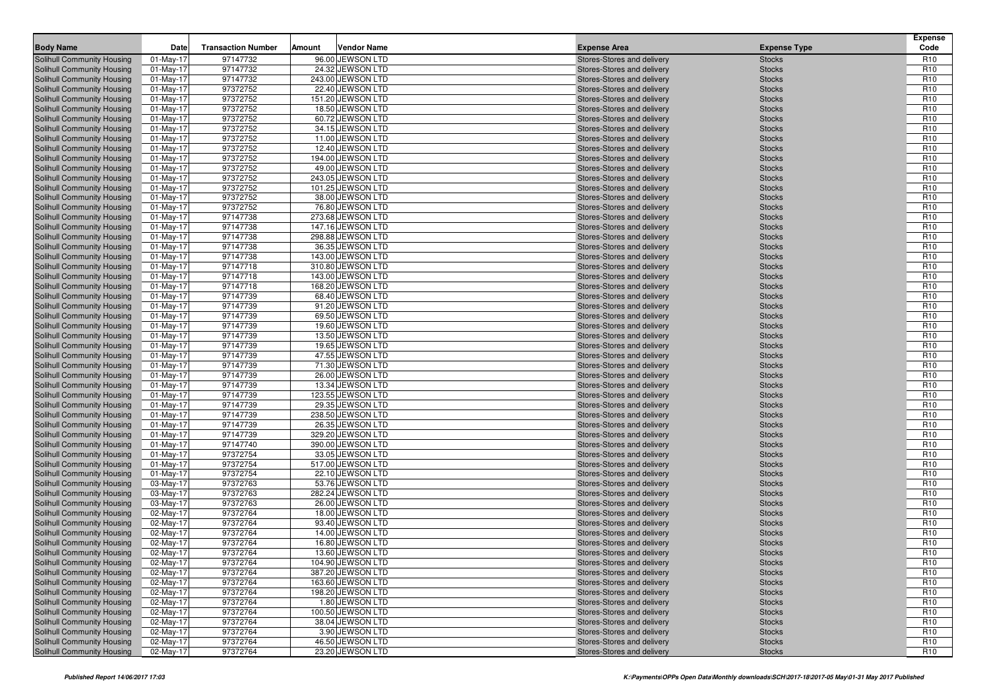| <b>Body Name</b><br><b>Expense Area</b><br><b>Expense Type</b><br>97147732<br>Solihull Community Housing<br>$01$ -May-17<br>96.00 JEWSON LTD<br>Stores-Stores and delivery<br><b>Stocks</b><br>R <sub>10</sub><br>97147732<br>24.32 JEWSON LTD<br>R <sub>10</sub><br>Solihull Community Housing<br>01-May-17<br><b>Stocks</b><br>Stores-Stores and delivery<br>97147732<br>R <sub>10</sub><br>Solihull Community Housing<br>$01$ -May-17<br>243.00 JEWSON LTD<br>Stores-Stores and delivery<br><b>Stocks</b><br>97372752<br>22.40 JEWSON LTD<br>R <sub>10</sub><br>Solihull Community Housing<br>$01$ -May-17<br><b>Stocks</b><br>Stores-Stores and delivery<br>Solihull Community Housing<br>$01$ -May-17<br>97372752<br>151.20 JEWSON LTD<br>R <sub>10</sub><br>Stores-Stores and delivery<br><b>Stocks</b><br>97372752<br>R <sub>10</sub><br>18.50 JEWSON LTD<br>Solihull Community Housing<br>01-May-17<br>Stores-Stores and delivery<br><b>Stocks</b><br>97372752<br>60.72 JEWSON LTD<br>R <sub>10</sub><br>Solihull Community Housing<br>01-May-17<br>Stores-Stores and delivery<br><b>Stocks</b><br>97372752<br>R <sub>10</sub><br>$01$ -May-17<br>34.15 JEWSON LTD<br><b>Stocks</b><br>Solihull Community Housing<br>Stores-Stores and delivery<br>97372752<br>R <sub>10</sub><br><b>Solihull Community Housing</b><br>$01$ -May-17<br>11.00 JEWSON LTD<br><b>Stocks</b><br>Stores-Stores and delivery<br>Solihull Community Housing<br>$01$ -May-17<br>97372752<br>12.40 JEWSON LTD<br>R <sub>10</sub><br>Stores-Stores and delivery<br><b>Stocks</b><br>97372752<br>R <sub>10</sub><br>Solihull Community Housing<br>$01$ -May-17<br>194.00 JEWSON LTD<br>Stores-Stores and delivery<br><b>Stocks</b><br>97372752<br>49.00 JEWSON LTD<br>R <sub>10</sub><br><b>Solihull Community Housing</b><br>01-May-17<br><b>Stocks</b><br>Stores-Stores and delivery<br>97372752<br>R <sub>10</sub><br>$01$ -May-17<br>243.05 JEWSON LTD<br>Solihull Community Housing<br>Stores-Stores and delivery<br><b>Stocks</b><br>97372752<br>101.25 JEWSON LTD<br>R <sub>10</sub><br>Solihull Community Housing<br>$01$ -May-17<br><b>Stocks</b><br>Stores-Stores and delivery<br>97372752<br>Solihull Community Housing<br>$01$ -May-17<br>38.00 JEWSON LTD<br>R <sub>10</sub><br>Stores-Stores and delivery<br><b>Stocks</b><br>97372752<br>R <sub>10</sub><br>Solihull Community Housing<br>$01$ -May-17<br>76.80 JEWSON LTD<br>Stores-Stores and delivery<br><b>Stocks</b><br>97147738<br>273.68 JEWSON LTD<br>R <sub>10</sub><br>01-May-17<br>Solihull Community Housing<br>Stores-Stores and delivery<br><b>Stocks</b><br>97147738<br>R <sub>10</sub><br>$01$ -May-17<br>147.16 JEWSON LTD<br>Solihull Community Housing<br>Stores-Stores and delivery<br><b>Stocks</b><br>97147738<br>298.88 JEWSON LTD<br>R <sub>10</sub><br>Solihull Community Housing<br>$01$ -May-17<br><b>Stocks</b><br>Stores-Stores and delivery<br>Solihull Community Housing<br>$01$ -May-17<br>97147738<br>36.35 JEWSON LTD<br>R <sub>10</sub><br>Stores-Stores and delivery<br><b>Stocks</b><br>97147738<br>143.00 JEWSON LTD<br>R <sub>10</sub><br>Solihull Community Housing<br>$01$ -May-17<br>Stores-Stores and delivery<br><b>Stocks</b><br>97147718<br>310.80 JEWSON LTD<br>R <sub>10</sub><br><b>Solihull Community Housing</b><br>01-May-17<br>Stores-Stores and delivery<br><b>Stocks</b><br>R <sub>10</sub><br>$01$ -May-17<br>97147718<br>143.00 JEWSON LTD<br>Solihull Community Housing<br>Stores-Stores and delivery<br><b>Stocks</b><br>97147718<br>168.20 JEWSON LTD<br>R <sub>10</sub><br><b>Solihull Community Housing</b><br>$01$ -May-17<br><b>Stocks</b><br>Stores-Stores and delivery<br>Solihull Community Housing<br>$01$ -May-17<br>97147739<br>68.40 JEWSON LTD<br>R <sub>10</sub><br>Stores-Stores and delivery<br><b>Stocks</b><br>97147739<br>R <sub>10</sub><br>Solihull Community Housing<br>$01$ -May-17<br>91.20 JEWSON LTD<br>Stores-Stores and delivery<br><b>Stocks</b><br>97147739<br>69.50 JEWSON LTD<br>R <sub>10</sub><br>01-May-17<br>Solihull Community Housing<br>Stores-Stores and delivery<br><b>Stocks</b><br>97147739<br>R <sub>10</sub><br>$01$ -May-17<br>19.60 JEWSON LTD<br>Solihull Community Housing<br>Stores-Stores and delivery<br><b>Stocks</b><br>97147739<br>13.50 JEWSON LTD<br>R <sub>10</sub><br><b>Solihull Community Housing</b><br>$01$ -May-17<br><b>Stocks</b><br>Stores-Stores and delivery<br>Solihull Community Housing<br>$01$ -May-17<br>97147739<br>19.65 JEWSON LTD<br>R <sub>10</sub><br>Stores-Stores and delivery<br><b>Stocks</b><br>97147739<br>47.55 JEWSON LTD<br>R <sub>10</sub><br><b>Solihull Community Housing</b><br>$01$ -May-17<br>Stores-Stores and delivery<br><b>Stocks</b><br>97147739<br>R <sub>10</sub><br><b>Solihull Community Housing</b><br>$01$ -May-17<br>71.30 JEWSON LTD<br>Stores-Stores and delivery<br><b>Stocks</b><br>R <sub>10</sub><br>$01$ -May-17<br>97147739<br>26.00 JEWSON LTD<br>Solihull Community Housing<br>Stores-Stores and delivery<br><b>Stocks</b><br>97147739<br>13.34 JEWSON LTD<br>R <sub>10</sub><br><b>Solihull Community Housing</b><br>$01$ -May-17<br><b>Stocks</b><br>Stores-Stores and delivery<br>R <sub>10</sub><br>Solihull Community Housing<br>$01$ -May-17<br>97147739<br>123.55 JEWSON LTD<br>Stores-Stores and delivery<br><b>Stocks</b><br>97147739<br>29.35 JEWSON LTD<br>R <sub>10</sub><br><b>Solihull Community Housing</b><br>01-May-17<br>Stores-Stores and delivery<br><b>Stocks</b><br>97147739<br>238.50 JEWSON LTD<br>R <sub>10</sub><br>01-May-17<br>Solihull Community Housing<br>Stores-Stores and delivery<br><b>Stocks</b><br>97147739<br>R <sub>10</sub><br>$01$ -May-17<br>26.35 JEWSON LTD<br>Solihull Community Housing<br>Stores-Stores and delivery<br><b>Stocks</b><br>97147739<br>329.20 JEWSON LTD<br>R <sub>10</sub><br><b>Solihull Community Housing</b><br>$01$ -May-17<br><b>Stocks</b><br>Stores-Stores and delivery<br>Solihull Community Housing<br>$01$ -May-17<br>97147740<br>390.00 JEWSON LTD<br>R <sub>10</sub><br>Stores-Stores and delivery<br><b>Stocks</b><br>97372754<br>33.05 JEWSON LTD<br>R <sub>10</sub><br>Solihull Community Housing<br>$01$ -May-17<br>Stores-Stores and delivery<br><b>Stocks</b><br>R <sub>10</sub><br><b>Solihull Community Housing</b><br>01-May-17<br>97372754<br>517.00 JEWSON LTD<br>Stores-Stores and delivery<br><b>Stocks</b><br>97372754<br>01-May-17<br>22.10 JEWSON LTD<br>R <sub>10</sub><br>Solihull Community Housing<br>Stores-Stores and delivery<br><b>Stocks</b><br>97372763<br>53.76 JEWSON LTD<br>R <sub>10</sub><br>Solihull Community Housing<br>03-May-17<br><b>Stocks</b><br>Stores-Stores and delivery<br>Solihull Community Housing<br>03-May-17<br>97372763<br>282.24 JEWSON LTD<br>R <sub>10</sub><br>Stores-Stores and delivery<br><b>Stocks</b><br>97372763<br>R <sub>10</sub><br>Solihull Community Housing<br>03-May-17<br>26.00 JEWSON LTD<br>Stores-Stores and delivery<br><b>Stocks</b><br>R <sub>10</sub><br>97372764<br>18.00 JEWSON LTD<br>Solihull Community Housing<br>02-May-17<br>Stores-Stores and delivery<br><b>Stocks</b><br>02-May-17<br>97372764<br>93.40 JEWSON LTD<br>R <sub>10</sub><br>Solihull Community Housing<br>Stores-Stores and delivery<br><b>Stocks</b><br>97372764<br>R <sub>10</sub><br>Solihull Community Housing<br>02-May-17<br>14.00 JEWSON LTD<br><b>Stocks</b><br>Stores-Stores and delivery<br>R <sub>10</sub><br>02-May-17<br>97372764<br>16.80 JEWSON LTD<br>Solihull Community Housing<br>Stores-Stores and delivery<br><b>Stocks</b><br>97372764<br>R <sub>10</sub><br>Solihull Community Housing<br>02-May-17<br>13.60 JEWSON LTD<br>Stores-Stores and delivery<br><b>Stocks</b><br>97372764<br>104.90 JEWSON LTD<br><b>Stocks</b><br>R <sub>10</sub><br>Solihull Community Housing<br>02-May-17<br>Stores-Stores and delivery<br>97372764<br>387.20 JEWSON LTD<br>R <sub>10</sub><br>Solihull Community Housing<br>02-May-17<br>Stores-Stores and delivery<br><b>Stocks</b><br>R <sub>10</sub><br>97372764<br>163.60 JEWSON LTD<br>Solihull Community Housing<br>02-May-17<br>Stores-Stores and delivery<br><b>Stocks</b><br>97372764<br>R <sub>10</sub><br>Solihull Community Housing<br>02-May-17<br>198.20 JEWSON LTD<br>Stores-Stores and delivery<br><b>Stocks</b><br>97372764<br>1.80 JEWSON LTD<br>R <sub>10</sub><br>Solihull Community Housing<br>02-May-17<br>Stores-Stores and delivery<br><b>Stocks</b><br>97372764<br>100.50 JEWSON LTD<br>R <sub>10</sub><br>Solihull Community Housing<br>02-May-17<br>Stores-Stores and delivery<br><b>Stocks</b><br>97372764<br>38.04 JEWSON LTD<br>Solihull Community Housing<br>02-May-17<br>Stores-Stores and delivery<br><b>Stocks</b><br>R <sub>10</sub><br>97372764<br>3.90 JEWSON LTD<br>R <sub>10</sub><br>Solihull Community Housing<br>02-May-17<br>Stores-Stores and delivery<br><b>Stocks</b><br>97372764<br>46.50 JEWSON LTD<br>R <sub>10</sub><br>Solihull Community Housing<br>02-May-17<br>Stores-Stores and delivery<br><b>Stocks</b><br>97372764<br>23.20 JEWSON LTD<br>R <sub>10</sub><br>Solihull Community Housing<br>02-May-17<br>Stores-Stores and delivery<br><b>Stocks</b> | Date | <b>Transaction Number</b> | Amount | <b>Vendor Name</b> |  | <b>Expense</b><br>Code |
|---------------------------------------------------------------------------------------------------------------------------------------------------------------------------------------------------------------------------------------------------------------------------------------------------------------------------------------------------------------------------------------------------------------------------------------------------------------------------------------------------------------------------------------------------------------------------------------------------------------------------------------------------------------------------------------------------------------------------------------------------------------------------------------------------------------------------------------------------------------------------------------------------------------------------------------------------------------------------------------------------------------------------------------------------------------------------------------------------------------------------------------------------------------------------------------------------------------------------------------------------------------------------------------------------------------------------------------------------------------------------------------------------------------------------------------------------------------------------------------------------------------------------------------------------------------------------------------------------------------------------------------------------------------------------------------------------------------------------------------------------------------------------------------------------------------------------------------------------------------------------------------------------------------------------------------------------------------------------------------------------------------------------------------------------------------------------------------------------------------------------------------------------------------------------------------------------------------------------------------------------------------------------------------------------------------------------------------------------------------------------------------------------------------------------------------------------------------------------------------------------------------------------------------------------------------------------------------------------------------------------------------------------------------------------------------------------------------------------------------------------------------------------------------------------------------------------------------------------------------------------------------------------------------------------------------------------------------------------------------------------------------------------------------------------------------------------------------------------------------------------------------------------------------------------------------------------------------------------------------------------------------------------------------------------------------------------------------------------------------------------------------------------------------------------------------------------------------------------------------------------------------------------------------------------------------------------------------------------------------------------------------------------------------------------------------------------------------------------------------------------------------------------------------------------------------------------------------------------------------------------------------------------------------------------------------------------------------------------------------------------------------------------------------------------------------------------------------------------------------------------------------------------------------------------------------------------------------------------------------------------------------------------------------------------------------------------------------------------------------------------------------------------------------------------------------------------------------------------------------------------------------------------------------------------------------------------------------------------------------------------------------------------------------------------------------------------------------------------------------------------------------------------------------------------------------------------------------------------------------------------------------------------------------------------------------------------------------------------------------------------------------------------------------------------------------------------------------------------------------------------------------------------------------------------------------------------------------------------------------------------------------------------------------------------------------------------------------------------------------------------------------------------------------------------------------------------------------------------------------------------------------------------------------------------------------------------------------------------------------------------------------------------------------------------------------------------------------------------------------------------------------------------------------------------------------------------------------------------------------------------------------------------------------------------------------------------------------------------------------------------------------------------------------------------------------------------------------------------------------------------------------------------------------------------------------------------------------------------------------------------------------------------------------------------------------------------------------------------------------------------------------------------------------------------------------------------------------------------------------------------------------------------------------------------------------------------------------------------------------------------------------------------------------------------------------------------------------------------------------------------------------------------------------------------------------------------------------------------------------------------------------------------------------------------------------------------------------------------------------------------------------------------------------------------------------------------------------------------------------------------------------------------------------------------------------------------------------------------------------------------------------------------------------------------------------------------------------------------------------------------------------------------------------------------------------------------------------------------------------------------------------------------------------------------------------------------------------------------------------------------------------------------------------------------------------------------------------------------------------------------------------------------------------------------------------------------------------------------------------------------------------------------------------------------------------------------------------------------------------------------------------------------------------------------------------------------------------------------------------------------------------------------------------------------------------------------------------------------------------------------------------------------------------------------------------------------------------------------------------------------------------------------------------------------------------------------------------------------------------------------------------------------------------------------------------------------------------------------------------------------------------------------------------------------------------------------------------------------------------------------------------------------------------------------------------------------------------------------------------------------------------------------------------------------------------------------------------------------------------------------------------------------------------------------------------------------------------------------------------------------------------------------------------------------------------------------------------------------|------|---------------------------|--------|--------------------|--|------------------------|
|                                                                                                                                                                                                                                                                                                                                                                                                                                                                                                                                                                                                                                                                                                                                                                                                                                                                                                                                                                                                                                                                                                                                                                                                                                                                                                                                                                                                                                                                                                                                                                                                                                                                                                                                                                                                                                                                                                                                                                                                                                                                                                                                                                                                                                                                                                                                                                                                                                                                                                                                                                                                                                                                                                                                                                                                                                                                                                                                                                                                                                                                                                                                                                                                                                                                                                                                                                                                                                                                                                                                                                                                                                                                                                                                                                                                                                                                                                                                                                                                                                                                                                                                                                                                                                                                                                                                                                                                                                                                                                                                                                                                                                                                                                                                                                                                                                                                                                                                                                                                                                                                                                                                                                                                                                                                                                                                                                                                                                                                                                                                                                                                                                                                                                                                                                                                                                                                                                                                                                                                                                                                                                                                                                                                                                                                                                                                                                                                                                                                                                                                                                                                                                                                                                                                                                                                                                                                                                                                                                                                                                                                                                                                                                                                                                                                                                                                                                                                                                                                                                                                                                                                                                                                                                                                                                                                                                                                                                                                                                                                                                                                                                                                                                                                                                                                                                                                                                                                                                                                                                                                                                                                                                                                                                                                                                                                                                                                                                                                                                                                                                                                                                                                                                                                                           |      |                           |        |                    |  |                        |
|                                                                                                                                                                                                                                                                                                                                                                                                                                                                                                                                                                                                                                                                                                                                                                                                                                                                                                                                                                                                                                                                                                                                                                                                                                                                                                                                                                                                                                                                                                                                                                                                                                                                                                                                                                                                                                                                                                                                                                                                                                                                                                                                                                                                                                                                                                                                                                                                                                                                                                                                                                                                                                                                                                                                                                                                                                                                                                                                                                                                                                                                                                                                                                                                                                                                                                                                                                                                                                                                                                                                                                                                                                                                                                                                                                                                                                                                                                                                                                                                                                                                                                                                                                                                                                                                                                                                                                                                                                                                                                                                                                                                                                                                                                                                                                                                                                                                                                                                                                                                                                                                                                                                                                                                                                                                                                                                                                                                                                                                                                                                                                                                                                                                                                                                                                                                                                                                                                                                                                                                                                                                                                                                                                                                                                                                                                                                                                                                                                                                                                                                                                                                                                                                                                                                                                                                                                                                                                                                                                                                                                                                                                                                                                                                                                                                                                                                                                                                                                                                                                                                                                                                                                                                                                                                                                                                                                                                                                                                                                                                                                                                                                                                                                                                                                                                                                                                                                                                                                                                                                                                                                                                                                                                                                                                                                                                                                                                                                                                                                                                                                                                                                                                                                                                                           |      |                           |        |                    |  |                        |
|                                                                                                                                                                                                                                                                                                                                                                                                                                                                                                                                                                                                                                                                                                                                                                                                                                                                                                                                                                                                                                                                                                                                                                                                                                                                                                                                                                                                                                                                                                                                                                                                                                                                                                                                                                                                                                                                                                                                                                                                                                                                                                                                                                                                                                                                                                                                                                                                                                                                                                                                                                                                                                                                                                                                                                                                                                                                                                                                                                                                                                                                                                                                                                                                                                                                                                                                                                                                                                                                                                                                                                                                                                                                                                                                                                                                                                                                                                                                                                                                                                                                                                                                                                                                                                                                                                                                                                                                                                                                                                                                                                                                                                                                                                                                                                                                                                                                                                                                                                                                                                                                                                                                                                                                                                                                                                                                                                                                                                                                                                                                                                                                                                                                                                                                                                                                                                                                                                                                                                                                                                                                                                                                                                                                                                                                                                                                                                                                                                                                                                                                                                                                                                                                                                                                                                                                                                                                                                                                                                                                                                                                                                                                                                                                                                                                                                                                                                                                                                                                                                                                                                                                                                                                                                                                                                                                                                                                                                                                                                                                                                                                                                                                                                                                                                                                                                                                                                                                                                                                                                                                                                                                                                                                                                                                                                                                                                                                                                                                                                                                                                                                                                                                                                                                                           |      |                           |        |                    |  |                        |
|                                                                                                                                                                                                                                                                                                                                                                                                                                                                                                                                                                                                                                                                                                                                                                                                                                                                                                                                                                                                                                                                                                                                                                                                                                                                                                                                                                                                                                                                                                                                                                                                                                                                                                                                                                                                                                                                                                                                                                                                                                                                                                                                                                                                                                                                                                                                                                                                                                                                                                                                                                                                                                                                                                                                                                                                                                                                                                                                                                                                                                                                                                                                                                                                                                                                                                                                                                                                                                                                                                                                                                                                                                                                                                                                                                                                                                                                                                                                                                                                                                                                                                                                                                                                                                                                                                                                                                                                                                                                                                                                                                                                                                                                                                                                                                                                                                                                                                                                                                                                                                                                                                                                                                                                                                                                                                                                                                                                                                                                                                                                                                                                                                                                                                                                                                                                                                                                                                                                                                                                                                                                                                                                                                                                                                                                                                                                                                                                                                                                                                                                                                                                                                                                                                                                                                                                                                                                                                                                                                                                                                                                                                                                                                                                                                                                                                                                                                                                                                                                                                                                                                                                                                                                                                                                                                                                                                                                                                                                                                                                                                                                                                                                                                                                                                                                                                                                                                                                                                                                                                                                                                                                                                                                                                                                                                                                                                                                                                                                                                                                                                                                                                                                                                                                                           |      |                           |        |                    |  |                        |
|                                                                                                                                                                                                                                                                                                                                                                                                                                                                                                                                                                                                                                                                                                                                                                                                                                                                                                                                                                                                                                                                                                                                                                                                                                                                                                                                                                                                                                                                                                                                                                                                                                                                                                                                                                                                                                                                                                                                                                                                                                                                                                                                                                                                                                                                                                                                                                                                                                                                                                                                                                                                                                                                                                                                                                                                                                                                                                                                                                                                                                                                                                                                                                                                                                                                                                                                                                                                                                                                                                                                                                                                                                                                                                                                                                                                                                                                                                                                                                                                                                                                                                                                                                                                                                                                                                                                                                                                                                                                                                                                                                                                                                                                                                                                                                                                                                                                                                                                                                                                                                                                                                                                                                                                                                                                                                                                                                                                                                                                                                                                                                                                                                                                                                                                                                                                                                                                                                                                                                                                                                                                                                                                                                                                                                                                                                                                                                                                                                                                                                                                                                                                                                                                                                                                                                                                                                                                                                                                                                                                                                                                                                                                                                                                                                                                                                                                                                                                                                                                                                                                                                                                                                                                                                                                                                                                                                                                                                                                                                                                                                                                                                                                                                                                                                                                                                                                                                                                                                                                                                                                                                                                                                                                                                                                                                                                                                                                                                                                                                                                                                                                                                                                                                                                                           |      |                           |        |                    |  |                        |
|                                                                                                                                                                                                                                                                                                                                                                                                                                                                                                                                                                                                                                                                                                                                                                                                                                                                                                                                                                                                                                                                                                                                                                                                                                                                                                                                                                                                                                                                                                                                                                                                                                                                                                                                                                                                                                                                                                                                                                                                                                                                                                                                                                                                                                                                                                                                                                                                                                                                                                                                                                                                                                                                                                                                                                                                                                                                                                                                                                                                                                                                                                                                                                                                                                                                                                                                                                                                                                                                                                                                                                                                                                                                                                                                                                                                                                                                                                                                                                                                                                                                                                                                                                                                                                                                                                                                                                                                                                                                                                                                                                                                                                                                                                                                                                                                                                                                                                                                                                                                                                                                                                                                                                                                                                                                                                                                                                                                                                                                                                                                                                                                                                                                                                                                                                                                                                                                                                                                                                                                                                                                                                                                                                                                                                                                                                                                                                                                                                                                                                                                                                                                                                                                                                                                                                                                                                                                                                                                                                                                                                                                                                                                                                                                                                                                                                                                                                                                                                                                                                                                                                                                                                                                                                                                                                                                                                                                                                                                                                                                                                                                                                                                                                                                                                                                                                                                                                                                                                                                                                                                                                                                                                                                                                                                                                                                                                                                                                                                                                                                                                                                                                                                                                                                                           |      |                           |        |                    |  |                        |
|                                                                                                                                                                                                                                                                                                                                                                                                                                                                                                                                                                                                                                                                                                                                                                                                                                                                                                                                                                                                                                                                                                                                                                                                                                                                                                                                                                                                                                                                                                                                                                                                                                                                                                                                                                                                                                                                                                                                                                                                                                                                                                                                                                                                                                                                                                                                                                                                                                                                                                                                                                                                                                                                                                                                                                                                                                                                                                                                                                                                                                                                                                                                                                                                                                                                                                                                                                                                                                                                                                                                                                                                                                                                                                                                                                                                                                                                                                                                                                                                                                                                                                                                                                                                                                                                                                                                                                                                                                                                                                                                                                                                                                                                                                                                                                                                                                                                                                                                                                                                                                                                                                                                                                                                                                                                                                                                                                                                                                                                                                                                                                                                                                                                                                                                                                                                                                                                                                                                                                                                                                                                                                                                                                                                                                                                                                                                                                                                                                                                                                                                                                                                                                                                                                                                                                                                                                                                                                                                                                                                                                                                                                                                                                                                                                                                                                                                                                                                                                                                                                                                                                                                                                                                                                                                                                                                                                                                                                                                                                                                                                                                                                                                                                                                                                                                                                                                                                                                                                                                                                                                                                                                                                                                                                                                                                                                                                                                                                                                                                                                                                                                                                                                                                                                                           |      |                           |        |                    |  |                        |
|                                                                                                                                                                                                                                                                                                                                                                                                                                                                                                                                                                                                                                                                                                                                                                                                                                                                                                                                                                                                                                                                                                                                                                                                                                                                                                                                                                                                                                                                                                                                                                                                                                                                                                                                                                                                                                                                                                                                                                                                                                                                                                                                                                                                                                                                                                                                                                                                                                                                                                                                                                                                                                                                                                                                                                                                                                                                                                                                                                                                                                                                                                                                                                                                                                                                                                                                                                                                                                                                                                                                                                                                                                                                                                                                                                                                                                                                                                                                                                                                                                                                                                                                                                                                                                                                                                                                                                                                                                                                                                                                                                                                                                                                                                                                                                                                                                                                                                                                                                                                                                                                                                                                                                                                                                                                                                                                                                                                                                                                                                                                                                                                                                                                                                                                                                                                                                                                                                                                                                                                                                                                                                                                                                                                                                                                                                                                                                                                                                                                                                                                                                                                                                                                                                                                                                                                                                                                                                                                                                                                                                                                                                                                                                                                                                                                                                                                                                                                                                                                                                                                                                                                                                                                                                                                                                                                                                                                                                                                                                                                                                                                                                                                                                                                                                                                                                                                                                                                                                                                                                                                                                                                                                                                                                                                                                                                                                                                                                                                                                                                                                                                                                                                                                                                                           |      |                           |        |                    |  |                        |
|                                                                                                                                                                                                                                                                                                                                                                                                                                                                                                                                                                                                                                                                                                                                                                                                                                                                                                                                                                                                                                                                                                                                                                                                                                                                                                                                                                                                                                                                                                                                                                                                                                                                                                                                                                                                                                                                                                                                                                                                                                                                                                                                                                                                                                                                                                                                                                                                                                                                                                                                                                                                                                                                                                                                                                                                                                                                                                                                                                                                                                                                                                                                                                                                                                                                                                                                                                                                                                                                                                                                                                                                                                                                                                                                                                                                                                                                                                                                                                                                                                                                                                                                                                                                                                                                                                                                                                                                                                                                                                                                                                                                                                                                                                                                                                                                                                                                                                                                                                                                                                                                                                                                                                                                                                                                                                                                                                                                                                                                                                                                                                                                                                                                                                                                                                                                                                                                                                                                                                                                                                                                                                                                                                                                                                                                                                                                                                                                                                                                                                                                                                                                                                                                                                                                                                                                                                                                                                                                                                                                                                                                                                                                                                                                                                                                                                                                                                                                                                                                                                                                                                                                                                                                                                                                                                                                                                                                                                                                                                                                                                                                                                                                                                                                                                                                                                                                                                                                                                                                                                                                                                                                                                                                                                                                                                                                                                                                                                                                                                                                                                                                                                                                                                                                                           |      |                           |        |                    |  |                        |
|                                                                                                                                                                                                                                                                                                                                                                                                                                                                                                                                                                                                                                                                                                                                                                                                                                                                                                                                                                                                                                                                                                                                                                                                                                                                                                                                                                                                                                                                                                                                                                                                                                                                                                                                                                                                                                                                                                                                                                                                                                                                                                                                                                                                                                                                                                                                                                                                                                                                                                                                                                                                                                                                                                                                                                                                                                                                                                                                                                                                                                                                                                                                                                                                                                                                                                                                                                                                                                                                                                                                                                                                                                                                                                                                                                                                                                                                                                                                                                                                                                                                                                                                                                                                                                                                                                                                                                                                                                                                                                                                                                                                                                                                                                                                                                                                                                                                                                                                                                                                                                                                                                                                                                                                                                                                                                                                                                                                                                                                                                                                                                                                                                                                                                                                                                                                                                                                                                                                                                                                                                                                                                                                                                                                                                                                                                                                                                                                                                                                                                                                                                                                                                                                                                                                                                                                                                                                                                                                                                                                                                                                                                                                                                                                                                                                                                                                                                                                                                                                                                                                                                                                                                                                                                                                                                                                                                                                                                                                                                                                                                                                                                                                                                                                                                                                                                                                                                                                                                                                                                                                                                                                                                                                                                                                                                                                                                                                                                                                                                                                                                                                                                                                                                                                                           |      |                           |        |                    |  |                        |
|                                                                                                                                                                                                                                                                                                                                                                                                                                                                                                                                                                                                                                                                                                                                                                                                                                                                                                                                                                                                                                                                                                                                                                                                                                                                                                                                                                                                                                                                                                                                                                                                                                                                                                                                                                                                                                                                                                                                                                                                                                                                                                                                                                                                                                                                                                                                                                                                                                                                                                                                                                                                                                                                                                                                                                                                                                                                                                                                                                                                                                                                                                                                                                                                                                                                                                                                                                                                                                                                                                                                                                                                                                                                                                                                                                                                                                                                                                                                                                                                                                                                                                                                                                                                                                                                                                                                                                                                                                                                                                                                                                                                                                                                                                                                                                                                                                                                                                                                                                                                                                                                                                                                                                                                                                                                                                                                                                                                                                                                                                                                                                                                                                                                                                                                                                                                                                                                                                                                                                                                                                                                                                                                                                                                                                                                                                                                                                                                                                                                                                                                                                                                                                                                                                                                                                                                                                                                                                                                                                                                                                                                                                                                                                                                                                                                                                                                                                                                                                                                                                                                                                                                                                                                                                                                                                                                                                                                                                                                                                                                                                                                                                                                                                                                                                                                                                                                                                                                                                                                                                                                                                                                                                                                                                                                                                                                                                                                                                                                                                                                                                                                                                                                                                                                                           |      |                           |        |                    |  |                        |
|                                                                                                                                                                                                                                                                                                                                                                                                                                                                                                                                                                                                                                                                                                                                                                                                                                                                                                                                                                                                                                                                                                                                                                                                                                                                                                                                                                                                                                                                                                                                                                                                                                                                                                                                                                                                                                                                                                                                                                                                                                                                                                                                                                                                                                                                                                                                                                                                                                                                                                                                                                                                                                                                                                                                                                                                                                                                                                                                                                                                                                                                                                                                                                                                                                                                                                                                                                                                                                                                                                                                                                                                                                                                                                                                                                                                                                                                                                                                                                                                                                                                                                                                                                                                                                                                                                                                                                                                                                                                                                                                                                                                                                                                                                                                                                                                                                                                                                                                                                                                                                                                                                                                                                                                                                                                                                                                                                                                                                                                                                                                                                                                                                                                                                                                                                                                                                                                                                                                                                                                                                                                                                                                                                                                                                                                                                                                                                                                                                                                                                                                                                                                                                                                                                                                                                                                                                                                                                                                                                                                                                                                                                                                                                                                                                                                                                                                                                                                                                                                                                                                                                                                                                                                                                                                                                                                                                                                                                                                                                                                                                                                                                                                                                                                                                                                                                                                                                                                                                                                                                                                                                                                                                                                                                                                                                                                                                                                                                                                                                                                                                                                                                                                                                                                                           |      |                           |        |                    |  |                        |
|                                                                                                                                                                                                                                                                                                                                                                                                                                                                                                                                                                                                                                                                                                                                                                                                                                                                                                                                                                                                                                                                                                                                                                                                                                                                                                                                                                                                                                                                                                                                                                                                                                                                                                                                                                                                                                                                                                                                                                                                                                                                                                                                                                                                                                                                                                                                                                                                                                                                                                                                                                                                                                                                                                                                                                                                                                                                                                                                                                                                                                                                                                                                                                                                                                                                                                                                                                                                                                                                                                                                                                                                                                                                                                                                                                                                                                                                                                                                                                                                                                                                                                                                                                                                                                                                                                                                                                                                                                                                                                                                                                                                                                                                                                                                                                                                                                                                                                                                                                                                                                                                                                                                                                                                                                                                                                                                                                                                                                                                                                                                                                                                                                                                                                                                                                                                                                                                                                                                                                                                                                                                                                                                                                                                                                                                                                                                                                                                                                                                                                                                                                                                                                                                                                                                                                                                                                                                                                                                                                                                                                                                                                                                                                                                                                                                                                                                                                                                                                                                                                                                                                                                                                                                                                                                                                                                                                                                                                                                                                                                                                                                                                                                                                                                                                                                                                                                                                                                                                                                                                                                                                                                                                                                                                                                                                                                                                                                                                                                                                                                                                                                                                                                                                                                                           |      |                           |        |                    |  |                        |
|                                                                                                                                                                                                                                                                                                                                                                                                                                                                                                                                                                                                                                                                                                                                                                                                                                                                                                                                                                                                                                                                                                                                                                                                                                                                                                                                                                                                                                                                                                                                                                                                                                                                                                                                                                                                                                                                                                                                                                                                                                                                                                                                                                                                                                                                                                                                                                                                                                                                                                                                                                                                                                                                                                                                                                                                                                                                                                                                                                                                                                                                                                                                                                                                                                                                                                                                                                                                                                                                                                                                                                                                                                                                                                                                                                                                                                                                                                                                                                                                                                                                                                                                                                                                                                                                                                                                                                                                                                                                                                                                                                                                                                                                                                                                                                                                                                                                                                                                                                                                                                                                                                                                                                                                                                                                                                                                                                                                                                                                                                                                                                                                                                                                                                                                                                                                                                                                                                                                                                                                                                                                                                                                                                                                                                                                                                                                                                                                                                                                                                                                                                                                                                                                                                                                                                                                                                                                                                                                                                                                                                                                                                                                                                                                                                                                                                                                                                                                                                                                                                                                                                                                                                                                                                                                                                                                                                                                                                                                                                                                                                                                                                                                                                                                                                                                                                                                                                                                                                                                                                                                                                                                                                                                                                                                                                                                                                                                                                                                                                                                                                                                                                                                                                                                                           |      |                           |        |                    |  |                        |
|                                                                                                                                                                                                                                                                                                                                                                                                                                                                                                                                                                                                                                                                                                                                                                                                                                                                                                                                                                                                                                                                                                                                                                                                                                                                                                                                                                                                                                                                                                                                                                                                                                                                                                                                                                                                                                                                                                                                                                                                                                                                                                                                                                                                                                                                                                                                                                                                                                                                                                                                                                                                                                                                                                                                                                                                                                                                                                                                                                                                                                                                                                                                                                                                                                                                                                                                                                                                                                                                                                                                                                                                                                                                                                                                                                                                                                                                                                                                                                                                                                                                                                                                                                                                                                                                                                                                                                                                                                                                                                                                                                                                                                                                                                                                                                                                                                                                                                                                                                                                                                                                                                                                                                                                                                                                                                                                                                                                                                                                                                                                                                                                                                                                                                                                                                                                                                                                                                                                                                                                                                                                                                                                                                                                                                                                                                                                                                                                                                                                                                                                                                                                                                                                                                                                                                                                                                                                                                                                                                                                                                                                                                                                                                                                                                                                                                                                                                                                                                                                                                                                                                                                                                                                                                                                                                                                                                                                                                                                                                                                                                                                                                                                                                                                                                                                                                                                                                                                                                                                                                                                                                                                                                                                                                                                                                                                                                                                                                                                                                                                                                                                                                                                                                                                                           |      |                           |        |                    |  |                        |
|                                                                                                                                                                                                                                                                                                                                                                                                                                                                                                                                                                                                                                                                                                                                                                                                                                                                                                                                                                                                                                                                                                                                                                                                                                                                                                                                                                                                                                                                                                                                                                                                                                                                                                                                                                                                                                                                                                                                                                                                                                                                                                                                                                                                                                                                                                                                                                                                                                                                                                                                                                                                                                                                                                                                                                                                                                                                                                                                                                                                                                                                                                                                                                                                                                                                                                                                                                                                                                                                                                                                                                                                                                                                                                                                                                                                                                                                                                                                                                                                                                                                                                                                                                                                                                                                                                                                                                                                                                                                                                                                                                                                                                                                                                                                                                                                                                                                                                                                                                                                                                                                                                                                                                                                                                                                                                                                                                                                                                                                                                                                                                                                                                                                                                                                                                                                                                                                                                                                                                                                                                                                                                                                                                                                                                                                                                                                                                                                                                                                                                                                                                                                                                                                                                                                                                                                                                                                                                                                                                                                                                                                                                                                                                                                                                                                                                                                                                                                                                                                                                                                                                                                                                                                                                                                                                                                                                                                                                                                                                                                                                                                                                                                                                                                                                                                                                                                                                                                                                                                                                                                                                                                                                                                                                                                                                                                                                                                                                                                                                                                                                                                                                                                                                                                                           |      |                           |        |                    |  |                        |
|                                                                                                                                                                                                                                                                                                                                                                                                                                                                                                                                                                                                                                                                                                                                                                                                                                                                                                                                                                                                                                                                                                                                                                                                                                                                                                                                                                                                                                                                                                                                                                                                                                                                                                                                                                                                                                                                                                                                                                                                                                                                                                                                                                                                                                                                                                                                                                                                                                                                                                                                                                                                                                                                                                                                                                                                                                                                                                                                                                                                                                                                                                                                                                                                                                                                                                                                                                                                                                                                                                                                                                                                                                                                                                                                                                                                                                                                                                                                                                                                                                                                                                                                                                                                                                                                                                                                                                                                                                                                                                                                                                                                                                                                                                                                                                                                                                                                                                                                                                                                                                                                                                                                                                                                                                                                                                                                                                                                                                                                                                                                                                                                                                                                                                                                                                                                                                                                                                                                                                                                                                                                                                                                                                                                                                                                                                                                                                                                                                                                                                                                                                                                                                                                                                                                                                                                                                                                                                                                                                                                                                                                                                                                                                                                                                                                                                                                                                                                                                                                                                                                                                                                                                                                                                                                                                                                                                                                                                                                                                                                                                                                                                                                                                                                                                                                                                                                                                                                                                                                                                                                                                                                                                                                                                                                                                                                                                                                                                                                                                                                                                                                                                                                                                                                                           |      |                           |        |                    |  |                        |
|                                                                                                                                                                                                                                                                                                                                                                                                                                                                                                                                                                                                                                                                                                                                                                                                                                                                                                                                                                                                                                                                                                                                                                                                                                                                                                                                                                                                                                                                                                                                                                                                                                                                                                                                                                                                                                                                                                                                                                                                                                                                                                                                                                                                                                                                                                                                                                                                                                                                                                                                                                                                                                                                                                                                                                                                                                                                                                                                                                                                                                                                                                                                                                                                                                                                                                                                                                                                                                                                                                                                                                                                                                                                                                                                                                                                                                                                                                                                                                                                                                                                                                                                                                                                                                                                                                                                                                                                                                                                                                                                                                                                                                                                                                                                                                                                                                                                                                                                                                                                                                                                                                                                                                                                                                                                                                                                                                                                                                                                                                                                                                                                                                                                                                                                                                                                                                                                                                                                                                                                                                                                                                                                                                                                                                                                                                                                                                                                                                                                                                                                                                                                                                                                                                                                                                                                                                                                                                                                                                                                                                                                                                                                                                                                                                                                                                                                                                                                                                                                                                                                                                                                                                                                                                                                                                                                                                                                                                                                                                                                                                                                                                                                                                                                                                                                                                                                                                                                                                                                                                                                                                                                                                                                                                                                                                                                                                                                                                                                                                                                                                                                                                                                                                                                                           |      |                           |        |                    |  |                        |
|                                                                                                                                                                                                                                                                                                                                                                                                                                                                                                                                                                                                                                                                                                                                                                                                                                                                                                                                                                                                                                                                                                                                                                                                                                                                                                                                                                                                                                                                                                                                                                                                                                                                                                                                                                                                                                                                                                                                                                                                                                                                                                                                                                                                                                                                                                                                                                                                                                                                                                                                                                                                                                                                                                                                                                                                                                                                                                                                                                                                                                                                                                                                                                                                                                                                                                                                                                                                                                                                                                                                                                                                                                                                                                                                                                                                                                                                                                                                                                                                                                                                                                                                                                                                                                                                                                                                                                                                                                                                                                                                                                                                                                                                                                                                                                                                                                                                                                                                                                                                                                                                                                                                                                                                                                                                                                                                                                                                                                                                                                                                                                                                                                                                                                                                                                                                                                                                                                                                                                                                                                                                                                                                                                                                                                                                                                                                                                                                                                                                                                                                                                                                                                                                                                                                                                                                                                                                                                                                                                                                                                                                                                                                                                                                                                                                                                                                                                                                                                                                                                                                                                                                                                                                                                                                                                                                                                                                                                                                                                                                                                                                                                                                                                                                                                                                                                                                                                                                                                                                                                                                                                                                                                                                                                                                                                                                                                                                                                                                                                                                                                                                                                                                                                                                                           |      |                           |        |                    |  |                        |
|                                                                                                                                                                                                                                                                                                                                                                                                                                                                                                                                                                                                                                                                                                                                                                                                                                                                                                                                                                                                                                                                                                                                                                                                                                                                                                                                                                                                                                                                                                                                                                                                                                                                                                                                                                                                                                                                                                                                                                                                                                                                                                                                                                                                                                                                                                                                                                                                                                                                                                                                                                                                                                                                                                                                                                                                                                                                                                                                                                                                                                                                                                                                                                                                                                                                                                                                                                                                                                                                                                                                                                                                                                                                                                                                                                                                                                                                                                                                                                                                                                                                                                                                                                                                                                                                                                                                                                                                                                                                                                                                                                                                                                                                                                                                                                                                                                                                                                                                                                                                                                                                                                                                                                                                                                                                                                                                                                                                                                                                                                                                                                                                                                                                                                                                                                                                                                                                                                                                                                                                                                                                                                                                                                                                                                                                                                                                                                                                                                                                                                                                                                                                                                                                                                                                                                                                                                                                                                                                                                                                                                                                                                                                                                                                                                                                                                                                                                                                                                                                                                                                                                                                                                                                                                                                                                                                                                                                                                                                                                                                                                                                                                                                                                                                                                                                                                                                                                                                                                                                                                                                                                                                                                                                                                                                                                                                                                                                                                                                                                                                                                                                                                                                                                                                                           |      |                           |        |                    |  |                        |
|                                                                                                                                                                                                                                                                                                                                                                                                                                                                                                                                                                                                                                                                                                                                                                                                                                                                                                                                                                                                                                                                                                                                                                                                                                                                                                                                                                                                                                                                                                                                                                                                                                                                                                                                                                                                                                                                                                                                                                                                                                                                                                                                                                                                                                                                                                                                                                                                                                                                                                                                                                                                                                                                                                                                                                                                                                                                                                                                                                                                                                                                                                                                                                                                                                                                                                                                                                                                                                                                                                                                                                                                                                                                                                                                                                                                                                                                                                                                                                                                                                                                                                                                                                                                                                                                                                                                                                                                                                                                                                                                                                                                                                                                                                                                                                                                                                                                                                                                                                                                                                                                                                                                                                                                                                                                                                                                                                                                                                                                                                                                                                                                                                                                                                                                                                                                                                                                                                                                                                                                                                                                                                                                                                                                                                                                                                                                                                                                                                                                                                                                                                                                                                                                                                                                                                                                                                                                                                                                                                                                                                                                                                                                                                                                                                                                                                                                                                                                                                                                                                                                                                                                                                                                                                                                                                                                                                                                                                                                                                                                                                                                                                                                                                                                                                                                                                                                                                                                                                                                                                                                                                                                                                                                                                                                                                                                                                                                                                                                                                                                                                                                                                                                                                                                                           |      |                           |        |                    |  |                        |
|                                                                                                                                                                                                                                                                                                                                                                                                                                                                                                                                                                                                                                                                                                                                                                                                                                                                                                                                                                                                                                                                                                                                                                                                                                                                                                                                                                                                                                                                                                                                                                                                                                                                                                                                                                                                                                                                                                                                                                                                                                                                                                                                                                                                                                                                                                                                                                                                                                                                                                                                                                                                                                                                                                                                                                                                                                                                                                                                                                                                                                                                                                                                                                                                                                                                                                                                                                                                                                                                                                                                                                                                                                                                                                                                                                                                                                                                                                                                                                                                                                                                                                                                                                                                                                                                                                                                                                                                                                                                                                                                                                                                                                                                                                                                                                                                                                                                                                                                                                                                                                                                                                                                                                                                                                                                                                                                                                                                                                                                                                                                                                                                                                                                                                                                                                                                                                                                                                                                                                                                                                                                                                                                                                                                                                                                                                                                                                                                                                                                                                                                                                                                                                                                                                                                                                                                                                                                                                                                                                                                                                                                                                                                                                                                                                                                                                                                                                                                                                                                                                                                                                                                                                                                                                                                                                                                                                                                                                                                                                                                                                                                                                                                                                                                                                                                                                                                                                                                                                                                                                                                                                                                                                                                                                                                                                                                                                                                                                                                                                                                                                                                                                                                                                                                                           |      |                           |        |                    |  |                        |
|                                                                                                                                                                                                                                                                                                                                                                                                                                                                                                                                                                                                                                                                                                                                                                                                                                                                                                                                                                                                                                                                                                                                                                                                                                                                                                                                                                                                                                                                                                                                                                                                                                                                                                                                                                                                                                                                                                                                                                                                                                                                                                                                                                                                                                                                                                                                                                                                                                                                                                                                                                                                                                                                                                                                                                                                                                                                                                                                                                                                                                                                                                                                                                                                                                                                                                                                                                                                                                                                                                                                                                                                                                                                                                                                                                                                                                                                                                                                                                                                                                                                                                                                                                                                                                                                                                                                                                                                                                                                                                                                                                                                                                                                                                                                                                                                                                                                                                                                                                                                                                                                                                                                                                                                                                                                                                                                                                                                                                                                                                                                                                                                                                                                                                                                                                                                                                                                                                                                                                                                                                                                                                                                                                                                                                                                                                                                                                                                                                                                                                                                                                                                                                                                                                                                                                                                                                                                                                                                                                                                                                                                                                                                                                                                                                                                                                                                                                                                                                                                                                                                                                                                                                                                                                                                                                                                                                                                                                                                                                                                                                                                                                                                                                                                                                                                                                                                                                                                                                                                                                                                                                                                                                                                                                                                                                                                                                                                                                                                                                                                                                                                                                                                                                                                                           |      |                           |        |                    |  |                        |
|                                                                                                                                                                                                                                                                                                                                                                                                                                                                                                                                                                                                                                                                                                                                                                                                                                                                                                                                                                                                                                                                                                                                                                                                                                                                                                                                                                                                                                                                                                                                                                                                                                                                                                                                                                                                                                                                                                                                                                                                                                                                                                                                                                                                                                                                                                                                                                                                                                                                                                                                                                                                                                                                                                                                                                                                                                                                                                                                                                                                                                                                                                                                                                                                                                                                                                                                                                                                                                                                                                                                                                                                                                                                                                                                                                                                                                                                                                                                                                                                                                                                                                                                                                                                                                                                                                                                                                                                                                                                                                                                                                                                                                                                                                                                                                                                                                                                                                                                                                                                                                                                                                                                                                                                                                                                                                                                                                                                                                                                                                                                                                                                                                                                                                                                                                                                                                                                                                                                                                                                                                                                                                                                                                                                                                                                                                                                                                                                                                                                                                                                                                                                                                                                                                                                                                                                                                                                                                                                                                                                                                                                                                                                                                                                                                                                                                                                                                                                                                                                                                                                                                                                                                                                                                                                                                                                                                                                                                                                                                                                                                                                                                                                                                                                                                                                                                                                                                                                                                                                                                                                                                                                                                                                                                                                                                                                                                                                                                                                                                                                                                                                                                                                                                                                                           |      |                           |        |                    |  |                        |
|                                                                                                                                                                                                                                                                                                                                                                                                                                                                                                                                                                                                                                                                                                                                                                                                                                                                                                                                                                                                                                                                                                                                                                                                                                                                                                                                                                                                                                                                                                                                                                                                                                                                                                                                                                                                                                                                                                                                                                                                                                                                                                                                                                                                                                                                                                                                                                                                                                                                                                                                                                                                                                                                                                                                                                                                                                                                                                                                                                                                                                                                                                                                                                                                                                                                                                                                                                                                                                                                                                                                                                                                                                                                                                                                                                                                                                                                                                                                                                                                                                                                                                                                                                                                                                                                                                                                                                                                                                                                                                                                                                                                                                                                                                                                                                                                                                                                                                                                                                                                                                                                                                                                                                                                                                                                                                                                                                                                                                                                                                                                                                                                                                                                                                                                                                                                                                                                                                                                                                                                                                                                                                                                                                                                                                                                                                                                                                                                                                                                                                                                                                                                                                                                                                                                                                                                                                                                                                                                                                                                                                                                                                                                                                                                                                                                                                                                                                                                                                                                                                                                                                                                                                                                                                                                                                                                                                                                                                                                                                                                                                                                                                                                                                                                                                                                                                                                                                                                                                                                                                                                                                                                                                                                                                                                                                                                                                                                                                                                                                                                                                                                                                                                                                                                                           |      |                           |        |                    |  |                        |
|                                                                                                                                                                                                                                                                                                                                                                                                                                                                                                                                                                                                                                                                                                                                                                                                                                                                                                                                                                                                                                                                                                                                                                                                                                                                                                                                                                                                                                                                                                                                                                                                                                                                                                                                                                                                                                                                                                                                                                                                                                                                                                                                                                                                                                                                                                                                                                                                                                                                                                                                                                                                                                                                                                                                                                                                                                                                                                                                                                                                                                                                                                                                                                                                                                                                                                                                                                                                                                                                                                                                                                                                                                                                                                                                                                                                                                                                                                                                                                                                                                                                                                                                                                                                                                                                                                                                                                                                                                                                                                                                                                                                                                                                                                                                                                                                                                                                                                                                                                                                                                                                                                                                                                                                                                                                                                                                                                                                                                                                                                                                                                                                                                                                                                                                                                                                                                                                                                                                                                                                                                                                                                                                                                                                                                                                                                                                                                                                                                                                                                                                                                                                                                                                                                                                                                                                                                                                                                                                                                                                                                                                                                                                                                                                                                                                                                                                                                                                                                                                                                                                                                                                                                                                                                                                                                                                                                                                                                                                                                                                                                                                                                                                                                                                                                                                                                                                                                                                                                                                                                                                                                                                                                                                                                                                                                                                                                                                                                                                                                                                                                                                                                                                                                                                                           |      |                           |        |                    |  |                        |
|                                                                                                                                                                                                                                                                                                                                                                                                                                                                                                                                                                                                                                                                                                                                                                                                                                                                                                                                                                                                                                                                                                                                                                                                                                                                                                                                                                                                                                                                                                                                                                                                                                                                                                                                                                                                                                                                                                                                                                                                                                                                                                                                                                                                                                                                                                                                                                                                                                                                                                                                                                                                                                                                                                                                                                                                                                                                                                                                                                                                                                                                                                                                                                                                                                                                                                                                                                                                                                                                                                                                                                                                                                                                                                                                                                                                                                                                                                                                                                                                                                                                                                                                                                                                                                                                                                                                                                                                                                                                                                                                                                                                                                                                                                                                                                                                                                                                                                                                                                                                                                                                                                                                                                                                                                                                                                                                                                                                                                                                                                                                                                                                                                                                                                                                                                                                                                                                                                                                                                                                                                                                                                                                                                                                                                                                                                                                                                                                                                                                                                                                                                                                                                                                                                                                                                                                                                                                                                                                                                                                                                                                                                                                                                                                                                                                                                                                                                                                                                                                                                                                                                                                                                                                                                                                                                                                                                                                                                                                                                                                                                                                                                                                                                                                                                                                                                                                                                                                                                                                                                                                                                                                                                                                                                                                                                                                                                                                                                                                                                                                                                                                                                                                                                                                                           |      |                           |        |                    |  |                        |
|                                                                                                                                                                                                                                                                                                                                                                                                                                                                                                                                                                                                                                                                                                                                                                                                                                                                                                                                                                                                                                                                                                                                                                                                                                                                                                                                                                                                                                                                                                                                                                                                                                                                                                                                                                                                                                                                                                                                                                                                                                                                                                                                                                                                                                                                                                                                                                                                                                                                                                                                                                                                                                                                                                                                                                                                                                                                                                                                                                                                                                                                                                                                                                                                                                                                                                                                                                                                                                                                                                                                                                                                                                                                                                                                                                                                                                                                                                                                                                                                                                                                                                                                                                                                                                                                                                                                                                                                                                                                                                                                                                                                                                                                                                                                                                                                                                                                                                                                                                                                                                                                                                                                                                                                                                                                                                                                                                                                                                                                                                                                                                                                                                                                                                                                                                                                                                                                                                                                                                                                                                                                                                                                                                                                                                                                                                                                                                                                                                                                                                                                                                                                                                                                                                                                                                                                                                                                                                                                                                                                                                                                                                                                                                                                                                                                                                                                                                                                                                                                                                                                                                                                                                                                                                                                                                                                                                                                                                                                                                                                                                                                                                                                                                                                                                                                                                                                                                                                                                                                                                                                                                                                                                                                                                                                                                                                                                                                                                                                                                                                                                                                                                                                                                                                                           |      |                           |        |                    |  |                        |
|                                                                                                                                                                                                                                                                                                                                                                                                                                                                                                                                                                                                                                                                                                                                                                                                                                                                                                                                                                                                                                                                                                                                                                                                                                                                                                                                                                                                                                                                                                                                                                                                                                                                                                                                                                                                                                                                                                                                                                                                                                                                                                                                                                                                                                                                                                                                                                                                                                                                                                                                                                                                                                                                                                                                                                                                                                                                                                                                                                                                                                                                                                                                                                                                                                                                                                                                                                                                                                                                                                                                                                                                                                                                                                                                                                                                                                                                                                                                                                                                                                                                                                                                                                                                                                                                                                                                                                                                                                                                                                                                                                                                                                                                                                                                                                                                                                                                                                                                                                                                                                                                                                                                                                                                                                                                                                                                                                                                                                                                                                                                                                                                                                                                                                                                                                                                                                                                                                                                                                                                                                                                                                                                                                                                                                                                                                                                                                                                                                                                                                                                                                                                                                                                                                                                                                                                                                                                                                                                                                                                                                                                                                                                                                                                                                                                                                                                                                                                                                                                                                                                                                                                                                                                                                                                                                                                                                                                                                                                                                                                                                                                                                                                                                                                                                                                                                                                                                                                                                                                                                                                                                                                                                                                                                                                                                                                                                                                                                                                                                                                                                                                                                                                                                                                                           |      |                           |        |                    |  |                        |
|                                                                                                                                                                                                                                                                                                                                                                                                                                                                                                                                                                                                                                                                                                                                                                                                                                                                                                                                                                                                                                                                                                                                                                                                                                                                                                                                                                                                                                                                                                                                                                                                                                                                                                                                                                                                                                                                                                                                                                                                                                                                                                                                                                                                                                                                                                                                                                                                                                                                                                                                                                                                                                                                                                                                                                                                                                                                                                                                                                                                                                                                                                                                                                                                                                                                                                                                                                                                                                                                                                                                                                                                                                                                                                                                                                                                                                                                                                                                                                                                                                                                                                                                                                                                                                                                                                                                                                                                                                                                                                                                                                                                                                                                                                                                                                                                                                                                                                                                                                                                                                                                                                                                                                                                                                                                                                                                                                                                                                                                                                                                                                                                                                                                                                                                                                                                                                                                                                                                                                                                                                                                                                                                                                                                                                                                                                                                                                                                                                                                                                                                                                                                                                                                                                                                                                                                                                                                                                                                                                                                                                                                                                                                                                                                                                                                                                                                                                                                                                                                                                                                                                                                                                                                                                                                                                                                                                                                                                                                                                                                                                                                                                                                                                                                                                                                                                                                                                                                                                                                                                                                                                                                                                                                                                                                                                                                                                                                                                                                                                                                                                                                                                                                                                                                                           |      |                           |        |                    |  |                        |
|                                                                                                                                                                                                                                                                                                                                                                                                                                                                                                                                                                                                                                                                                                                                                                                                                                                                                                                                                                                                                                                                                                                                                                                                                                                                                                                                                                                                                                                                                                                                                                                                                                                                                                                                                                                                                                                                                                                                                                                                                                                                                                                                                                                                                                                                                                                                                                                                                                                                                                                                                                                                                                                                                                                                                                                                                                                                                                                                                                                                                                                                                                                                                                                                                                                                                                                                                                                                                                                                                                                                                                                                                                                                                                                                                                                                                                                                                                                                                                                                                                                                                                                                                                                                                                                                                                                                                                                                                                                                                                                                                                                                                                                                                                                                                                                                                                                                                                                                                                                                                                                                                                                                                                                                                                                                                                                                                                                                                                                                                                                                                                                                                                                                                                                                                                                                                                                                                                                                                                                                                                                                                                                                                                                                                                                                                                                                                                                                                                                                                                                                                                                                                                                                                                                                                                                                                                                                                                                                                                                                                                                                                                                                                                                                                                                                                                                                                                                                                                                                                                                                                                                                                                                                                                                                                                                                                                                                                                                                                                                                                                                                                                                                                                                                                                                                                                                                                                                                                                                                                                                                                                                                                                                                                                                                                                                                                                                                                                                                                                                                                                                                                                                                                                                                                           |      |                           |        |                    |  |                        |
|                                                                                                                                                                                                                                                                                                                                                                                                                                                                                                                                                                                                                                                                                                                                                                                                                                                                                                                                                                                                                                                                                                                                                                                                                                                                                                                                                                                                                                                                                                                                                                                                                                                                                                                                                                                                                                                                                                                                                                                                                                                                                                                                                                                                                                                                                                                                                                                                                                                                                                                                                                                                                                                                                                                                                                                                                                                                                                                                                                                                                                                                                                                                                                                                                                                                                                                                                                                                                                                                                                                                                                                                                                                                                                                                                                                                                                                                                                                                                                                                                                                                                                                                                                                                                                                                                                                                                                                                                                                                                                                                                                                                                                                                                                                                                                                                                                                                                                                                                                                                                                                                                                                                                                                                                                                                                                                                                                                                                                                                                                                                                                                                                                                                                                                                                                                                                                                                                                                                                                                                                                                                                                                                                                                                                                                                                                                                                                                                                                                                                                                                                                                                                                                                                                                                                                                                                                                                                                                                                                                                                                                                                                                                                                                                                                                                                                                                                                                                                                                                                                                                                                                                                                                                                                                                                                                                                                                                                                                                                                                                                                                                                                                                                                                                                                                                                                                                                                                                                                                                                                                                                                                                                                                                                                                                                                                                                                                                                                                                                                                                                                                                                                                                                                                                                           |      |                           |        |                    |  |                        |
|                                                                                                                                                                                                                                                                                                                                                                                                                                                                                                                                                                                                                                                                                                                                                                                                                                                                                                                                                                                                                                                                                                                                                                                                                                                                                                                                                                                                                                                                                                                                                                                                                                                                                                                                                                                                                                                                                                                                                                                                                                                                                                                                                                                                                                                                                                                                                                                                                                                                                                                                                                                                                                                                                                                                                                                                                                                                                                                                                                                                                                                                                                                                                                                                                                                                                                                                                                                                                                                                                                                                                                                                                                                                                                                                                                                                                                                                                                                                                                                                                                                                                                                                                                                                                                                                                                                                                                                                                                                                                                                                                                                                                                                                                                                                                                                                                                                                                                                                                                                                                                                                                                                                                                                                                                                                                                                                                                                                                                                                                                                                                                                                                                                                                                                                                                                                                                                                                                                                                                                                                                                                                                                                                                                                                                                                                                                                                                                                                                                                                                                                                                                                                                                                                                                                                                                                                                                                                                                                                                                                                                                                                                                                                                                                                                                                                                                                                                                                                                                                                                                                                                                                                                                                                                                                                                                                                                                                                                                                                                                                                                                                                                                                                                                                                                                                                                                                                                                                                                                                                                                                                                                                                                                                                                                                                                                                                                                                                                                                                                                                                                                                                                                                                                                                                           |      |                           |        |                    |  |                        |
|                                                                                                                                                                                                                                                                                                                                                                                                                                                                                                                                                                                                                                                                                                                                                                                                                                                                                                                                                                                                                                                                                                                                                                                                                                                                                                                                                                                                                                                                                                                                                                                                                                                                                                                                                                                                                                                                                                                                                                                                                                                                                                                                                                                                                                                                                                                                                                                                                                                                                                                                                                                                                                                                                                                                                                                                                                                                                                                                                                                                                                                                                                                                                                                                                                                                                                                                                                                                                                                                                                                                                                                                                                                                                                                                                                                                                                                                                                                                                                                                                                                                                                                                                                                                                                                                                                                                                                                                                                                                                                                                                                                                                                                                                                                                                                                                                                                                                                                                                                                                                                                                                                                                                                                                                                                                                                                                                                                                                                                                                                                                                                                                                                                                                                                                                                                                                                                                                                                                                                                                                                                                                                                                                                                                                                                                                                                                                                                                                                                                                                                                                                                                                                                                                                                                                                                                                                                                                                                                                                                                                                                                                                                                                                                                                                                                                                                                                                                                                                                                                                                                                                                                                                                                                                                                                                                                                                                                                                                                                                                                                                                                                                                                                                                                                                                                                                                                                                                                                                                                                                                                                                                                                                                                                                                                                                                                                                                                                                                                                                                                                                                                                                                                                                                                                           |      |                           |        |                    |  |                        |
|                                                                                                                                                                                                                                                                                                                                                                                                                                                                                                                                                                                                                                                                                                                                                                                                                                                                                                                                                                                                                                                                                                                                                                                                                                                                                                                                                                                                                                                                                                                                                                                                                                                                                                                                                                                                                                                                                                                                                                                                                                                                                                                                                                                                                                                                                                                                                                                                                                                                                                                                                                                                                                                                                                                                                                                                                                                                                                                                                                                                                                                                                                                                                                                                                                                                                                                                                                                                                                                                                                                                                                                                                                                                                                                                                                                                                                                                                                                                                                                                                                                                                                                                                                                                                                                                                                                                                                                                                                                                                                                                                                                                                                                                                                                                                                                                                                                                                                                                                                                                                                                                                                                                                                                                                                                                                                                                                                                                                                                                                                                                                                                                                                                                                                                                                                                                                                                                                                                                                                                                                                                                                                                                                                                                                                                                                                                                                                                                                                                                                                                                                                                                                                                                                                                                                                                                                                                                                                                                                                                                                                                                                                                                                                                                                                                                                                                                                                                                                                                                                                                                                                                                                                                                                                                                                                                                                                                                                                                                                                                                                                                                                                                                                                                                                                                                                                                                                                                                                                                                                                                                                                                                                                                                                                                                                                                                                                                                                                                                                                                                                                                                                                                                                                                                                           |      |                           |        |                    |  |                        |
|                                                                                                                                                                                                                                                                                                                                                                                                                                                                                                                                                                                                                                                                                                                                                                                                                                                                                                                                                                                                                                                                                                                                                                                                                                                                                                                                                                                                                                                                                                                                                                                                                                                                                                                                                                                                                                                                                                                                                                                                                                                                                                                                                                                                                                                                                                                                                                                                                                                                                                                                                                                                                                                                                                                                                                                                                                                                                                                                                                                                                                                                                                                                                                                                                                                                                                                                                                                                                                                                                                                                                                                                                                                                                                                                                                                                                                                                                                                                                                                                                                                                                                                                                                                                                                                                                                                                                                                                                                                                                                                                                                                                                                                                                                                                                                                                                                                                                                                                                                                                                                                                                                                                                                                                                                                                                                                                                                                                                                                                                                                                                                                                                                                                                                                                                                                                                                                                                                                                                                                                                                                                                                                                                                                                                                                                                                                                                                                                                                                                                                                                                                                                                                                                                                                                                                                                                                                                                                                                                                                                                                                                                                                                                                                                                                                                                                                                                                                                                                                                                                                                                                                                                                                                                                                                                                                                                                                                                                                                                                                                                                                                                                                                                                                                                                                                                                                                                                                                                                                                                                                                                                                                                                                                                                                                                                                                                                                                                                                                                                                                                                                                                                                                                                                                                           |      |                           |        |                    |  |                        |
|                                                                                                                                                                                                                                                                                                                                                                                                                                                                                                                                                                                                                                                                                                                                                                                                                                                                                                                                                                                                                                                                                                                                                                                                                                                                                                                                                                                                                                                                                                                                                                                                                                                                                                                                                                                                                                                                                                                                                                                                                                                                                                                                                                                                                                                                                                                                                                                                                                                                                                                                                                                                                                                                                                                                                                                                                                                                                                                                                                                                                                                                                                                                                                                                                                                                                                                                                                                                                                                                                                                                                                                                                                                                                                                                                                                                                                                                                                                                                                                                                                                                                                                                                                                                                                                                                                                                                                                                                                                                                                                                                                                                                                                                                                                                                                                                                                                                                                                                                                                                                                                                                                                                                                                                                                                                                                                                                                                                                                                                                                                                                                                                                                                                                                                                                                                                                                                                                                                                                                                                                                                                                                                                                                                                                                                                                                                                                                                                                                                                                                                                                                                                                                                                                                                                                                                                                                                                                                                                                                                                                                                                                                                                                                                                                                                                                                                                                                                                                                                                                                                                                                                                                                                                                                                                                                                                                                                                                                                                                                                                                                                                                                                                                                                                                                                                                                                                                                                                                                                                                                                                                                                                                                                                                                                                                                                                                                                                                                                                                                                                                                                                                                                                                                                                                           |      |                           |        |                    |  |                        |
|                                                                                                                                                                                                                                                                                                                                                                                                                                                                                                                                                                                                                                                                                                                                                                                                                                                                                                                                                                                                                                                                                                                                                                                                                                                                                                                                                                                                                                                                                                                                                                                                                                                                                                                                                                                                                                                                                                                                                                                                                                                                                                                                                                                                                                                                                                                                                                                                                                                                                                                                                                                                                                                                                                                                                                                                                                                                                                                                                                                                                                                                                                                                                                                                                                                                                                                                                                                                                                                                                                                                                                                                                                                                                                                                                                                                                                                                                                                                                                                                                                                                                                                                                                                                                                                                                                                                                                                                                                                                                                                                                                                                                                                                                                                                                                                                                                                                                                                                                                                                                                                                                                                                                                                                                                                                                                                                                                                                                                                                                                                                                                                                                                                                                                                                                                                                                                                                                                                                                                                                                                                                                                                                                                                                                                                                                                                                                                                                                                                                                                                                                                                                                                                                                                                                                                                                                                                                                                                                                                                                                                                                                                                                                                                                                                                                                                                                                                                                                                                                                                                                                                                                                                                                                                                                                                                                                                                                                                                                                                                                                                                                                                                                                                                                                                                                                                                                                                                                                                                                                                                                                                                                                                                                                                                                                                                                                                                                                                                                                                                                                                                                                                                                                                                                                           |      |                           |        |                    |  |                        |
|                                                                                                                                                                                                                                                                                                                                                                                                                                                                                                                                                                                                                                                                                                                                                                                                                                                                                                                                                                                                                                                                                                                                                                                                                                                                                                                                                                                                                                                                                                                                                                                                                                                                                                                                                                                                                                                                                                                                                                                                                                                                                                                                                                                                                                                                                                                                                                                                                                                                                                                                                                                                                                                                                                                                                                                                                                                                                                                                                                                                                                                                                                                                                                                                                                                                                                                                                                                                                                                                                                                                                                                                                                                                                                                                                                                                                                                                                                                                                                                                                                                                                                                                                                                                                                                                                                                                                                                                                                                                                                                                                                                                                                                                                                                                                                                                                                                                                                                                                                                                                                                                                                                                                                                                                                                                                                                                                                                                                                                                                                                                                                                                                                                                                                                                                                                                                                                                                                                                                                                                                                                                                                                                                                                                                                                                                                                                                                                                                                                                                                                                                                                                                                                                                                                                                                                                                                                                                                                                                                                                                                                                                                                                                                                                                                                                                                                                                                                                                                                                                                                                                                                                                                                                                                                                                                                                                                                                                                                                                                                                                                                                                                                                                                                                                                                                                                                                                                                                                                                                                                                                                                                                                                                                                                                                                                                                                                                                                                                                                                                                                                                                                                                                                                                                                           |      |                           |        |                    |  |                        |
|                                                                                                                                                                                                                                                                                                                                                                                                                                                                                                                                                                                                                                                                                                                                                                                                                                                                                                                                                                                                                                                                                                                                                                                                                                                                                                                                                                                                                                                                                                                                                                                                                                                                                                                                                                                                                                                                                                                                                                                                                                                                                                                                                                                                                                                                                                                                                                                                                                                                                                                                                                                                                                                                                                                                                                                                                                                                                                                                                                                                                                                                                                                                                                                                                                                                                                                                                                                                                                                                                                                                                                                                                                                                                                                                                                                                                                                                                                                                                                                                                                                                                                                                                                                                                                                                                                                                                                                                                                                                                                                                                                                                                                                                                                                                                                                                                                                                                                                                                                                                                                                                                                                                                                                                                                                                                                                                                                                                                                                                                                                                                                                                                                                                                                                                                                                                                                                                                                                                                                                                                                                                                                                                                                                                                                                                                                                                                                                                                                                                                                                                                                                                                                                                                                                                                                                                                                                                                                                                                                                                                                                                                                                                                                                                                                                                                                                                                                                                                                                                                                                                                                                                                                                                                                                                                                                                                                                                                                                                                                                                                                                                                                                                                                                                                                                                                                                                                                                                                                                                                                                                                                                                                                                                                                                                                                                                                                                                                                                                                                                                                                                                                                                                                                                                                           |      |                           |        |                    |  |                        |
|                                                                                                                                                                                                                                                                                                                                                                                                                                                                                                                                                                                                                                                                                                                                                                                                                                                                                                                                                                                                                                                                                                                                                                                                                                                                                                                                                                                                                                                                                                                                                                                                                                                                                                                                                                                                                                                                                                                                                                                                                                                                                                                                                                                                                                                                                                                                                                                                                                                                                                                                                                                                                                                                                                                                                                                                                                                                                                                                                                                                                                                                                                                                                                                                                                                                                                                                                                                                                                                                                                                                                                                                                                                                                                                                                                                                                                                                                                                                                                                                                                                                                                                                                                                                                                                                                                                                                                                                                                                                                                                                                                                                                                                                                                                                                                                                                                                                                                                                                                                                                                                                                                                                                                                                                                                                                                                                                                                                                                                                                                                                                                                                                                                                                                                                                                                                                                                                                                                                                                                                                                                                                                                                                                                                                                                                                                                                                                                                                                                                                                                                                                                                                                                                                                                                                                                                                                                                                                                                                                                                                                                                                                                                                                                                                                                                                                                                                                                                                                                                                                                                                                                                                                                                                                                                                                                                                                                                                                                                                                                                                                                                                                                                                                                                                                                                                                                                                                                                                                                                                                                                                                                                                                                                                                                                                                                                                                                                                                                                                                                                                                                                                                                                                                                                                           |      |                           |        |                    |  |                        |
|                                                                                                                                                                                                                                                                                                                                                                                                                                                                                                                                                                                                                                                                                                                                                                                                                                                                                                                                                                                                                                                                                                                                                                                                                                                                                                                                                                                                                                                                                                                                                                                                                                                                                                                                                                                                                                                                                                                                                                                                                                                                                                                                                                                                                                                                                                                                                                                                                                                                                                                                                                                                                                                                                                                                                                                                                                                                                                                                                                                                                                                                                                                                                                                                                                                                                                                                                                                                                                                                                                                                                                                                                                                                                                                                                                                                                                                                                                                                                                                                                                                                                                                                                                                                                                                                                                                                                                                                                                                                                                                                                                                                                                                                                                                                                                                                                                                                                                                                                                                                                                                                                                                                                                                                                                                                                                                                                                                                                                                                                                                                                                                                                                                                                                                                                                                                                                                                                                                                                                                                                                                                                                                                                                                                                                                                                                                                                                                                                                                                                                                                                                                                                                                                                                                                                                                                                                                                                                                                                                                                                                                                                                                                                                                                                                                                                                                                                                                                                                                                                                                                                                                                                                                                                                                                                                                                                                                                                                                                                                                                                                                                                                                                                                                                                                                                                                                                                                                                                                                                                                                                                                                                                                                                                                                                                                                                                                                                                                                                                                                                                                                                                                                                                                                                                           |      |                           |        |                    |  |                        |
|                                                                                                                                                                                                                                                                                                                                                                                                                                                                                                                                                                                                                                                                                                                                                                                                                                                                                                                                                                                                                                                                                                                                                                                                                                                                                                                                                                                                                                                                                                                                                                                                                                                                                                                                                                                                                                                                                                                                                                                                                                                                                                                                                                                                                                                                                                                                                                                                                                                                                                                                                                                                                                                                                                                                                                                                                                                                                                                                                                                                                                                                                                                                                                                                                                                                                                                                                                                                                                                                                                                                                                                                                                                                                                                                                                                                                                                                                                                                                                                                                                                                                                                                                                                                                                                                                                                                                                                                                                                                                                                                                                                                                                                                                                                                                                                                                                                                                                                                                                                                                                                                                                                                                                                                                                                                                                                                                                                                                                                                                                                                                                                                                                                                                                                                                                                                                                                                                                                                                                                                                                                                                                                                                                                                                                                                                                                                                                                                                                                                                                                                                                                                                                                                                                                                                                                                                                                                                                                                                                                                                                                                                                                                                                                                                                                                                                                                                                                                                                                                                                                                                                                                                                                                                                                                                                                                                                                                                                                                                                                                                                                                                                                                                                                                                                                                                                                                                                                                                                                                                                                                                                                                                                                                                                                                                                                                                                                                                                                                                                                                                                                                                                                                                                                                                           |      |                           |        |                    |  |                        |
|                                                                                                                                                                                                                                                                                                                                                                                                                                                                                                                                                                                                                                                                                                                                                                                                                                                                                                                                                                                                                                                                                                                                                                                                                                                                                                                                                                                                                                                                                                                                                                                                                                                                                                                                                                                                                                                                                                                                                                                                                                                                                                                                                                                                                                                                                                                                                                                                                                                                                                                                                                                                                                                                                                                                                                                                                                                                                                                                                                                                                                                                                                                                                                                                                                                                                                                                                                                                                                                                                                                                                                                                                                                                                                                                                                                                                                                                                                                                                                                                                                                                                                                                                                                                                                                                                                                                                                                                                                                                                                                                                                                                                                                                                                                                                                                                                                                                                                                                                                                                                                                                                                                                                                                                                                                                                                                                                                                                                                                                                                                                                                                                                                                                                                                                                                                                                                                                                                                                                                                                                                                                                                                                                                                                                                                                                                                                                                                                                                                                                                                                                                                                                                                                                                                                                                                                                                                                                                                                                                                                                                                                                                                                                                                                                                                                                                                                                                                                                                                                                                                                                                                                                                                                                                                                                                                                                                                                                                                                                                                                                                                                                                                                                                                                                                                                                                                                                                                                                                                                                                                                                                                                                                                                                                                                                                                                                                                                                                                                                                                                                                                                                                                                                                                                                           |      |                           |        |                    |  |                        |
|                                                                                                                                                                                                                                                                                                                                                                                                                                                                                                                                                                                                                                                                                                                                                                                                                                                                                                                                                                                                                                                                                                                                                                                                                                                                                                                                                                                                                                                                                                                                                                                                                                                                                                                                                                                                                                                                                                                                                                                                                                                                                                                                                                                                                                                                                                                                                                                                                                                                                                                                                                                                                                                                                                                                                                                                                                                                                                                                                                                                                                                                                                                                                                                                                                                                                                                                                                                                                                                                                                                                                                                                                                                                                                                                                                                                                                                                                                                                                                                                                                                                                                                                                                                                                                                                                                                                                                                                                                                                                                                                                                                                                                                                                                                                                                                                                                                                                                                                                                                                                                                                                                                                                                                                                                                                                                                                                                                                                                                                                                                                                                                                                                                                                                                                                                                                                                                                                                                                                                                                                                                                                                                                                                                                                                                                                                                                                                                                                                                                                                                                                                                                                                                                                                                                                                                                                                                                                                                                                                                                                                                                                                                                                                                                                                                                                                                                                                                                                                                                                                                                                                                                                                                                                                                                                                                                                                                                                                                                                                                                                                                                                                                                                                                                                                                                                                                                                                                                                                                                                                                                                                                                                                                                                                                                                                                                                                                                                                                                                                                                                                                                                                                                                                                                                           |      |                           |        |                    |  |                        |
|                                                                                                                                                                                                                                                                                                                                                                                                                                                                                                                                                                                                                                                                                                                                                                                                                                                                                                                                                                                                                                                                                                                                                                                                                                                                                                                                                                                                                                                                                                                                                                                                                                                                                                                                                                                                                                                                                                                                                                                                                                                                                                                                                                                                                                                                                                                                                                                                                                                                                                                                                                                                                                                                                                                                                                                                                                                                                                                                                                                                                                                                                                                                                                                                                                                                                                                                                                                                                                                                                                                                                                                                                                                                                                                                                                                                                                                                                                                                                                                                                                                                                                                                                                                                                                                                                                                                                                                                                                                                                                                                                                                                                                                                                                                                                                                                                                                                                                                                                                                                                                                                                                                                                                                                                                                                                                                                                                                                                                                                                                                                                                                                                                                                                                                                                                                                                                                                                                                                                                                                                                                                                                                                                                                                                                                                                                                                                                                                                                                                                                                                                                                                                                                                                                                                                                                                                                                                                                                                                                                                                                                                                                                                                                                                                                                                                                                                                                                                                                                                                                                                                                                                                                                                                                                                                                                                                                                                                                                                                                                                                                                                                                                                                                                                                                                                                                                                                                                                                                                                                                                                                                                                                                                                                                                                                                                                                                                                                                                                                                                                                                                                                                                                                                                                                           |      |                           |        |                    |  |                        |
|                                                                                                                                                                                                                                                                                                                                                                                                                                                                                                                                                                                                                                                                                                                                                                                                                                                                                                                                                                                                                                                                                                                                                                                                                                                                                                                                                                                                                                                                                                                                                                                                                                                                                                                                                                                                                                                                                                                                                                                                                                                                                                                                                                                                                                                                                                                                                                                                                                                                                                                                                                                                                                                                                                                                                                                                                                                                                                                                                                                                                                                                                                                                                                                                                                                                                                                                                                                                                                                                                                                                                                                                                                                                                                                                                                                                                                                                                                                                                                                                                                                                                                                                                                                                                                                                                                                                                                                                                                                                                                                                                                                                                                                                                                                                                                                                                                                                                                                                                                                                                                                                                                                                                                                                                                                                                                                                                                                                                                                                                                                                                                                                                                                                                                                                                                                                                                                                                                                                                                                                                                                                                                                                                                                                                                                                                                                                                                                                                                                                                                                                                                                                                                                                                                                                                                                                                                                                                                                                                                                                                                                                                                                                                                                                                                                                                                                                                                                                                                                                                                                                                                                                                                                                                                                                                                                                                                                                                                                                                                                                                                                                                                                                                                                                                                                                                                                                                                                                                                                                                                                                                                                                                                                                                                                                                                                                                                                                                                                                                                                                                                                                                                                                                                                                                           |      |                           |        |                    |  |                        |
|                                                                                                                                                                                                                                                                                                                                                                                                                                                                                                                                                                                                                                                                                                                                                                                                                                                                                                                                                                                                                                                                                                                                                                                                                                                                                                                                                                                                                                                                                                                                                                                                                                                                                                                                                                                                                                                                                                                                                                                                                                                                                                                                                                                                                                                                                                                                                                                                                                                                                                                                                                                                                                                                                                                                                                                                                                                                                                                                                                                                                                                                                                                                                                                                                                                                                                                                                                                                                                                                                                                                                                                                                                                                                                                                                                                                                                                                                                                                                                                                                                                                                                                                                                                                                                                                                                                                                                                                                                                                                                                                                                                                                                                                                                                                                                                                                                                                                                                                                                                                                                                                                                                                                                                                                                                                                                                                                                                                                                                                                                                                                                                                                                                                                                                                                                                                                                                                                                                                                                                                                                                                                                                                                                                                                                                                                                                                                                                                                                                                                                                                                                                                                                                                                                                                                                                                                                                                                                                                                                                                                                                                                                                                                                                                                                                                                                                                                                                                                                                                                                                                                                                                                                                                                                                                                                                                                                                                                                                                                                                                                                                                                                                                                                                                                                                                                                                                                                                                                                                                                                                                                                                                                                                                                                                                                                                                                                                                                                                                                                                                                                                                                                                                                                                                                           |      |                           |        |                    |  |                        |
|                                                                                                                                                                                                                                                                                                                                                                                                                                                                                                                                                                                                                                                                                                                                                                                                                                                                                                                                                                                                                                                                                                                                                                                                                                                                                                                                                                                                                                                                                                                                                                                                                                                                                                                                                                                                                                                                                                                                                                                                                                                                                                                                                                                                                                                                                                                                                                                                                                                                                                                                                                                                                                                                                                                                                                                                                                                                                                                                                                                                                                                                                                                                                                                                                                                                                                                                                                                                                                                                                                                                                                                                                                                                                                                                                                                                                                                                                                                                                                                                                                                                                                                                                                                                                                                                                                                                                                                                                                                                                                                                                                                                                                                                                                                                                                                                                                                                                                                                                                                                                                                                                                                                                                                                                                                                                                                                                                                                                                                                                                                                                                                                                                                                                                                                                                                                                                                                                                                                                                                                                                                                                                                                                                                                                                                                                                                                                                                                                                                                                                                                                                                                                                                                                                                                                                                                                                                                                                                                                                                                                                                                                                                                                                                                                                                                                                                                                                                                                                                                                                                                                                                                                                                                                                                                                                                                                                                                                                                                                                                                                                                                                                                                                                                                                                                                                                                                                                                                                                                                                                                                                                                                                                                                                                                                                                                                                                                                                                                                                                                                                                                                                                                                                                                                                           |      |                           |        |                    |  |                        |
|                                                                                                                                                                                                                                                                                                                                                                                                                                                                                                                                                                                                                                                                                                                                                                                                                                                                                                                                                                                                                                                                                                                                                                                                                                                                                                                                                                                                                                                                                                                                                                                                                                                                                                                                                                                                                                                                                                                                                                                                                                                                                                                                                                                                                                                                                                                                                                                                                                                                                                                                                                                                                                                                                                                                                                                                                                                                                                                                                                                                                                                                                                                                                                                                                                                                                                                                                                                                                                                                                                                                                                                                                                                                                                                                                                                                                                                                                                                                                                                                                                                                                                                                                                                                                                                                                                                                                                                                                                                                                                                                                                                                                                                                                                                                                                                                                                                                                                                                                                                                                                                                                                                                                                                                                                                                                                                                                                                                                                                                                                                                                                                                                                                                                                                                                                                                                                                                                                                                                                                                                                                                                                                                                                                                                                                                                                                                                                                                                                                                                                                                                                                                                                                                                                                                                                                                                                                                                                                                                                                                                                                                                                                                                                                                                                                                                                                                                                                                                                                                                                                                                                                                                                                                                                                                                                                                                                                                                                                                                                                                                                                                                                                                                                                                                                                                                                                                                                                                                                                                                                                                                                                                                                                                                                                                                                                                                                                                                                                                                                                                                                                                                                                                                                                                                           |      |                           |        |                    |  |                        |
|                                                                                                                                                                                                                                                                                                                                                                                                                                                                                                                                                                                                                                                                                                                                                                                                                                                                                                                                                                                                                                                                                                                                                                                                                                                                                                                                                                                                                                                                                                                                                                                                                                                                                                                                                                                                                                                                                                                                                                                                                                                                                                                                                                                                                                                                                                                                                                                                                                                                                                                                                                                                                                                                                                                                                                                                                                                                                                                                                                                                                                                                                                                                                                                                                                                                                                                                                                                                                                                                                                                                                                                                                                                                                                                                                                                                                                                                                                                                                                                                                                                                                                                                                                                                                                                                                                                                                                                                                                                                                                                                                                                                                                                                                                                                                                                                                                                                                                                                                                                                                                                                                                                                                                                                                                                                                                                                                                                                                                                                                                                                                                                                                                                                                                                                                                                                                                                                                                                                                                                                                                                                                                                                                                                                                                                                                                                                                                                                                                                                                                                                                                                                                                                                                                                                                                                                                                                                                                                                                                                                                                                                                                                                                                                                                                                                                                                                                                                                                                                                                                                                                                                                                                                                                                                                                                                                                                                                                                                                                                                                                                                                                                                                                                                                                                                                                                                                                                                                                                                                                                                                                                                                                                                                                                                                                                                                                                                                                                                                                                                                                                                                                                                                                                                                                           |      |                           |        |                    |  |                        |
|                                                                                                                                                                                                                                                                                                                                                                                                                                                                                                                                                                                                                                                                                                                                                                                                                                                                                                                                                                                                                                                                                                                                                                                                                                                                                                                                                                                                                                                                                                                                                                                                                                                                                                                                                                                                                                                                                                                                                                                                                                                                                                                                                                                                                                                                                                                                                                                                                                                                                                                                                                                                                                                                                                                                                                                                                                                                                                                                                                                                                                                                                                                                                                                                                                                                                                                                                                                                                                                                                                                                                                                                                                                                                                                                                                                                                                                                                                                                                                                                                                                                                                                                                                                                                                                                                                                                                                                                                                                                                                                                                                                                                                                                                                                                                                                                                                                                                                                                                                                                                                                                                                                                                                                                                                                                                                                                                                                                                                                                                                                                                                                                                                                                                                                                                                                                                                                                                                                                                                                                                                                                                                                                                                                                                                                                                                                                                                                                                                                                                                                                                                                                                                                                                                                                                                                                                                                                                                                                                                                                                                                                                                                                                                                                                                                                                                                                                                                                                                                                                                                                                                                                                                                                                                                                                                                                                                                                                                                                                                                                                                                                                                                                                                                                                                                                                                                                                                                                                                                                                                                                                                                                                                                                                                                                                                                                                                                                                                                                                                                                                                                                                                                                                                                                                           |      |                           |        |                    |  |                        |
|                                                                                                                                                                                                                                                                                                                                                                                                                                                                                                                                                                                                                                                                                                                                                                                                                                                                                                                                                                                                                                                                                                                                                                                                                                                                                                                                                                                                                                                                                                                                                                                                                                                                                                                                                                                                                                                                                                                                                                                                                                                                                                                                                                                                                                                                                                                                                                                                                                                                                                                                                                                                                                                                                                                                                                                                                                                                                                                                                                                                                                                                                                                                                                                                                                                                                                                                                                                                                                                                                                                                                                                                                                                                                                                                                                                                                                                                                                                                                                                                                                                                                                                                                                                                                                                                                                                                                                                                                                                                                                                                                                                                                                                                                                                                                                                                                                                                                                                                                                                                                                                                                                                                                                                                                                                                                                                                                                                                                                                                                                                                                                                                                                                                                                                                                                                                                                                                                                                                                                                                                                                                                                                                                                                                                                                                                                                                                                                                                                                                                                                                                                                                                                                                                                                                                                                                                                                                                                                                                                                                                                                                                                                                                                                                                                                                                                                                                                                                                                                                                                                                                                                                                                                                                                                                                                                                                                                                                                                                                                                                                                                                                                                                                                                                                                                                                                                                                                                                                                                                                                                                                                                                                                                                                                                                                                                                                                                                                                                                                                                                                                                                                                                                                                                                                           |      |                           |        |                    |  |                        |
|                                                                                                                                                                                                                                                                                                                                                                                                                                                                                                                                                                                                                                                                                                                                                                                                                                                                                                                                                                                                                                                                                                                                                                                                                                                                                                                                                                                                                                                                                                                                                                                                                                                                                                                                                                                                                                                                                                                                                                                                                                                                                                                                                                                                                                                                                                                                                                                                                                                                                                                                                                                                                                                                                                                                                                                                                                                                                                                                                                                                                                                                                                                                                                                                                                                                                                                                                                                                                                                                                                                                                                                                                                                                                                                                                                                                                                                                                                                                                                                                                                                                                                                                                                                                                                                                                                                                                                                                                                                                                                                                                                                                                                                                                                                                                                                                                                                                                                                                                                                                                                                                                                                                                                                                                                                                                                                                                                                                                                                                                                                                                                                                                                                                                                                                                                                                                                                                                                                                                                                                                                                                                                                                                                                                                                                                                                                                                                                                                                                                                                                                                                                                                                                                                                                                                                                                                                                                                                                                                                                                                                                                                                                                                                                                                                                                                                                                                                                                                                                                                                                                                                                                                                                                                                                                                                                                                                                                                                                                                                                                                                                                                                                                                                                                                                                                                                                                                                                                                                                                                                                                                                                                                                                                                                                                                                                                                                                                                                                                                                                                                                                                                                                                                                                                                           |      |                           |        |                    |  |                        |
|                                                                                                                                                                                                                                                                                                                                                                                                                                                                                                                                                                                                                                                                                                                                                                                                                                                                                                                                                                                                                                                                                                                                                                                                                                                                                                                                                                                                                                                                                                                                                                                                                                                                                                                                                                                                                                                                                                                                                                                                                                                                                                                                                                                                                                                                                                                                                                                                                                                                                                                                                                                                                                                                                                                                                                                                                                                                                                                                                                                                                                                                                                                                                                                                                                                                                                                                                                                                                                                                                                                                                                                                                                                                                                                                                                                                                                                                                                                                                                                                                                                                                                                                                                                                                                                                                                                                                                                                                                                                                                                                                                                                                                                                                                                                                                                                                                                                                                                                                                                                                                                                                                                                                                                                                                                                                                                                                                                                                                                                                                                                                                                                                                                                                                                                                                                                                                                                                                                                                                                                                                                                                                                                                                                                                                                                                                                                                                                                                                                                                                                                                                                                                                                                                                                                                                                                                                                                                                                                                                                                                                                                                                                                                                                                                                                                                                                                                                                                                                                                                                                                                                                                                                                                                                                                                                                                                                                                                                                                                                                                                                                                                                                                                                                                                                                                                                                                                                                                                                                                                                                                                                                                                                                                                                                                                                                                                                                                                                                                                                                                                                                                                                                                                                                                                           |      |                           |        |                    |  |                        |
|                                                                                                                                                                                                                                                                                                                                                                                                                                                                                                                                                                                                                                                                                                                                                                                                                                                                                                                                                                                                                                                                                                                                                                                                                                                                                                                                                                                                                                                                                                                                                                                                                                                                                                                                                                                                                                                                                                                                                                                                                                                                                                                                                                                                                                                                                                                                                                                                                                                                                                                                                                                                                                                                                                                                                                                                                                                                                                                                                                                                                                                                                                                                                                                                                                                                                                                                                                                                                                                                                                                                                                                                                                                                                                                                                                                                                                                                                                                                                                                                                                                                                                                                                                                                                                                                                                                                                                                                                                                                                                                                                                                                                                                                                                                                                                                                                                                                                                                                                                                                                                                                                                                                                                                                                                                                                                                                                                                                                                                                                                                                                                                                                                                                                                                                                                                                                                                                                                                                                                                                                                                                                                                                                                                                                                                                                                                                                                                                                                                                                                                                                                                                                                                                                                                                                                                                                                                                                                                                                                                                                                                                                                                                                                                                                                                                                                                                                                                                                                                                                                                                                                                                                                                                                                                                                                                                                                                                                                                                                                                                                                                                                                                                                                                                                                                                                                                                                                                                                                                                                                                                                                                                                                                                                                                                                                                                                                                                                                                                                                                                                                                                                                                                                                                                                           |      |                           |        |                    |  |                        |
|                                                                                                                                                                                                                                                                                                                                                                                                                                                                                                                                                                                                                                                                                                                                                                                                                                                                                                                                                                                                                                                                                                                                                                                                                                                                                                                                                                                                                                                                                                                                                                                                                                                                                                                                                                                                                                                                                                                                                                                                                                                                                                                                                                                                                                                                                                                                                                                                                                                                                                                                                                                                                                                                                                                                                                                                                                                                                                                                                                                                                                                                                                                                                                                                                                                                                                                                                                                                                                                                                                                                                                                                                                                                                                                                                                                                                                                                                                                                                                                                                                                                                                                                                                                                                                                                                                                                                                                                                                                                                                                                                                                                                                                                                                                                                                                                                                                                                                                                                                                                                                                                                                                                                                                                                                                                                                                                                                                                                                                                                                                                                                                                                                                                                                                                                                                                                                                                                                                                                                                                                                                                                                                                                                                                                                                                                                                                                                                                                                                                                                                                                                                                                                                                                                                                                                                                                                                                                                                                                                                                                                                                                                                                                                                                                                                                                                                                                                                                                                                                                                                                                                                                                                                                                                                                                                                                                                                                                                                                                                                                                                                                                                                                                                                                                                                                                                                                                                                                                                                                                                                                                                                                                                                                                                                                                                                                                                                                                                                                                                                                                                                                                                                                                                                                                           |      |                           |        |                    |  |                        |
|                                                                                                                                                                                                                                                                                                                                                                                                                                                                                                                                                                                                                                                                                                                                                                                                                                                                                                                                                                                                                                                                                                                                                                                                                                                                                                                                                                                                                                                                                                                                                                                                                                                                                                                                                                                                                                                                                                                                                                                                                                                                                                                                                                                                                                                                                                                                                                                                                                                                                                                                                                                                                                                                                                                                                                                                                                                                                                                                                                                                                                                                                                                                                                                                                                                                                                                                                                                                                                                                                                                                                                                                                                                                                                                                                                                                                                                                                                                                                                                                                                                                                                                                                                                                                                                                                                                                                                                                                                                                                                                                                                                                                                                                                                                                                                                                                                                                                                                                                                                                                                                                                                                                                                                                                                                                                                                                                                                                                                                                                                                                                                                                                                                                                                                                                                                                                                                                                                                                                                                                                                                                                                                                                                                                                                                                                                                                                                                                                                                                                                                                                                                                                                                                                                                                                                                                                                                                                                                                                                                                                                                                                                                                                                                                                                                                                                                                                                                                                                                                                                                                                                                                                                                                                                                                                                                                                                                                                                                                                                                                                                                                                                                                                                                                                                                                                                                                                                                                                                                                                                                                                                                                                                                                                                                                                                                                                                                                                                                                                                                                                                                                                                                                                                                                                           |      |                           |        |                    |  |                        |
|                                                                                                                                                                                                                                                                                                                                                                                                                                                                                                                                                                                                                                                                                                                                                                                                                                                                                                                                                                                                                                                                                                                                                                                                                                                                                                                                                                                                                                                                                                                                                                                                                                                                                                                                                                                                                                                                                                                                                                                                                                                                                                                                                                                                                                                                                                                                                                                                                                                                                                                                                                                                                                                                                                                                                                                                                                                                                                                                                                                                                                                                                                                                                                                                                                                                                                                                                                                                                                                                                                                                                                                                                                                                                                                                                                                                                                                                                                                                                                                                                                                                                                                                                                                                                                                                                                                                                                                                                                                                                                                                                                                                                                                                                                                                                                                                                                                                                                                                                                                                                                                                                                                                                                                                                                                                                                                                                                                                                                                                                                                                                                                                                                                                                                                                                                                                                                                                                                                                                                                                                                                                                                                                                                                                                                                                                                                                                                                                                                                                                                                                                                                                                                                                                                                                                                                                                                                                                                                                                                                                                                                                                                                                                                                                                                                                                                                                                                                                                                                                                                                                                                                                                                                                                                                                                                                                                                                                                                                                                                                                                                                                                                                                                                                                                                                                                                                                                                                                                                                                                                                                                                                                                                                                                                                                                                                                                                                                                                                                                                                                                                                                                                                                                                                                                           |      |                           |        |                    |  |                        |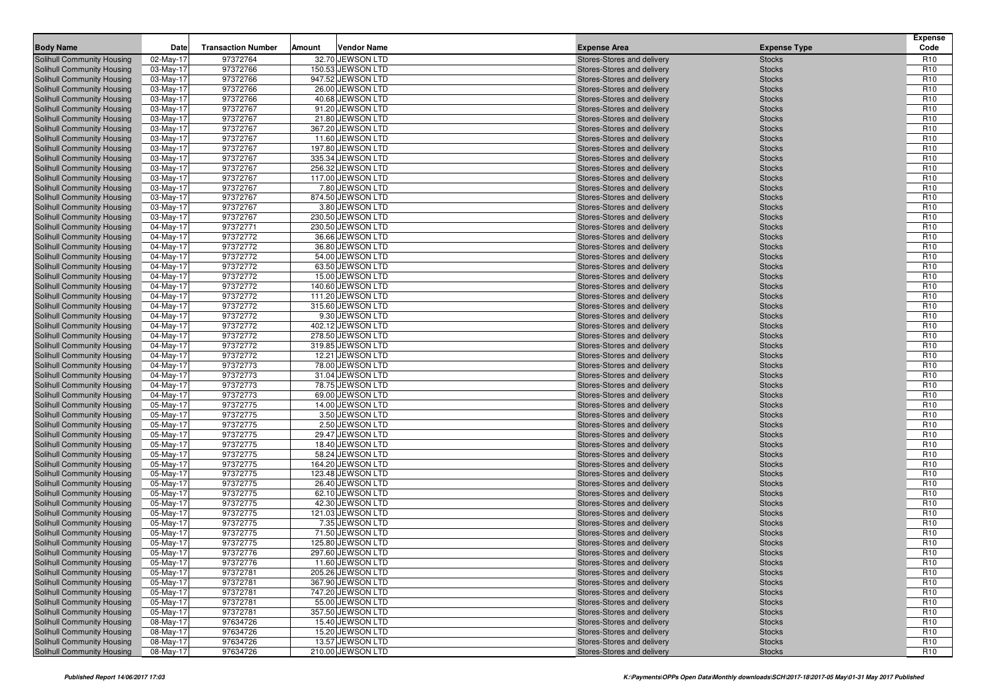|                                                          |                        |                           |        |                                        |                                                          |                                | <b>Expense</b>                     |
|----------------------------------------------------------|------------------------|---------------------------|--------|----------------------------------------|----------------------------------------------------------|--------------------------------|------------------------------------|
| <b>Body Name</b>                                         | Date                   | <b>Transaction Number</b> | Amount | <b>Vendor Name</b>                     | <b>Expense Area</b>                                      | <b>Expense Type</b>            | Code                               |
| Solihull Community Housing                               | 02-May-17              | 97372764                  |        | 32.70 JEWSON LTD                       | Stores-Stores and delivery                               | <b>Stocks</b>                  | R <sub>10</sub>                    |
| Solihull Community Housing<br>Solihull Community Housing | 03-May-17<br>03-May-17 | 97372766<br>97372766      |        | 150.53 JEWSON LTD<br>947.52 JEWSON LTD | Stores-Stores and delivery<br>Stores-Stores and delivery | <b>Stocks</b><br><b>Stocks</b> | R <sub>10</sub><br>R <sub>10</sub> |
| <b>Solihull Community Housing</b>                        | 03-May-17              | 97372766                  |        | 26.00 JEWSON LTD                       | Stores-Stores and delivery                               | <b>Stocks</b>                  | R <sub>10</sub>                    |
| Solihull Community Housing                               | 03-May-17              | 97372766                  |        | 40.68 JEWSON LTD                       | Stores-Stores and delivery                               | <b>Stocks</b>                  | R <sub>10</sub>                    |
| Solihull Community Housing                               | 03-May-17              | 97372767                  |        | 91.20 JEWSON LTD                       | Stores-Stores and delivery                               | <b>Stocks</b>                  | R <sub>10</sub>                    |
| Solihull Community Housing                               | 03-May-17              | 97372767                  |        | 21.80 JEWSON LTD                       | Stores-Stores and delivery                               | <b>Stocks</b>                  | R <sub>10</sub>                    |
| Solihull Community Housing                               | 03-May-17              | 97372767                  |        | 367.20 JEWSON LTD                      | Stores-Stores and delivery                               | <b>Stocks</b>                  | R <sub>10</sub>                    |
| <b>Solihull Community Housing</b>                        | 03-May-17              | 97372767                  |        | 11.60 JEWSON LTD                       | Stores-Stores and delivery                               | <b>Stocks</b>                  | R <sub>10</sub>                    |
| Solihull Community Housing                               | 03-May-17              | 97372767                  |        | 197.80 JEWSON LTD                      | Stores-Stores and delivery                               | <b>Stocks</b>                  | R <sub>10</sub>                    |
| Solihull Community Housing                               | 03-May-17              | 97372767                  |        | 335.34 JEWSON LTD                      | Stores-Stores and delivery                               | <b>Stocks</b>                  | R <sub>10</sub>                    |
| <b>Solihull Community Housing</b>                        | 03-May-17              | 97372767                  |        | 256.32 JEWSON LTD                      | Stores-Stores and delivery                               | <b>Stocks</b>                  | R <sub>10</sub>                    |
| Solihull Community Housing                               | 03-May-17              | 97372767                  |        | 117.00 JEWSON LTD                      | Stores-Stores and delivery                               | <b>Stocks</b>                  | R <sub>10</sub>                    |
| Solihull Community Housing                               | 03-May-17              | 97372767                  |        | 7.80 JEWSON LTD                        | Stores-Stores and delivery                               | <b>Stocks</b>                  | R <sub>10</sub>                    |
| Solihull Community Housing                               | 03-May-17              | 97372767                  |        | 874.50 JEWSON LTD                      | Stores-Stores and delivery                               | <b>Stocks</b>                  | R <sub>10</sub>                    |
| <b>Solihull Community Housing</b>                        | 03-May-17              | 97372767                  |        | 3.80 JEWSON LTD                        | Stores-Stores and delivery                               | <b>Stocks</b>                  | R <sub>10</sub>                    |
| Solihull Community Housing                               | 03-May-17              | 97372767                  |        | 230.50 JEWSON LTD                      | Stores-Stores and delivery                               | <b>Stocks</b>                  | R <sub>10</sub>                    |
| Solihull Community Housing                               | 04-May-17              | 97372771                  |        | 230.50 JEWSON LTD                      | Stores-Stores and delivery                               | <b>Stocks</b>                  | R <sub>10</sub>                    |
| <b>Solihull Community Housing</b>                        | 04-May-17              | 97372772                  |        | 36.66 JEWSON LTD                       | Stores-Stores and delivery                               | <b>Stocks</b>                  | R <sub>10</sub>                    |
| Solihull Community Housing                               | 04-May-17              | 97372772                  |        | 36.80 JEWSON LTD                       | Stores-Stores and delivery                               | <b>Stocks</b>                  | R <sub>10</sub>                    |
| <b>Solihull Community Housing</b>                        | 04-May-17              | 97372772                  |        | 54.00 JEWSON LTD                       | Stores-Stores and delivery                               | <b>Stocks</b>                  | R <sub>10</sub>                    |
| <b>Solihull Community Housing</b>                        | 04-May-17              | 97372772                  |        | 63.50 JEWSON LTD                       | Stores-Stores and delivery                               | <b>Stocks</b>                  | R <sub>10</sub>                    |
| Solihull Community Housing                               | 04-May-17              | 97372772                  |        | 15.00 JEWSON LTD                       | Stores-Stores and delivery                               | <b>Stocks</b>                  | R <sub>10</sub>                    |
| <b>Solihull Community Housing</b>                        | 04-May-17              | 97372772                  |        | 140.60 JEWSON LTD                      | Stores-Stores and delivery                               | <b>Stocks</b>                  | R <sub>10</sub>                    |
| Solihull Community Housing                               | 04-May-17              | 97372772                  |        | 111.20 JEWSON LTD                      | Stores-Stores and delivery                               | <b>Stocks</b>                  | R <sub>10</sub>                    |
| Solihull Community Housing                               | 04-May-17              | 97372772                  |        | 315.60 JEWSON LTD                      | Stores-Stores and delivery                               | <b>Stocks</b>                  | R <sub>10</sub><br>R <sub>10</sub> |
| Solihull Community Housing<br>Solihull Community Housing | 04-May-17<br>04-May-17 | 97372772<br>97372772      |        | 9.30 JEWSON LTD<br>402.12 JEWSON LTD   | Stores-Stores and delivery<br>Stores-Stores and delivery | <b>Stocks</b><br><b>Stocks</b> | R <sub>10</sub>                    |
| Solihull Community Housing                               | 04-May-17              | 97372772                  |        | 278.50 JEWSON LTD                      | Stores-Stores and delivery                               | <b>Stocks</b>                  | R <sub>10</sub>                    |
| Solihull Community Housing                               | 04-May-17              | 97372772                  |        | 319.85 JEWSON LTD                      | Stores-Stores and delivery                               | <b>Stocks</b>                  | R <sub>10</sub>                    |
| Solihull Community Housing                               | 04-May-17              | 97372772                  |        | 12.21 JEWSON LTD                       | Stores-Stores and delivery                               | <b>Stocks</b>                  | R <sub>10</sub>                    |
| <b>Solihull Community Housing</b>                        | 04-May-17              | 97372773                  |        | 78.00 JEWSON LTD                       | Stores-Stores and delivery                               | <b>Stocks</b>                  | R <sub>10</sub>                    |
| Solihull Community Housing                               | 04-May-17              | 97372773                  |        | 31.04 JEWSON LTD                       | Stores-Stores and delivery                               | <b>Stocks</b>                  | R <sub>10</sub>                    |
| Solihull Community Housing                               | 04-May-17              | 97372773                  |        | 78.75 JEWSON LTD                       | Stores-Stores and delivery                               | <b>Stocks</b>                  | R <sub>10</sub>                    |
| Solihull Community Housing                               | 04-May-17              | 97372773                  |        | 69.00 JEWSON LTD                       | Stores-Stores and delivery                               | <b>Stocks</b>                  | R <sub>10</sub>                    |
| Solihull Community Housing                               | 05-May-17              | 97372775                  |        | 14.00 JEWSON LTD                       | Stores-Stores and delivery                               | <b>Stocks</b>                  | R <sub>10</sub>                    |
| <b>Solihull Community Housing</b>                        | 05-May-17              | 97372775                  |        | 3.50 JEWSON LTD                        | Stores-Stores and delivery                               | <b>Stocks</b>                  | R <sub>10</sub>                    |
| Solihull Community Housing                               | 05-May-17              | 97372775                  |        | 2.50 JEWSON LTD                        | Stores-Stores and delivery                               | <b>Stocks</b>                  | R <sub>10</sub>                    |
| Solihull Community Housing                               | 05-May-17              | 97372775                  |        | 29.47 JEWSON LTD                       | Stores-Stores and delivery                               | <b>Stocks</b>                  | R <sub>10</sub>                    |
| Solihull Community Housing                               | 05-May-17              | 97372775                  |        | 18.40 JEWSON LTD                       | Stores-Stores and delivery                               | <b>Stocks</b>                  | R <sub>10</sub>                    |
| Solihull Community Housing                               | 05-May-17              | 97372775                  |        | 58.24 JEWSON LTD                       | Stores-Stores and delivery                               | <b>Stocks</b>                  | R <sub>10</sub>                    |
| <b>Solihull Community Housing</b>                        | 05-May-17              | 97372775                  |        | 164.20 JEWSON LTD                      | Stores-Stores and delivery                               | <b>Stocks</b>                  | R <sub>10</sub>                    |
| Solihull Community Housing                               | 05-May-17              | 97372775                  |        | 123.48 JEWSON LTD                      | Stores-Stores and delivery                               | <b>Stocks</b>                  | R <sub>10</sub>                    |
| Solihull Community Housing                               | 05-May-17              | 97372775                  |        | 26.40 JEWSON LTD                       | Stores-Stores and delivery                               | <b>Stocks</b>                  | R <sub>10</sub>                    |
| Solihull Community Housing                               | 05-May-17              | 97372775                  |        | 62.10 JEWSON LTD                       | Stores-Stores and delivery                               | <b>Stocks</b>                  | R <sub>10</sub>                    |
| Solihull Community Housing<br>Solihull Community Housing | 05-May-17              | 97372775<br>97372775      |        | 42.30 JEWSON LTD<br>121.03 JEWSON LTD  | Stores-Stores and delivery                               | <b>Stocks</b>                  | R <sub>10</sub><br>R <sub>10</sub> |
| Solihull Community Housing                               | 05-May-17<br>05-May-17 | 97372775                  |        | 7.35 JEWSON LTD                        | Stores-Stores and delivery<br>Stores-Stores and delivery | <b>Stocks</b><br><b>Stocks</b> | R <sub>10</sub>                    |
| Solihull Community Housing                               | 05-May-17              | 97372775                  |        | 71.50 JEWSON LTD                       | Stores-Stores and delivery                               | <b>Stocks</b>                  | R <sub>10</sub>                    |
| Solihull Community Housing                               | 05-May-17              | 97372775                  |        | 125.80 JEWSON LTD                      | Stores-Stores and delivery                               | <b>Stocks</b>                  | R <sub>10</sub>                    |
| Solihull Community Housing                               | 05-May-17              | 97372776                  |        | 297.60 JEWSON LTD                      | Stores-Stores and delivery                               | <b>Stocks</b>                  | R <sub>10</sub>                    |
| Solihull Community Housing                               | 05-May-17              | 97372776                  |        | 11.60 JEWSON LTD                       | Stores-Stores and delivery                               | <b>Stocks</b>                  | R <sub>10</sub>                    |
| Solihull Community Housing                               | 05-May-17              | 97372781                  |        | 205.26 JEWSON LTD                      | Stores-Stores and delivery                               | <b>Stocks</b>                  | R <sub>10</sub>                    |
| Solihull Community Housing                               | 05-May-17              | 97372781                  |        | 367.90 JEWSON LTD                      | Stores-Stores and delivery                               | <b>Stocks</b>                  | R <sub>10</sub>                    |
| Solihull Community Housing                               | 05-May-17              | 97372781                  |        | 747.20 JEWSON LTD                      | Stores-Stores and delivery                               | <b>Stocks</b>                  | R <sub>10</sub>                    |
| Solihull Community Housing                               | 05-May-17              | 97372781                  |        | 55.00 JEWSON LTD                       | Stores-Stores and delivery                               | <b>Stocks</b>                  | R <sub>10</sub>                    |
| Solihull Community Housing                               | 05-May-17              | 97372781                  |        | 357.50 JEWSON LTD                      | Stores-Stores and delivery                               | <b>Stocks</b>                  | R <sub>10</sub>                    |
| Solihull Community Housing                               | 08-May-17              | 97634726                  |        | 15.40 JEWSON LTD                       | Stores-Stores and delivery                               | <b>Stocks</b>                  | R <sub>10</sub>                    |
| Solihull Community Housing                               | 08-May-17              | 97634726                  |        | 15.20 JEWSON LTD                       | Stores-Stores and delivery                               | <b>Stocks</b>                  | R <sub>10</sub>                    |
| Solihull Community Housing                               | 08-May-17              | 97634726                  |        | 13.57 JEWSON LTD                       | Stores-Stores and delivery                               | <b>Stocks</b>                  | R <sub>10</sub>                    |
| Solihull Community Housing                               | 08-May-17              | 97634726                  |        | 210.00 JEWSON LTD                      | Stores-Stores and delivery                               | <b>Stocks</b>                  | R <sub>10</sub>                    |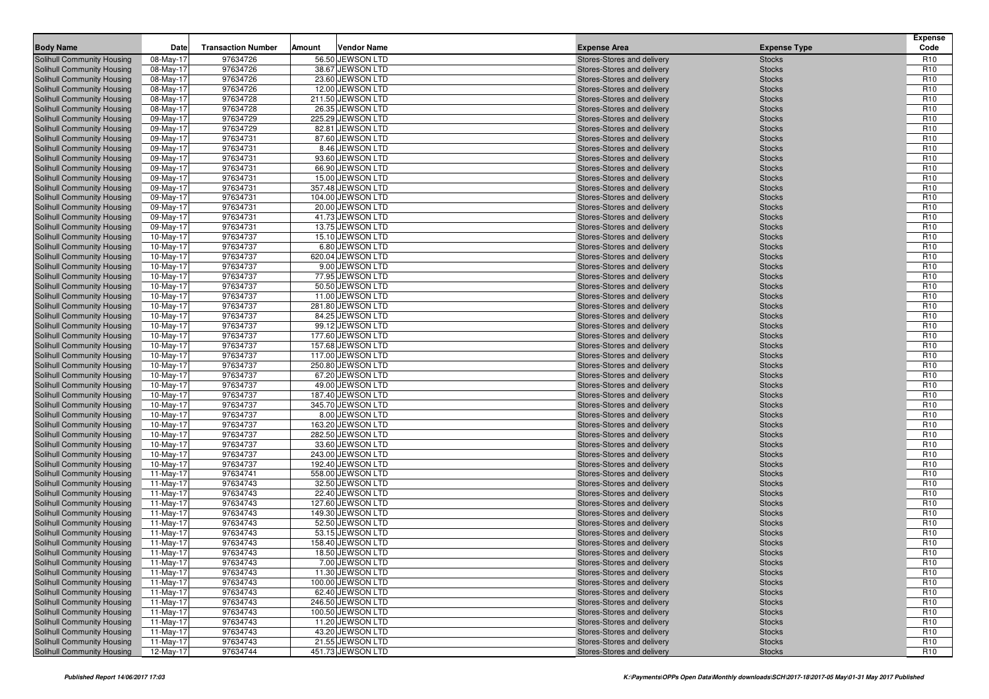| <b>Body Name</b><br><b>Expense Area</b><br><b>Expense Type</b><br>97634726<br>Solihull Community Housing<br>08-May-17<br>56.50 JEWSON LTD<br>Stores-Stores and delivery<br><b>Stocks</b><br>R <sub>10</sub><br>97634726<br>38.67 JEWSON LTD<br>R <sub>10</sub><br>Solihull Community Housing<br>08-May-17<br><b>Stocks</b><br>Stores-Stores and delivery<br>R <sub>10</sub><br>Solihull Community Housing<br>08-May-17<br>97634726<br>23.60 JEWSON LTD<br>Stores-Stores and delivery<br><b>Stocks</b><br>97634726<br>12.00 JEWSON LTD<br>R <sub>10</sub><br>Solihull Community Housing<br>08-May-17<br><b>Stocks</b><br>Stores-Stores and delivery<br>Solihull Community Housing<br>08-May-17<br>97634728<br>211.50 JEWSON LTD<br>R <sub>10</sub><br>Stores-Stores and delivery<br><b>Stocks</b><br>97634728<br>26.35 JEWSON LTD<br>R <sub>10</sub><br>Solihull Community Housing<br>08-May-17<br>Stores-Stores and delivery<br><b>Stocks</b><br>97634729<br>225.29 JEWSON LTD<br>R <sub>10</sub><br>Solihull Community Housing<br>09-May-17<br>Stores-Stores and delivery<br><b>Stocks</b><br>R <sub>10</sub><br>09-May-17<br>97634729<br>82.81 JEWSON LTD<br><b>Stocks</b><br>Solihull Community Housing<br>Stores-Stores and delivery<br>97634731<br>87.60 JEWSON LTD<br>R <sub>10</sub><br><b>Solihull Community Housing</b><br>09-May-17<br><b>Stocks</b><br>Stores-Stores and delivery<br>Solihull Community Housing<br>09-May-17<br>97634731<br>8.46 JEWSON LTD<br>R <sub>10</sub><br>Stores-Stores and delivery<br><b>Stocks</b><br>97634731<br>93.60 JEWSON LTD<br>R <sub>10</sub><br>Solihull Community Housing<br>09-May-17<br>Stores-Stores and delivery<br><b>Stocks</b><br>97634731<br>66.90 JEWSON LTD<br>R <sub>10</sub><br><b>Solihull Community Housing</b><br>09-May-17<br>Stores-Stores and delivery<br><b>Stocks</b><br>R <sub>10</sub><br>09-May-17<br>97634731<br>15.00 JEWSON LTD<br>Solihull Community Housing<br>Stores-Stores and delivery<br><b>Stocks</b><br>97634731<br>357.48 JEWSON LTD<br>R <sub>10</sub><br><b>Solihull Community Housing</b><br>09-May-17<br><b>Stocks</b><br>Stores-Stores and delivery<br>Solihull Community Housing<br>09-May-17<br>97634731<br>104.00 JEWSON LTD<br>R <sub>10</sub><br>Stores-Stores and delivery<br><b>Stocks</b><br>97634731<br>R <sub>10</sub><br>Solihull Community Housing<br>09-May-17<br>20.00 JEWSON LTD<br>Stores-Stores and delivery<br><b>Stocks</b><br>97634731<br>41.73 JEWSON LTD<br>R <sub>10</sub><br>09-May-17<br>Solihull Community Housing<br>Stores-Stores and delivery<br><b>Stocks</b><br>R <sub>10</sub><br>09-May-17<br>97634731<br>13.75 JEWSON LTD<br>Solihull Community Housing<br>Stores-Stores and delivery<br><b>Stocks</b><br>97634737<br>15.10 JEWSON LTD<br>R <sub>10</sub><br>Solihull Community Housing<br>10-May-17<br><b>Stocks</b><br>Stores-Stores and delivery<br>Solihull Community Housing<br>10-May-17<br>97634737<br>6.80 JEWSON LTD<br>R <sub>10</sub><br>Stores-Stores and delivery<br><b>Stocks</b><br>97634737<br>620.04 JEWSON LTD<br>R <sub>10</sub><br>Solihull Community Housing<br>10-May-17<br>Stores-Stores and delivery<br><b>Stocks</b><br>97634737<br>9.00 JEWSON LTD<br>R <sub>10</sub><br><b>Solihull Community Housing</b><br>10-May-17<br>Stores-Stores and delivery<br><b>Stocks</b><br>R <sub>10</sub><br>10-May-17<br>97634737<br>77.95 JEWSON LTD<br>Solihull Community Housing<br>Stores-Stores and delivery<br><b>Stocks</b><br>97634737<br>50.50 JEWSON LTD<br>R <sub>10</sub><br>Solihull Community Housing<br>10-May-17<br><b>Stocks</b><br>Stores-Stores and delivery<br>Solihull Community Housing<br>10-May-17<br>97634737<br>11.00 JEWSON LTD<br>R <sub>10</sub><br>Stores-Stores and delivery<br><b>Stocks</b><br>97634737<br>R <sub>10</sub><br>Solihull Community Housing<br>10-May-17<br>281.80 JEWSON LTD<br>Stores-Stores and delivery<br><b>Stocks</b><br>97634737<br>84.25 JEWSON LTD<br>R <sub>10</sub><br>10-May-17<br><b>Solihull Community Housing</b><br>Stores-Stores and delivery<br><b>Stocks</b><br>97634737<br>R <sub>10</sub><br>10-May-17<br>99.12 JEWSON LTD<br>Solihull Community Housing<br>Stores-Stores and delivery<br><b>Stocks</b><br>97634737<br>177.60 JEWSON LTD<br>R <sub>10</sub><br><b>Solihull Community Housing</b><br>10-May-17<br><b>Stocks</b><br>Stores-Stores and delivery<br>Solihull Community Housing<br>10-May-17<br>97634737<br>157.68 JEWSON LTD<br>R <sub>10</sub><br>Stores-Stores and delivery<br><b>Stocks</b><br>97634737<br>117.00 JEWSON LTD<br>R <sub>10</sub><br><b>Solihull Community Housing</b><br>10-May-17<br>Stores-Stores and delivery<br><b>Stocks</b><br>97634737<br>250.80 JEWSON LTD<br>R <sub>10</sub><br><b>Solihull Community Housing</b><br>10-May-17<br>Stores-Stores and delivery<br><b>Stocks</b><br>R <sub>10</sub><br>10-May-17<br>97634737<br>67.20 JEWSON LTD<br>Solihull Community Housing<br>Stores-Stores and delivery<br><b>Stocks</b><br>97634737<br>49.00 JEWSON LTD<br>R <sub>10</sub><br><b>Solihull Community Housing</b><br>10-May-17<br><b>Stocks</b><br>Stores-Stores and delivery<br>R <sub>10</sub><br>Solihull Community Housing<br>10-May-17<br>97634737<br>187.40 JEWSON LTD<br>Stores-Stores and delivery<br><b>Stocks</b><br>97634737<br>345.70 JEWSON LTD<br>R <sub>10</sub><br>Solihull Community Housing<br>10-May-17<br>Stores-Stores and delivery<br><b>Stocks</b><br>97634737<br>8.00 JEWSON LTD<br>R <sub>10</sub><br>10-May-17<br>Solihull Community Housing<br>Stores-Stores and delivery<br><b>Stocks</b><br>97634737<br>R <sub>10</sub><br>10-May-17<br>163.20 JEWSON LTD<br>Solihull Community Housing<br>Stores-Stores and delivery<br><b>Stocks</b><br>97634737<br>282.50 JEWSON LTD<br>R <sub>10</sub><br>Solihull Community Housing<br>10-May-17<br><b>Stocks</b><br>Stores-Stores and delivery<br>Solihull Community Housing<br>10-May-17<br>97634737<br>33.60 JEWSON LTD<br>R <sub>10</sub><br>Stores-Stores and delivery<br><b>Stocks</b><br>97634737<br>243.00 JEWSON LTD<br>R <sub>10</sub><br>Solihull Community Housing<br>10-May-17<br>Stores-Stores and delivery<br><b>Stocks</b><br>97634737<br>R <sub>10</sub><br><b>Solihull Community Housing</b><br>10-May-17<br>192.40 JEWSON LTD<br>Stores-Stores and delivery<br><b>Stocks</b><br>11-May-17<br>97634741<br>558.00 JEWSON LTD<br>R <sub>10</sub><br>Solihull Community Housing<br>Stores-Stores and delivery<br><b>Stocks</b><br>97634743<br>32.50 JEWSON LTD<br>R <sub>10</sub><br>Solihull Community Housing<br>11-May-17<br><b>Stocks</b><br>Stores-Stores and delivery<br>R <sub>10</sub><br>Solihull Community Housing<br>11-May-17<br>97634743<br>22.40 JEWSON LTD<br>Stores-Stores and delivery<br><b>Stocks</b><br>97634743<br>127.60 JEWSON LTD<br>R <sub>10</sub><br>Solihull Community Housing<br>11-May-17<br>Stores-Stores and delivery<br><b>Stocks</b><br>97634743<br>149.30 JEWSON LTD<br>R <sub>10</sub><br>11-May-17<br>Solihull Community Housing<br>Stores-Stores and delivery<br><b>Stocks</b><br>11-May-17<br>97634743<br>52.50 JEWSON LTD<br>R <sub>10</sub><br>Solihull Community Housing<br>Stores-Stores and delivery<br><b>Stocks</b><br>97634743<br>R <sub>10</sub><br>Solihull Community Housing<br>11-May-17<br>53.15 JEWSON LTD<br><b>Stocks</b><br>Stores-Stores and delivery<br>R <sub>10</sub><br>11-May-17<br>97634743<br>158.40 JEWSON LTD<br>Solihull Community Housing<br>Stores-Stores and delivery<br><b>Stocks</b><br>97634743<br>R <sub>10</sub><br>Solihull Community Housing<br>11-May-17<br>18.50 JEWSON LTD<br>Stores-Stores and delivery<br><b>Stocks</b><br>11-May-17<br>97634743<br>7.00 JEWSON LTD<br><b>Stocks</b><br>R <sub>10</sub><br>Solihull Community Housing<br>Stores-Stores and delivery<br>97634743<br>11.30 JEWSON LTD<br>R <sub>10</sub><br>Solihull Community Housing<br>11-May-17<br>Stores-Stores and delivery<br><b>Stocks</b><br>R <sub>10</sub><br>97634743<br>100.00 JEWSON LTD<br>Solihull Community Housing<br>11-May-17<br>Stores-Stores and delivery<br><b>Stocks</b><br>97634743<br>62.40 JEWSON LTD<br>R <sub>10</sub><br>Solihull Community Housing<br>11-May-17<br>Stores-Stores and delivery<br><b>Stocks</b><br>97634743<br>246.50 JEWSON LTD<br>R <sub>10</sub><br>Solihull Community Housing<br>11-May-17<br>Stores-Stores and delivery<br><b>Stocks</b><br>97634743<br>100.50 JEWSON LTD<br>R <sub>10</sub><br>Solihull Community Housing<br>11-May-17<br>Stores-Stores and delivery<br><b>Stocks</b><br>11-May-17<br>97634743<br>11.20 JEWSON LTD<br>Solihull Community Housing<br>Stores-Stores and delivery<br><b>Stocks</b><br>R <sub>10</sub><br>97634743<br>43.20 JEWSON LTD<br>R <sub>10</sub><br>Solihull Community Housing<br>11-May-17<br>Stores-Stores and delivery<br><b>Stocks</b><br>97634743<br>21.55 JEWSON LTD<br>R <sub>10</sub><br>Solihull Community Housing<br>11-May-17<br>Stores-Stores and delivery<br><b>Stocks</b><br>97634744<br>451.73 JEWSON LTD<br>R <sub>10</sub><br>Solihull Community Housing<br>12-May-17<br>Stores-Stores and delivery<br><b>Stocks</b> | Date | <b>Transaction Number</b> | Amount | <b>Vendor Name</b> |  | <b>Expense</b><br>Code |
|------------------------------------------------------------------------------------------------------------------------------------------------------------------------------------------------------------------------------------------------------------------------------------------------------------------------------------------------------------------------------------------------------------------------------------------------------------------------------------------------------------------------------------------------------------------------------------------------------------------------------------------------------------------------------------------------------------------------------------------------------------------------------------------------------------------------------------------------------------------------------------------------------------------------------------------------------------------------------------------------------------------------------------------------------------------------------------------------------------------------------------------------------------------------------------------------------------------------------------------------------------------------------------------------------------------------------------------------------------------------------------------------------------------------------------------------------------------------------------------------------------------------------------------------------------------------------------------------------------------------------------------------------------------------------------------------------------------------------------------------------------------------------------------------------------------------------------------------------------------------------------------------------------------------------------------------------------------------------------------------------------------------------------------------------------------------------------------------------------------------------------------------------------------------------------------------------------------------------------------------------------------------------------------------------------------------------------------------------------------------------------------------------------------------------------------------------------------------------------------------------------------------------------------------------------------------------------------------------------------------------------------------------------------------------------------------------------------------------------------------------------------------------------------------------------------------------------------------------------------------------------------------------------------------------------------------------------------------------------------------------------------------------------------------------------------------------------------------------------------------------------------------------------------------------------------------------------------------------------------------------------------------------------------------------------------------------------------------------------------------------------------------------------------------------------------------------------------------------------------------------------------------------------------------------------------------------------------------------------------------------------------------------------------------------------------------------------------------------------------------------------------------------------------------------------------------------------------------------------------------------------------------------------------------------------------------------------------------------------------------------------------------------------------------------------------------------------------------------------------------------------------------------------------------------------------------------------------------------------------------------------------------------------------------------------------------------------------------------------------------------------------------------------------------------------------------------------------------------------------------------------------------------------------------------------------------------------------------------------------------------------------------------------------------------------------------------------------------------------------------------------------------------------------------------------------------------------------------------------------------------------------------------------------------------------------------------------------------------------------------------------------------------------------------------------------------------------------------------------------------------------------------------------------------------------------------------------------------------------------------------------------------------------------------------------------------------------------------------------------------------------------------------------------------------------------------------------------------------------------------------------------------------------------------------------------------------------------------------------------------------------------------------------------------------------------------------------------------------------------------------------------------------------------------------------------------------------------------------------------------------------------------------------------------------------------------------------------------------------------------------------------------------------------------------------------------------------------------------------------------------------------------------------------------------------------------------------------------------------------------------------------------------------------------------------------------------------------------------------------------------------------------------------------------------------------------------------------------------------------------------------------------------------------------------------------------------------------------------------------------------------------------------------------------------------------------------------------------------------------------------------------------------------------------------------------------------------------------------------------------------------------------------------------------------------------------------------------------------------------------------------------------------------------------------------------------------------------------------------------------------------------------------------------------------------------------------------------------------------------------------------------------------------------------------------------------------------------------------------------------------------------------------------------------------------------------------------------------------------------------------------------------------------------------------------------------------------------------------------------------------------------------------------------------------------------------------------------------------------------------------------------------------------------------------------------------------------------------------------------------------------------------------------------------------------------------------------------------------------------------------------------------------------------------------------------------------------------------------------------------------------------------------------------------------------------------------------------------------------------------------------------------------------------------------------------------------------------------------------------------------------------------------------------------------------------------------------------------------------------------------------------------------------------------------------------------------------------------------------------------------------------------------------------------------------------------------------------------------------------------------------------------------------------------------------------------------------------------------------------------------------------------------------------------------------------------------------------------------------------------------------------------------------------------------------------------------------------------------------------|------|---------------------------|--------|--------------------|--|------------------------|
|                                                                                                                                                                                                                                                                                                                                                                                                                                                                                                                                                                                                                                                                                                                                                                                                                                                                                                                                                                                                                                                                                                                                                                                                                                                                                                                                                                                                                                                                                                                                                                                                                                                                                                                                                                                                                                                                                                                                                                                                                                                                                                                                                                                                                                                                                                                                                                                                                                                                                                                                                                                                                                                                                                                                                                                                                                                                                                                                                                                                                                                                                                                                                                                                                                                                                                                                                                                                                                                                                                                                                                                                                                                                                                                                                                                                                                                                                                                                                                                                                                                                                                                                                                                                                                                                                                                                                                                                                                                                                                                                                                                                                                                                                                                                                                                                                                                                                                                                                                                                                                                                                                                                                                                                                                                                                                                                                                                                                                                                                                                                                                                                                                                                                                                                                                                                                                                                                                                                                                                                                                                                                                                                                                                                                                                                                                                                                                                                                                                                                                                                                                                                                                                                                                                                                                                                                                                                                                                                                                                                                                                                                                                                                                                                                                                                                                                                                                                                                                                                                                                                                                                                                                                                                                                                                                                                                                                                                                                                                                                                                                                                                                                                                                                                                                                                                                                                                                                                                                                                                                                                                                                                                                                                                                                                                                                                                                                                                                                                                                                                                                                                                                                  |      |                           |        |                    |  |                        |
|                                                                                                                                                                                                                                                                                                                                                                                                                                                                                                                                                                                                                                                                                                                                                                                                                                                                                                                                                                                                                                                                                                                                                                                                                                                                                                                                                                                                                                                                                                                                                                                                                                                                                                                                                                                                                                                                                                                                                                                                                                                                                                                                                                                                                                                                                                                                                                                                                                                                                                                                                                                                                                                                                                                                                                                                                                                                                                                                                                                                                                                                                                                                                                                                                                                                                                                                                                                                                                                                                                                                                                                                                                                                                                                                                                                                                                                                                                                                                                                                                                                                                                                                                                                                                                                                                                                                                                                                                                                                                                                                                                                                                                                                                                                                                                                                                                                                                                                                                                                                                                                                                                                                                                                                                                                                                                                                                                                                                                                                                                                                                                                                                                                                                                                                                                                                                                                                                                                                                                                                                                                                                                                                                                                                                                                                                                                                                                                                                                                                                                                                                                                                                                                                                                                                                                                                                                                                                                                                                                                                                                                                                                                                                                                                                                                                                                                                                                                                                                                                                                                                                                                                                                                                                                                                                                                                                                                                                                                                                                                                                                                                                                                                                                                                                                                                                                                                                                                                                                                                                                                                                                                                                                                                                                                                                                                                                                                                                                                                                                                                                                                                                                                  |      |                           |        |                    |  |                        |
|                                                                                                                                                                                                                                                                                                                                                                                                                                                                                                                                                                                                                                                                                                                                                                                                                                                                                                                                                                                                                                                                                                                                                                                                                                                                                                                                                                                                                                                                                                                                                                                                                                                                                                                                                                                                                                                                                                                                                                                                                                                                                                                                                                                                                                                                                                                                                                                                                                                                                                                                                                                                                                                                                                                                                                                                                                                                                                                                                                                                                                                                                                                                                                                                                                                                                                                                                                                                                                                                                                                                                                                                                                                                                                                                                                                                                                                                                                                                                                                                                                                                                                                                                                                                                                                                                                                                                                                                                                                                                                                                                                                                                                                                                                                                                                                                                                                                                                                                                                                                                                                                                                                                                                                                                                                                                                                                                                                                                                                                                                                                                                                                                                                                                                                                                                                                                                                                                                                                                                                                                                                                                                                                                                                                                                                                                                                                                                                                                                                                                                                                                                                                                                                                                                                                                                                                                                                                                                                                                                                                                                                                                                                                                                                                                                                                                                                                                                                                                                                                                                                                                                                                                                                                                                                                                                                                                                                                                                                                                                                                                                                                                                                                                                                                                                                                                                                                                                                                                                                                                                                                                                                                                                                                                                                                                                                                                                                                                                                                                                                                                                                                                                                  |      |                           |        |                    |  |                        |
|                                                                                                                                                                                                                                                                                                                                                                                                                                                                                                                                                                                                                                                                                                                                                                                                                                                                                                                                                                                                                                                                                                                                                                                                                                                                                                                                                                                                                                                                                                                                                                                                                                                                                                                                                                                                                                                                                                                                                                                                                                                                                                                                                                                                                                                                                                                                                                                                                                                                                                                                                                                                                                                                                                                                                                                                                                                                                                                                                                                                                                                                                                                                                                                                                                                                                                                                                                                                                                                                                                                                                                                                                                                                                                                                                                                                                                                                                                                                                                                                                                                                                                                                                                                                                                                                                                                                                                                                                                                                                                                                                                                                                                                                                                                                                                                                                                                                                                                                                                                                                                                                                                                                                                                                                                                                                                                                                                                                                                                                                                                                                                                                                                                                                                                                                                                                                                                                                                                                                                                                                                                                                                                                                                                                                                                                                                                                                                                                                                                                                                                                                                                                                                                                                                                                                                                                                                                                                                                                                                                                                                                                                                                                                                                                                                                                                                                                                                                                                                                                                                                                                                                                                                                                                                                                                                                                                                                                                                                                                                                                                                                                                                                                                                                                                                                                                                                                                                                                                                                                                                                                                                                                                                                                                                                                                                                                                                                                                                                                                                                                                                                                                                                  |      |                           |        |                    |  |                        |
|                                                                                                                                                                                                                                                                                                                                                                                                                                                                                                                                                                                                                                                                                                                                                                                                                                                                                                                                                                                                                                                                                                                                                                                                                                                                                                                                                                                                                                                                                                                                                                                                                                                                                                                                                                                                                                                                                                                                                                                                                                                                                                                                                                                                                                                                                                                                                                                                                                                                                                                                                                                                                                                                                                                                                                                                                                                                                                                                                                                                                                                                                                                                                                                                                                                                                                                                                                                                                                                                                                                                                                                                                                                                                                                                                                                                                                                                                                                                                                                                                                                                                                                                                                                                                                                                                                                                                                                                                                                                                                                                                                                                                                                                                                                                                                                                                                                                                                                                                                                                                                                                                                                                                                                                                                                                                                                                                                                                                                                                                                                                                                                                                                                                                                                                                                                                                                                                                                                                                                                                                                                                                                                                                                                                                                                                                                                                                                                                                                                                                                                                                                                                                                                                                                                                                                                                                                                                                                                                                                                                                                                                                                                                                                                                                                                                                                                                                                                                                                                                                                                                                                                                                                                                                                                                                                                                                                                                                                                                                                                                                                                                                                                                                                                                                                                                                                                                                                                                                                                                                                                                                                                                                                                                                                                                                                                                                                                                                                                                                                                                                                                                                                                  |      |                           |        |                    |  |                        |
|                                                                                                                                                                                                                                                                                                                                                                                                                                                                                                                                                                                                                                                                                                                                                                                                                                                                                                                                                                                                                                                                                                                                                                                                                                                                                                                                                                                                                                                                                                                                                                                                                                                                                                                                                                                                                                                                                                                                                                                                                                                                                                                                                                                                                                                                                                                                                                                                                                                                                                                                                                                                                                                                                                                                                                                                                                                                                                                                                                                                                                                                                                                                                                                                                                                                                                                                                                                                                                                                                                                                                                                                                                                                                                                                                                                                                                                                                                                                                                                                                                                                                                                                                                                                                                                                                                                                                                                                                                                                                                                                                                                                                                                                                                                                                                                                                                                                                                                                                                                                                                                                                                                                                                                                                                                                                                                                                                                                                                                                                                                                                                                                                                                                                                                                                                                                                                                                                                                                                                                                                                                                                                                                                                                                                                                                                                                                                                                                                                                                                                                                                                                                                                                                                                                                                                                                                                                                                                                                                                                                                                                                                                                                                                                                                                                                                                                                                                                                                                                                                                                                                                                                                                                                                                                                                                                                                                                                                                                                                                                                                                                                                                                                                                                                                                                                                                                                                                                                                                                                                                                                                                                                                                                                                                                                                                                                                                                                                                                                                                                                                                                                                                                  |      |                           |        |                    |  |                        |
|                                                                                                                                                                                                                                                                                                                                                                                                                                                                                                                                                                                                                                                                                                                                                                                                                                                                                                                                                                                                                                                                                                                                                                                                                                                                                                                                                                                                                                                                                                                                                                                                                                                                                                                                                                                                                                                                                                                                                                                                                                                                                                                                                                                                                                                                                                                                                                                                                                                                                                                                                                                                                                                                                                                                                                                                                                                                                                                                                                                                                                                                                                                                                                                                                                                                                                                                                                                                                                                                                                                                                                                                                                                                                                                                                                                                                                                                                                                                                                                                                                                                                                                                                                                                                                                                                                                                                                                                                                                                                                                                                                                                                                                                                                                                                                                                                                                                                                                                                                                                                                                                                                                                                                                                                                                                                                                                                                                                                                                                                                                                                                                                                                                                                                                                                                                                                                                                                                                                                                                                                                                                                                                                                                                                                                                                                                                                                                                                                                                                                                                                                                                                                                                                                                                                                                                                                                                                                                                                                                                                                                                                                                                                                                                                                                                                                                                                                                                                                                                                                                                                                                                                                                                                                                                                                                                                                                                                                                                                                                                                                                                                                                                                                                                                                                                                                                                                                                                                                                                                                                                                                                                                                                                                                                                                                                                                                                                                                                                                                                                                                                                                                                                  |      |                           |        |                    |  |                        |
|                                                                                                                                                                                                                                                                                                                                                                                                                                                                                                                                                                                                                                                                                                                                                                                                                                                                                                                                                                                                                                                                                                                                                                                                                                                                                                                                                                                                                                                                                                                                                                                                                                                                                                                                                                                                                                                                                                                                                                                                                                                                                                                                                                                                                                                                                                                                                                                                                                                                                                                                                                                                                                                                                                                                                                                                                                                                                                                                                                                                                                                                                                                                                                                                                                                                                                                                                                                                                                                                                                                                                                                                                                                                                                                                                                                                                                                                                                                                                                                                                                                                                                                                                                                                                                                                                                                                                                                                                                                                                                                                                                                                                                                                                                                                                                                                                                                                                                                                                                                                                                                                                                                                                                                                                                                                                                                                                                                                                                                                                                                                                                                                                                                                                                                                                                                                                                                                                                                                                                                                                                                                                                                                                                                                                                                                                                                                                                                                                                                                                                                                                                                                                                                                                                                                                                                                                                                                                                                                                                                                                                                                                                                                                                                                                                                                                                                                                                                                                                                                                                                                                                                                                                                                                                                                                                                                                                                                                                                                                                                                                                                                                                                                                                                                                                                                                                                                                                                                                                                                                                                                                                                                                                                                                                                                                                                                                                                                                                                                                                                                                                                                                                                  |      |                           |        |                    |  |                        |
|                                                                                                                                                                                                                                                                                                                                                                                                                                                                                                                                                                                                                                                                                                                                                                                                                                                                                                                                                                                                                                                                                                                                                                                                                                                                                                                                                                                                                                                                                                                                                                                                                                                                                                                                                                                                                                                                                                                                                                                                                                                                                                                                                                                                                                                                                                                                                                                                                                                                                                                                                                                                                                                                                                                                                                                                                                                                                                                                                                                                                                                                                                                                                                                                                                                                                                                                                                                                                                                                                                                                                                                                                                                                                                                                                                                                                                                                                                                                                                                                                                                                                                                                                                                                                                                                                                                                                                                                                                                                                                                                                                                                                                                                                                                                                                                                                                                                                                                                                                                                                                                                                                                                                                                                                                                                                                                                                                                                                                                                                                                                                                                                                                                                                                                                                                                                                                                                                                                                                                                                                                                                                                                                                                                                                                                                                                                                                                                                                                                                                                                                                                                                                                                                                                                                                                                                                                                                                                                                                                                                                                                                                                                                                                                                                                                                                                                                                                                                                                                                                                                                                                                                                                                                                                                                                                                                                                                                                                                                                                                                                                                                                                                                                                                                                                                                                                                                                                                                                                                                                                                                                                                                                                                                                                                                                                                                                                                                                                                                                                                                                                                                                                                  |      |                           |        |                    |  |                        |
|                                                                                                                                                                                                                                                                                                                                                                                                                                                                                                                                                                                                                                                                                                                                                                                                                                                                                                                                                                                                                                                                                                                                                                                                                                                                                                                                                                                                                                                                                                                                                                                                                                                                                                                                                                                                                                                                                                                                                                                                                                                                                                                                                                                                                                                                                                                                                                                                                                                                                                                                                                                                                                                                                                                                                                                                                                                                                                                                                                                                                                                                                                                                                                                                                                                                                                                                                                                                                                                                                                                                                                                                                                                                                                                                                                                                                                                                                                                                                                                                                                                                                                                                                                                                                                                                                                                                                                                                                                                                                                                                                                                                                                                                                                                                                                                                                                                                                                                                                                                                                                                                                                                                                                                                                                                                                                                                                                                                                                                                                                                                                                                                                                                                                                                                                                                                                                                                                                                                                                                                                                                                                                                                                                                                                                                                                                                                                                                                                                                                                                                                                                                                                                                                                                                                                                                                                                                                                                                                                                                                                                                                                                                                                                                                                                                                                                                                                                                                                                                                                                                                                                                                                                                                                                                                                                                                                                                                                                                                                                                                                                                                                                                                                                                                                                                                                                                                                                                                                                                                                                                                                                                                                                                                                                                                                                                                                                                                                                                                                                                                                                                                                                                  |      |                           |        |                    |  |                        |
|                                                                                                                                                                                                                                                                                                                                                                                                                                                                                                                                                                                                                                                                                                                                                                                                                                                                                                                                                                                                                                                                                                                                                                                                                                                                                                                                                                                                                                                                                                                                                                                                                                                                                                                                                                                                                                                                                                                                                                                                                                                                                                                                                                                                                                                                                                                                                                                                                                                                                                                                                                                                                                                                                                                                                                                                                                                                                                                                                                                                                                                                                                                                                                                                                                                                                                                                                                                                                                                                                                                                                                                                                                                                                                                                                                                                                                                                                                                                                                                                                                                                                                                                                                                                                                                                                                                                                                                                                                                                                                                                                                                                                                                                                                                                                                                                                                                                                                                                                                                                                                                                                                                                                                                                                                                                                                                                                                                                                                                                                                                                                                                                                                                                                                                                                                                                                                                                                                                                                                                                                                                                                                                                                                                                                                                                                                                                                                                                                                                                                                                                                                                                                                                                                                                                                                                                                                                                                                                                                                                                                                                                                                                                                                                                                                                                                                                                                                                                                                                                                                                                                                                                                                                                                                                                                                                                                                                                                                                                                                                                                                                                                                                                                                                                                                                                                                                                                                                                                                                                                                                                                                                                                                                                                                                                                                                                                                                                                                                                                                                                                                                                                                                  |      |                           |        |                    |  |                        |
|                                                                                                                                                                                                                                                                                                                                                                                                                                                                                                                                                                                                                                                                                                                                                                                                                                                                                                                                                                                                                                                                                                                                                                                                                                                                                                                                                                                                                                                                                                                                                                                                                                                                                                                                                                                                                                                                                                                                                                                                                                                                                                                                                                                                                                                                                                                                                                                                                                                                                                                                                                                                                                                                                                                                                                                                                                                                                                                                                                                                                                                                                                                                                                                                                                                                                                                                                                                                                                                                                                                                                                                                                                                                                                                                                                                                                                                                                                                                                                                                                                                                                                                                                                                                                                                                                                                                                                                                                                                                                                                                                                                                                                                                                                                                                                                                                                                                                                                                                                                                                                                                                                                                                                                                                                                                                                                                                                                                                                                                                                                                                                                                                                                                                                                                                                                                                                                                                                                                                                                                                                                                                                                                                                                                                                                                                                                                                                                                                                                                                                                                                                                                                                                                                                                                                                                                                                                                                                                                                                                                                                                                                                                                                                                                                                                                                                                                                                                                                                                                                                                                                                                                                                                                                                                                                                                                                                                                                                                                                                                                                                                                                                                                                                                                                                                                                                                                                                                                                                                                                                                                                                                                                                                                                                                                                                                                                                                                                                                                                                                                                                                                                                                  |      |                           |        |                    |  |                        |
|                                                                                                                                                                                                                                                                                                                                                                                                                                                                                                                                                                                                                                                                                                                                                                                                                                                                                                                                                                                                                                                                                                                                                                                                                                                                                                                                                                                                                                                                                                                                                                                                                                                                                                                                                                                                                                                                                                                                                                                                                                                                                                                                                                                                                                                                                                                                                                                                                                                                                                                                                                                                                                                                                                                                                                                                                                                                                                                                                                                                                                                                                                                                                                                                                                                                                                                                                                                                                                                                                                                                                                                                                                                                                                                                                                                                                                                                                                                                                                                                                                                                                                                                                                                                                                                                                                                                                                                                                                                                                                                                                                                                                                                                                                                                                                                                                                                                                                                                                                                                                                                                                                                                                                                                                                                                                                                                                                                                                                                                                                                                                                                                                                                                                                                                                                                                                                                                                                                                                                                                                                                                                                                                                                                                                                                                                                                                                                                                                                                                                                                                                                                                                                                                                                                                                                                                                                                                                                                                                                                                                                                                                                                                                                                                                                                                                                                                                                                                                                                                                                                                                                                                                                                                                                                                                                                                                                                                                                                                                                                                                                                                                                                                                                                                                                                                                                                                                                                                                                                                                                                                                                                                                                                                                                                                                                                                                                                                                                                                                                                                                                                                                                                  |      |                           |        |                    |  |                        |
|                                                                                                                                                                                                                                                                                                                                                                                                                                                                                                                                                                                                                                                                                                                                                                                                                                                                                                                                                                                                                                                                                                                                                                                                                                                                                                                                                                                                                                                                                                                                                                                                                                                                                                                                                                                                                                                                                                                                                                                                                                                                                                                                                                                                                                                                                                                                                                                                                                                                                                                                                                                                                                                                                                                                                                                                                                                                                                                                                                                                                                                                                                                                                                                                                                                                                                                                                                                                                                                                                                                                                                                                                                                                                                                                                                                                                                                                                                                                                                                                                                                                                                                                                                                                                                                                                                                                                                                                                                                                                                                                                                                                                                                                                                                                                                                                                                                                                                                                                                                                                                                                                                                                                                                                                                                                                                                                                                                                                                                                                                                                                                                                                                                                                                                                                                                                                                                                                                                                                                                                                                                                                                                                                                                                                                                                                                                                                                                                                                                                                                                                                                                                                                                                                                                                                                                                                                                                                                                                                                                                                                                                                                                                                                                                                                                                                                                                                                                                                                                                                                                                                                                                                                                                                                                                                                                                                                                                                                                                                                                                                                                                                                                                                                                                                                                                                                                                                                                                                                                                                                                                                                                                                                                                                                                                                                                                                                                                                                                                                                                                                                                                                                                  |      |                           |        |                    |  |                        |
|                                                                                                                                                                                                                                                                                                                                                                                                                                                                                                                                                                                                                                                                                                                                                                                                                                                                                                                                                                                                                                                                                                                                                                                                                                                                                                                                                                                                                                                                                                                                                                                                                                                                                                                                                                                                                                                                                                                                                                                                                                                                                                                                                                                                                                                                                                                                                                                                                                                                                                                                                                                                                                                                                                                                                                                                                                                                                                                                                                                                                                                                                                                                                                                                                                                                                                                                                                                                                                                                                                                                                                                                                                                                                                                                                                                                                                                                                                                                                                                                                                                                                                                                                                                                                                                                                                                                                                                                                                                                                                                                                                                                                                                                                                                                                                                                                                                                                                                                                                                                                                                                                                                                                                                                                                                                                                                                                                                                                                                                                                                                                                                                                                                                                                                                                                                                                                                                                                                                                                                                                                                                                                                                                                                                                                                                                                                                                                                                                                                                                                                                                                                                                                                                                                                                                                                                                                                                                                                                                                                                                                                                                                                                                                                                                                                                                                                                                                                                                                                                                                                                                                                                                                                                                                                                                                                                                                                                                                                                                                                                                                                                                                                                                                                                                                                                                                                                                                                                                                                                                                                                                                                                                                                                                                                                                                                                                                                                                                                                                                                                                                                                                                                  |      |                           |        |                    |  |                        |
|                                                                                                                                                                                                                                                                                                                                                                                                                                                                                                                                                                                                                                                                                                                                                                                                                                                                                                                                                                                                                                                                                                                                                                                                                                                                                                                                                                                                                                                                                                                                                                                                                                                                                                                                                                                                                                                                                                                                                                                                                                                                                                                                                                                                                                                                                                                                                                                                                                                                                                                                                                                                                                                                                                                                                                                                                                                                                                                                                                                                                                                                                                                                                                                                                                                                                                                                                                                                                                                                                                                                                                                                                                                                                                                                                                                                                                                                                                                                                                                                                                                                                                                                                                                                                                                                                                                                                                                                                                                                                                                                                                                                                                                                                                                                                                                                                                                                                                                                                                                                                                                                                                                                                                                                                                                                                                                                                                                                                                                                                                                                                                                                                                                                                                                                                                                                                                                                                                                                                                                                                                                                                                                                                                                                                                                                                                                                                                                                                                                                                                                                                                                                                                                                                                                                                                                                                                                                                                                                                                                                                                                                                                                                                                                                                                                                                                                                                                                                                                                                                                                                                                                                                                                                                                                                                                                                                                                                                                                                                                                                                                                                                                                                                                                                                                                                                                                                                                                                                                                                                                                                                                                                                                                                                                                                                                                                                                                                                                                                                                                                                                                                                                                  |      |                           |        |                    |  |                        |
|                                                                                                                                                                                                                                                                                                                                                                                                                                                                                                                                                                                                                                                                                                                                                                                                                                                                                                                                                                                                                                                                                                                                                                                                                                                                                                                                                                                                                                                                                                                                                                                                                                                                                                                                                                                                                                                                                                                                                                                                                                                                                                                                                                                                                                                                                                                                                                                                                                                                                                                                                                                                                                                                                                                                                                                                                                                                                                                                                                                                                                                                                                                                                                                                                                                                                                                                                                                                                                                                                                                                                                                                                                                                                                                                                                                                                                                                                                                                                                                                                                                                                                                                                                                                                                                                                                                                                                                                                                                                                                                                                                                                                                                                                                                                                                                                                                                                                                                                                                                                                                                                                                                                                                                                                                                                                                                                                                                                                                                                                                                                                                                                                                                                                                                                                                                                                                                                                                                                                                                                                                                                                                                                                                                                                                                                                                                                                                                                                                                                                                                                                                                                                                                                                                                                                                                                                                                                                                                                                                                                                                                                                                                                                                                                                                                                                                                                                                                                                                                                                                                                                                                                                                                                                                                                                                                                                                                                                                                                                                                                                                                                                                                                                                                                                                                                                                                                                                                                                                                                                                                                                                                                                                                                                                                                                                                                                                                                                                                                                                                                                                                                                                                  |      |                           |        |                    |  |                        |
|                                                                                                                                                                                                                                                                                                                                                                                                                                                                                                                                                                                                                                                                                                                                                                                                                                                                                                                                                                                                                                                                                                                                                                                                                                                                                                                                                                                                                                                                                                                                                                                                                                                                                                                                                                                                                                                                                                                                                                                                                                                                                                                                                                                                                                                                                                                                                                                                                                                                                                                                                                                                                                                                                                                                                                                                                                                                                                                                                                                                                                                                                                                                                                                                                                                                                                                                                                                                                                                                                                                                                                                                                                                                                                                                                                                                                                                                                                                                                                                                                                                                                                                                                                                                                                                                                                                                                                                                                                                                                                                                                                                                                                                                                                                                                                                                                                                                                                                                                                                                                                                                                                                                                                                                                                                                                                                                                                                                                                                                                                                                                                                                                                                                                                                                                                                                                                                                                                                                                                                                                                                                                                                                                                                                                                                                                                                                                                                                                                                                                                                                                                                                                                                                                                                                                                                                                                                                                                                                                                                                                                                                                                                                                                                                                                                                                                                                                                                                                                                                                                                                                                                                                                                                                                                                                                                                                                                                                                                                                                                                                                                                                                                                                                                                                                                                                                                                                                                                                                                                                                                                                                                                                                                                                                                                                                                                                                                                                                                                                                                                                                                                                                                  |      |                           |        |                    |  |                        |
|                                                                                                                                                                                                                                                                                                                                                                                                                                                                                                                                                                                                                                                                                                                                                                                                                                                                                                                                                                                                                                                                                                                                                                                                                                                                                                                                                                                                                                                                                                                                                                                                                                                                                                                                                                                                                                                                                                                                                                                                                                                                                                                                                                                                                                                                                                                                                                                                                                                                                                                                                                                                                                                                                                                                                                                                                                                                                                                                                                                                                                                                                                                                                                                                                                                                                                                                                                                                                                                                                                                                                                                                                                                                                                                                                                                                                                                                                                                                                                                                                                                                                                                                                                                                                                                                                                                                                                                                                                                                                                                                                                                                                                                                                                                                                                                                                                                                                                                                                                                                                                                                                                                                                                                                                                                                                                                                                                                                                                                                                                                                                                                                                                                                                                                                                                                                                                                                                                                                                                                                                                                                                                                                                                                                                                                                                                                                                                                                                                                                                                                                                                                                                                                                                                                                                                                                                                                                                                                                                                                                                                                                                                                                                                                                                                                                                                                                                                                                                                                                                                                                                                                                                                                                                                                                                                                                                                                                                                                                                                                                                                                                                                                                                                                                                                                                                                                                                                                                                                                                                                                                                                                                                                                                                                                                                                                                                                                                                                                                                                                                                                                                                                                  |      |                           |        |                    |  |                        |
|                                                                                                                                                                                                                                                                                                                                                                                                                                                                                                                                                                                                                                                                                                                                                                                                                                                                                                                                                                                                                                                                                                                                                                                                                                                                                                                                                                                                                                                                                                                                                                                                                                                                                                                                                                                                                                                                                                                                                                                                                                                                                                                                                                                                                                                                                                                                                                                                                                                                                                                                                                                                                                                                                                                                                                                                                                                                                                                                                                                                                                                                                                                                                                                                                                                                                                                                                                                                                                                                                                                                                                                                                                                                                                                                                                                                                                                                                                                                                                                                                                                                                                                                                                                                                                                                                                                                                                                                                                                                                                                                                                                                                                                                                                                                                                                                                                                                                                                                                                                                                                                                                                                                                                                                                                                                                                                                                                                                                                                                                                                                                                                                                                                                                                                                                                                                                                                                                                                                                                                                                                                                                                                                                                                                                                                                                                                                                                                                                                                                                                                                                                                                                                                                                                                                                                                                                                                                                                                                                                                                                                                                                                                                                                                                                                                                                                                                                                                                                                                                                                                                                                                                                                                                                                                                                                                                                                                                                                                                                                                                                                                                                                                                                                                                                                                                                                                                                                                                                                                                                                                                                                                                                                                                                                                                                                                                                                                                                                                                                                                                                                                                                                                  |      |                           |        |                    |  |                        |
|                                                                                                                                                                                                                                                                                                                                                                                                                                                                                                                                                                                                                                                                                                                                                                                                                                                                                                                                                                                                                                                                                                                                                                                                                                                                                                                                                                                                                                                                                                                                                                                                                                                                                                                                                                                                                                                                                                                                                                                                                                                                                                                                                                                                                                                                                                                                                                                                                                                                                                                                                                                                                                                                                                                                                                                                                                                                                                                                                                                                                                                                                                                                                                                                                                                                                                                                                                                                                                                                                                                                                                                                                                                                                                                                                                                                                                                                                                                                                                                                                                                                                                                                                                                                                                                                                                                                                                                                                                                                                                                                                                                                                                                                                                                                                                                                                                                                                                                                                                                                                                                                                                                                                                                                                                                                                                                                                                                                                                                                                                                                                                                                                                                                                                                                                                                                                                                                                                                                                                                                                                                                                                                                                                                                                                                                                                                                                                                                                                                                                                                                                                                                                                                                                                                                                                                                                                                                                                                                                                                                                                                                                                                                                                                                                                                                                                                                                                                                                                                                                                                                                                                                                                                                                                                                                                                                                                                                                                                                                                                                                                                                                                                                                                                                                                                                                                                                                                                                                                                                                                                                                                                                                                                                                                                                                                                                                                                                                                                                                                                                                                                                                                                  |      |                           |        |                    |  |                        |
|                                                                                                                                                                                                                                                                                                                                                                                                                                                                                                                                                                                                                                                                                                                                                                                                                                                                                                                                                                                                                                                                                                                                                                                                                                                                                                                                                                                                                                                                                                                                                                                                                                                                                                                                                                                                                                                                                                                                                                                                                                                                                                                                                                                                                                                                                                                                                                                                                                                                                                                                                                                                                                                                                                                                                                                                                                                                                                                                                                                                                                                                                                                                                                                                                                                                                                                                                                                                                                                                                                                                                                                                                                                                                                                                                                                                                                                                                                                                                                                                                                                                                                                                                                                                                                                                                                                                                                                                                                                                                                                                                                                                                                                                                                                                                                                                                                                                                                                                                                                                                                                                                                                                                                                                                                                                                                                                                                                                                                                                                                                                                                                                                                                                                                                                                                                                                                                                                                                                                                                                                                                                                                                                                                                                                                                                                                                                                                                                                                                                                                                                                                                                                                                                                                                                                                                                                                                                                                                                                                                                                                                                                                                                                                                                                                                                                                                                                                                                                                                                                                                                                                                                                                                                                                                                                                                                                                                                                                                                                                                                                                                                                                                                                                                                                                                                                                                                                                                                                                                                                                                                                                                                                                                                                                                                                                                                                                                                                                                                                                                                                                                                                                                  |      |                           |        |                    |  |                        |
|                                                                                                                                                                                                                                                                                                                                                                                                                                                                                                                                                                                                                                                                                                                                                                                                                                                                                                                                                                                                                                                                                                                                                                                                                                                                                                                                                                                                                                                                                                                                                                                                                                                                                                                                                                                                                                                                                                                                                                                                                                                                                                                                                                                                                                                                                                                                                                                                                                                                                                                                                                                                                                                                                                                                                                                                                                                                                                                                                                                                                                                                                                                                                                                                                                                                                                                                                                                                                                                                                                                                                                                                                                                                                                                                                                                                                                                                                                                                                                                                                                                                                                                                                                                                                                                                                                                                                                                                                                                                                                                                                                                                                                                                                                                                                                                                                                                                                                                                                                                                                                                                                                                                                                                                                                                                                                                                                                                                                                                                                                                                                                                                                                                                                                                                                                                                                                                                                                                                                                                                                                                                                                                                                                                                                                                                                                                                                                                                                                                                                                                                                                                                                                                                                                                                                                                                                                                                                                                                                                                                                                                                                                                                                                                                                                                                                                                                                                                                                                                                                                                                                                                                                                                                                                                                                                                                                                                                                                                                                                                                                                                                                                                                                                                                                                                                                                                                                                                                                                                                                                                                                                                                                                                                                                                                                                                                                                                                                                                                                                                                                                                                                                                  |      |                           |        |                    |  |                        |
|                                                                                                                                                                                                                                                                                                                                                                                                                                                                                                                                                                                                                                                                                                                                                                                                                                                                                                                                                                                                                                                                                                                                                                                                                                                                                                                                                                                                                                                                                                                                                                                                                                                                                                                                                                                                                                                                                                                                                                                                                                                                                                                                                                                                                                                                                                                                                                                                                                                                                                                                                                                                                                                                                                                                                                                                                                                                                                                                                                                                                                                                                                                                                                                                                                                                                                                                                                                                                                                                                                                                                                                                                                                                                                                                                                                                                                                                                                                                                                                                                                                                                                                                                                                                                                                                                                                                                                                                                                                                                                                                                                                                                                                                                                                                                                                                                                                                                                                                                                                                                                                                                                                                                                                                                                                                                                                                                                                                                                                                                                                                                                                                                                                                                                                                                                                                                                                                                                                                                                                                                                                                                                                                                                                                                                                                                                                                                                                                                                                                                                                                                                                                                                                                                                                                                                                                                                                                                                                                                                                                                                                                                                                                                                                                                                                                                                                                                                                                                                                                                                                                                                                                                                                                                                                                                                                                                                                                                                                                                                                                                                                                                                                                                                                                                                                                                                                                                                                                                                                                                                                                                                                                                                                                                                                                                                                                                                                                                                                                                                                                                                                                                                                  |      |                           |        |                    |  |                        |
|                                                                                                                                                                                                                                                                                                                                                                                                                                                                                                                                                                                                                                                                                                                                                                                                                                                                                                                                                                                                                                                                                                                                                                                                                                                                                                                                                                                                                                                                                                                                                                                                                                                                                                                                                                                                                                                                                                                                                                                                                                                                                                                                                                                                                                                                                                                                                                                                                                                                                                                                                                                                                                                                                                                                                                                                                                                                                                                                                                                                                                                                                                                                                                                                                                                                                                                                                                                                                                                                                                                                                                                                                                                                                                                                                                                                                                                                                                                                                                                                                                                                                                                                                                                                                                                                                                                                                                                                                                                                                                                                                                                                                                                                                                                                                                                                                                                                                                                                                                                                                                                                                                                                                                                                                                                                                                                                                                                                                                                                                                                                                                                                                                                                                                                                                                                                                                                                                                                                                                                                                                                                                                                                                                                                                                                                                                                                                                                                                                                                                                                                                                                                                                                                                                                                                                                                                                                                                                                                                                                                                                                                                                                                                                                                                                                                                                                                                                                                                                                                                                                                                                                                                                                                                                                                                                                                                                                                                                                                                                                                                                                                                                                                                                                                                                                                                                                                                                                                                                                                                                                                                                                                                                                                                                                                                                                                                                                                                                                                                                                                                                                                                                                  |      |                           |        |                    |  |                        |
|                                                                                                                                                                                                                                                                                                                                                                                                                                                                                                                                                                                                                                                                                                                                                                                                                                                                                                                                                                                                                                                                                                                                                                                                                                                                                                                                                                                                                                                                                                                                                                                                                                                                                                                                                                                                                                                                                                                                                                                                                                                                                                                                                                                                                                                                                                                                                                                                                                                                                                                                                                                                                                                                                                                                                                                                                                                                                                                                                                                                                                                                                                                                                                                                                                                                                                                                                                                                                                                                                                                                                                                                                                                                                                                                                                                                                                                                                                                                                                                                                                                                                                                                                                                                                                                                                                                                                                                                                                                                                                                                                                                                                                                                                                                                                                                                                                                                                                                                                                                                                                                                                                                                                                                                                                                                                                                                                                                                                                                                                                                                                                                                                                                                                                                                                                                                                                                                                                                                                                                                                                                                                                                                                                                                                                                                                                                                                                                                                                                                                                                                                                                                                                                                                                                                                                                                                                                                                                                                                                                                                                                                                                                                                                                                                                                                                                                                                                                                                                                                                                                                                                                                                                                                                                                                                                                                                                                                                                                                                                                                                                                                                                                                                                                                                                                                                                                                                                                                                                                                                                                                                                                                                                                                                                                                                                                                                                                                                                                                                                                                                                                                                                                  |      |                           |        |                    |  |                        |
|                                                                                                                                                                                                                                                                                                                                                                                                                                                                                                                                                                                                                                                                                                                                                                                                                                                                                                                                                                                                                                                                                                                                                                                                                                                                                                                                                                                                                                                                                                                                                                                                                                                                                                                                                                                                                                                                                                                                                                                                                                                                                                                                                                                                                                                                                                                                                                                                                                                                                                                                                                                                                                                                                                                                                                                                                                                                                                                                                                                                                                                                                                                                                                                                                                                                                                                                                                                                                                                                                                                                                                                                                                                                                                                                                                                                                                                                                                                                                                                                                                                                                                                                                                                                                                                                                                                                                                                                                                                                                                                                                                                                                                                                                                                                                                                                                                                                                                                                                                                                                                                                                                                                                                                                                                                                                                                                                                                                                                                                                                                                                                                                                                                                                                                                                                                                                                                                                                                                                                                                                                                                                                                                                                                                                                                                                                                                                                                                                                                                                                                                                                                                                                                                                                                                                                                                                                                                                                                                                                                                                                                                                                                                                                                                                                                                                                                                                                                                                                                                                                                                                                                                                                                                                                                                                                                                                                                                                                                                                                                                                                                                                                                                                                                                                                                                                                                                                                                                                                                                                                                                                                                                                                                                                                                                                                                                                                                                                                                                                                                                                                                                                                                  |      |                           |        |                    |  |                        |
|                                                                                                                                                                                                                                                                                                                                                                                                                                                                                                                                                                                                                                                                                                                                                                                                                                                                                                                                                                                                                                                                                                                                                                                                                                                                                                                                                                                                                                                                                                                                                                                                                                                                                                                                                                                                                                                                                                                                                                                                                                                                                                                                                                                                                                                                                                                                                                                                                                                                                                                                                                                                                                                                                                                                                                                                                                                                                                                                                                                                                                                                                                                                                                                                                                                                                                                                                                                                                                                                                                                                                                                                                                                                                                                                                                                                                                                                                                                                                                                                                                                                                                                                                                                                                                                                                                                                                                                                                                                                                                                                                                                                                                                                                                                                                                                                                                                                                                                                                                                                                                                                                                                                                                                                                                                                                                                                                                                                                                                                                                                                                                                                                                                                                                                                                                                                                                                                                                                                                                                                                                                                                                                                                                                                                                                                                                                                                                                                                                                                                                                                                                                                                                                                                                                                                                                                                                                                                                                                                                                                                                                                                                                                                                                                                                                                                                                                                                                                                                                                                                                                                                                                                                                                                                                                                                                                                                                                                                                                                                                                                                                                                                                                                                                                                                                                                                                                                                                                                                                                                                                                                                                                                                                                                                                                                                                                                                                                                                                                                                                                                                                                                                                  |      |                           |        |                    |  |                        |
|                                                                                                                                                                                                                                                                                                                                                                                                                                                                                                                                                                                                                                                                                                                                                                                                                                                                                                                                                                                                                                                                                                                                                                                                                                                                                                                                                                                                                                                                                                                                                                                                                                                                                                                                                                                                                                                                                                                                                                                                                                                                                                                                                                                                                                                                                                                                                                                                                                                                                                                                                                                                                                                                                                                                                                                                                                                                                                                                                                                                                                                                                                                                                                                                                                                                                                                                                                                                                                                                                                                                                                                                                                                                                                                                                                                                                                                                                                                                                                                                                                                                                                                                                                                                                                                                                                                                                                                                                                                                                                                                                                                                                                                                                                                                                                                                                                                                                                                                                                                                                                                                                                                                                                                                                                                                                                                                                                                                                                                                                                                                                                                                                                                                                                                                                                                                                                                                                                                                                                                                                                                                                                                                                                                                                                                                                                                                                                                                                                                                                                                                                                                                                                                                                                                                                                                                                                                                                                                                                                                                                                                                                                                                                                                                                                                                                                                                                                                                                                                                                                                                                                                                                                                                                                                                                                                                                                                                                                                                                                                                                                                                                                                                                                                                                                                                                                                                                                                                                                                                                                                                                                                                                                                                                                                                                                                                                                                                                                                                                                                                                                                                                                                  |      |                           |        |                    |  |                        |
|                                                                                                                                                                                                                                                                                                                                                                                                                                                                                                                                                                                                                                                                                                                                                                                                                                                                                                                                                                                                                                                                                                                                                                                                                                                                                                                                                                                                                                                                                                                                                                                                                                                                                                                                                                                                                                                                                                                                                                                                                                                                                                                                                                                                                                                                                                                                                                                                                                                                                                                                                                                                                                                                                                                                                                                                                                                                                                                                                                                                                                                                                                                                                                                                                                                                                                                                                                                                                                                                                                                                                                                                                                                                                                                                                                                                                                                                                                                                                                                                                                                                                                                                                                                                                                                                                                                                                                                                                                                                                                                                                                                                                                                                                                                                                                                                                                                                                                                                                                                                                                                                                                                                                                                                                                                                                                                                                                                                                                                                                                                                                                                                                                                                                                                                                                                                                                                                                                                                                                                                                                                                                                                                                                                                                                                                                                                                                                                                                                                                                                                                                                                                                                                                                                                                                                                                                                                                                                                                                                                                                                                                                                                                                                                                                                                                                                                                                                                                                                                                                                                                                                                                                                                                                                                                                                                                                                                                                                                                                                                                                                                                                                                                                                                                                                                                                                                                                                                                                                                                                                                                                                                                                                                                                                                                                                                                                                                                                                                                                                                                                                                                                                                  |      |                           |        |                    |  |                        |
|                                                                                                                                                                                                                                                                                                                                                                                                                                                                                                                                                                                                                                                                                                                                                                                                                                                                                                                                                                                                                                                                                                                                                                                                                                                                                                                                                                                                                                                                                                                                                                                                                                                                                                                                                                                                                                                                                                                                                                                                                                                                                                                                                                                                                                                                                                                                                                                                                                                                                                                                                                                                                                                                                                                                                                                                                                                                                                                                                                                                                                                                                                                                                                                                                                                                                                                                                                                                                                                                                                                                                                                                                                                                                                                                                                                                                                                                                                                                                                                                                                                                                                                                                                                                                                                                                                                                                                                                                                                                                                                                                                                                                                                                                                                                                                                                                                                                                                                                                                                                                                                                                                                                                                                                                                                                                                                                                                                                                                                                                                                                                                                                                                                                                                                                                                                                                                                                                                                                                                                                                                                                                                                                                                                                                                                                                                                                                                                                                                                                                                                                                                                                                                                                                                                                                                                                                                                                                                                                                                                                                                                                                                                                                                                                                                                                                                                                                                                                                                                                                                                                                                                                                                                                                                                                                                                                                                                                                                                                                                                                                                                                                                                                                                                                                                                                                                                                                                                                                                                                                                                                                                                                                                                                                                                                                                                                                                                                                                                                                                                                                                                                                                                  |      |                           |        |                    |  |                        |
|                                                                                                                                                                                                                                                                                                                                                                                                                                                                                                                                                                                                                                                                                                                                                                                                                                                                                                                                                                                                                                                                                                                                                                                                                                                                                                                                                                                                                                                                                                                                                                                                                                                                                                                                                                                                                                                                                                                                                                                                                                                                                                                                                                                                                                                                                                                                                                                                                                                                                                                                                                                                                                                                                                                                                                                                                                                                                                                                                                                                                                                                                                                                                                                                                                                                                                                                                                                                                                                                                                                                                                                                                                                                                                                                                                                                                                                                                                                                                                                                                                                                                                                                                                                                                                                                                                                                                                                                                                                                                                                                                                                                                                                                                                                                                                                                                                                                                                                                                                                                                                                                                                                                                                                                                                                                                                                                                                                                                                                                                                                                                                                                                                                                                                                                                                                                                                                                                                                                                                                                                                                                                                                                                                                                                                                                                                                                                                                                                                                                                                                                                                                                                                                                                                                                                                                                                                                                                                                                                                                                                                                                                                                                                                                                                                                                                                                                                                                                                                                                                                                                                                                                                                                                                                                                                                                                                                                                                                                                                                                                                                                                                                                                                                                                                                                                                                                                                                                                                                                                                                                                                                                                                                                                                                                                                                                                                                                                                                                                                                                                                                                                                                                  |      |                           |        |                    |  |                        |
|                                                                                                                                                                                                                                                                                                                                                                                                                                                                                                                                                                                                                                                                                                                                                                                                                                                                                                                                                                                                                                                                                                                                                                                                                                                                                                                                                                                                                                                                                                                                                                                                                                                                                                                                                                                                                                                                                                                                                                                                                                                                                                                                                                                                                                                                                                                                                                                                                                                                                                                                                                                                                                                                                                                                                                                                                                                                                                                                                                                                                                                                                                                                                                                                                                                                                                                                                                                                                                                                                                                                                                                                                                                                                                                                                                                                                                                                                                                                                                                                                                                                                                                                                                                                                                                                                                                                                                                                                                                                                                                                                                                                                                                                                                                                                                                                                                                                                                                                                                                                                                                                                                                                                                                                                                                                                                                                                                                                                                                                                                                                                                                                                                                                                                                                                                                                                                                                                                                                                                                                                                                                                                                                                                                                                                                                                                                                                                                                                                                                                                                                                                                                                                                                                                                                                                                                                                                                                                                                                                                                                                                                                                                                                                                                                                                                                                                                                                                                                                                                                                                                                                                                                                                                                                                                                                                                                                                                                                                                                                                                                                                                                                                                                                                                                                                                                                                                                                                                                                                                                                                                                                                                                                                                                                                                                                                                                                                                                                                                                                                                                                                                                                                  |      |                           |        |                    |  |                        |
|                                                                                                                                                                                                                                                                                                                                                                                                                                                                                                                                                                                                                                                                                                                                                                                                                                                                                                                                                                                                                                                                                                                                                                                                                                                                                                                                                                                                                                                                                                                                                                                                                                                                                                                                                                                                                                                                                                                                                                                                                                                                                                                                                                                                                                                                                                                                                                                                                                                                                                                                                                                                                                                                                                                                                                                                                                                                                                                                                                                                                                                                                                                                                                                                                                                                                                                                                                                                                                                                                                                                                                                                                                                                                                                                                                                                                                                                                                                                                                                                                                                                                                                                                                                                                                                                                                                                                                                                                                                                                                                                                                                                                                                                                                                                                                                                                                                                                                                                                                                                                                                                                                                                                                                                                                                                                                                                                                                                                                                                                                                                                                                                                                                                                                                                                                                                                                                                                                                                                                                                                                                                                                                                                                                                                                                                                                                                                                                                                                                                                                                                                                                                                                                                                                                                                                                                                                                                                                                                                                                                                                                                                                                                                                                                                                                                                                                                                                                                                                                                                                                                                                                                                                                                                                                                                                                                                                                                                                                                                                                                                                                                                                                                                                                                                                                                                                                                                                                                                                                                                                                                                                                                                                                                                                                                                                                                                                                                                                                                                                                                                                                                                                                  |      |                           |        |                    |  |                        |
|                                                                                                                                                                                                                                                                                                                                                                                                                                                                                                                                                                                                                                                                                                                                                                                                                                                                                                                                                                                                                                                                                                                                                                                                                                                                                                                                                                                                                                                                                                                                                                                                                                                                                                                                                                                                                                                                                                                                                                                                                                                                                                                                                                                                                                                                                                                                                                                                                                                                                                                                                                                                                                                                                                                                                                                                                                                                                                                                                                                                                                                                                                                                                                                                                                                                                                                                                                                                                                                                                                                                                                                                                                                                                                                                                                                                                                                                                                                                                                                                                                                                                                                                                                                                                                                                                                                                                                                                                                                                                                                                                                                                                                                                                                                                                                                                                                                                                                                                                                                                                                                                                                                                                                                                                                                                                                                                                                                                                                                                                                                                                                                                                                                                                                                                                                                                                                                                                                                                                                                                                                                                                                                                                                                                                                                                                                                                                                                                                                                                                                                                                                                                                                                                                                                                                                                                                                                                                                                                                                                                                                                                                                                                                                                                                                                                                                                                                                                                                                                                                                                                                                                                                                                                                                                                                                                                                                                                                                                                                                                                                                                                                                                                                                                                                                                                                                                                                                                                                                                                                                                                                                                                                                                                                                                                                                                                                                                                                                                                                                                                                                                                                                                  |      |                           |        |                    |  |                        |
|                                                                                                                                                                                                                                                                                                                                                                                                                                                                                                                                                                                                                                                                                                                                                                                                                                                                                                                                                                                                                                                                                                                                                                                                                                                                                                                                                                                                                                                                                                                                                                                                                                                                                                                                                                                                                                                                                                                                                                                                                                                                                                                                                                                                                                                                                                                                                                                                                                                                                                                                                                                                                                                                                                                                                                                                                                                                                                                                                                                                                                                                                                                                                                                                                                                                                                                                                                                                                                                                                                                                                                                                                                                                                                                                                                                                                                                                                                                                                                                                                                                                                                                                                                                                                                                                                                                                                                                                                                                                                                                                                                                                                                                                                                                                                                                                                                                                                                                                                                                                                                                                                                                                                                                                                                                                                                                                                                                                                                                                                                                                                                                                                                                                                                                                                                                                                                                                                                                                                                                                                                                                                                                                                                                                                                                                                                                                                                                                                                                                                                                                                                                                                                                                                                                                                                                                                                                                                                                                                                                                                                                                                                                                                                                                                                                                                                                                                                                                                                                                                                                                                                                                                                                                                                                                                                                                                                                                                                                                                                                                                                                                                                                                                                                                                                                                                                                                                                                                                                                                                                                                                                                                                                                                                                                                                                                                                                                                                                                                                                                                                                                                                                                  |      |                           |        |                    |  |                        |
|                                                                                                                                                                                                                                                                                                                                                                                                                                                                                                                                                                                                                                                                                                                                                                                                                                                                                                                                                                                                                                                                                                                                                                                                                                                                                                                                                                                                                                                                                                                                                                                                                                                                                                                                                                                                                                                                                                                                                                                                                                                                                                                                                                                                                                                                                                                                                                                                                                                                                                                                                                                                                                                                                                                                                                                                                                                                                                                                                                                                                                                                                                                                                                                                                                                                                                                                                                                                                                                                                                                                                                                                                                                                                                                                                                                                                                                                                                                                                                                                                                                                                                                                                                                                                                                                                                                                                                                                                                                                                                                                                                                                                                                                                                                                                                                                                                                                                                                                                                                                                                                                                                                                                                                                                                                                                                                                                                                                                                                                                                                                                                                                                                                                                                                                                                                                                                                                                                                                                                                                                                                                                                                                                                                                                                                                                                                                                                                                                                                                                                                                                                                                                                                                                                                                                                                                                                                                                                                                                                                                                                                                                                                                                                                                                                                                                                                                                                                                                                                                                                                                                                                                                                                                                                                                                                                                                                                                                                                                                                                                                                                                                                                                                                                                                                                                                                                                                                                                                                                                                                                                                                                                                                                                                                                                                                                                                                                                                                                                                                                                                                                                                                                  |      |                           |        |                    |  |                        |
|                                                                                                                                                                                                                                                                                                                                                                                                                                                                                                                                                                                                                                                                                                                                                                                                                                                                                                                                                                                                                                                                                                                                                                                                                                                                                                                                                                                                                                                                                                                                                                                                                                                                                                                                                                                                                                                                                                                                                                                                                                                                                                                                                                                                                                                                                                                                                                                                                                                                                                                                                                                                                                                                                                                                                                                                                                                                                                                                                                                                                                                                                                                                                                                                                                                                                                                                                                                                                                                                                                                                                                                                                                                                                                                                                                                                                                                                                                                                                                                                                                                                                                                                                                                                                                                                                                                                                                                                                                                                                                                                                                                                                                                                                                                                                                                                                                                                                                                                                                                                                                                                                                                                                                                                                                                                                                                                                                                                                                                                                                                                                                                                                                                                                                                                                                                                                                                                                                                                                                                                                                                                                                                                                                                                                                                                                                                                                                                                                                                                                                                                                                                                                                                                                                                                                                                                                                                                                                                                                                                                                                                                                                                                                                                                                                                                                                                                                                                                                                                                                                                                                                                                                                                                                                                                                                                                                                                                                                                                                                                                                                                                                                                                                                                                                                                                                                                                                                                                                                                                                                                                                                                                                                                                                                                                                                                                                                                                                                                                                                                                                                                                                                                  |      |                           |        |                    |  |                        |
|                                                                                                                                                                                                                                                                                                                                                                                                                                                                                                                                                                                                                                                                                                                                                                                                                                                                                                                                                                                                                                                                                                                                                                                                                                                                                                                                                                                                                                                                                                                                                                                                                                                                                                                                                                                                                                                                                                                                                                                                                                                                                                                                                                                                                                                                                                                                                                                                                                                                                                                                                                                                                                                                                                                                                                                                                                                                                                                                                                                                                                                                                                                                                                                                                                                                                                                                                                                                                                                                                                                                                                                                                                                                                                                                                                                                                                                                                                                                                                                                                                                                                                                                                                                                                                                                                                                                                                                                                                                                                                                                                                                                                                                                                                                                                                                                                                                                                                                                                                                                                                                                                                                                                                                                                                                                                                                                                                                                                                                                                                                                                                                                                                                                                                                                                                                                                                                                                                                                                                                                                                                                                                                                                                                                                                                                                                                                                                                                                                                                                                                                                                                                                                                                                                                                                                                                                                                                                                                                                                                                                                                                                                                                                                                                                                                                                                                                                                                                                                                                                                                                                                                                                                                                                                                                                                                                                                                                                                                                                                                                                                                                                                                                                                                                                                                                                                                                                                                                                                                                                                                                                                                                                                                                                                                                                                                                                                                                                                                                                                                                                                                                                                                  |      |                           |        |                    |  |                        |
|                                                                                                                                                                                                                                                                                                                                                                                                                                                                                                                                                                                                                                                                                                                                                                                                                                                                                                                                                                                                                                                                                                                                                                                                                                                                                                                                                                                                                                                                                                                                                                                                                                                                                                                                                                                                                                                                                                                                                                                                                                                                                                                                                                                                                                                                                                                                                                                                                                                                                                                                                                                                                                                                                                                                                                                                                                                                                                                                                                                                                                                                                                                                                                                                                                                                                                                                                                                                                                                                                                                                                                                                                                                                                                                                                                                                                                                                                                                                                                                                                                                                                                                                                                                                                                                                                                                                                                                                                                                                                                                                                                                                                                                                                                                                                                                                                                                                                                                                                                                                                                                                                                                                                                                                                                                                                                                                                                                                                                                                                                                                                                                                                                                                                                                                                                                                                                                                                                                                                                                                                                                                                                                                                                                                                                                                                                                                                                                                                                                                                                                                                                                                                                                                                                                                                                                                                                                                                                                                                                                                                                                                                                                                                                                                                                                                                                                                                                                                                                                                                                                                                                                                                                                                                                                                                                                                                                                                                                                                                                                                                                                                                                                                                                                                                                                                                                                                                                                                                                                                                                                                                                                                                                                                                                                                                                                                                                                                                                                                                                                                                                                                                                                  |      |                           |        |                    |  |                        |
|                                                                                                                                                                                                                                                                                                                                                                                                                                                                                                                                                                                                                                                                                                                                                                                                                                                                                                                                                                                                                                                                                                                                                                                                                                                                                                                                                                                                                                                                                                                                                                                                                                                                                                                                                                                                                                                                                                                                                                                                                                                                                                                                                                                                                                                                                                                                                                                                                                                                                                                                                                                                                                                                                                                                                                                                                                                                                                                                                                                                                                                                                                                                                                                                                                                                                                                                                                                                                                                                                                                                                                                                                                                                                                                                                                                                                                                                                                                                                                                                                                                                                                                                                                                                                                                                                                                                                                                                                                                                                                                                                                                                                                                                                                                                                                                                                                                                                                                                                                                                                                                                                                                                                                                                                                                                                                                                                                                                                                                                                                                                                                                                                                                                                                                                                                                                                                                                                                                                                                                                                                                                                                                                                                                                                                                                                                                                                                                                                                                                                                                                                                                                                                                                                                                                                                                                                                                                                                                                                                                                                                                                                                                                                                                                                                                                                                                                                                                                                                                                                                                                                                                                                                                                                                                                                                                                                                                                                                                                                                                                                                                                                                                                                                                                                                                                                                                                                                                                                                                                                                                                                                                                                                                                                                                                                                                                                                                                                                                                                                                                                                                                                                                  |      |                           |        |                    |  |                        |
|                                                                                                                                                                                                                                                                                                                                                                                                                                                                                                                                                                                                                                                                                                                                                                                                                                                                                                                                                                                                                                                                                                                                                                                                                                                                                                                                                                                                                                                                                                                                                                                                                                                                                                                                                                                                                                                                                                                                                                                                                                                                                                                                                                                                                                                                                                                                                                                                                                                                                                                                                                                                                                                                                                                                                                                                                                                                                                                                                                                                                                                                                                                                                                                                                                                                                                                                                                                                                                                                                                                                                                                                                                                                                                                                                                                                                                                                                                                                                                                                                                                                                                                                                                                                                                                                                                                                                                                                                                                                                                                                                                                                                                                                                                                                                                                                                                                                                                                                                                                                                                                                                                                                                                                                                                                                                                                                                                                                                                                                                                                                                                                                                                                                                                                                                                                                                                                                                                                                                                                                                                                                                                                                                                                                                                                                                                                                                                                                                                                                                                                                                                                                                                                                                                                                                                                                                                                                                                                                                                                                                                                                                                                                                                                                                                                                                                                                                                                                                                                                                                                                                                                                                                                                                                                                                                                                                                                                                                                                                                                                                                                                                                                                                                                                                                                                                                                                                                                                                                                                                                                                                                                                                                                                                                                                                                                                                                                                                                                                                                                                                                                                                                                  |      |                           |        |                    |  |                        |
|                                                                                                                                                                                                                                                                                                                                                                                                                                                                                                                                                                                                                                                                                                                                                                                                                                                                                                                                                                                                                                                                                                                                                                                                                                                                                                                                                                                                                                                                                                                                                                                                                                                                                                                                                                                                                                                                                                                                                                                                                                                                                                                                                                                                                                                                                                                                                                                                                                                                                                                                                                                                                                                                                                                                                                                                                                                                                                                                                                                                                                                                                                                                                                                                                                                                                                                                                                                                                                                                                                                                                                                                                                                                                                                                                                                                                                                                                                                                                                                                                                                                                                                                                                                                                                                                                                                                                                                                                                                                                                                                                                                                                                                                                                                                                                                                                                                                                                                                                                                                                                                                                                                                                                                                                                                                                                                                                                                                                                                                                                                                                                                                                                                                                                                                                                                                                                                                                                                                                                                                                                                                                                                                                                                                                                                                                                                                                                                                                                                                                                                                                                                                                                                                                                                                                                                                                                                                                                                                                                                                                                                                                                                                                                                                                                                                                                                                                                                                                                                                                                                                                                                                                                                                                                                                                                                                                                                                                                                                                                                                                                                                                                                                                                                                                                                                                                                                                                                                                                                                                                                                                                                                                                                                                                                                                                                                                                                                                                                                                                                                                                                                                                                  |      |                           |        |                    |  |                        |
|                                                                                                                                                                                                                                                                                                                                                                                                                                                                                                                                                                                                                                                                                                                                                                                                                                                                                                                                                                                                                                                                                                                                                                                                                                                                                                                                                                                                                                                                                                                                                                                                                                                                                                                                                                                                                                                                                                                                                                                                                                                                                                                                                                                                                                                                                                                                                                                                                                                                                                                                                                                                                                                                                                                                                                                                                                                                                                                                                                                                                                                                                                                                                                                                                                                                                                                                                                                                                                                                                                                                                                                                                                                                                                                                                                                                                                                                                                                                                                                                                                                                                                                                                                                                                                                                                                                                                                                                                                                                                                                                                                                                                                                                                                                                                                                                                                                                                                                                                                                                                                                                                                                                                                                                                                                                                                                                                                                                                                                                                                                                                                                                                                                                                                                                                                                                                                                                                                                                                                                                                                                                                                                                                                                                                                                                                                                                                                                                                                                                                                                                                                                                                                                                                                                                                                                                                                                                                                                                                                                                                                                                                                                                                                                                                                                                                                                                                                                                                                                                                                                                                                                                                                                                                                                                                                                                                                                                                                                                                                                                                                                                                                                                                                                                                                                                                                                                                                                                                                                                                                                                                                                                                                                                                                                                                                                                                                                                                                                                                                                                                                                                                                                  |      |                           |        |                    |  |                        |
|                                                                                                                                                                                                                                                                                                                                                                                                                                                                                                                                                                                                                                                                                                                                                                                                                                                                                                                                                                                                                                                                                                                                                                                                                                                                                                                                                                                                                                                                                                                                                                                                                                                                                                                                                                                                                                                                                                                                                                                                                                                                                                                                                                                                                                                                                                                                                                                                                                                                                                                                                                                                                                                                                                                                                                                                                                                                                                                                                                                                                                                                                                                                                                                                                                                                                                                                                                                                                                                                                                                                                                                                                                                                                                                                                                                                                                                                                                                                                                                                                                                                                                                                                                                                                                                                                                                                                                                                                                                                                                                                                                                                                                                                                                                                                                                                                                                                                                                                                                                                                                                                                                                                                                                                                                                                                                                                                                                                                                                                                                                                                                                                                                                                                                                                                                                                                                                                                                                                                                                                                                                                                                                                                                                                                                                                                                                                                                                                                                                                                                                                                                                                                                                                                                                                                                                                                                                                                                                                                                                                                                                                                                                                                                                                                                                                                                                                                                                                                                                                                                                                                                                                                                                                                                                                                                                                                                                                                                                                                                                                                                                                                                                                                                                                                                                                                                                                                                                                                                                                                                                                                                                                                                                                                                                                                                                                                                                                                                                                                                                                                                                                                                                  |      |                           |        |                    |  |                        |
|                                                                                                                                                                                                                                                                                                                                                                                                                                                                                                                                                                                                                                                                                                                                                                                                                                                                                                                                                                                                                                                                                                                                                                                                                                                                                                                                                                                                                                                                                                                                                                                                                                                                                                                                                                                                                                                                                                                                                                                                                                                                                                                                                                                                                                                                                                                                                                                                                                                                                                                                                                                                                                                                                                                                                                                                                                                                                                                                                                                                                                                                                                                                                                                                                                                                                                                                                                                                                                                                                                                                                                                                                                                                                                                                                                                                                                                                                                                                                                                                                                                                                                                                                                                                                                                                                                                                                                                                                                                                                                                                                                                                                                                                                                                                                                                                                                                                                                                                                                                                                                                                                                                                                                                                                                                                                                                                                                                                                                                                                                                                                                                                                                                                                                                                                                                                                                                                                                                                                                                                                                                                                                                                                                                                                                                                                                                                                                                                                                                                                                                                                                                                                                                                                                                                                                                                                                                                                                                                                                                                                                                                                                                                                                                                                                                                                                                                                                                                                                                                                                                                                                                                                                                                                                                                                                                                                                                                                                                                                                                                                                                                                                                                                                                                                                                                                                                                                                                                                                                                                                                                                                                                                                                                                                                                                                                                                                                                                                                                                                                                                                                                                                                  |      |                           |        |                    |  |                        |
|                                                                                                                                                                                                                                                                                                                                                                                                                                                                                                                                                                                                                                                                                                                                                                                                                                                                                                                                                                                                                                                                                                                                                                                                                                                                                                                                                                                                                                                                                                                                                                                                                                                                                                                                                                                                                                                                                                                                                                                                                                                                                                                                                                                                                                                                                                                                                                                                                                                                                                                                                                                                                                                                                                                                                                                                                                                                                                                                                                                                                                                                                                                                                                                                                                                                                                                                                                                                                                                                                                                                                                                                                                                                                                                                                                                                                                                                                                                                                                                                                                                                                                                                                                                                                                                                                                                                                                                                                                                                                                                                                                                                                                                                                                                                                                                                                                                                                                                                                                                                                                                                                                                                                                                                                                                                                                                                                                                                                                                                                                                                                                                                                                                                                                                                                                                                                                                                                                                                                                                                                                                                                                                                                                                                                                                                                                                                                                                                                                                                                                                                                                                                                                                                                                                                                                                                                                                                                                                                                                                                                                                                                                                                                                                                                                                                                                                                                                                                                                                                                                                                                                                                                                                                                                                                                                                                                                                                                                                                                                                                                                                                                                                                                                                                                                                                                                                                                                                                                                                                                                                                                                                                                                                                                                                                                                                                                                                                                                                                                                                                                                                                                                                  |      |                           |        |                    |  |                        |
|                                                                                                                                                                                                                                                                                                                                                                                                                                                                                                                                                                                                                                                                                                                                                                                                                                                                                                                                                                                                                                                                                                                                                                                                                                                                                                                                                                                                                                                                                                                                                                                                                                                                                                                                                                                                                                                                                                                                                                                                                                                                                                                                                                                                                                                                                                                                                                                                                                                                                                                                                                                                                                                                                                                                                                                                                                                                                                                                                                                                                                                                                                                                                                                                                                                                                                                                                                                                                                                                                                                                                                                                                                                                                                                                                                                                                                                                                                                                                                                                                                                                                                                                                                                                                                                                                                                                                                                                                                                                                                                                                                                                                                                                                                                                                                                                                                                                                                                                                                                                                                                                                                                                                                                                                                                                                                                                                                                                                                                                                                                                                                                                                                                                                                                                                                                                                                                                                                                                                                                                                                                                                                                                                                                                                                                                                                                                                                                                                                                                                                                                                                                                                                                                                                                                                                                                                                                                                                                                                                                                                                                                                                                                                                                                                                                                                                                                                                                                                                                                                                                                                                                                                                                                                                                                                                                                                                                                                                                                                                                                                                                                                                                                                                                                                                                                                                                                                                                                                                                                                                                                                                                                                                                                                                                                                                                                                                                                                                                                                                                                                                                                                                                  |      |                           |        |                    |  |                        |
|                                                                                                                                                                                                                                                                                                                                                                                                                                                                                                                                                                                                                                                                                                                                                                                                                                                                                                                                                                                                                                                                                                                                                                                                                                                                                                                                                                                                                                                                                                                                                                                                                                                                                                                                                                                                                                                                                                                                                                                                                                                                                                                                                                                                                                                                                                                                                                                                                                                                                                                                                                                                                                                                                                                                                                                                                                                                                                                                                                                                                                                                                                                                                                                                                                                                                                                                                                                                                                                                                                                                                                                                                                                                                                                                                                                                                                                                                                                                                                                                                                                                                                                                                                                                                                                                                                                                                                                                                                                                                                                                                                                                                                                                                                                                                                                                                                                                                                                                                                                                                                                                                                                                                                                                                                                                                                                                                                                                                                                                                                                                                                                                                                                                                                                                                                                                                                                                                                                                                                                                                                                                                                                                                                                                                                                                                                                                                                                                                                                                                                                                                                                                                                                                                                                                                                                                                                                                                                                                                                                                                                                                                                                                                                                                                                                                                                                                                                                                                                                                                                                                                                                                                                                                                                                                                                                                                                                                                                                                                                                                                                                                                                                                                                                                                                                                                                                                                                                                                                                                                                                                                                                                                                                                                                                                                                                                                                                                                                                                                                                                                                                                                                                  |      |                           |        |                    |  |                        |
|                                                                                                                                                                                                                                                                                                                                                                                                                                                                                                                                                                                                                                                                                                                                                                                                                                                                                                                                                                                                                                                                                                                                                                                                                                                                                                                                                                                                                                                                                                                                                                                                                                                                                                                                                                                                                                                                                                                                                                                                                                                                                                                                                                                                                                                                                                                                                                                                                                                                                                                                                                                                                                                                                                                                                                                                                                                                                                                                                                                                                                                                                                                                                                                                                                                                                                                                                                                                                                                                                                                                                                                                                                                                                                                                                                                                                                                                                                                                                                                                                                                                                                                                                                                                                                                                                                                                                                                                                                                                                                                                                                                                                                                                                                                                                                                                                                                                                                                                                                                                                                                                                                                                                                                                                                                                                                                                                                                                                                                                                                                                                                                                                                                                                                                                                                                                                                                                                                                                                                                                                                                                                                                                                                                                                                                                                                                                                                                                                                                                                                                                                                                                                                                                                                                                                                                                                                                                                                                                                                                                                                                                                                                                                                                                                                                                                                                                                                                                                                                                                                                                                                                                                                                                                                                                                                                                                                                                                                                                                                                                                                                                                                                                                                                                                                                                                                                                                                                                                                                                                                                                                                                                                                                                                                                                                                                                                                                                                                                                                                                                                                                                                                                  |      |                           |        |                    |  |                        |
|                                                                                                                                                                                                                                                                                                                                                                                                                                                                                                                                                                                                                                                                                                                                                                                                                                                                                                                                                                                                                                                                                                                                                                                                                                                                                                                                                                                                                                                                                                                                                                                                                                                                                                                                                                                                                                                                                                                                                                                                                                                                                                                                                                                                                                                                                                                                                                                                                                                                                                                                                                                                                                                                                                                                                                                                                                                                                                                                                                                                                                                                                                                                                                                                                                                                                                                                                                                                                                                                                                                                                                                                                                                                                                                                                                                                                                                                                                                                                                                                                                                                                                                                                                                                                                                                                                                                                                                                                                                                                                                                                                                                                                                                                                                                                                                                                                                                                                                                                                                                                                                                                                                                                                                                                                                                                                                                                                                                                                                                                                                                                                                                                                                                                                                                                                                                                                                                                                                                                                                                                                                                                                                                                                                                                                                                                                                                                                                                                                                                                                                                                                                                                                                                                                                                                                                                                                                                                                                                                                                                                                                                                                                                                                                                                                                                                                                                                                                                                                                                                                                                                                                                                                                                                                                                                                                                                                                                                                                                                                                                                                                                                                                                                                                                                                                                                                                                                                                                                                                                                                                                                                                                                                                                                                                                                                                                                                                                                                                                                                                                                                                                                                                  |      |                           |        |                    |  |                        |
|                                                                                                                                                                                                                                                                                                                                                                                                                                                                                                                                                                                                                                                                                                                                                                                                                                                                                                                                                                                                                                                                                                                                                                                                                                                                                                                                                                                                                                                                                                                                                                                                                                                                                                                                                                                                                                                                                                                                                                                                                                                                                                                                                                                                                                                                                                                                                                                                                                                                                                                                                                                                                                                                                                                                                                                                                                                                                                                                                                                                                                                                                                                                                                                                                                                                                                                                                                                                                                                                                                                                                                                                                                                                                                                                                                                                                                                                                                                                                                                                                                                                                                                                                                                                                                                                                                                                                                                                                                                                                                                                                                                                                                                                                                                                                                                                                                                                                                                                                                                                                                                                                                                                                                                                                                                                                                                                                                                                                                                                                                                                                                                                                                                                                                                                                                                                                                                                                                                                                                                                                                                                                                                                                                                                                                                                                                                                                                                                                                                                                                                                                                                                                                                                                                                                                                                                                                                                                                                                                                                                                                                                                                                                                                                                                                                                                                                                                                                                                                                                                                                                                                                                                                                                                                                                                                                                                                                                                                                                                                                                                                                                                                                                                                                                                                                                                                                                                                                                                                                                                                                                                                                                                                                                                                                                                                                                                                                                                                                                                                                                                                                                                                                  |      |                           |        |                    |  |                        |
|                                                                                                                                                                                                                                                                                                                                                                                                                                                                                                                                                                                                                                                                                                                                                                                                                                                                                                                                                                                                                                                                                                                                                                                                                                                                                                                                                                                                                                                                                                                                                                                                                                                                                                                                                                                                                                                                                                                                                                                                                                                                                                                                                                                                                                                                                                                                                                                                                                                                                                                                                                                                                                                                                                                                                                                                                                                                                                                                                                                                                                                                                                                                                                                                                                                                                                                                                                                                                                                                                                                                                                                                                                                                                                                                                                                                                                                                                                                                                                                                                                                                                                                                                                                                                                                                                                                                                                                                                                                                                                                                                                                                                                                                                                                                                                                                                                                                                                                                                                                                                                                                                                                                                                                                                                                                                                                                                                                                                                                                                                                                                                                                                                                                                                                                                                                                                                                                                                                                                                                                                                                                                                                                                                                                                                                                                                                                                                                                                                                                                                                                                                                                                                                                                                                                                                                                                                                                                                                                                                                                                                                                                                                                                                                                                                                                                                                                                                                                                                                                                                                                                                                                                                                                                                                                                                                                                                                                                                                                                                                                                                                                                                                                                                                                                                                                                                                                                                                                                                                                                                                                                                                                                                                                                                                                                                                                                                                                                                                                                                                                                                                                                                                  |      |                           |        |                    |  |                        |
|                                                                                                                                                                                                                                                                                                                                                                                                                                                                                                                                                                                                                                                                                                                                                                                                                                                                                                                                                                                                                                                                                                                                                                                                                                                                                                                                                                                                                                                                                                                                                                                                                                                                                                                                                                                                                                                                                                                                                                                                                                                                                                                                                                                                                                                                                                                                                                                                                                                                                                                                                                                                                                                                                                                                                                                                                                                                                                                                                                                                                                                                                                                                                                                                                                                                                                                                                                                                                                                                                                                                                                                                                                                                                                                                                                                                                                                                                                                                                                                                                                                                                                                                                                                                                                                                                                                                                                                                                                                                                                                                                                                                                                                                                                                                                                                                                                                                                                                                                                                                                                                                                                                                                                                                                                                                                                                                                                                                                                                                                                                                                                                                                                                                                                                                                                                                                                                                                                                                                                                                                                                                                                                                                                                                                                                                                                                                                                                                                                                                                                                                                                                                                                                                                                                                                                                                                                                                                                                                                                                                                                                                                                                                                                                                                                                                                                                                                                                                                                                                                                                                                                                                                                                                                                                                                                                                                                                                                                                                                                                                                                                                                                                                                                                                                                                                                                                                                                                                                                                                                                                                                                                                                                                                                                                                                                                                                                                                                                                                                                                                                                                                                                                  |      |                           |        |                    |  |                        |
|                                                                                                                                                                                                                                                                                                                                                                                                                                                                                                                                                                                                                                                                                                                                                                                                                                                                                                                                                                                                                                                                                                                                                                                                                                                                                                                                                                                                                                                                                                                                                                                                                                                                                                                                                                                                                                                                                                                                                                                                                                                                                                                                                                                                                                                                                                                                                                                                                                                                                                                                                                                                                                                                                                                                                                                                                                                                                                                                                                                                                                                                                                                                                                                                                                                                                                                                                                                                                                                                                                                                                                                                                                                                                                                                                                                                                                                                                                                                                                                                                                                                                                                                                                                                                                                                                                                                                                                                                                                                                                                                                                                                                                                                                                                                                                                                                                                                                                                                                                                                                                                                                                                                                                                                                                                                                                                                                                                                                                                                                                                                                                                                                                                                                                                                                                                                                                                                                                                                                                                                                                                                                                                                                                                                                                                                                                                                                                                                                                                                                                                                                                                                                                                                                                                                                                                                                                                                                                                                                                                                                                                                                                                                                                                                                                                                                                                                                                                                                                                                                                                                                                                                                                                                                                                                                                                                                                                                                                                                                                                                                                                                                                                                                                                                                                                                                                                                                                                                                                                                                                                                                                                                                                                                                                                                                                                                                                                                                                                                                                                                                                                                                                                  |      |                           |        |                    |  |                        |
|                                                                                                                                                                                                                                                                                                                                                                                                                                                                                                                                                                                                                                                                                                                                                                                                                                                                                                                                                                                                                                                                                                                                                                                                                                                                                                                                                                                                                                                                                                                                                                                                                                                                                                                                                                                                                                                                                                                                                                                                                                                                                                                                                                                                                                                                                                                                                                                                                                                                                                                                                                                                                                                                                                                                                                                                                                                                                                                                                                                                                                                                                                                                                                                                                                                                                                                                                                                                                                                                                                                                                                                                                                                                                                                                                                                                                                                                                                                                                                                                                                                                                                                                                                                                                                                                                                                                                                                                                                                                                                                                                                                                                                                                                                                                                                                                                                                                                                                                                                                                                                                                                                                                                                                                                                                                                                                                                                                                                                                                                                                                                                                                                                                                                                                                                                                                                                                                                                                                                                                                                                                                                                                                                                                                                                                                                                                                                                                                                                                                                                                                                                                                                                                                                                                                                                                                                                                                                                                                                                                                                                                                                                                                                                                                                                                                                                                                                                                                                                                                                                                                                                                                                                                                                                                                                                                                                                                                                                                                                                                                                                                                                                                                                                                                                                                                                                                                                                                                                                                                                                                                                                                                                                                                                                                                                                                                                                                                                                                                                                                                                                                                                                                  |      |                           |        |                    |  |                        |
|                                                                                                                                                                                                                                                                                                                                                                                                                                                                                                                                                                                                                                                                                                                                                                                                                                                                                                                                                                                                                                                                                                                                                                                                                                                                                                                                                                                                                                                                                                                                                                                                                                                                                                                                                                                                                                                                                                                                                                                                                                                                                                                                                                                                                                                                                                                                                                                                                                                                                                                                                                                                                                                                                                                                                                                                                                                                                                                                                                                                                                                                                                                                                                                                                                                                                                                                                                                                                                                                                                                                                                                                                                                                                                                                                                                                                                                                                                                                                                                                                                                                                                                                                                                                                                                                                                                                                                                                                                                                                                                                                                                                                                                                                                                                                                                                                                                                                                                                                                                                                                                                                                                                                                                                                                                                                                                                                                                                                                                                                                                                                                                                                                                                                                                                                                                                                                                                                                                                                                                                                                                                                                                                                                                                                                                                                                                                                                                                                                                                                                                                                                                                                                                                                                                                                                                                                                                                                                                                                                                                                                                                                                                                                                                                                                                                                                                                                                                                                                                                                                                                                                                                                                                                                                                                                                                                                                                                                                                                                                                                                                                                                                                                                                                                                                                                                                                                                                                                                                                                                                                                                                                                                                                                                                                                                                                                                                                                                                                                                                                                                                                                                                                  |      |                           |        |                    |  |                        |
|                                                                                                                                                                                                                                                                                                                                                                                                                                                                                                                                                                                                                                                                                                                                                                                                                                                                                                                                                                                                                                                                                                                                                                                                                                                                                                                                                                                                                                                                                                                                                                                                                                                                                                                                                                                                                                                                                                                                                                                                                                                                                                                                                                                                                                                                                                                                                                                                                                                                                                                                                                                                                                                                                                                                                                                                                                                                                                                                                                                                                                                                                                                                                                                                                                                                                                                                                                                                                                                                                                                                                                                                                                                                                                                                                                                                                                                                                                                                                                                                                                                                                                                                                                                                                                                                                                                                                                                                                                                                                                                                                                                                                                                                                                                                                                                                                                                                                                                                                                                                                                                                                                                                                                                                                                                                                                                                                                                                                                                                                                                                                                                                                                                                                                                                                                                                                                                                                                                                                                                                                                                                                                                                                                                                                                                                                                                                                                                                                                                                                                                                                                                                                                                                                                                                                                                                                                                                                                                                                                                                                                                                                                                                                                                                                                                                                                                                                                                                                                                                                                                                                                                                                                                                                                                                                                                                                                                                                                                                                                                                                                                                                                                                                                                                                                                                                                                                                                                                                                                                                                                                                                                                                                                                                                                                                                                                                                                                                                                                                                                                                                                                                                                  |      |                           |        |                    |  |                        |
|                                                                                                                                                                                                                                                                                                                                                                                                                                                                                                                                                                                                                                                                                                                                                                                                                                                                                                                                                                                                                                                                                                                                                                                                                                                                                                                                                                                                                                                                                                                                                                                                                                                                                                                                                                                                                                                                                                                                                                                                                                                                                                                                                                                                                                                                                                                                                                                                                                                                                                                                                                                                                                                                                                                                                                                                                                                                                                                                                                                                                                                                                                                                                                                                                                                                                                                                                                                                                                                                                                                                                                                                                                                                                                                                                                                                                                                                                                                                                                                                                                                                                                                                                                                                                                                                                                                                                                                                                                                                                                                                                                                                                                                                                                                                                                                                                                                                                                                                                                                                                                                                                                                                                                                                                                                                                                                                                                                                                                                                                                                                                                                                                                                                                                                                                                                                                                                                                                                                                                                                                                                                                                                                                                                                                                                                                                                                                                                                                                                                                                                                                                                                                                                                                                                                                                                                                                                                                                                                                                                                                                                                                                                                                                                                                                                                                                                                                                                                                                                                                                                                                                                                                                                                                                                                                                                                                                                                                                                                                                                                                                                                                                                                                                                                                                                                                                                                                                                                                                                                                                                                                                                                                                                                                                                                                                                                                                                                                                                                                                                                                                                                                                                  |      |                           |        |                    |  |                        |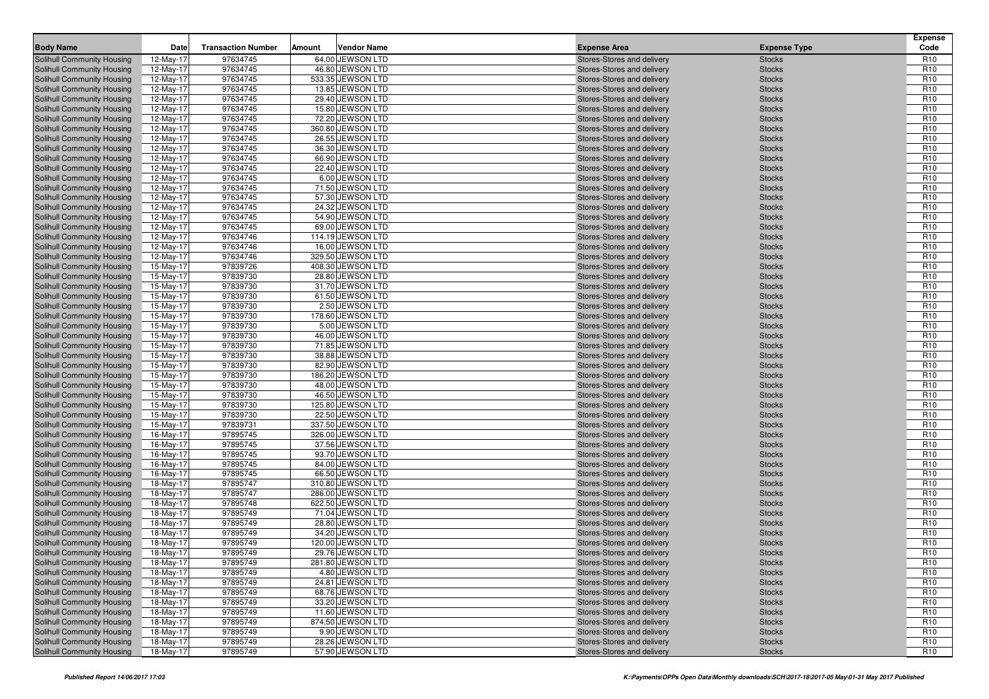| 97634745<br>Solihull Community Housing<br>12-May-17<br>64.00 JEWSON LTD<br>Stores-Stores and delivery<br><b>Stocks</b><br>R <sub>10</sub><br>97634745<br>46.80 JEWSON LTD<br>R <sub>10</sub><br>Solihull Community Housing<br>12-May-17<br><b>Stocks</b><br>Stores-Stores and delivery<br>R <sub>10</sub><br>Solihull Community Housing<br>12-May-17<br>97634745<br>533.35 JEWSON LTD<br>Stores-Stores and delivery<br><b>Stocks</b><br>97634745<br>R <sub>10</sub><br>Solihull Community Housing<br>12-May-17<br>13.85 JEWSON LTD<br><b>Stocks</b><br>Stores-Stores and delivery<br>Solihull Community Housing<br>12-May-17<br>97634745<br>29.40 JEWSON LTD<br>R <sub>10</sub><br>Stores-Stores and delivery<br><b>Stocks</b><br>97634745<br>R <sub>10</sub><br>15.80 JEWSON LTD<br>Solihull Community Housing<br>12-May-17<br>Stores-Stores and delivery<br><b>Stocks</b><br>97634745<br>72.20 JEWSON LTD<br>R <sub>10</sub><br>Solihull Community Housing<br>12-May-17<br>Stores-Stores and delivery<br><b>Stocks</b><br>R <sub>10</sub><br>12-May-17<br>97634745<br>360.80 JEWSON LTD<br><b>Stocks</b><br>Solihull Community Housing<br>Stores-Stores and delivery<br>97634745<br>26.55 JEWSON LTD<br>R <sub>10</sub><br><b>Solihull Community Housing</b><br>12-May-17<br><b>Stocks</b><br>Stores-Stores and delivery<br>Solihull Community Housing<br>12-May-17<br>97634745<br>36.30 JEWSON LTD<br>R <sub>10</sub><br>Stores-Stores and delivery<br><b>Stocks</b><br>97634745<br>R <sub>10</sub><br>Solihull Community Housing<br>12-May-17<br>66.90 JEWSON LTD<br>Stores-Stores and delivery<br><b>Stocks</b><br>97634745<br>22.40 JEWSON LTD<br>R <sub>10</sub><br><b>Solihull Community Housing</b><br>12-May-17<br><b>Stocks</b><br>Stores-Stores and delivery<br>R <sub>10</sub><br>12-May-17<br>97634745<br>6.00 JEWSON LTD<br>Solihull Community Housing<br>Stores-Stores and delivery<br><b>Stocks</b><br>97634745<br>71.50 JEWSON LTD<br>R <sub>10</sub><br><b>Solihull Community Housing</b><br>12-May-17<br><b>Stocks</b><br>Stores-Stores and delivery<br>Solihull Community Housing<br>12-May-17<br>97634745<br>57.30 JEWSON LTD<br>R <sub>10</sub><br>Stores-Stores and delivery<br><b>Stocks</b><br>97634745<br>R <sub>10</sub><br>Solihull Community Housing<br>12-May-17<br>24.32 JEWSON LTD<br>Stores-Stores and delivery<br><b>Stocks</b><br>97634745<br>54.90 JEWSON LTD<br>R <sub>10</sub><br>12-May-17<br>Solihull Community Housing<br>Stores-Stores and delivery<br><b>Stocks</b><br>R <sub>10</sub><br>12-May-17<br>97634745<br>69.00 JEWSON LTD<br>Solihull Community Housing<br>Stores-Stores and delivery<br><b>Stocks</b><br>97634746<br>R <sub>10</sub><br><b>Solihull Community Housing</b><br>12-May-17<br>114.19 JEWSON LTD<br><b>Stocks</b><br>Stores-Stores and delivery<br>Solihull Community Housing<br>12-May-17<br>97634746<br>16.00 JEWSON LTD<br>R <sub>10</sub><br>Stores-Stores and delivery<br><b>Stocks</b><br>97634746<br>329.50 JEWSON LTD<br>R <sub>10</sub><br>Solihull Community Housing<br>12-May-17<br>Stores-Stores and delivery<br><b>Stocks</b><br>97839726<br>408.30 JEWSON LTD<br>R <sub>10</sub><br><b>Solihull Community Housing</b><br>15-May-17<br>Stores-Stores and delivery<br><b>Stocks</b><br>R <sub>10</sub><br>15-May-17<br>97839730<br>28.80 JEWSON LTD<br>Solihull Community Housing<br>Stores-Stores and delivery<br><b>Stocks</b><br>97839730<br>31.70 JEWSON LTD<br>R <sub>10</sub><br>Solihull Community Housing<br>15-May-17<br><b>Stocks</b><br>Stores-Stores and delivery<br>Solihull Community Housing<br>15-May-17<br>97839730<br>61.50 JEWSON LTD<br>R <sub>10</sub><br>Stores-Stores and delivery<br><b>Stocks</b><br>97839730<br>2.50 JEWSON LTD<br>R <sub>10</sub><br>Solihull Community Housing<br>15-May-17<br>Stores-Stores and delivery<br><b>Stocks</b><br>178.60 JEWSON LTD<br>R <sub>10</sub><br>15-May-17<br>97839730<br>Solihull Community Housing<br>Stores-Stores and delivery<br><b>Stocks</b><br>R <sub>10</sub><br>15-May-17<br>97839730<br>5.00 JEWSON LTD<br>Solihull Community Housing<br>Stores-Stores and delivery<br><b>Stocks</b><br>97839730<br>46.00 JEWSON LTD<br>R <sub>10</sub><br><b>Solihull Community Housing</b><br>15-May-17<br><b>Stocks</b><br>Stores-Stores and delivery<br>Solihull Community Housing<br>15-May-17<br>97839730<br>71.85 JEWSON LTD<br>R <sub>10</sub><br>Stores-Stores and delivery<br><b>Stocks</b><br>97839730<br>38.88 JEWSON LTD<br>R <sub>10</sub><br><b>Solihull Community Housing</b><br>15-May-17<br>Stores-Stores and delivery<br><b>Stocks</b><br>82.90 JEWSON LTD<br>R <sub>10</sub><br><b>Solihull Community Housing</b><br>15-May-17<br>97839730<br>Stores-Stores and delivery<br><b>Stocks</b><br>R <sub>10</sub><br>15-May-17<br>97839730<br>186.20 JEWSON LTD<br>Solihull Community Housing<br>Stores-Stores and delivery<br><b>Stocks</b><br>97839730<br>48.00 JEWSON LTD<br>R <sub>10</sub><br><b>Solihull Community Housing</b><br>15-May-17<br><b>Stocks</b><br>Stores-Stores and delivery<br>Solihull Community Housing<br>15-May-17<br>97839730<br>46.50 JEWSON LTD<br>R <sub>10</sub><br>Stores-Stores and delivery<br><b>Stocks</b><br>97839730<br>125.80 JEWSON LTD<br>R <sub>10</sub><br><b>Solihull Community Housing</b><br>15-May-17<br>Stores-Stores and delivery<br><b>Stocks</b><br>22.50 JEWSON LTD<br>R <sub>10</sub><br>15-May-17<br>97839730<br>Solihull Community Housing<br>Stores-Stores and delivery<br><b>Stocks</b><br>R <sub>10</sub><br>15-May-17<br>97839731<br>337.50 JEWSON LTD<br>Solihull Community Housing<br>Stores-Stores and delivery<br><b>Stocks</b><br>97895745<br>326.00 JEWSON LTD<br>R <sub>10</sub><br><b>Solihull Community Housing</b><br>16-May-17<br><b>Stocks</b><br>Stores-Stores and delivery<br>Solihull Community Housing<br>16-May-17<br>97895745<br>37.56 JEWSON LTD<br>R <sub>10</sub><br>Stores-Stores and delivery<br><b>Stocks</b><br>97895745<br>R <sub>10</sub><br><b>Solihull Community Housing</b><br>16-May-17<br>93.70 JEWSON LTD<br>Stores-Stores and delivery<br><b>Stocks</b><br>R <sub>10</sub><br><b>Solihull Community Housing</b><br>16-May-17<br>97895745<br>84.00 JEWSON LTD<br>Stores-Stores and delivery<br><b>Stocks</b><br>97895745<br>16-May-17<br>66.50 JEWSON LTD<br>R <sub>10</sub><br>Solihull Community Housing<br>Stores-Stores and delivery<br><b>Stocks</b><br>97895747<br>310.80 JEWSON LTD<br>R <sub>10</sub><br><b>Solihull Community Housing</b><br>18-May-17<br><b>Stocks</b><br>Stores-Stores and delivery<br>Solihull Community Housing<br>18-May-17<br>97895747<br>286.00 JEWSON LTD<br>R <sub>10</sub><br>Stores-Stores and delivery<br><b>Stocks</b><br>97895748<br>622.50 JEWSON LTD<br>R <sub>10</sub><br>Solihull Community Housing<br>18-May-17<br>Stores-Stores and delivery<br><b>Stocks</b><br>71.04 JEWSON LTD<br>R <sub>10</sub><br>18-May-17<br>97895749<br>Solihull Community Housing<br>Stores-Stores and delivery<br><b>Stocks</b><br>97895749<br>18-May-17<br>28.80 JEWSON LTD<br>R <sub>10</sub><br>Solihull Community Housing<br>Stores-Stores and delivery<br><b>Stocks</b><br>97895749<br>34.20 JEWSON LTD<br>R <sub>10</sub><br>Solihull Community Housing<br>18-May-17<br><b>Stocks</b><br>Stores-Stores and delivery<br>R <sub>10</sub><br>18-May-17<br>97895749<br>120.00 JEWSON LTD<br>Solihull Community Housing<br>Stores-Stores and delivery<br><b>Stocks</b><br>97895749<br>R <sub>10</sub><br>Solihull Community Housing<br>18-May-17<br>29.76 JEWSON LTD<br>Stores-Stores and delivery<br><b>Stocks</b><br>97895749<br>281.80 JEWSON LTD<br><b>Stocks</b><br>R <sub>10</sub><br>Solihull Community Housing<br>18-May-17<br>Stores-Stores and delivery<br>97895749<br>4.80 JEWSON LTD<br>R <sub>10</sub><br>Solihull Community Housing<br>18-May-17<br>Stores-Stores and delivery<br><b>Stocks</b><br>R <sub>10</sub><br>97895749<br>24.81 JEWSON LTD<br>Solihull Community Housing<br>18-May-17<br>Stores-Stores and delivery<br><b>Stocks</b><br>97895749<br>68.76 JEWSON LTD<br>R <sub>10</sub><br>Solihull Community Housing<br>18-May-17<br>Stores-Stores and delivery<br><b>Stocks</b><br>97895749<br>33.20 JEWSON LTD<br>R <sub>10</sub><br>Solihull Community Housing<br>18-May-17<br>Stores-Stores and delivery<br><b>Stocks</b><br>97895749<br>R <sub>10</sub><br>Solihull Community Housing<br>18-May-17<br>11.60 JEWSON LTD<br>Stores-Stores and delivery<br><b>Stocks</b><br>97895749<br>874.50 JEWSON LTD<br>R <sub>10</sub><br>Solihull Community Housing<br>18-May-17<br>Stores-Stores and delivery<br><b>Stocks</b><br>9.90 JEWSON LTD<br>R <sub>10</sub><br>Solihull Community Housing<br>18-May-17<br>97895749<br>Stores-Stores and delivery<br><b>Stocks</b><br>97895749<br>28.26 JEWSON LTD<br>R <sub>10</sub><br>Solihull Community Housing<br>18-May-17<br>Stores-Stores and delivery<br><b>Stocks</b><br>97895749<br>57.90 JEWSON LTD<br>R <sub>10</sub><br>Solihull Community Housing<br>18-May-17<br>Stores-Stores and delivery<br><b>Stocks</b> | <b>Body Name</b> | Date | <b>Transaction Number</b> | Amount | <b>Vendor Name</b> | <b>Expense Area</b> | <b>Expense Type</b> | <b>Expense</b><br>Code |
|--------------------------------------------------------------------------------------------------------------------------------------------------------------------------------------------------------------------------------------------------------------------------------------------------------------------------------------------------------------------------------------------------------------------------------------------------------------------------------------------------------------------------------------------------------------------------------------------------------------------------------------------------------------------------------------------------------------------------------------------------------------------------------------------------------------------------------------------------------------------------------------------------------------------------------------------------------------------------------------------------------------------------------------------------------------------------------------------------------------------------------------------------------------------------------------------------------------------------------------------------------------------------------------------------------------------------------------------------------------------------------------------------------------------------------------------------------------------------------------------------------------------------------------------------------------------------------------------------------------------------------------------------------------------------------------------------------------------------------------------------------------------------------------------------------------------------------------------------------------------------------------------------------------------------------------------------------------------------------------------------------------------------------------------------------------------------------------------------------------------------------------------------------------------------------------------------------------------------------------------------------------------------------------------------------------------------------------------------------------------------------------------------------------------------------------------------------------------------------------------------------------------------------------------------------------------------------------------------------------------------------------------------------------------------------------------------------------------------------------------------------------------------------------------------------------------------------------------------------------------------------------------------------------------------------------------------------------------------------------------------------------------------------------------------------------------------------------------------------------------------------------------------------------------------------------------------------------------------------------------------------------------------------------------------------------------------------------------------------------------------------------------------------------------------------------------------------------------------------------------------------------------------------------------------------------------------------------------------------------------------------------------------------------------------------------------------------------------------------------------------------------------------------------------------------------------------------------------------------------------------------------------------------------------------------------------------------------------------------------------------------------------------------------------------------------------------------------------------------------------------------------------------------------------------------------------------------------------------------------------------------------------------------------------------------------------------------------------------------------------------------------------------------------------------------------------------------------------------------------------------------------------------------------------------------------------------------------------------------------------------------------------------------------------------------------------------------------------------------------------------------------------------------------------------------------------------------------------------------------------------------------------------------------------------------------------------------------------------------------------------------------------------------------------------------------------------------------------------------------------------------------------------------------------------------------------------------------------------------------------------------------------------------------------------------------------------------------------------------------------------------------------------------------------------------------------------------------------------------------------------------------------------------------------------------------------------------------------------------------------------------------------------------------------------------------------------------------------------------------------------------------------------------------------------------------------------------------------------------------------------------------------------------------------------------------------------------------------------------------------------------------------------------------------------------------------------------------------------------------------------------------------------------------------------------------------------------------------------------------------------------------------------------------------------------------------------------------------------------------------------------------------------------------------------------------------------------------------------------------------------------------------------------------------------------------------------------------------------------------------------------------------------------------------------------------------------------------------------------------------------------------------------------------------------------------------------------------------------------------------------------------------------------------------------------------------------------------------------------------------------------------------------------------------------------------------------------------------------------------------------------------------------------------------------------------------------------------------------------------------------------------------------------------------------------------------------------------------------------------------------------------------------------------------------------------------------------------------------------------------------------------------------------------------------------------------------------------------------------------------------------------------------------------------------------------------------------------------------------------------------------------------------------------------------------------------------------------------------------------------------------------------------------------------------------------------------------------------------------------------------------------------------------------------------------------------------------------------------------------------------------------------------------------------------------------------------------------------------------------------------------------------------------------------------------------------------------------------------------------------------------------------------------------------------------------------------------------------------------------------------------------------------------------------------------------------------------------------------------------------------------------------------------------------------------------------------------------------------------------------------------------------------------------------------------------------------------------------------------------------------------------------------------------------------------------------------------------------------------------------------------------------------------------------------------------------|------------------|------|---------------------------|--------|--------------------|---------------------|---------------------|------------------------|
|                                                                                                                                                                                                                                                                                                                                                                                                                                                                                                                                                                                                                                                                                                                                                                                                                                                                                                                                                                                                                                                                                                                                                                                                                                                                                                                                                                                                                                                                                                                                                                                                                                                                                                                                                                                                                                                                                                                                                                                                                                                                                                                                                                                                                                                                                                                                                                                                                                                                                                                                                                                                                                                                                                                                                                                                                                                                                                                                                                                                                                                                                                                                                                                                                                                                                                                                                                                                                                                                                                                                                                                                                                                                                                                                                                                                                                                                                                                                                                                                                                                                                                                                                                                                                                                                                                                                                                                                                                                                                                                                                                                                                                                                                                                                                                                                                                                                                                                                                                                                                                                                                                                                                                                                                                                                                                                                                                                                                                                                                                                                                                                                                                                                                                                                                                                                                                                                                                                                                                                                                                                                                                                                                                                                                                                                                                                                                                                                                                                                                                                                                                                                                                                                                                                                                                                                                                                                                                                                                                                                                                                                                                                                                                                                                                                                                                                                                                                                                                                                                                                                                                                                                                                                                                                                                                                                                                                                                                                                                                                                                                                                                                                                                                                                                                                                                                                                                                                                                                                                                                                                                                                                                                                                                                                                                                                                                                                                                                                                                                                                                                                                    |                  |      |                           |        |                    |                     |                     |                        |
|                                                                                                                                                                                                                                                                                                                                                                                                                                                                                                                                                                                                                                                                                                                                                                                                                                                                                                                                                                                                                                                                                                                                                                                                                                                                                                                                                                                                                                                                                                                                                                                                                                                                                                                                                                                                                                                                                                                                                                                                                                                                                                                                                                                                                                                                                                                                                                                                                                                                                                                                                                                                                                                                                                                                                                                                                                                                                                                                                                                                                                                                                                                                                                                                                                                                                                                                                                                                                                                                                                                                                                                                                                                                                                                                                                                                                                                                                                                                                                                                                                                                                                                                                                                                                                                                                                                                                                                                                                                                                                                                                                                                                                                                                                                                                                                                                                                                                                                                                                                                                                                                                                                                                                                                                                                                                                                                                                                                                                                                                                                                                                                                                                                                                                                                                                                                                                                                                                                                                                                                                                                                                                                                                                                                                                                                                                                                                                                                                                                                                                                                                                                                                                                                                                                                                                                                                                                                                                                                                                                                                                                                                                                                                                                                                                                                                                                                                                                                                                                                                                                                                                                                                                                                                                                                                                                                                                                                                                                                                                                                                                                                                                                                                                                                                                                                                                                                                                                                                                                                                                                                                                                                                                                                                                                                                                                                                                                                                                                                                                                                                                                                    |                  |      |                           |        |                    |                     |                     |                        |
|                                                                                                                                                                                                                                                                                                                                                                                                                                                                                                                                                                                                                                                                                                                                                                                                                                                                                                                                                                                                                                                                                                                                                                                                                                                                                                                                                                                                                                                                                                                                                                                                                                                                                                                                                                                                                                                                                                                                                                                                                                                                                                                                                                                                                                                                                                                                                                                                                                                                                                                                                                                                                                                                                                                                                                                                                                                                                                                                                                                                                                                                                                                                                                                                                                                                                                                                                                                                                                                                                                                                                                                                                                                                                                                                                                                                                                                                                                                                                                                                                                                                                                                                                                                                                                                                                                                                                                                                                                                                                                                                                                                                                                                                                                                                                                                                                                                                                                                                                                                                                                                                                                                                                                                                                                                                                                                                                                                                                                                                                                                                                                                                                                                                                                                                                                                                                                                                                                                                                                                                                                                                                                                                                                                                                                                                                                                                                                                                                                                                                                                                                                                                                                                                                                                                                                                                                                                                                                                                                                                                                                                                                                                                                                                                                                                                                                                                                                                                                                                                                                                                                                                                                                                                                                                                                                                                                                                                                                                                                                                                                                                                                                                                                                                                                                                                                                                                                                                                                                                                                                                                                                                                                                                                                                                                                                                                                                                                                                                                                                                                                                                                    |                  |      |                           |        |                    |                     |                     |                        |
|                                                                                                                                                                                                                                                                                                                                                                                                                                                                                                                                                                                                                                                                                                                                                                                                                                                                                                                                                                                                                                                                                                                                                                                                                                                                                                                                                                                                                                                                                                                                                                                                                                                                                                                                                                                                                                                                                                                                                                                                                                                                                                                                                                                                                                                                                                                                                                                                                                                                                                                                                                                                                                                                                                                                                                                                                                                                                                                                                                                                                                                                                                                                                                                                                                                                                                                                                                                                                                                                                                                                                                                                                                                                                                                                                                                                                                                                                                                                                                                                                                                                                                                                                                                                                                                                                                                                                                                                                                                                                                                                                                                                                                                                                                                                                                                                                                                                                                                                                                                                                                                                                                                                                                                                                                                                                                                                                                                                                                                                                                                                                                                                                                                                                                                                                                                                                                                                                                                                                                                                                                                                                                                                                                                                                                                                                                                                                                                                                                                                                                                                                                                                                                                                                                                                                                                                                                                                                                                                                                                                                                                                                                                                                                                                                                                                                                                                                                                                                                                                                                                                                                                                                                                                                                                                                                                                                                                                                                                                                                                                                                                                                                                                                                                                                                                                                                                                                                                                                                                                                                                                                                                                                                                                                                                                                                                                                                                                                                                                                                                                                                                                    |                  |      |                           |        |                    |                     |                     |                        |
|                                                                                                                                                                                                                                                                                                                                                                                                                                                                                                                                                                                                                                                                                                                                                                                                                                                                                                                                                                                                                                                                                                                                                                                                                                                                                                                                                                                                                                                                                                                                                                                                                                                                                                                                                                                                                                                                                                                                                                                                                                                                                                                                                                                                                                                                                                                                                                                                                                                                                                                                                                                                                                                                                                                                                                                                                                                                                                                                                                                                                                                                                                                                                                                                                                                                                                                                                                                                                                                                                                                                                                                                                                                                                                                                                                                                                                                                                                                                                                                                                                                                                                                                                                                                                                                                                                                                                                                                                                                                                                                                                                                                                                                                                                                                                                                                                                                                                                                                                                                                                                                                                                                                                                                                                                                                                                                                                                                                                                                                                                                                                                                                                                                                                                                                                                                                                                                                                                                                                                                                                                                                                                                                                                                                                                                                                                                                                                                                                                                                                                                                                                                                                                                                                                                                                                                                                                                                                                                                                                                                                                                                                                                                                                                                                                                                                                                                                                                                                                                                                                                                                                                                                                                                                                                                                                                                                                                                                                                                                                                                                                                                                                                                                                                                                                                                                                                                                                                                                                                                                                                                                                                                                                                                                                                                                                                                                                                                                                                                                                                                                                                                    |                  |      |                           |        |                    |                     |                     |                        |
|                                                                                                                                                                                                                                                                                                                                                                                                                                                                                                                                                                                                                                                                                                                                                                                                                                                                                                                                                                                                                                                                                                                                                                                                                                                                                                                                                                                                                                                                                                                                                                                                                                                                                                                                                                                                                                                                                                                                                                                                                                                                                                                                                                                                                                                                                                                                                                                                                                                                                                                                                                                                                                                                                                                                                                                                                                                                                                                                                                                                                                                                                                                                                                                                                                                                                                                                                                                                                                                                                                                                                                                                                                                                                                                                                                                                                                                                                                                                                                                                                                                                                                                                                                                                                                                                                                                                                                                                                                                                                                                                                                                                                                                                                                                                                                                                                                                                                                                                                                                                                                                                                                                                                                                                                                                                                                                                                                                                                                                                                                                                                                                                                                                                                                                                                                                                                                                                                                                                                                                                                                                                                                                                                                                                                                                                                                                                                                                                                                                                                                                                                                                                                                                                                                                                                                                                                                                                                                                                                                                                                                                                                                                                                                                                                                                                                                                                                                                                                                                                                                                                                                                                                                                                                                                                                                                                                                                                                                                                                                                                                                                                                                                                                                                                                                                                                                                                                                                                                                                                                                                                                                                                                                                                                                                                                                                                                                                                                                                                                                                                                                                                    |                  |      |                           |        |                    |                     |                     |                        |
|                                                                                                                                                                                                                                                                                                                                                                                                                                                                                                                                                                                                                                                                                                                                                                                                                                                                                                                                                                                                                                                                                                                                                                                                                                                                                                                                                                                                                                                                                                                                                                                                                                                                                                                                                                                                                                                                                                                                                                                                                                                                                                                                                                                                                                                                                                                                                                                                                                                                                                                                                                                                                                                                                                                                                                                                                                                                                                                                                                                                                                                                                                                                                                                                                                                                                                                                                                                                                                                                                                                                                                                                                                                                                                                                                                                                                                                                                                                                                                                                                                                                                                                                                                                                                                                                                                                                                                                                                                                                                                                                                                                                                                                                                                                                                                                                                                                                                                                                                                                                                                                                                                                                                                                                                                                                                                                                                                                                                                                                                                                                                                                                                                                                                                                                                                                                                                                                                                                                                                                                                                                                                                                                                                                                                                                                                                                                                                                                                                                                                                                                                                                                                                                                                                                                                                                                                                                                                                                                                                                                                                                                                                                                                                                                                                                                                                                                                                                                                                                                                                                                                                                                                                                                                                                                                                                                                                                                                                                                                                                                                                                                                                                                                                                                                                                                                                                                                                                                                                                                                                                                                                                                                                                                                                                                                                                                                                                                                                                                                                                                                                                                    |                  |      |                           |        |                    |                     |                     |                        |
|                                                                                                                                                                                                                                                                                                                                                                                                                                                                                                                                                                                                                                                                                                                                                                                                                                                                                                                                                                                                                                                                                                                                                                                                                                                                                                                                                                                                                                                                                                                                                                                                                                                                                                                                                                                                                                                                                                                                                                                                                                                                                                                                                                                                                                                                                                                                                                                                                                                                                                                                                                                                                                                                                                                                                                                                                                                                                                                                                                                                                                                                                                                                                                                                                                                                                                                                                                                                                                                                                                                                                                                                                                                                                                                                                                                                                                                                                                                                                                                                                                                                                                                                                                                                                                                                                                                                                                                                                                                                                                                                                                                                                                                                                                                                                                                                                                                                                                                                                                                                                                                                                                                                                                                                                                                                                                                                                                                                                                                                                                                                                                                                                                                                                                                                                                                                                                                                                                                                                                                                                                                                                                                                                                                                                                                                                                                                                                                                                                                                                                                                                                                                                                                                                                                                                                                                                                                                                                                                                                                                                                                                                                                                                                                                                                                                                                                                                                                                                                                                                                                                                                                                                                                                                                                                                                                                                                                                                                                                                                                                                                                                                                                                                                                                                                                                                                                                                                                                                                                                                                                                                                                                                                                                                                                                                                                                                                                                                                                                                                                                                                                                    |                  |      |                           |        |                    |                     |                     |                        |
|                                                                                                                                                                                                                                                                                                                                                                                                                                                                                                                                                                                                                                                                                                                                                                                                                                                                                                                                                                                                                                                                                                                                                                                                                                                                                                                                                                                                                                                                                                                                                                                                                                                                                                                                                                                                                                                                                                                                                                                                                                                                                                                                                                                                                                                                                                                                                                                                                                                                                                                                                                                                                                                                                                                                                                                                                                                                                                                                                                                                                                                                                                                                                                                                                                                                                                                                                                                                                                                                                                                                                                                                                                                                                                                                                                                                                                                                                                                                                                                                                                                                                                                                                                                                                                                                                                                                                                                                                                                                                                                                                                                                                                                                                                                                                                                                                                                                                                                                                                                                                                                                                                                                                                                                                                                                                                                                                                                                                                                                                                                                                                                                                                                                                                                                                                                                                                                                                                                                                                                                                                                                                                                                                                                                                                                                                                                                                                                                                                                                                                                                                                                                                                                                                                                                                                                                                                                                                                                                                                                                                                                                                                                                                                                                                                                                                                                                                                                                                                                                                                                                                                                                                                                                                                                                                                                                                                                                                                                                                                                                                                                                                                                                                                                                                                                                                                                                                                                                                                                                                                                                                                                                                                                                                                                                                                                                                                                                                                                                                                                                                                                                    |                  |      |                           |        |                    |                     |                     |                        |
|                                                                                                                                                                                                                                                                                                                                                                                                                                                                                                                                                                                                                                                                                                                                                                                                                                                                                                                                                                                                                                                                                                                                                                                                                                                                                                                                                                                                                                                                                                                                                                                                                                                                                                                                                                                                                                                                                                                                                                                                                                                                                                                                                                                                                                                                                                                                                                                                                                                                                                                                                                                                                                                                                                                                                                                                                                                                                                                                                                                                                                                                                                                                                                                                                                                                                                                                                                                                                                                                                                                                                                                                                                                                                                                                                                                                                                                                                                                                                                                                                                                                                                                                                                                                                                                                                                                                                                                                                                                                                                                                                                                                                                                                                                                                                                                                                                                                                                                                                                                                                                                                                                                                                                                                                                                                                                                                                                                                                                                                                                                                                                                                                                                                                                                                                                                                                                                                                                                                                                                                                                                                                                                                                                                                                                                                                                                                                                                                                                                                                                                                                                                                                                                                                                                                                                                                                                                                                                                                                                                                                                                                                                                                                                                                                                                                                                                                                                                                                                                                                                                                                                                                                                                                                                                                                                                                                                                                                                                                                                                                                                                                                                                                                                                                                                                                                                                                                                                                                                                                                                                                                                                                                                                                                                                                                                                                                                                                                                                                                                                                                                                                    |                  |      |                           |        |                    |                     |                     |                        |
|                                                                                                                                                                                                                                                                                                                                                                                                                                                                                                                                                                                                                                                                                                                                                                                                                                                                                                                                                                                                                                                                                                                                                                                                                                                                                                                                                                                                                                                                                                                                                                                                                                                                                                                                                                                                                                                                                                                                                                                                                                                                                                                                                                                                                                                                                                                                                                                                                                                                                                                                                                                                                                                                                                                                                                                                                                                                                                                                                                                                                                                                                                                                                                                                                                                                                                                                                                                                                                                                                                                                                                                                                                                                                                                                                                                                                                                                                                                                                                                                                                                                                                                                                                                                                                                                                                                                                                                                                                                                                                                                                                                                                                                                                                                                                                                                                                                                                                                                                                                                                                                                                                                                                                                                                                                                                                                                                                                                                                                                                                                                                                                                                                                                                                                                                                                                                                                                                                                                                                                                                                                                                                                                                                                                                                                                                                                                                                                                                                                                                                                                                                                                                                                                                                                                                                                                                                                                                                                                                                                                                                                                                                                                                                                                                                                                                                                                                                                                                                                                                                                                                                                                                                                                                                                                                                                                                                                                                                                                                                                                                                                                                                                                                                                                                                                                                                                                                                                                                                                                                                                                                                                                                                                                                                                                                                                                                                                                                                                                                                                                                                                                    |                  |      |                           |        |                    |                     |                     |                        |
|                                                                                                                                                                                                                                                                                                                                                                                                                                                                                                                                                                                                                                                                                                                                                                                                                                                                                                                                                                                                                                                                                                                                                                                                                                                                                                                                                                                                                                                                                                                                                                                                                                                                                                                                                                                                                                                                                                                                                                                                                                                                                                                                                                                                                                                                                                                                                                                                                                                                                                                                                                                                                                                                                                                                                                                                                                                                                                                                                                                                                                                                                                                                                                                                                                                                                                                                                                                                                                                                                                                                                                                                                                                                                                                                                                                                                                                                                                                                                                                                                                                                                                                                                                                                                                                                                                                                                                                                                                                                                                                                                                                                                                                                                                                                                                                                                                                                                                                                                                                                                                                                                                                                                                                                                                                                                                                                                                                                                                                                                                                                                                                                                                                                                                                                                                                                                                                                                                                                                                                                                                                                                                                                                                                                                                                                                                                                                                                                                                                                                                                                                                                                                                                                                                                                                                                                                                                                                                                                                                                                                                                                                                                                                                                                                                                                                                                                                                                                                                                                                                                                                                                                                                                                                                                                                                                                                                                                                                                                                                                                                                                                                                                                                                                                                                                                                                                                                                                                                                                                                                                                                                                                                                                                                                                                                                                                                                                                                                                                                                                                                                                                    |                  |      |                           |        |                    |                     |                     |                        |
|                                                                                                                                                                                                                                                                                                                                                                                                                                                                                                                                                                                                                                                                                                                                                                                                                                                                                                                                                                                                                                                                                                                                                                                                                                                                                                                                                                                                                                                                                                                                                                                                                                                                                                                                                                                                                                                                                                                                                                                                                                                                                                                                                                                                                                                                                                                                                                                                                                                                                                                                                                                                                                                                                                                                                                                                                                                                                                                                                                                                                                                                                                                                                                                                                                                                                                                                                                                                                                                                                                                                                                                                                                                                                                                                                                                                                                                                                                                                                                                                                                                                                                                                                                                                                                                                                                                                                                                                                                                                                                                                                                                                                                                                                                                                                                                                                                                                                                                                                                                                                                                                                                                                                                                                                                                                                                                                                                                                                                                                                                                                                                                                                                                                                                                                                                                                                                                                                                                                                                                                                                                                                                                                                                                                                                                                                                                                                                                                                                                                                                                                                                                                                                                                                                                                                                                                                                                                                                                                                                                                                                                                                                                                                                                                                                                                                                                                                                                                                                                                                                                                                                                                                                                                                                                                                                                                                                                                                                                                                                                                                                                                                                                                                                                                                                                                                                                                                                                                                                                                                                                                                                                                                                                                                                                                                                                                                                                                                                                                                                                                                                                                    |                  |      |                           |        |                    |                     |                     |                        |
|                                                                                                                                                                                                                                                                                                                                                                                                                                                                                                                                                                                                                                                                                                                                                                                                                                                                                                                                                                                                                                                                                                                                                                                                                                                                                                                                                                                                                                                                                                                                                                                                                                                                                                                                                                                                                                                                                                                                                                                                                                                                                                                                                                                                                                                                                                                                                                                                                                                                                                                                                                                                                                                                                                                                                                                                                                                                                                                                                                                                                                                                                                                                                                                                                                                                                                                                                                                                                                                                                                                                                                                                                                                                                                                                                                                                                                                                                                                                                                                                                                                                                                                                                                                                                                                                                                                                                                                                                                                                                                                                                                                                                                                                                                                                                                                                                                                                                                                                                                                                                                                                                                                                                                                                                                                                                                                                                                                                                                                                                                                                                                                                                                                                                                                                                                                                                                                                                                                                                                                                                                                                                                                                                                                                                                                                                                                                                                                                                                                                                                                                                                                                                                                                                                                                                                                                                                                                                                                                                                                                                                                                                                                                                                                                                                                                                                                                                                                                                                                                                                                                                                                                                                                                                                                                                                                                                                                                                                                                                                                                                                                                                                                                                                                                                                                                                                                                                                                                                                                                                                                                                                                                                                                                                                                                                                                                                                                                                                                                                                                                                                                                    |                  |      |                           |        |                    |                     |                     |                        |
|                                                                                                                                                                                                                                                                                                                                                                                                                                                                                                                                                                                                                                                                                                                                                                                                                                                                                                                                                                                                                                                                                                                                                                                                                                                                                                                                                                                                                                                                                                                                                                                                                                                                                                                                                                                                                                                                                                                                                                                                                                                                                                                                                                                                                                                                                                                                                                                                                                                                                                                                                                                                                                                                                                                                                                                                                                                                                                                                                                                                                                                                                                                                                                                                                                                                                                                                                                                                                                                                                                                                                                                                                                                                                                                                                                                                                                                                                                                                                                                                                                                                                                                                                                                                                                                                                                                                                                                                                                                                                                                                                                                                                                                                                                                                                                                                                                                                                                                                                                                                                                                                                                                                                                                                                                                                                                                                                                                                                                                                                                                                                                                                                                                                                                                                                                                                                                                                                                                                                                                                                                                                                                                                                                                                                                                                                                                                                                                                                                                                                                                                                                                                                                                                                                                                                                                                                                                                                                                                                                                                                                                                                                                                                                                                                                                                                                                                                                                                                                                                                                                                                                                                                                                                                                                                                                                                                                                                                                                                                                                                                                                                                                                                                                                                                                                                                                                                                                                                                                                                                                                                                                                                                                                                                                                                                                                                                                                                                                                                                                                                                                                                    |                  |      |                           |        |                    |                     |                     |                        |
|                                                                                                                                                                                                                                                                                                                                                                                                                                                                                                                                                                                                                                                                                                                                                                                                                                                                                                                                                                                                                                                                                                                                                                                                                                                                                                                                                                                                                                                                                                                                                                                                                                                                                                                                                                                                                                                                                                                                                                                                                                                                                                                                                                                                                                                                                                                                                                                                                                                                                                                                                                                                                                                                                                                                                                                                                                                                                                                                                                                                                                                                                                                                                                                                                                                                                                                                                                                                                                                                                                                                                                                                                                                                                                                                                                                                                                                                                                                                                                                                                                                                                                                                                                                                                                                                                                                                                                                                                                                                                                                                                                                                                                                                                                                                                                                                                                                                                                                                                                                                                                                                                                                                                                                                                                                                                                                                                                                                                                                                                                                                                                                                                                                                                                                                                                                                                                                                                                                                                                                                                                                                                                                                                                                                                                                                                                                                                                                                                                                                                                                                                                                                                                                                                                                                                                                                                                                                                                                                                                                                                                                                                                                                                                                                                                                                                                                                                                                                                                                                                                                                                                                                                                                                                                                                                                                                                                                                                                                                                                                                                                                                                                                                                                                                                                                                                                                                                                                                                                                                                                                                                                                                                                                                                                                                                                                                                                                                                                                                                                                                                                                                    |                  |      |                           |        |                    |                     |                     |                        |
|                                                                                                                                                                                                                                                                                                                                                                                                                                                                                                                                                                                                                                                                                                                                                                                                                                                                                                                                                                                                                                                                                                                                                                                                                                                                                                                                                                                                                                                                                                                                                                                                                                                                                                                                                                                                                                                                                                                                                                                                                                                                                                                                                                                                                                                                                                                                                                                                                                                                                                                                                                                                                                                                                                                                                                                                                                                                                                                                                                                                                                                                                                                                                                                                                                                                                                                                                                                                                                                                                                                                                                                                                                                                                                                                                                                                                                                                                                                                                                                                                                                                                                                                                                                                                                                                                                                                                                                                                                                                                                                                                                                                                                                                                                                                                                                                                                                                                                                                                                                                                                                                                                                                                                                                                                                                                                                                                                                                                                                                                                                                                                                                                                                                                                                                                                                                                                                                                                                                                                                                                                                                                                                                                                                                                                                                                                                                                                                                                                                                                                                                                                                                                                                                                                                                                                                                                                                                                                                                                                                                                                                                                                                                                                                                                                                                                                                                                                                                                                                                                                                                                                                                                                                                                                                                                                                                                                                                                                                                                                                                                                                                                                                                                                                                                                                                                                                                                                                                                                                                                                                                                                                                                                                                                                                                                                                                                                                                                                                                                                                                                                                                    |                  |      |                           |        |                    |                     |                     |                        |
|                                                                                                                                                                                                                                                                                                                                                                                                                                                                                                                                                                                                                                                                                                                                                                                                                                                                                                                                                                                                                                                                                                                                                                                                                                                                                                                                                                                                                                                                                                                                                                                                                                                                                                                                                                                                                                                                                                                                                                                                                                                                                                                                                                                                                                                                                                                                                                                                                                                                                                                                                                                                                                                                                                                                                                                                                                                                                                                                                                                                                                                                                                                                                                                                                                                                                                                                                                                                                                                                                                                                                                                                                                                                                                                                                                                                                                                                                                                                                                                                                                                                                                                                                                                                                                                                                                                                                                                                                                                                                                                                                                                                                                                                                                                                                                                                                                                                                                                                                                                                                                                                                                                                                                                                                                                                                                                                                                                                                                                                                                                                                                                                                                                                                                                                                                                                                                                                                                                                                                                                                                                                                                                                                                                                                                                                                                                                                                                                                                                                                                                                                                                                                                                                                                                                                                                                                                                                                                                                                                                                                                                                                                                                                                                                                                                                                                                                                                                                                                                                                                                                                                                                                                                                                                                                                                                                                                                                                                                                                                                                                                                                                                                                                                                                                                                                                                                                                                                                                                                                                                                                                                                                                                                                                                                                                                                                                                                                                                                                                                                                                                                                    |                  |      |                           |        |                    |                     |                     |                        |
|                                                                                                                                                                                                                                                                                                                                                                                                                                                                                                                                                                                                                                                                                                                                                                                                                                                                                                                                                                                                                                                                                                                                                                                                                                                                                                                                                                                                                                                                                                                                                                                                                                                                                                                                                                                                                                                                                                                                                                                                                                                                                                                                                                                                                                                                                                                                                                                                                                                                                                                                                                                                                                                                                                                                                                                                                                                                                                                                                                                                                                                                                                                                                                                                                                                                                                                                                                                                                                                                                                                                                                                                                                                                                                                                                                                                                                                                                                                                                                                                                                                                                                                                                                                                                                                                                                                                                                                                                                                                                                                                                                                                                                                                                                                                                                                                                                                                                                                                                                                                                                                                                                                                                                                                                                                                                                                                                                                                                                                                                                                                                                                                                                                                                                                                                                                                                                                                                                                                                                                                                                                                                                                                                                                                                                                                                                                                                                                                                                                                                                                                                                                                                                                                                                                                                                                                                                                                                                                                                                                                                                                                                                                                                                                                                                                                                                                                                                                                                                                                                                                                                                                                                                                                                                                                                                                                                                                                                                                                                                                                                                                                                                                                                                                                                                                                                                                                                                                                                                                                                                                                                                                                                                                                                                                                                                                                                                                                                                                                                                                                                                                                    |                  |      |                           |        |                    |                     |                     |                        |
|                                                                                                                                                                                                                                                                                                                                                                                                                                                                                                                                                                                                                                                                                                                                                                                                                                                                                                                                                                                                                                                                                                                                                                                                                                                                                                                                                                                                                                                                                                                                                                                                                                                                                                                                                                                                                                                                                                                                                                                                                                                                                                                                                                                                                                                                                                                                                                                                                                                                                                                                                                                                                                                                                                                                                                                                                                                                                                                                                                                                                                                                                                                                                                                                                                                                                                                                                                                                                                                                                                                                                                                                                                                                                                                                                                                                                                                                                                                                                                                                                                                                                                                                                                                                                                                                                                                                                                                                                                                                                                                                                                                                                                                                                                                                                                                                                                                                                                                                                                                                                                                                                                                                                                                                                                                                                                                                                                                                                                                                                                                                                                                                                                                                                                                                                                                                                                                                                                                                                                                                                                                                                                                                                                                                                                                                                                                                                                                                                                                                                                                                                                                                                                                                                                                                                                                                                                                                                                                                                                                                                                                                                                                                                                                                                                                                                                                                                                                                                                                                                                                                                                                                                                                                                                                                                                                                                                                                                                                                                                                                                                                                                                                                                                                                                                                                                                                                                                                                                                                                                                                                                                                                                                                                                                                                                                                                                                                                                                                                                                                                                                                                    |                  |      |                           |        |                    |                     |                     |                        |
|                                                                                                                                                                                                                                                                                                                                                                                                                                                                                                                                                                                                                                                                                                                                                                                                                                                                                                                                                                                                                                                                                                                                                                                                                                                                                                                                                                                                                                                                                                                                                                                                                                                                                                                                                                                                                                                                                                                                                                                                                                                                                                                                                                                                                                                                                                                                                                                                                                                                                                                                                                                                                                                                                                                                                                                                                                                                                                                                                                                                                                                                                                                                                                                                                                                                                                                                                                                                                                                                                                                                                                                                                                                                                                                                                                                                                                                                                                                                                                                                                                                                                                                                                                                                                                                                                                                                                                                                                                                                                                                                                                                                                                                                                                                                                                                                                                                                                                                                                                                                                                                                                                                                                                                                                                                                                                                                                                                                                                                                                                                                                                                                                                                                                                                                                                                                                                                                                                                                                                                                                                                                                                                                                                                                                                                                                                                                                                                                                                                                                                                                                                                                                                                                                                                                                                                                                                                                                                                                                                                                                                                                                                                                                                                                                                                                                                                                                                                                                                                                                                                                                                                                                                                                                                                                                                                                                                                                                                                                                                                                                                                                                                                                                                                                                                                                                                                                                                                                                                                                                                                                                                                                                                                                                                                                                                                                                                                                                                                                                                                                                                                                    |                  |      |                           |        |                    |                     |                     |                        |
|                                                                                                                                                                                                                                                                                                                                                                                                                                                                                                                                                                                                                                                                                                                                                                                                                                                                                                                                                                                                                                                                                                                                                                                                                                                                                                                                                                                                                                                                                                                                                                                                                                                                                                                                                                                                                                                                                                                                                                                                                                                                                                                                                                                                                                                                                                                                                                                                                                                                                                                                                                                                                                                                                                                                                                                                                                                                                                                                                                                                                                                                                                                                                                                                                                                                                                                                                                                                                                                                                                                                                                                                                                                                                                                                                                                                                                                                                                                                                                                                                                                                                                                                                                                                                                                                                                                                                                                                                                                                                                                                                                                                                                                                                                                                                                                                                                                                                                                                                                                                                                                                                                                                                                                                                                                                                                                                                                                                                                                                                                                                                                                                                                                                                                                                                                                                                                                                                                                                                                                                                                                                                                                                                                                                                                                                                                                                                                                                                                                                                                                                                                                                                                                                                                                                                                                                                                                                                                                                                                                                                                                                                                                                                                                                                                                                                                                                                                                                                                                                                                                                                                                                                                                                                                                                                                                                                                                                                                                                                                                                                                                                                                                                                                                                                                                                                                                                                                                                                                                                                                                                                                                                                                                                                                                                                                                                                                                                                                                                                                                                                                                                    |                  |      |                           |        |                    |                     |                     |                        |
|                                                                                                                                                                                                                                                                                                                                                                                                                                                                                                                                                                                                                                                                                                                                                                                                                                                                                                                                                                                                                                                                                                                                                                                                                                                                                                                                                                                                                                                                                                                                                                                                                                                                                                                                                                                                                                                                                                                                                                                                                                                                                                                                                                                                                                                                                                                                                                                                                                                                                                                                                                                                                                                                                                                                                                                                                                                                                                                                                                                                                                                                                                                                                                                                                                                                                                                                                                                                                                                                                                                                                                                                                                                                                                                                                                                                                                                                                                                                                                                                                                                                                                                                                                                                                                                                                                                                                                                                                                                                                                                                                                                                                                                                                                                                                                                                                                                                                                                                                                                                                                                                                                                                                                                                                                                                                                                                                                                                                                                                                                                                                                                                                                                                                                                                                                                                                                                                                                                                                                                                                                                                                                                                                                                                                                                                                                                                                                                                                                                                                                                                                                                                                                                                                                                                                                                                                                                                                                                                                                                                                                                                                                                                                                                                                                                                                                                                                                                                                                                                                                                                                                                                                                                                                                                                                                                                                                                                                                                                                                                                                                                                                                                                                                                                                                                                                                                                                                                                                                                                                                                                                                                                                                                                                                                                                                                                                                                                                                                                                                                                                                                                    |                  |      |                           |        |                    |                     |                     |                        |
|                                                                                                                                                                                                                                                                                                                                                                                                                                                                                                                                                                                                                                                                                                                                                                                                                                                                                                                                                                                                                                                                                                                                                                                                                                                                                                                                                                                                                                                                                                                                                                                                                                                                                                                                                                                                                                                                                                                                                                                                                                                                                                                                                                                                                                                                                                                                                                                                                                                                                                                                                                                                                                                                                                                                                                                                                                                                                                                                                                                                                                                                                                                                                                                                                                                                                                                                                                                                                                                                                                                                                                                                                                                                                                                                                                                                                                                                                                                                                                                                                                                                                                                                                                                                                                                                                                                                                                                                                                                                                                                                                                                                                                                                                                                                                                                                                                                                                                                                                                                                                                                                                                                                                                                                                                                                                                                                                                                                                                                                                                                                                                                                                                                                                                                                                                                                                                                                                                                                                                                                                                                                                                                                                                                                                                                                                                                                                                                                                                                                                                                                                                                                                                                                                                                                                                                                                                                                                                                                                                                                                                                                                                                                                                                                                                                                                                                                                                                                                                                                                                                                                                                                                                                                                                                                                                                                                                                                                                                                                                                                                                                                                                                                                                                                                                                                                                                                                                                                                                                                                                                                                                                                                                                                                                                                                                                                                                                                                                                                                                                                                                                                    |                  |      |                           |        |                    |                     |                     |                        |
|                                                                                                                                                                                                                                                                                                                                                                                                                                                                                                                                                                                                                                                                                                                                                                                                                                                                                                                                                                                                                                                                                                                                                                                                                                                                                                                                                                                                                                                                                                                                                                                                                                                                                                                                                                                                                                                                                                                                                                                                                                                                                                                                                                                                                                                                                                                                                                                                                                                                                                                                                                                                                                                                                                                                                                                                                                                                                                                                                                                                                                                                                                                                                                                                                                                                                                                                                                                                                                                                                                                                                                                                                                                                                                                                                                                                                                                                                                                                                                                                                                                                                                                                                                                                                                                                                                                                                                                                                                                                                                                                                                                                                                                                                                                                                                                                                                                                                                                                                                                                                                                                                                                                                                                                                                                                                                                                                                                                                                                                                                                                                                                                                                                                                                                                                                                                                                                                                                                                                                                                                                                                                                                                                                                                                                                                                                                                                                                                                                                                                                                                                                                                                                                                                                                                                                                                                                                                                                                                                                                                                                                                                                                                                                                                                                                                                                                                                                                                                                                                                                                                                                                                                                                                                                                                                                                                                                                                                                                                                                                                                                                                                                                                                                                                                                                                                                                                                                                                                                                                                                                                                                                                                                                                                                                                                                                                                                                                                                                                                                                                                                                                    |                  |      |                           |        |                    |                     |                     |                        |
|                                                                                                                                                                                                                                                                                                                                                                                                                                                                                                                                                                                                                                                                                                                                                                                                                                                                                                                                                                                                                                                                                                                                                                                                                                                                                                                                                                                                                                                                                                                                                                                                                                                                                                                                                                                                                                                                                                                                                                                                                                                                                                                                                                                                                                                                                                                                                                                                                                                                                                                                                                                                                                                                                                                                                                                                                                                                                                                                                                                                                                                                                                                                                                                                                                                                                                                                                                                                                                                                                                                                                                                                                                                                                                                                                                                                                                                                                                                                                                                                                                                                                                                                                                                                                                                                                                                                                                                                                                                                                                                                                                                                                                                                                                                                                                                                                                                                                                                                                                                                                                                                                                                                                                                                                                                                                                                                                                                                                                                                                                                                                                                                                                                                                                                                                                                                                                                                                                                                                                                                                                                                                                                                                                                                                                                                                                                                                                                                                                                                                                                                                                                                                                                                                                                                                                                                                                                                                                                                                                                                                                                                                                                                                                                                                                                                                                                                                                                                                                                                                                                                                                                                                                                                                                                                                                                                                                                                                                                                                                                                                                                                                                                                                                                                                                                                                                                                                                                                                                                                                                                                                                                                                                                                                                                                                                                                                                                                                                                                                                                                                                                                    |                  |      |                           |        |                    |                     |                     |                        |
|                                                                                                                                                                                                                                                                                                                                                                                                                                                                                                                                                                                                                                                                                                                                                                                                                                                                                                                                                                                                                                                                                                                                                                                                                                                                                                                                                                                                                                                                                                                                                                                                                                                                                                                                                                                                                                                                                                                                                                                                                                                                                                                                                                                                                                                                                                                                                                                                                                                                                                                                                                                                                                                                                                                                                                                                                                                                                                                                                                                                                                                                                                                                                                                                                                                                                                                                                                                                                                                                                                                                                                                                                                                                                                                                                                                                                                                                                                                                                                                                                                                                                                                                                                                                                                                                                                                                                                                                                                                                                                                                                                                                                                                                                                                                                                                                                                                                                                                                                                                                                                                                                                                                                                                                                                                                                                                                                                                                                                                                                                                                                                                                                                                                                                                                                                                                                                                                                                                                                                                                                                                                                                                                                                                                                                                                                                                                                                                                                                                                                                                                                                                                                                                                                                                                                                                                                                                                                                                                                                                                                                                                                                                                                                                                                                                                                                                                                                                                                                                                                                                                                                                                                                                                                                                                                                                                                                                                                                                                                                                                                                                                                                                                                                                                                                                                                                                                                                                                                                                                                                                                                                                                                                                                                                                                                                                                                                                                                                                                                                                                                                                                    |                  |      |                           |        |                    |                     |                     |                        |
|                                                                                                                                                                                                                                                                                                                                                                                                                                                                                                                                                                                                                                                                                                                                                                                                                                                                                                                                                                                                                                                                                                                                                                                                                                                                                                                                                                                                                                                                                                                                                                                                                                                                                                                                                                                                                                                                                                                                                                                                                                                                                                                                                                                                                                                                                                                                                                                                                                                                                                                                                                                                                                                                                                                                                                                                                                                                                                                                                                                                                                                                                                                                                                                                                                                                                                                                                                                                                                                                                                                                                                                                                                                                                                                                                                                                                                                                                                                                                                                                                                                                                                                                                                                                                                                                                                                                                                                                                                                                                                                                                                                                                                                                                                                                                                                                                                                                                                                                                                                                                                                                                                                                                                                                                                                                                                                                                                                                                                                                                                                                                                                                                                                                                                                                                                                                                                                                                                                                                                                                                                                                                                                                                                                                                                                                                                                                                                                                                                                                                                                                                                                                                                                                                                                                                                                                                                                                                                                                                                                                                                                                                                                                                                                                                                                                                                                                                                                                                                                                                                                                                                                                                                                                                                                                                                                                                                                                                                                                                                                                                                                                                                                                                                                                                                                                                                                                                                                                                                                                                                                                                                                                                                                                                                                                                                                                                                                                                                                                                                                                                                                                    |                  |      |                           |        |                    |                     |                     |                        |
|                                                                                                                                                                                                                                                                                                                                                                                                                                                                                                                                                                                                                                                                                                                                                                                                                                                                                                                                                                                                                                                                                                                                                                                                                                                                                                                                                                                                                                                                                                                                                                                                                                                                                                                                                                                                                                                                                                                                                                                                                                                                                                                                                                                                                                                                                                                                                                                                                                                                                                                                                                                                                                                                                                                                                                                                                                                                                                                                                                                                                                                                                                                                                                                                                                                                                                                                                                                                                                                                                                                                                                                                                                                                                                                                                                                                                                                                                                                                                                                                                                                                                                                                                                                                                                                                                                                                                                                                                                                                                                                                                                                                                                                                                                                                                                                                                                                                                                                                                                                                                                                                                                                                                                                                                                                                                                                                                                                                                                                                                                                                                                                                                                                                                                                                                                                                                                                                                                                                                                                                                                                                                                                                                                                                                                                                                                                                                                                                                                                                                                                                                                                                                                                                                                                                                                                                                                                                                                                                                                                                                                                                                                                                                                                                                                                                                                                                                                                                                                                                                                                                                                                                                                                                                                                                                                                                                                                                                                                                                                                                                                                                                                                                                                                                                                                                                                                                                                                                                                                                                                                                                                                                                                                                                                                                                                                                                                                                                                                                                                                                                                                                    |                  |      |                           |        |                    |                     |                     |                        |
|                                                                                                                                                                                                                                                                                                                                                                                                                                                                                                                                                                                                                                                                                                                                                                                                                                                                                                                                                                                                                                                                                                                                                                                                                                                                                                                                                                                                                                                                                                                                                                                                                                                                                                                                                                                                                                                                                                                                                                                                                                                                                                                                                                                                                                                                                                                                                                                                                                                                                                                                                                                                                                                                                                                                                                                                                                                                                                                                                                                                                                                                                                                                                                                                                                                                                                                                                                                                                                                                                                                                                                                                                                                                                                                                                                                                                                                                                                                                                                                                                                                                                                                                                                                                                                                                                                                                                                                                                                                                                                                                                                                                                                                                                                                                                                                                                                                                                                                                                                                                                                                                                                                                                                                                                                                                                                                                                                                                                                                                                                                                                                                                                                                                                                                                                                                                                                                                                                                                                                                                                                                                                                                                                                                                                                                                                                                                                                                                                                                                                                                                                                                                                                                                                                                                                                                                                                                                                                                                                                                                                                                                                                                                                                                                                                                                                                                                                                                                                                                                                                                                                                                                                                                                                                                                                                                                                                                                                                                                                                                                                                                                                                                                                                                                                                                                                                                                                                                                                                                                                                                                                                                                                                                                                                                                                                                                                                                                                                                                                                                                                                                                    |                  |      |                           |        |                    |                     |                     |                        |
|                                                                                                                                                                                                                                                                                                                                                                                                                                                                                                                                                                                                                                                                                                                                                                                                                                                                                                                                                                                                                                                                                                                                                                                                                                                                                                                                                                                                                                                                                                                                                                                                                                                                                                                                                                                                                                                                                                                                                                                                                                                                                                                                                                                                                                                                                                                                                                                                                                                                                                                                                                                                                                                                                                                                                                                                                                                                                                                                                                                                                                                                                                                                                                                                                                                                                                                                                                                                                                                                                                                                                                                                                                                                                                                                                                                                                                                                                                                                                                                                                                                                                                                                                                                                                                                                                                                                                                                                                                                                                                                                                                                                                                                                                                                                                                                                                                                                                                                                                                                                                                                                                                                                                                                                                                                                                                                                                                                                                                                                                                                                                                                                                                                                                                                                                                                                                                                                                                                                                                                                                                                                                                                                                                                                                                                                                                                                                                                                                                                                                                                                                                                                                                                                                                                                                                                                                                                                                                                                                                                                                                                                                                                                                                                                                                                                                                                                                                                                                                                                                                                                                                                                                                                                                                                                                                                                                                                                                                                                                                                                                                                                                                                                                                                                                                                                                                                                                                                                                                                                                                                                                                                                                                                                                                                                                                                                                                                                                                                                                                                                                                                                    |                  |      |                           |        |                    |                     |                     |                        |
|                                                                                                                                                                                                                                                                                                                                                                                                                                                                                                                                                                                                                                                                                                                                                                                                                                                                                                                                                                                                                                                                                                                                                                                                                                                                                                                                                                                                                                                                                                                                                                                                                                                                                                                                                                                                                                                                                                                                                                                                                                                                                                                                                                                                                                                                                                                                                                                                                                                                                                                                                                                                                                                                                                                                                                                                                                                                                                                                                                                                                                                                                                                                                                                                                                                                                                                                                                                                                                                                                                                                                                                                                                                                                                                                                                                                                                                                                                                                                                                                                                                                                                                                                                                                                                                                                                                                                                                                                                                                                                                                                                                                                                                                                                                                                                                                                                                                                                                                                                                                                                                                                                                                                                                                                                                                                                                                                                                                                                                                                                                                                                                                                                                                                                                                                                                                                                                                                                                                                                                                                                                                                                                                                                                                                                                                                                                                                                                                                                                                                                                                                                                                                                                                                                                                                                                                                                                                                                                                                                                                                                                                                                                                                                                                                                                                                                                                                                                                                                                                                                                                                                                                                                                                                                                                                                                                                                                                                                                                                                                                                                                                                                                                                                                                                                                                                                                                                                                                                                                                                                                                                                                                                                                                                                                                                                                                                                                                                                                                                                                                                                                                    |                  |      |                           |        |                    |                     |                     |                        |
|                                                                                                                                                                                                                                                                                                                                                                                                                                                                                                                                                                                                                                                                                                                                                                                                                                                                                                                                                                                                                                                                                                                                                                                                                                                                                                                                                                                                                                                                                                                                                                                                                                                                                                                                                                                                                                                                                                                                                                                                                                                                                                                                                                                                                                                                                                                                                                                                                                                                                                                                                                                                                                                                                                                                                                                                                                                                                                                                                                                                                                                                                                                                                                                                                                                                                                                                                                                                                                                                                                                                                                                                                                                                                                                                                                                                                                                                                                                                                                                                                                                                                                                                                                                                                                                                                                                                                                                                                                                                                                                                                                                                                                                                                                                                                                                                                                                                                                                                                                                                                                                                                                                                                                                                                                                                                                                                                                                                                                                                                                                                                                                                                                                                                                                                                                                                                                                                                                                                                                                                                                                                                                                                                                                                                                                                                                                                                                                                                                                                                                                                                                                                                                                                                                                                                                                                                                                                                                                                                                                                                                                                                                                                                                                                                                                                                                                                                                                                                                                                                                                                                                                                                                                                                                                                                                                                                                                                                                                                                                                                                                                                                                                                                                                                                                                                                                                                                                                                                                                                                                                                                                                                                                                                                                                                                                                                                                                                                                                                                                                                                                                                    |                  |      |                           |        |                    |                     |                     |                        |
|                                                                                                                                                                                                                                                                                                                                                                                                                                                                                                                                                                                                                                                                                                                                                                                                                                                                                                                                                                                                                                                                                                                                                                                                                                                                                                                                                                                                                                                                                                                                                                                                                                                                                                                                                                                                                                                                                                                                                                                                                                                                                                                                                                                                                                                                                                                                                                                                                                                                                                                                                                                                                                                                                                                                                                                                                                                                                                                                                                                                                                                                                                                                                                                                                                                                                                                                                                                                                                                                                                                                                                                                                                                                                                                                                                                                                                                                                                                                                                                                                                                                                                                                                                                                                                                                                                                                                                                                                                                                                                                                                                                                                                                                                                                                                                                                                                                                                                                                                                                                                                                                                                                                                                                                                                                                                                                                                                                                                                                                                                                                                                                                                                                                                                                                                                                                                                                                                                                                                                                                                                                                                                                                                                                                                                                                                                                                                                                                                                                                                                                                                                                                                                                                                                                                                                                                                                                                                                                                                                                                                                                                                                                                                                                                                                                                                                                                                                                                                                                                                                                                                                                                                                                                                                                                                                                                                                                                                                                                                                                                                                                                                                                                                                                                                                                                                                                                                                                                                                                                                                                                                                                                                                                                                                                                                                                                                                                                                                                                                                                                                                                                    |                  |      |                           |        |                    |                     |                     |                        |
|                                                                                                                                                                                                                                                                                                                                                                                                                                                                                                                                                                                                                                                                                                                                                                                                                                                                                                                                                                                                                                                                                                                                                                                                                                                                                                                                                                                                                                                                                                                                                                                                                                                                                                                                                                                                                                                                                                                                                                                                                                                                                                                                                                                                                                                                                                                                                                                                                                                                                                                                                                                                                                                                                                                                                                                                                                                                                                                                                                                                                                                                                                                                                                                                                                                                                                                                                                                                                                                                                                                                                                                                                                                                                                                                                                                                                                                                                                                                                                                                                                                                                                                                                                                                                                                                                                                                                                                                                                                                                                                                                                                                                                                                                                                                                                                                                                                                                                                                                                                                                                                                                                                                                                                                                                                                                                                                                                                                                                                                                                                                                                                                                                                                                                                                                                                                                                                                                                                                                                                                                                                                                                                                                                                                                                                                                                                                                                                                                                                                                                                                                                                                                                                                                                                                                                                                                                                                                                                                                                                                                                                                                                                                                                                                                                                                                                                                                                                                                                                                                                                                                                                                                                                                                                                                                                                                                                                                                                                                                                                                                                                                                                                                                                                                                                                                                                                                                                                                                                                                                                                                                                                                                                                                                                                                                                                                                                                                                                                                                                                                                                                                    |                  |      |                           |        |                    |                     |                     |                        |
|                                                                                                                                                                                                                                                                                                                                                                                                                                                                                                                                                                                                                                                                                                                                                                                                                                                                                                                                                                                                                                                                                                                                                                                                                                                                                                                                                                                                                                                                                                                                                                                                                                                                                                                                                                                                                                                                                                                                                                                                                                                                                                                                                                                                                                                                                                                                                                                                                                                                                                                                                                                                                                                                                                                                                                                                                                                                                                                                                                                                                                                                                                                                                                                                                                                                                                                                                                                                                                                                                                                                                                                                                                                                                                                                                                                                                                                                                                                                                                                                                                                                                                                                                                                                                                                                                                                                                                                                                                                                                                                                                                                                                                                                                                                                                                                                                                                                                                                                                                                                                                                                                                                                                                                                                                                                                                                                                                                                                                                                                                                                                                                                                                                                                                                                                                                                                                                                                                                                                                                                                                                                                                                                                                                                                                                                                                                                                                                                                                                                                                                                                                                                                                                                                                                                                                                                                                                                                                                                                                                                                                                                                                                                                                                                                                                                                                                                                                                                                                                                                                                                                                                                                                                                                                                                                                                                                                                                                                                                                                                                                                                                                                                                                                                                                                                                                                                                                                                                                                                                                                                                                                                                                                                                                                                                                                                                                                                                                                                                                                                                                                                                    |                  |      |                           |        |                    |                     |                     |                        |
|                                                                                                                                                                                                                                                                                                                                                                                                                                                                                                                                                                                                                                                                                                                                                                                                                                                                                                                                                                                                                                                                                                                                                                                                                                                                                                                                                                                                                                                                                                                                                                                                                                                                                                                                                                                                                                                                                                                                                                                                                                                                                                                                                                                                                                                                                                                                                                                                                                                                                                                                                                                                                                                                                                                                                                                                                                                                                                                                                                                                                                                                                                                                                                                                                                                                                                                                                                                                                                                                                                                                                                                                                                                                                                                                                                                                                                                                                                                                                                                                                                                                                                                                                                                                                                                                                                                                                                                                                                                                                                                                                                                                                                                                                                                                                                                                                                                                                                                                                                                                                                                                                                                                                                                                                                                                                                                                                                                                                                                                                                                                                                                                                                                                                                                                                                                                                                                                                                                                                                                                                                                                                                                                                                                                                                                                                                                                                                                                                                                                                                                                                                                                                                                                                                                                                                                                                                                                                                                                                                                                                                                                                                                                                                                                                                                                                                                                                                                                                                                                                                                                                                                                                                                                                                                                                                                                                                                                                                                                                                                                                                                                                                                                                                                                                                                                                                                                                                                                                                                                                                                                                                                                                                                                                                                                                                                                                                                                                                                                                                                                                                                                    |                  |      |                           |        |                    |                     |                     |                        |
|                                                                                                                                                                                                                                                                                                                                                                                                                                                                                                                                                                                                                                                                                                                                                                                                                                                                                                                                                                                                                                                                                                                                                                                                                                                                                                                                                                                                                                                                                                                                                                                                                                                                                                                                                                                                                                                                                                                                                                                                                                                                                                                                                                                                                                                                                                                                                                                                                                                                                                                                                                                                                                                                                                                                                                                                                                                                                                                                                                                                                                                                                                                                                                                                                                                                                                                                                                                                                                                                                                                                                                                                                                                                                                                                                                                                                                                                                                                                                                                                                                                                                                                                                                                                                                                                                                                                                                                                                                                                                                                                                                                                                                                                                                                                                                                                                                                                                                                                                                                                                                                                                                                                                                                                                                                                                                                                                                                                                                                                                                                                                                                                                                                                                                                                                                                                                                                                                                                                                                                                                                                                                                                                                                                                                                                                                                                                                                                                                                                                                                                                                                                                                                                                                                                                                                                                                                                                                                                                                                                                                                                                                                                                                                                                                                                                                                                                                                                                                                                                                                                                                                                                                                                                                                                                                                                                                                                                                                                                                                                                                                                                                                                                                                                                                                                                                                                                                                                                                                                                                                                                                                                                                                                                                                                                                                                                                                                                                                                                                                                                                                                                    |                  |      |                           |        |                    |                     |                     |                        |
|                                                                                                                                                                                                                                                                                                                                                                                                                                                                                                                                                                                                                                                                                                                                                                                                                                                                                                                                                                                                                                                                                                                                                                                                                                                                                                                                                                                                                                                                                                                                                                                                                                                                                                                                                                                                                                                                                                                                                                                                                                                                                                                                                                                                                                                                                                                                                                                                                                                                                                                                                                                                                                                                                                                                                                                                                                                                                                                                                                                                                                                                                                                                                                                                                                                                                                                                                                                                                                                                                                                                                                                                                                                                                                                                                                                                                                                                                                                                                                                                                                                                                                                                                                                                                                                                                                                                                                                                                                                                                                                                                                                                                                                                                                                                                                                                                                                                                                                                                                                                                                                                                                                                                                                                                                                                                                                                                                                                                                                                                                                                                                                                                                                                                                                                                                                                                                                                                                                                                                                                                                                                                                                                                                                                                                                                                                                                                                                                                                                                                                                                                                                                                                                                                                                                                                                                                                                                                                                                                                                                                                                                                                                                                                                                                                                                                                                                                                                                                                                                                                                                                                                                                                                                                                                                                                                                                                                                                                                                                                                                                                                                                                                                                                                                                                                                                                                                                                                                                                                                                                                                                                                                                                                                                                                                                                                                                                                                                                                                                                                                                                                                    |                  |      |                           |        |                    |                     |                     |                        |
|                                                                                                                                                                                                                                                                                                                                                                                                                                                                                                                                                                                                                                                                                                                                                                                                                                                                                                                                                                                                                                                                                                                                                                                                                                                                                                                                                                                                                                                                                                                                                                                                                                                                                                                                                                                                                                                                                                                                                                                                                                                                                                                                                                                                                                                                                                                                                                                                                                                                                                                                                                                                                                                                                                                                                                                                                                                                                                                                                                                                                                                                                                                                                                                                                                                                                                                                                                                                                                                                                                                                                                                                                                                                                                                                                                                                                                                                                                                                                                                                                                                                                                                                                                                                                                                                                                                                                                                                                                                                                                                                                                                                                                                                                                                                                                                                                                                                                                                                                                                                                                                                                                                                                                                                                                                                                                                                                                                                                                                                                                                                                                                                                                                                                                                                                                                                                                                                                                                                                                                                                                                                                                                                                                                                                                                                                                                                                                                                                                                                                                                                                                                                                                                                                                                                                                                                                                                                                                                                                                                                                                                                                                                                                                                                                                                                                                                                                                                                                                                                                                                                                                                                                                                                                                                                                                                                                                                                                                                                                                                                                                                                                                                                                                                                                                                                                                                                                                                                                                                                                                                                                                                                                                                                                                                                                                                                                                                                                                                                                                                                                                                                    |                  |      |                           |        |                    |                     |                     |                        |
|                                                                                                                                                                                                                                                                                                                                                                                                                                                                                                                                                                                                                                                                                                                                                                                                                                                                                                                                                                                                                                                                                                                                                                                                                                                                                                                                                                                                                                                                                                                                                                                                                                                                                                                                                                                                                                                                                                                                                                                                                                                                                                                                                                                                                                                                                                                                                                                                                                                                                                                                                                                                                                                                                                                                                                                                                                                                                                                                                                                                                                                                                                                                                                                                                                                                                                                                                                                                                                                                                                                                                                                                                                                                                                                                                                                                                                                                                                                                                                                                                                                                                                                                                                                                                                                                                                                                                                                                                                                                                                                                                                                                                                                                                                                                                                                                                                                                                                                                                                                                                                                                                                                                                                                                                                                                                                                                                                                                                                                                                                                                                                                                                                                                                                                                                                                                                                                                                                                                                                                                                                                                                                                                                                                                                                                                                                                                                                                                                                                                                                                                                                                                                                                                                                                                                                                                                                                                                                                                                                                                                                                                                                                                                                                                                                                                                                                                                                                                                                                                                                                                                                                                                                                                                                                                                                                                                                                                                                                                                                                                                                                                                                                                                                                                                                                                                                                                                                                                                                                                                                                                                                                                                                                                                                                                                                                                                                                                                                                                                                                                                                                                    |                  |      |                           |        |                    |                     |                     |                        |
|                                                                                                                                                                                                                                                                                                                                                                                                                                                                                                                                                                                                                                                                                                                                                                                                                                                                                                                                                                                                                                                                                                                                                                                                                                                                                                                                                                                                                                                                                                                                                                                                                                                                                                                                                                                                                                                                                                                                                                                                                                                                                                                                                                                                                                                                                                                                                                                                                                                                                                                                                                                                                                                                                                                                                                                                                                                                                                                                                                                                                                                                                                                                                                                                                                                                                                                                                                                                                                                                                                                                                                                                                                                                                                                                                                                                                                                                                                                                                                                                                                                                                                                                                                                                                                                                                                                                                                                                                                                                                                                                                                                                                                                                                                                                                                                                                                                                                                                                                                                                                                                                                                                                                                                                                                                                                                                                                                                                                                                                                                                                                                                                                                                                                                                                                                                                                                                                                                                                                                                                                                                                                                                                                                                                                                                                                                                                                                                                                                                                                                                                                                                                                                                                                                                                                                                                                                                                                                                                                                                                                                                                                                                                                                                                                                                                                                                                                                                                                                                                                                                                                                                                                                                                                                                                                                                                                                                                                                                                                                                                                                                                                                                                                                                                                                                                                                                                                                                                                                                                                                                                                                                                                                                                                                                                                                                                                                                                                                                                                                                                                                                                    |                  |      |                           |        |                    |                     |                     |                        |
|                                                                                                                                                                                                                                                                                                                                                                                                                                                                                                                                                                                                                                                                                                                                                                                                                                                                                                                                                                                                                                                                                                                                                                                                                                                                                                                                                                                                                                                                                                                                                                                                                                                                                                                                                                                                                                                                                                                                                                                                                                                                                                                                                                                                                                                                                                                                                                                                                                                                                                                                                                                                                                                                                                                                                                                                                                                                                                                                                                                                                                                                                                                                                                                                                                                                                                                                                                                                                                                                                                                                                                                                                                                                                                                                                                                                                                                                                                                                                                                                                                                                                                                                                                                                                                                                                                                                                                                                                                                                                                                                                                                                                                                                                                                                                                                                                                                                                                                                                                                                                                                                                                                                                                                                                                                                                                                                                                                                                                                                                                                                                                                                                                                                                                                                                                                                                                                                                                                                                                                                                                                                                                                                                                                                                                                                                                                                                                                                                                                                                                                                                                                                                                                                                                                                                                                                                                                                                                                                                                                                                                                                                                                                                                                                                                                                                                                                                                                                                                                                                                                                                                                                                                                                                                                                                                                                                                                                                                                                                                                                                                                                                                                                                                                                                                                                                                                                                                                                                                                                                                                                                                                                                                                                                                                                                                                                                                                                                                                                                                                                                                                                    |                  |      |                           |        |                    |                     |                     |                        |
|                                                                                                                                                                                                                                                                                                                                                                                                                                                                                                                                                                                                                                                                                                                                                                                                                                                                                                                                                                                                                                                                                                                                                                                                                                                                                                                                                                                                                                                                                                                                                                                                                                                                                                                                                                                                                                                                                                                                                                                                                                                                                                                                                                                                                                                                                                                                                                                                                                                                                                                                                                                                                                                                                                                                                                                                                                                                                                                                                                                                                                                                                                                                                                                                                                                                                                                                                                                                                                                                                                                                                                                                                                                                                                                                                                                                                                                                                                                                                                                                                                                                                                                                                                                                                                                                                                                                                                                                                                                                                                                                                                                                                                                                                                                                                                                                                                                                                                                                                                                                                                                                                                                                                                                                                                                                                                                                                                                                                                                                                                                                                                                                                                                                                                                                                                                                                                                                                                                                                                                                                                                                                                                                                                                                                                                                                                                                                                                                                                                                                                                                                                                                                                                                                                                                                                                                                                                                                                                                                                                                                                                                                                                                                                                                                                                                                                                                                                                                                                                                                                                                                                                                                                                                                                                                                                                                                                                                                                                                                                                                                                                                                                                                                                                                                                                                                                                                                                                                                                                                                                                                                                                                                                                                                                                                                                                                                                                                                                                                                                                                                                                                    |                  |      |                           |        |                    |                     |                     |                        |
|                                                                                                                                                                                                                                                                                                                                                                                                                                                                                                                                                                                                                                                                                                                                                                                                                                                                                                                                                                                                                                                                                                                                                                                                                                                                                                                                                                                                                                                                                                                                                                                                                                                                                                                                                                                                                                                                                                                                                                                                                                                                                                                                                                                                                                                                                                                                                                                                                                                                                                                                                                                                                                                                                                                                                                                                                                                                                                                                                                                                                                                                                                                                                                                                                                                                                                                                                                                                                                                                                                                                                                                                                                                                                                                                                                                                                                                                                                                                                                                                                                                                                                                                                                                                                                                                                                                                                                                                                                                                                                                                                                                                                                                                                                                                                                                                                                                                                                                                                                                                                                                                                                                                                                                                                                                                                                                                                                                                                                                                                                                                                                                                                                                                                                                                                                                                                                                                                                                                                                                                                                                                                                                                                                                                                                                                                                                                                                                                                                                                                                                                                                                                                                                                                                                                                                                                                                                                                                                                                                                                                                                                                                                                                                                                                                                                                                                                                                                                                                                                                                                                                                                                                                                                                                                                                                                                                                                                                                                                                                                                                                                                                                                                                                                                                                                                                                                                                                                                                                                                                                                                                                                                                                                                                                                                                                                                                                                                                                                                                                                                                                                                    |                  |      |                           |        |                    |                     |                     |                        |
|                                                                                                                                                                                                                                                                                                                                                                                                                                                                                                                                                                                                                                                                                                                                                                                                                                                                                                                                                                                                                                                                                                                                                                                                                                                                                                                                                                                                                                                                                                                                                                                                                                                                                                                                                                                                                                                                                                                                                                                                                                                                                                                                                                                                                                                                                                                                                                                                                                                                                                                                                                                                                                                                                                                                                                                                                                                                                                                                                                                                                                                                                                                                                                                                                                                                                                                                                                                                                                                                                                                                                                                                                                                                                                                                                                                                                                                                                                                                                                                                                                                                                                                                                                                                                                                                                                                                                                                                                                                                                                                                                                                                                                                                                                                                                                                                                                                                                                                                                                                                                                                                                                                                                                                                                                                                                                                                                                                                                                                                                                                                                                                                                                                                                                                                                                                                                                                                                                                                                                                                                                                                                                                                                                                                                                                                                                                                                                                                                                                                                                                                                                                                                                                                                                                                                                                                                                                                                                                                                                                                                                                                                                                                                                                                                                                                                                                                                                                                                                                                                                                                                                                                                                                                                                                                                                                                                                                                                                                                                                                                                                                                                                                                                                                                                                                                                                                                                                                                                                                                                                                                                                                                                                                                                                                                                                                                                                                                                                                                                                                                                                                                    |                  |      |                           |        |                    |                     |                     |                        |
|                                                                                                                                                                                                                                                                                                                                                                                                                                                                                                                                                                                                                                                                                                                                                                                                                                                                                                                                                                                                                                                                                                                                                                                                                                                                                                                                                                                                                                                                                                                                                                                                                                                                                                                                                                                                                                                                                                                                                                                                                                                                                                                                                                                                                                                                                                                                                                                                                                                                                                                                                                                                                                                                                                                                                                                                                                                                                                                                                                                                                                                                                                                                                                                                                                                                                                                                                                                                                                                                                                                                                                                                                                                                                                                                                                                                                                                                                                                                                                                                                                                                                                                                                                                                                                                                                                                                                                                                                                                                                                                                                                                                                                                                                                                                                                                                                                                                                                                                                                                                                                                                                                                                                                                                                                                                                                                                                                                                                                                                                                                                                                                                                                                                                                                                                                                                                                                                                                                                                                                                                                                                                                                                                                                                                                                                                                                                                                                                                                                                                                                                                                                                                                                                                                                                                                                                                                                                                                                                                                                                                                                                                                                                                                                                                                                                                                                                                                                                                                                                                                                                                                                                                                                                                                                                                                                                                                                                                                                                                                                                                                                                                                                                                                                                                                                                                                                                                                                                                                                                                                                                                                                                                                                                                                                                                                                                                                                                                                                                                                                                                                                                    |                  |      |                           |        |                    |                     |                     |                        |
|                                                                                                                                                                                                                                                                                                                                                                                                                                                                                                                                                                                                                                                                                                                                                                                                                                                                                                                                                                                                                                                                                                                                                                                                                                                                                                                                                                                                                                                                                                                                                                                                                                                                                                                                                                                                                                                                                                                                                                                                                                                                                                                                                                                                                                                                                                                                                                                                                                                                                                                                                                                                                                                                                                                                                                                                                                                                                                                                                                                                                                                                                                                                                                                                                                                                                                                                                                                                                                                                                                                                                                                                                                                                                                                                                                                                                                                                                                                                                                                                                                                                                                                                                                                                                                                                                                                                                                                                                                                                                                                                                                                                                                                                                                                                                                                                                                                                                                                                                                                                                                                                                                                                                                                                                                                                                                                                                                                                                                                                                                                                                                                                                                                                                                                                                                                                                                                                                                                                                                                                                                                                                                                                                                                                                                                                                                                                                                                                                                                                                                                                                                                                                                                                                                                                                                                                                                                                                                                                                                                                                                                                                                                                                                                                                                                                                                                                                                                                                                                                                                                                                                                                                                                                                                                                                                                                                                                                                                                                                                                                                                                                                                                                                                                                                                                                                                                                                                                                                                                                                                                                                                                                                                                                                                                                                                                                                                                                                                                                                                                                                                                                    |                  |      |                           |        |                    |                     |                     |                        |
|                                                                                                                                                                                                                                                                                                                                                                                                                                                                                                                                                                                                                                                                                                                                                                                                                                                                                                                                                                                                                                                                                                                                                                                                                                                                                                                                                                                                                                                                                                                                                                                                                                                                                                                                                                                                                                                                                                                                                                                                                                                                                                                                                                                                                                                                                                                                                                                                                                                                                                                                                                                                                                                                                                                                                                                                                                                                                                                                                                                                                                                                                                                                                                                                                                                                                                                                                                                                                                                                                                                                                                                                                                                                                                                                                                                                                                                                                                                                                                                                                                                                                                                                                                                                                                                                                                                                                                                                                                                                                                                                                                                                                                                                                                                                                                                                                                                                                                                                                                                                                                                                                                                                                                                                                                                                                                                                                                                                                                                                                                                                                                                                                                                                                                                                                                                                                                                                                                                                                                                                                                                                                                                                                                                                                                                                                                                                                                                                                                                                                                                                                                                                                                                                                                                                                                                                                                                                                                                                                                                                                                                                                                                                                                                                                                                                                                                                                                                                                                                                                                                                                                                                                                                                                                                                                                                                                                                                                                                                                                                                                                                                                                                                                                                                                                                                                                                                                                                                                                                                                                                                                                                                                                                                                                                                                                                                                                                                                                                                                                                                                                                                    |                  |      |                           |        |                    |                     |                     |                        |
|                                                                                                                                                                                                                                                                                                                                                                                                                                                                                                                                                                                                                                                                                                                                                                                                                                                                                                                                                                                                                                                                                                                                                                                                                                                                                                                                                                                                                                                                                                                                                                                                                                                                                                                                                                                                                                                                                                                                                                                                                                                                                                                                                                                                                                                                                                                                                                                                                                                                                                                                                                                                                                                                                                                                                                                                                                                                                                                                                                                                                                                                                                                                                                                                                                                                                                                                                                                                                                                                                                                                                                                                                                                                                                                                                                                                                                                                                                                                                                                                                                                                                                                                                                                                                                                                                                                                                                                                                                                                                                                                                                                                                                                                                                                                                                                                                                                                                                                                                                                                                                                                                                                                                                                                                                                                                                                                                                                                                                                                                                                                                                                                                                                                                                                                                                                                                                                                                                                                                                                                                                                                                                                                                                                                                                                                                                                                                                                                                                                                                                                                                                                                                                                                                                                                                                                                                                                                                                                                                                                                                                                                                                                                                                                                                                                                                                                                                                                                                                                                                                                                                                                                                                                                                                                                                                                                                                                                                                                                                                                                                                                                                                                                                                                                                                                                                                                                                                                                                                                                                                                                                                                                                                                                                                                                                                                                                                                                                                                                                                                                                                                                    |                  |      |                           |        |                    |                     |                     |                        |
|                                                                                                                                                                                                                                                                                                                                                                                                                                                                                                                                                                                                                                                                                                                                                                                                                                                                                                                                                                                                                                                                                                                                                                                                                                                                                                                                                                                                                                                                                                                                                                                                                                                                                                                                                                                                                                                                                                                                                                                                                                                                                                                                                                                                                                                                                                                                                                                                                                                                                                                                                                                                                                                                                                                                                                                                                                                                                                                                                                                                                                                                                                                                                                                                                                                                                                                                                                                                                                                                                                                                                                                                                                                                                                                                                                                                                                                                                                                                                                                                                                                                                                                                                                                                                                                                                                                                                                                                                                                                                                                                                                                                                                                                                                                                                                                                                                                                                                                                                                                                                                                                                                                                                                                                                                                                                                                                                                                                                                                                                                                                                                                                                                                                                                                                                                                                                                                                                                                                                                                                                                                                                                                                                                                                                                                                                                                                                                                                                                                                                                                                                                                                                                                                                                                                                                                                                                                                                                                                                                                                                                                                                                                                                                                                                                                                                                                                                                                                                                                                                                                                                                                                                                                                                                                                                                                                                                                                                                                                                                                                                                                                                                                                                                                                                                                                                                                                                                                                                                                                                                                                                                                                                                                                                                                                                                                                                                                                                                                                                                                                                                                                    |                  |      |                           |        |                    |                     |                     |                        |
|                                                                                                                                                                                                                                                                                                                                                                                                                                                                                                                                                                                                                                                                                                                                                                                                                                                                                                                                                                                                                                                                                                                                                                                                                                                                                                                                                                                                                                                                                                                                                                                                                                                                                                                                                                                                                                                                                                                                                                                                                                                                                                                                                                                                                                                                                                                                                                                                                                                                                                                                                                                                                                                                                                                                                                                                                                                                                                                                                                                                                                                                                                                                                                                                                                                                                                                                                                                                                                                                                                                                                                                                                                                                                                                                                                                                                                                                                                                                                                                                                                                                                                                                                                                                                                                                                                                                                                                                                                                                                                                                                                                                                                                                                                                                                                                                                                                                                                                                                                                                                                                                                                                                                                                                                                                                                                                                                                                                                                                                                                                                                                                                                                                                                                                                                                                                                                                                                                                                                                                                                                                                                                                                                                                                                                                                                                                                                                                                                                                                                                                                                                                                                                                                                                                                                                                                                                                                                                                                                                                                                                                                                                                                                                                                                                                                                                                                                                                                                                                                                                                                                                                                                                                                                                                                                                                                                                                                                                                                                                                                                                                                                                                                                                                                                                                                                                                                                                                                                                                                                                                                                                                                                                                                                                                                                                                                                                                                                                                                                                                                                                                                    |                  |      |                           |        |                    |                     |                     |                        |
|                                                                                                                                                                                                                                                                                                                                                                                                                                                                                                                                                                                                                                                                                                                                                                                                                                                                                                                                                                                                                                                                                                                                                                                                                                                                                                                                                                                                                                                                                                                                                                                                                                                                                                                                                                                                                                                                                                                                                                                                                                                                                                                                                                                                                                                                                                                                                                                                                                                                                                                                                                                                                                                                                                                                                                                                                                                                                                                                                                                                                                                                                                                                                                                                                                                                                                                                                                                                                                                                                                                                                                                                                                                                                                                                                                                                                                                                                                                                                                                                                                                                                                                                                                                                                                                                                                                                                                                                                                                                                                                                                                                                                                                                                                                                                                                                                                                                                                                                                                                                                                                                                                                                                                                                                                                                                                                                                                                                                                                                                                                                                                                                                                                                                                                                                                                                                                                                                                                                                                                                                                                                                                                                                                                                                                                                                                                                                                                                                                                                                                                                                                                                                                                                                                                                                                                                                                                                                                                                                                                                                                                                                                                                                                                                                                                                                                                                                                                                                                                                                                                                                                                                                                                                                                                                                                                                                                                                                                                                                                                                                                                                                                                                                                                                                                                                                                                                                                                                                                                                                                                                                                                                                                                                                                                                                                                                                                                                                                                                                                                                                                                                    |                  |      |                           |        |                    |                     |                     |                        |
|                                                                                                                                                                                                                                                                                                                                                                                                                                                                                                                                                                                                                                                                                                                                                                                                                                                                                                                                                                                                                                                                                                                                                                                                                                                                                                                                                                                                                                                                                                                                                                                                                                                                                                                                                                                                                                                                                                                                                                                                                                                                                                                                                                                                                                                                                                                                                                                                                                                                                                                                                                                                                                                                                                                                                                                                                                                                                                                                                                                                                                                                                                                                                                                                                                                                                                                                                                                                                                                                                                                                                                                                                                                                                                                                                                                                                                                                                                                                                                                                                                                                                                                                                                                                                                                                                                                                                                                                                                                                                                                                                                                                                                                                                                                                                                                                                                                                                                                                                                                                                                                                                                                                                                                                                                                                                                                                                                                                                                                                                                                                                                                                                                                                                                                                                                                                                                                                                                                                                                                                                                                                                                                                                                                                                                                                                                                                                                                                                                                                                                                                                                                                                                                                                                                                                                                                                                                                                                                                                                                                                                                                                                                                                                                                                                                                                                                                                                                                                                                                                                                                                                                                                                                                                                                                                                                                                                                                                                                                                                                                                                                                                                                                                                                                                                                                                                                                                                                                                                                                                                                                                                                                                                                                                                                                                                                                                                                                                                                                                                                                                                                                    |                  |      |                           |        |                    |                     |                     |                        |
|                                                                                                                                                                                                                                                                                                                                                                                                                                                                                                                                                                                                                                                                                                                                                                                                                                                                                                                                                                                                                                                                                                                                                                                                                                                                                                                                                                                                                                                                                                                                                                                                                                                                                                                                                                                                                                                                                                                                                                                                                                                                                                                                                                                                                                                                                                                                                                                                                                                                                                                                                                                                                                                                                                                                                                                                                                                                                                                                                                                                                                                                                                                                                                                                                                                                                                                                                                                                                                                                                                                                                                                                                                                                                                                                                                                                                                                                                                                                                                                                                                                                                                                                                                                                                                                                                                                                                                                                                                                                                                                                                                                                                                                                                                                                                                                                                                                                                                                                                                                                                                                                                                                                                                                                                                                                                                                                                                                                                                                                                                                                                                                                                                                                                                                                                                                                                                                                                                                                                                                                                                                                                                                                                                                                                                                                                                                                                                                                                                                                                                                                                                                                                                                                                                                                                                                                                                                                                                                                                                                                                                                                                                                                                                                                                                                                                                                                                                                                                                                                                                                                                                                                                                                                                                                                                                                                                                                                                                                                                                                                                                                                                                                                                                                                                                                                                                                                                                                                                                                                                                                                                                                                                                                                                                                                                                                                                                                                                                                                                                                                                                                                    |                  |      |                           |        |                    |                     |                     |                        |
|                                                                                                                                                                                                                                                                                                                                                                                                                                                                                                                                                                                                                                                                                                                                                                                                                                                                                                                                                                                                                                                                                                                                                                                                                                                                                                                                                                                                                                                                                                                                                                                                                                                                                                                                                                                                                                                                                                                                                                                                                                                                                                                                                                                                                                                                                                                                                                                                                                                                                                                                                                                                                                                                                                                                                                                                                                                                                                                                                                                                                                                                                                                                                                                                                                                                                                                                                                                                                                                                                                                                                                                                                                                                                                                                                                                                                                                                                                                                                                                                                                                                                                                                                                                                                                                                                                                                                                                                                                                                                                                                                                                                                                                                                                                                                                                                                                                                                                                                                                                                                                                                                                                                                                                                                                                                                                                                                                                                                                                                                                                                                                                                                                                                                                                                                                                                                                                                                                                                                                                                                                                                                                                                                                                                                                                                                                                                                                                                                                                                                                                                                                                                                                                                                                                                                                                                                                                                                                                                                                                                                                                                                                                                                                                                                                                                                                                                                                                                                                                                                                                                                                                                                                                                                                                                                                                                                                                                                                                                                                                                                                                                                                                                                                                                                                                                                                                                                                                                                                                                                                                                                                                                                                                                                                                                                                                                                                                                                                                                                                                                                                                                    |                  |      |                           |        |                    |                     |                     |                        |
|                                                                                                                                                                                                                                                                                                                                                                                                                                                                                                                                                                                                                                                                                                                                                                                                                                                                                                                                                                                                                                                                                                                                                                                                                                                                                                                                                                                                                                                                                                                                                                                                                                                                                                                                                                                                                                                                                                                                                                                                                                                                                                                                                                                                                                                                                                                                                                                                                                                                                                                                                                                                                                                                                                                                                                                                                                                                                                                                                                                                                                                                                                                                                                                                                                                                                                                                                                                                                                                                                                                                                                                                                                                                                                                                                                                                                                                                                                                                                                                                                                                                                                                                                                                                                                                                                                                                                                                                                                                                                                                                                                                                                                                                                                                                                                                                                                                                                                                                                                                                                                                                                                                                                                                                                                                                                                                                                                                                                                                                                                                                                                                                                                                                                                                                                                                                                                                                                                                                                                                                                                                                                                                                                                                                                                                                                                                                                                                                                                                                                                                                                                                                                                                                                                                                                                                                                                                                                                                                                                                                                                                                                                                                                                                                                                                                                                                                                                                                                                                                                                                                                                                                                                                                                                                                                                                                                                                                                                                                                                                                                                                                                                                                                                                                                                                                                                                                                                                                                                                                                                                                                                                                                                                                                                                                                                                                                                                                                                                                                                                                                                                                    |                  |      |                           |        |                    |                     |                     |                        |
|                                                                                                                                                                                                                                                                                                                                                                                                                                                                                                                                                                                                                                                                                                                                                                                                                                                                                                                                                                                                                                                                                                                                                                                                                                                                                                                                                                                                                                                                                                                                                                                                                                                                                                                                                                                                                                                                                                                                                                                                                                                                                                                                                                                                                                                                                                                                                                                                                                                                                                                                                                                                                                                                                                                                                                                                                                                                                                                                                                                                                                                                                                                                                                                                                                                                                                                                                                                                                                                                                                                                                                                                                                                                                                                                                                                                                                                                                                                                                                                                                                                                                                                                                                                                                                                                                                                                                                                                                                                                                                                                                                                                                                                                                                                                                                                                                                                                                                                                                                                                                                                                                                                                                                                                                                                                                                                                                                                                                                                                                                                                                                                                                                                                                                                                                                                                                                                                                                                                                                                                                                                                                                                                                                                                                                                                                                                                                                                                                                                                                                                                                                                                                                                                                                                                                                                                                                                                                                                                                                                                                                                                                                                                                                                                                                                                                                                                                                                                                                                                                                                                                                                                                                                                                                                                                                                                                                                                                                                                                                                                                                                                                                                                                                                                                                                                                                                                                                                                                                                                                                                                                                                                                                                                                                                                                                                                                                                                                                                                                                                                                                                                    |                  |      |                           |        |                    |                     |                     |                        |
|                                                                                                                                                                                                                                                                                                                                                                                                                                                                                                                                                                                                                                                                                                                                                                                                                                                                                                                                                                                                                                                                                                                                                                                                                                                                                                                                                                                                                                                                                                                                                                                                                                                                                                                                                                                                                                                                                                                                                                                                                                                                                                                                                                                                                                                                                                                                                                                                                                                                                                                                                                                                                                                                                                                                                                                                                                                                                                                                                                                                                                                                                                                                                                                                                                                                                                                                                                                                                                                                                                                                                                                                                                                                                                                                                                                                                                                                                                                                                                                                                                                                                                                                                                                                                                                                                                                                                                                                                                                                                                                                                                                                                                                                                                                                                                                                                                                                                                                                                                                                                                                                                                                                                                                                                                                                                                                                                                                                                                                                                                                                                                                                                                                                                                                                                                                                                                                                                                                                                                                                                                                                                                                                                                                                                                                                                                                                                                                                                                                                                                                                                                                                                                                                                                                                                                                                                                                                                                                                                                                                                                                                                                                                                                                                                                                                                                                                                                                                                                                                                                                                                                                                                                                                                                                                                                                                                                                                                                                                                                                                                                                                                                                                                                                                                                                                                                                                                                                                                                                                                                                                                                                                                                                                                                                                                                                                                                                                                                                                                                                                                                                                    |                  |      |                           |        |                    |                     |                     |                        |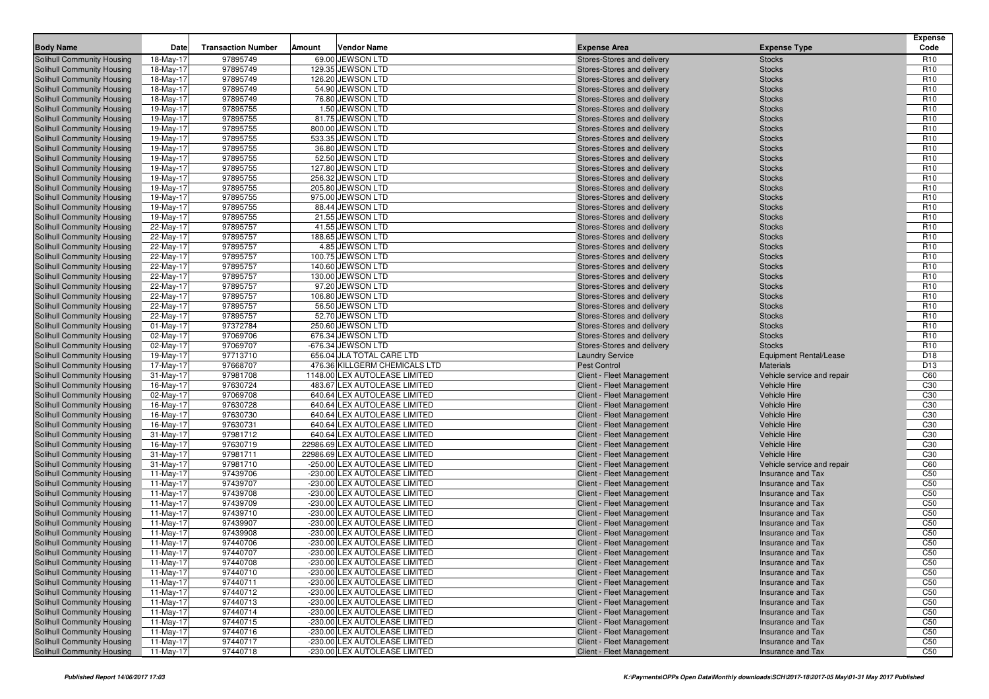| <b>Body Name</b>                                         | Date                   | <b>Transaction Number</b> | Amount<br><b>Vendor Name</b>                                   | <b>Expense Area</b>                                    | <b>Expense Type</b>                            | <b>Expense</b><br>Code             |
|----------------------------------------------------------|------------------------|---------------------------|----------------------------------------------------------------|--------------------------------------------------------|------------------------------------------------|------------------------------------|
| Solihull Community Housing                               | 18-May-17              | 97895749                  | 69.00 JEWSON LTD                                               | Stores-Stores and delivery                             | <b>Stocks</b>                                  | R <sub>10</sub>                    |
| Solihull Community Housing                               | 18-May-17              | 97895749                  | 129.35 JEWSON LTD                                              | Stores-Stores and delivery                             | <b>Stocks</b>                                  | R <sub>10</sub>                    |
| Solihull Community Housing                               | 18-May-17              | 97895749                  | 126.20 JEWSON LTD                                              | Stores-Stores and delivery                             | <b>Stocks</b>                                  | R <sub>10</sub>                    |
| Solihull Community Housing                               | 18-May-17              | 97895749                  | 54.90 JEWSON LTD                                               | Stores-Stores and delivery                             | <b>Stocks</b>                                  | R <sub>10</sub>                    |
| Solihull Community Housing                               | 18-May-17              | 97895749                  | 76.80 JEWSON LTD                                               | Stores-Stores and delivery                             | <b>Stocks</b>                                  | R <sub>10</sub>                    |
| Solihull Community Housing                               | 19-May-17              | 97895755                  | 1.50 JEWSON LTD                                                | Stores-Stores and delivery                             | <b>Stocks</b>                                  | R <sub>10</sub>                    |
| <b>Solihull Community Housing</b>                        | 19-May-17              | 97895755                  | 81.75 JEWSON LTD                                               | Stores-Stores and delivery                             | <b>Stocks</b>                                  | R <sub>10</sub>                    |
| Solihull Community Housing                               | 19-May-17              | 97895755                  | 800.00 JEWSON LTD                                              | Stores-Stores and delivery                             | <b>Stocks</b>                                  | R <sub>10</sub>                    |
| Solihull Community Housing                               | 19-May-17              | 97895755                  | 533.35 JEWSON LTD                                              | Stores-Stores and delivery                             | <b>Stocks</b>                                  | R <sub>10</sub>                    |
| Solihull Community Housing                               | 19-May-17              | 97895755                  | 36.80 JEWSON LTD                                               | Stores-Stores and delivery                             | <b>Stocks</b>                                  | R <sub>10</sub>                    |
| Solihull Community Housing                               | 19-May-17              | 97895755                  | 52.50 JEWSON LTD                                               | Stores-Stores and delivery                             | <b>Stocks</b>                                  | R <sub>10</sub>                    |
| Solihull Community Housing                               | 19-May-17              | 97895755                  | 127.80 JEWSON LTD                                              | Stores-Stores and delivery                             | <b>Stocks</b>                                  | R <sub>10</sub>                    |
| Solihull Community Housing                               | 19-May-17              | 97895755                  | 256.32 JEWSON LTD                                              | Stores-Stores and delivery                             | <b>Stocks</b>                                  | R <sub>10</sub>                    |
| Solihull Community Housing                               | 19-May-17              | 97895755                  | 205.80 JEWSON LTD                                              | Stores-Stores and delivery                             | <b>Stocks</b>                                  | R <sub>10</sub>                    |
| Solihull Community Housing                               | 19-May-17              | 97895755                  | 975.00 JEWSON LTD                                              | Stores-Stores and delivery                             | <b>Stocks</b>                                  | R <sub>10</sub>                    |
| <b>Solihull Community Housing</b>                        | 19-May-17              | 97895755                  | 88.44 JEWSON LTD                                               | Stores-Stores and delivery                             | <b>Stocks</b>                                  | R <sub>10</sub>                    |
| <b>Solihull Community Housing</b>                        | 19-May-17              | 97895755                  | 21.55 JEWSON LTD                                               | Stores-Stores and delivery                             | <b>Stocks</b>                                  | R <sub>10</sub>                    |
| Solihull Community Housing                               | 22-May-17              | 97895757                  | 41.55 JEWSON LTD                                               | Stores-Stores and delivery                             | <b>Stocks</b>                                  | R <sub>10</sub>                    |
| <b>Solihull Community Housing</b>                        | 22-May-17              | 97895757                  | 188.65 JEWSON LTD                                              | Stores-Stores and delivery                             | <b>Stocks</b>                                  | R <sub>10</sub>                    |
| Solihull Community Housing                               | 22-May-17              | 97895757                  | 4.85 JEWSON LTD                                                | Stores-Stores and delivery                             | <b>Stocks</b>                                  | R <sub>10</sub>                    |
| <b>Solihull Community Housing</b>                        | 22-May-17              | 97895757                  | 100.75 JEWSON LTD                                              | Stores-Stores and delivery                             | <b>Stocks</b>                                  | R <sub>10</sub>                    |
| Solihull Community Housing                               | 22-May-17              | 97895757                  | 140.60 JEWSON LTD                                              | Stores-Stores and delivery                             | <b>Stocks</b>                                  | R <sub>10</sub>                    |
| Solihull Community Housing                               | 22-May-17              | 97895757                  | 130.00 JEWSON LTD                                              | Stores-Stores and delivery                             | <b>Stocks</b>                                  | R <sub>10</sub>                    |
| Solihull Community Housing                               | 22-May-17              | 97895757                  | 97.20 JEWSON LTD                                               | Stores-Stores and delivery                             | <b>Stocks</b>                                  | R <sub>10</sub>                    |
| Solihull Community Housing                               | 22-May-17              | 97895757                  | 106.80 JEWSON LTD                                              | Stores-Stores and delivery                             | <b>Stocks</b>                                  | R <sub>10</sub>                    |
| Solihull Community Housing                               | 22-May-17              | 97895757                  | 56.50 JEWSON LTD                                               | Stores-Stores and delivery                             | <b>Stocks</b>                                  | R <sub>10</sub>                    |
| Solihull Community Housing                               | 22-May-17              | 97895757                  | 52.70 JEWSON LTD                                               | Stores-Stores and delivery                             | <b>Stocks</b>                                  | R <sub>10</sub>                    |
| Solihull Community Housing                               | $01-May-17$            | 97372784                  | 250.60 JEWSON LTD                                              | Stores-Stores and delivery                             | <b>Stocks</b>                                  | R <sub>10</sub>                    |
| Solihull Community Housing<br>Solihull Community Housing | 02-May-17              | 97069706                  | 676.34 JEWSON LTD                                              | Stores-Stores and delivery                             | <b>Stocks</b>                                  | R <sub>10</sub>                    |
| Solihull Community Housing                               | 02-May-17              | 97069707                  | -676.34 JEWSON LTD<br>656.04 JLA TOTAL CARE LTD                | Stores-Stores and delivery<br><b>Laundry Service</b>   | <b>Stocks</b><br><b>Equipment Rental/Lease</b> | R <sub>10</sub><br>D <sub>18</sub> |
| Solihull Community Housing                               | 19-May-17<br>17-May-17 | 97713710<br>97668707      | 476.36 KILLGERM CHEMICALS LTD                                  | <b>Pest Control</b>                                    | <b>Materials</b>                               | D <sub>13</sub>                    |
| Solihull Community Housing                               | 31-May-17              | 97981708                  | 1148.00 LEX AUTOLEASE LIMITED                                  | Client - Fleet Management                              | Vehicle service and repair                     | C60                                |
| Solihull Community Housing                               | 16-May-17              | 97630724                  | 483.67 LEX AUTOLEASE LIMITED                                   | Client - Fleet Management                              | <b>Vehicle Hire</b>                            | C <sub>30</sub>                    |
| Solihull Community Housing                               | 02-May-17              | 97069708                  | 640.64 LEX AUTOLEASE LIMITED                                   | Client - Fleet Management                              | <b>Vehicle Hire</b>                            | C30                                |
| <b>Solihull Community Housing</b>                        | 16-May-17              | 97630728                  | 640.64 LEX AUTOLEASE LIMITED                                   | Client - Fleet Management                              | <b>Vehicle Hire</b>                            | C <sub>30</sub>                    |
| Solihull Community Housing                               | 16-May-17              | 97630730                  | 640.64 LEX AUTOLEASE LIMITED                                   | Client - Fleet Management                              | <b>Vehicle Hire</b>                            | C30                                |
| Solihull Community Housing                               | 16-May-17              | 97630731                  | 640.64 LEX AUTOLEASE LIMITED                                   | Client - Fleet Management                              | <b>Vehicle Hire</b>                            | C <sub>30</sub>                    |
| Solihull Community Housing                               | 31-May-17              | 97981712                  | 640.64 LEX AUTOLEASE LIMITED                                   | Client - Fleet Management                              | <b>Vehicle Hire</b>                            | C <sub>30</sub>                    |
| Solihull Community Housing                               | 16-May-17              | 97630719                  | 22986.69 LEX AUTOLEASE LIMITED                                 | Client - Fleet Management                              | <b>Vehicle Hire</b>                            | C <sub>30</sub>                    |
| <b>Solihull Community Housing</b>                        | 31-May-17              | 97981711                  | 22986.69 LEX AUTOLEASE LIMITED                                 | Client - Fleet Management                              | <b>Vehicle Hire</b>                            | C <sub>30</sub>                    |
| <b>Solihull Community Housing</b>                        | 31-May-17              | 97981710                  | -250.00 LEX AUTOLEASE LIMITED                                  | Client - Fleet Management                              | Vehicle service and repair                     | C60                                |
| Solihull Community Housing                               | 11-May-17              | 97439706                  | -230.00 LEX AUTOLEASE LIMITED                                  | Client - Fleet Management                              | Insurance and Tax                              | C <sub>50</sub>                    |
| Solihull Community Housing                               | 11-May-17              | 97439707                  | -230.00 LEX AUTOLEASE LIMITED                                  | Client - Fleet Management                              | Insurance and Tax                              | C <sub>50</sub>                    |
| Solihull Community Housing                               | 11-May-17              | 97439708                  | -230.00 LEX AUTOLEASE LIMITED                                  | Client - Fleet Management                              | Insurance and Tax                              | C <sub>50</sub>                    |
| Solihull Community Housing                               | 11-May-17              | 97439709                  | -230.00 LEX AUTOLEASE LIMITED                                  | Client - Fleet Management                              | Insurance and Tax                              | C <sub>50</sub>                    |
| <b>Solihull Community Housing</b>                        | 11-May-17              | 97439710                  | -230.00 LEX AUTOLEASE LIMITED                                  | Client - Fleet Management                              | Insurance and Tax                              | C <sub>50</sub>                    |
| Solihull Community Housing                               | 11-May-17              | 97439907                  | -230.00 LEX AUTOLEASE LIMITED                                  | Client - Fleet Management                              | Insurance and Tax                              | C <sub>50</sub>                    |
| Solihull Community Housing                               | 11-May-17              | 97439908                  | -230.00 LEX AUTOLEASE LIMITED                                  | Client - Fleet Management                              | Insurance and Tax                              | C <sub>50</sub>                    |
| Solihull Community Housing                               | 11-May-17              | 97440706                  | -230.00 LEX AUTOLEASE LIMITED                                  | Client - Fleet Management                              | Insurance and Tax                              | C <sub>50</sub>                    |
| Solihull Community Housing                               | 11-May-17              | 97440707                  | -230.00 LEX AUTOLEASE LIMITED                                  | Client - Fleet Management                              | Insurance and Tax                              | C <sub>50</sub>                    |
| Solihull Community Housing                               | 11-May-17              | 97440708                  | -230.00 LEX AUTOLEASE LIMITED                                  | Client - Fleet Management                              | Insurance and Tax                              | C <sub>50</sub>                    |
| Solihull Community Housing                               | 11-May-17              | 97440710                  | -230.00 LEX AUTOLEASE LIMITED                                  | Client - Fleet Management                              | Insurance and Tax                              | C <sub>50</sub>                    |
| Solihull Community Housing                               | 11-May-17              | 97440711                  | -230.00 LEX AUTOLEASE LIMITED                                  | Client - Fleet Management<br>Client - Fleet Management | Insurance and Tax                              | C <sub>50</sub>                    |
| Solihull Community Housing                               | 11-May-17              | 97440712                  | -230.00 LEX AUTOLEASE LIMITED<br>-230.00 LEX AUTOLEASE LIMITED |                                                        | Insurance and Tax                              | C <sub>50</sub>                    |
| Solihull Community Housing<br>Solihull Community Housing | 11-May-17              | 97440713<br>97440714      | -230.00 LEX AUTOLEASE LIMITED                                  | Client - Fleet Management<br>Client - Fleet Management | Insurance and Tax<br>Insurance and Tax         | C <sub>50</sub><br>C <sub>50</sub> |
| Solihull Community Housing                               | 11-May-17<br>11-May-17 | 97440715                  | -230.00 LEX AUTOLEASE LIMITED                                  | Client - Fleet Management                              | Insurance and Tax                              | C <sub>50</sub>                    |
| Solihull Community Housing                               | 11-May-17              | 97440716                  | -230.00 LEX AUTOLEASE LIMITED                                  | Client - Fleet Management                              | Insurance and Tax                              | C <sub>50</sub>                    |
| Solihull Community Housing                               | 11-May-17              | 97440717                  | -230.00 LEX AUTOLEASE LIMITED                                  | Client - Fleet Management                              | Insurance and Tax                              | C <sub>50</sub>                    |
| Solihull Community Housing                               | 11-May-17              | 97440718                  | -230.00 LEX AUTOLEASE LIMITED                                  | <b>Client - Fleet Management</b>                       | Insurance and Tax                              | C50                                |
|                                                          |                        |                           |                                                                |                                                        |                                                |                                    |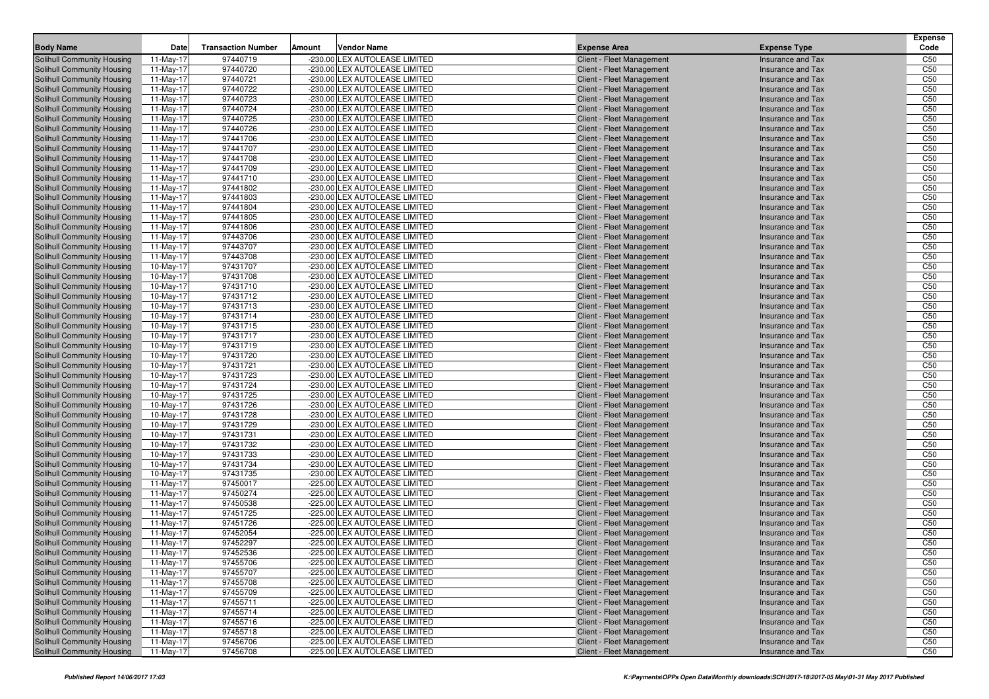| <b>Body Name</b>                                         | Date                   | <b>Transaction Number</b> | <b>Vendor Name</b><br>Amount                                   | <b>Expense Area</b>                                    | <b>Expense Type</b>                           | <b>Expense</b><br>Code             |
|----------------------------------------------------------|------------------------|---------------------------|----------------------------------------------------------------|--------------------------------------------------------|-----------------------------------------------|------------------------------------|
| Solihull Community Housing                               | 11-May-17              | 97440719                  | -230.00 LEX AUTOLEASE LIMITED                                  | Client - Fleet Management                              | Insurance and Tax                             | C <sub>50</sub>                    |
| <b>Solihull Community Housing</b>                        | 11-May-17              | 97440720                  | -230.00 LEX AUTOLEASE LIMITED                                  | Client - Fleet Management                              | Insurance and Tax                             | C <sub>50</sub>                    |
| Solihull Community Housing                               | 11-May-17              | 97440721                  | -230.00 LEX AUTOLEASE LIMITED                                  | Client - Fleet Management                              | Insurance and Tax                             | C <sub>50</sub>                    |
| <b>Solihull Community Housing</b>                        | 11-May-17              | 97440722                  | -230.00 LEX AUTOLEASE LIMITED                                  | Client - Fleet Management                              | <b>Insurance and Tax</b>                      | C <sub>50</sub>                    |
| <b>Solihull Community Housing</b>                        | 11-May-17              | 97440723                  | -230.00 LEX AUTOLEASE LIMITED                                  | Client - Fleet Management                              | Insurance and Tax                             | C <sub>50</sub>                    |
| Solihull Community Housing                               | 11-May-17              | 97440724                  | -230.00 LEX AUTOLEASE LIMITED                                  | Client - Fleet Management                              | <b>Insurance and Tax</b>                      | C <sub>50</sub>                    |
| <b>Solihull Community Housing</b>                        | 11-May-17              | 97440725                  | -230.00 LEX AUTOLEASE LIMITED                                  | Client - Fleet Management                              | Insurance and Tax                             | C <sub>50</sub>                    |
| Solihull Community Housing                               | 11-May-17              | 97440726                  | -230.00 LEX AUTOLEASE LIMITED                                  | Client - Fleet Management                              | Insurance and Tax                             | C <sub>50</sub>                    |
| <b>Solihull Community Housing</b>                        | 11-May-17              | 97441706                  | -230.00 LEX AUTOLEASE LIMITED                                  | Client - Fleet Management                              | <b>Insurance and Tax</b>                      | C <sub>50</sub>                    |
| Solihull Community Housing                               | 11-May-17              | 97441707                  | -230.00 LEX AUTOLEASE LIMITED                                  | Client - Fleet Management                              | Insurance and Tax                             | C <sub>50</sub>                    |
| Solihull Community Housing                               | 11-May-17              | 97441708                  | -230.00 LEX AUTOLEASE LIMITED                                  | Client - Fleet Management                              | <b>Insurance and Tax</b>                      | C <sub>50</sub>                    |
| <b>Solihull Community Housing</b>                        | 11-May-17              | 97441709                  | -230.00 LEX AUTOLEASE LIMITED                                  | Client - Fleet Management                              | Insurance and Tax                             | C <sub>50</sub>                    |
| <b>Solihull Community Housing</b>                        | 11-May-17              | 97441710                  | -230.00 LEX AUTOLEASE LIMITED                                  | Client - Fleet Management                              | Insurance and Tax                             | C <sub>50</sub>                    |
| <b>Solihull Community Housing</b>                        | 11-May-17              | 97441802                  | -230.00 LEX AUTOLEASE LIMITED                                  | <b>Client - Fleet Management</b>                       | <b>Insurance and Tax</b>                      | C <sub>50</sub>                    |
| <b>Solihull Community Housing</b>                        | 11-May-17              | 97441803                  | -230.00 LEX AUTOLEASE LIMITED                                  | Client - Fleet Management                              | Insurance and Tax                             | C <sub>50</sub>                    |
| <b>Solihull Community Housing</b>                        | 11-May-17              | 97441804                  | -230.00 LEX AUTOLEASE LIMITED                                  | Client - Fleet Management                              | <b>Insurance and Tax</b>                      | C <sub>50</sub>                    |
| <b>Solihull Community Housing</b>                        | 11-May-17              | 97441805                  | -230.00 LEX AUTOLEASE LIMITED                                  | Client - Fleet Management                              | Insurance and Tax                             | C <sub>50</sub>                    |
| Solihull Community Housing                               | 11-May-17              | 97441806                  | -230.00 LEX AUTOLEASE LIMITED                                  | Client - Fleet Management                              | Insurance and Tax                             | C <sub>50</sub>                    |
| Solihull Community Housing                               | 11-May-17              | 97443706                  | -230.00 LEX AUTOLEASE LIMITED                                  | Client - Fleet Management                              | <b>Insurance and Tax</b>                      | C <sub>50</sub>                    |
| Solihull Community Housing                               | 11-May-17              | 97443707                  | -230.00 LEX AUTOLEASE LIMITED                                  | Client - Fleet Management                              | Insurance and Tax                             | C <sub>50</sub>                    |
| Solihull Community Housing                               | 11-May-17              | 97443708                  | -230.00 LEX AUTOLEASE LIMITED                                  | Client - Fleet Management                              | <b>Insurance and Tax</b>                      | C <sub>50</sub>                    |
| Solihull Community Housing                               | 10-May-17              | 97431707                  | -230.00 LEX AUTOLEASE LIMITED                                  | Client - Fleet Management                              | Insurance and Tax                             | C <sub>50</sub>                    |
| Solihull Community Housing                               | 10-May-17              | 97431708                  | -230.00 LEX AUTOLEASE LIMITED                                  | Client - Fleet Management                              | Insurance and Tax                             | C <sub>50</sub>                    |
| Solihull Community Housing                               | 10-May-17              | 97431710                  | -230.00 LEX AUTOLEASE LIMITED                                  | Client - Fleet Management                              | <b>Insurance and Tax</b>                      | C <sub>50</sub>                    |
| Solihull Community Housing                               | 10-May-17              | 97431712                  | -230.00 LEX AUTOLEASE LIMITED                                  | Client - Fleet Management                              | Insurance and Tax                             | C <sub>50</sub>                    |
| Solihull Community Housing                               | 10-May-17              | 97431713                  | -230.00 LEX AUTOLEASE LIMITED                                  | Client - Fleet Management                              | <b>Insurance and Tax</b>                      | C <sub>50</sub>                    |
| Solihull Community Housing                               | 10-May-17              | 97431714                  | -230.00 LEX AUTOLEASE LIMITED                                  | Client - Fleet Management                              | Insurance and Tax                             | C <sub>50</sub>                    |
| <b>Solihull Community Housing</b>                        | 10-May-17              | 97431715                  | -230.00 LEX AUTOLEASE LIMITED                                  | Client - Fleet Management                              | Insurance and Tax                             | C <sub>50</sub>                    |
| Solihull Community Housing                               | 10-May-17              | 97431717                  | -230.00 LEX AUTOLEASE LIMITED                                  | Client - Fleet Management                              | <b>Insurance and Tax</b>                      | C <sub>50</sub>                    |
| Solihull Community Housing                               | 10-May-17              | 97431719                  | -230.00 LEX AUTOLEASE LIMITED                                  | Client - Fleet Management                              | Insurance and Tax                             | C <sub>50</sub>                    |
| Solihull Community Housing                               | 10-May-17              | 97431720                  | -230.00 LEX AUTOLEASE LIMITED<br>-230.00 LEX AUTOLEASE LIMITED | <b>Client - Fleet Management</b>                       | <b>Insurance and Tax</b>                      | C <sub>50</sub>                    |
| Solihull Community Housing                               | 10-May-17              | 97431721                  |                                                                | Client - Fleet Management                              | Insurance and Tax                             | C <sub>50</sub><br>C <sub>50</sub> |
| <b>Solihull Community Housing</b>                        | 10-May-17              | 97431723<br>97431724      | -230.00 LEX AUTOLEASE LIMITED<br>-230.00 LEX AUTOLEASE LIMITED | Client - Fleet Management                              | Insurance and Tax                             | C <sub>50</sub>                    |
| Solihull Community Housing<br>Solihull Community Housing | 10-May-17<br>10-May-17 | 97431725                  | -230.00 LEX AUTOLEASE LIMITED                                  | Client - Fleet Management<br>Client - Fleet Management | <b>Insurance and Tax</b><br>Insurance and Tax | C <sub>50</sub>                    |
| Solihull Community Housing                               | 10-May-17              | 97431726                  | -230.00 LEX AUTOLEASE LIMITED                                  | Client - Fleet Management                              | <b>Insurance and Tax</b>                      | C <sub>50</sub>                    |
| Solihull Community Housing                               | 10-May-17              | 97431728                  | -230.00 LEX AUTOLEASE LIMITED                                  | Client - Fleet Management                              | Insurance and Tax                             | C <sub>50</sub>                    |
| <b>Solihull Community Housing</b>                        | 10-May-17              | 97431729                  | -230.00 LEX AUTOLEASE LIMITED                                  | Client - Fleet Management                              | Insurance and Tax                             | C <sub>50</sub>                    |
| Solihull Community Housing                               | 10-May-17              | 97431731                  | -230.00 LEX AUTOLEASE LIMITED                                  | Client - Fleet Management                              | <b>Insurance and Tax</b>                      | C <sub>50</sub>                    |
| Solihull Community Housing                               | 10-May-17              | 97431732                  | -230.00 LEX AUTOLEASE LIMITED                                  | Client - Fleet Management                              | Insurance and Tax                             | C <sub>50</sub>                    |
| Solihull Community Housing                               | 10-May-17              | 97431733                  | -230.00 LEX AUTOLEASE LIMITED                                  | Client - Fleet Management                              | Insurance and Tax                             | C <sub>50</sub>                    |
| Solihull Community Housing                               | 10-May-17              | 97431734                  | -230.00 LEX AUTOLEASE LIMITED                                  | Client - Fleet Management                              | Insurance and Tax                             | C <sub>50</sub>                    |
| Solihull Community Housing                               | 10-May-17              | 97431735                  | -230.00 LEX AUTOLEASE LIMITED                                  | Client - Fleet Management                              | Insurance and Tax                             | C <sub>50</sub>                    |
| Solihull Community Housing                               | 11-May-17              | 97450017                  | -225.00 LEX AUTOLEASE LIMITED                                  | Client - Fleet Management                              | <b>Insurance and Tax</b>                      | C <sub>50</sub>                    |
| Solihull Community Housing                               | 11-May-17              | 97450274                  | -225.00 LEX AUTOLEASE LIMITED                                  | Client - Fleet Management                              | Insurance and Tax                             | C <sub>50</sub>                    |
| Solihull Community Housing                               | 11-May-17              | 97450538                  | -225.00 LEX AUTOLEASE LIMITED                                  | Client - Fleet Management                              | <b>Insurance and Tax</b>                      | C <sub>50</sub>                    |
| Solihull Community Housing                               | 11-May-17              | 97451725                  | -225.00 LEX AUTOLEASE LIMITED                                  | Client - Fleet Management                              | Insurance and Tax                             | C <sub>50</sub>                    |
| <b>Solihull Community Housing</b>                        | 11-May-17              | 97451726                  | -225.00 LEX AUTOLEASE LIMITED                                  | Client - Fleet Management                              | Insurance and Tax                             | C <sub>50</sub>                    |
| <b>Solihull Community Housing</b>                        | 11-May-17              | 97452054                  | -225.00 LEX AUTOLEASE LIMITED                                  | Client - Fleet Management                              | <b>Insurance and Tax</b>                      | C <sub>50</sub>                    |
| Solihull Community Housing                               | 11-May-17              | 97452297                  | -225.00 LEX AUTOLEASE LIMITED                                  | Client - Fleet Management                              | Insurance and Tax                             | C <sub>50</sub>                    |
| <b>Solihull Community Housing</b>                        | 11-May-17              | 97452536                  | -225.00 LEX AUTOLEASE LIMITED                                  | Client - Fleet Management                              | Insurance and Tax                             | C50                                |
| Solihull Community Housing                               | 11-May-17              | 97455706                  | -225.00 LEX AUTOLEASE LIMITED                                  | Client - Fleet Management                              | Insurance and Tax                             | C50                                |
| <b>Solihull Community Housing</b>                        | 11-May-17              | 97455707                  | -225.00 LEX AUTOLEASE LIMITED                                  | Client - Fleet Management                              | Insurance and Tax                             | C <sub>50</sub>                    |
| Solihull Community Housing                               | 11-May-17              | 97455708                  | -225.00 LEX AUTOLEASE LIMITED                                  | Client - Fleet Management                              | Insurance and Tax                             | C <sub>50</sub>                    |
| Solihull Community Housing                               | 11-May-17              | 97455709                  | -225.00 LEX AUTOLEASE LIMITED                                  | Client - Fleet Management                              | Insurance and Tax                             | C <sub>50</sub>                    |
| <b>Solihull Community Housing</b>                        | 11-May-17              | 97455711                  | -225.00 LEX AUTOLEASE LIMITED                                  | <b>Client - Fleet Management</b>                       | Insurance and Tax                             | C <sub>50</sub>                    |
| <b>Solihull Community Housing</b>                        | 11-May-17              | 97455714                  | -225.00 LEX AUTOLEASE LIMITED                                  | <b>Client - Fleet Management</b>                       | Insurance and Tax                             | C <sub>50</sub>                    |
| Solihull Community Housing                               | 11-May-17              | 97455716                  | -225.00 LEX AUTOLEASE LIMITED                                  | Client - Fleet Management                              | Insurance and Tax                             | C50                                |
| Solihull Community Housing                               | 11-May-17              | 97455718                  | -225.00 LEX AUTOLEASE LIMITED                                  | <b>Client - Fleet Management</b>                       | Insurance and Tax                             | C50                                |
| <b>Solihull Community Housing</b>                        | 11-May-17              | 97456706                  | -225.00 LEX AUTOLEASE LIMITED                                  | Client - Fleet Management                              | Insurance and Tax                             | C50                                |
| Solihull Community Housing                               | 11-May-17              | 97456708                  | -225.00 LEX AUTOLEASE LIMITED                                  | Client - Fleet Management                              | Insurance and Tax                             | C50                                |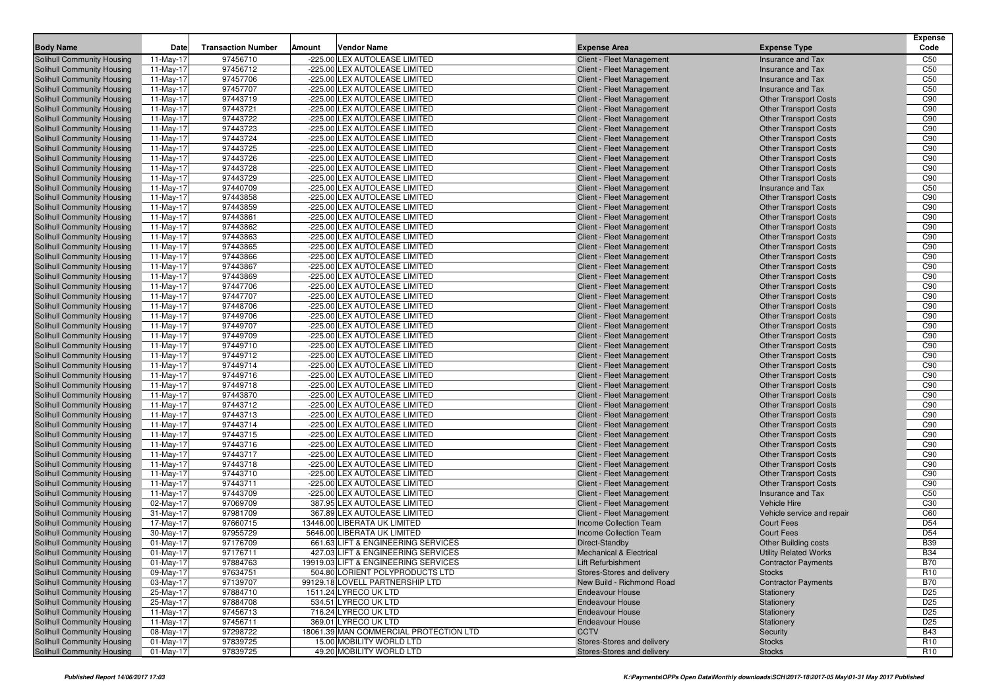| <b>Body Name</b>                                                | Date                   | <b>Transaction Number</b> | Amount | <b>Vendor Name</b>                                             | <b>Expense Area</b>                                    | <b>Expense Type</b>                                          | <b>Expense</b><br>Code |
|-----------------------------------------------------------------|------------------------|---------------------------|--------|----------------------------------------------------------------|--------------------------------------------------------|--------------------------------------------------------------|------------------------|
| <b>Solihull Community Housing</b>                               | 11-May-17              | 97456710                  |        | -225.00 LEX AUTOLEASE LIMITED                                  | Client - Fleet Management                              | Insurance and Tax                                            | C <sub>50</sub>        |
| Solihull Community Housing                                      | 11-May-17              | 97456712                  |        | -225.00 LEX AUTOLEASE LIMITED                                  | <b>Client - Fleet Management</b>                       | Insurance and Tax                                            | C <sub>50</sub>        |
| Solihull Community Housing                                      | 11-May-17              | 97457706                  |        | -225.00 LEX AUTOLEASE LIMITED                                  | Client - Fleet Management                              | Insurance and Tax                                            | C <sub>50</sub>        |
| Solihull Community Housing                                      | 11-May-17              | 97457707                  |        | -225.00 LEX AUTOLEASE LIMITED                                  | Client - Fleet Management                              | <b>Insurance and Tax</b>                                     | C <sub>50</sub>        |
| <b>Solihull Community Housing</b>                               | 11-May-17              | 97443719                  |        | -225.00 LEX AUTOLEASE LIMITED                                  | Client - Fleet Management                              | <b>Other Transport Costs</b>                                 | C90                    |
| Solihull Community Housing                                      | 11-May-17              | 97443721                  |        | -225.00 LEX AUTOLEASE LIMITED                                  | Client - Fleet Management                              | <b>Other Transport Costs</b>                                 | C90                    |
| <b>Solihull Community Housing</b>                               | 11-May-17              | 97443722                  |        | -225.00 LEX AUTOLEASE LIMITED                                  | Client - Fleet Management                              | <b>Other Transport Costs</b>                                 | C90                    |
| Solihull Community Housing                                      | 11-May-17              | 97443723                  |        | -225.00 LEX AUTOLEASE LIMITED                                  | Client - Fleet Management                              | <b>Other Transport Costs</b>                                 | C90                    |
| Solihull Community Housing                                      | 11-May-17              | 97443724                  |        | -225.00 LEX AUTOLEASE LIMITED                                  | Client - Fleet Management                              | <b>Other Transport Costs</b>                                 | C90                    |
| <b>Solihull Community Housing</b>                               | 11-May-17              | 97443725                  |        | -225.00 LEX AUTOLEASE LIMITED                                  | Client - Fleet Management                              | <b>Other Transport Costs</b>                                 | C90                    |
| <b>Solihull Community Housing</b>                               | 11-May-17              | 97443726                  |        | -225.00 LEX AUTOLEASE LIMITED                                  | Client - Fleet Management                              | <b>Other Transport Costs</b>                                 | C90                    |
| Solihull Community Housing                                      | 11-May-17              | 97443728                  |        | -225.00 LEX AUTOLEASE LIMITED                                  | Client - Fleet Management                              | <b>Other Transport Costs</b>                                 | C90                    |
| Solihull Community Housing                                      | 11-May-17              | 97443729                  |        | -225.00 LEX AUTOLEASE LIMITED                                  | Client - Fleet Management                              | <b>Other Transport Costs</b>                                 | C90                    |
| Solihull Community Housing                                      | 11-May-17              | 97440709                  |        | -225.00 LEX AUTOLEASE LIMITED                                  | Client - Fleet Management                              | Insurance and Tax                                            | C <sub>50</sub>        |
| <b>Solihull Community Housing</b>                               | 11-May-17              | 97443858                  |        | -225.00 LEX AUTOLEASE LIMITED                                  | Client - Fleet Management                              | <b>Other Transport Costs</b>                                 | C90                    |
| <b>Solihull Community Housing</b>                               | 11-May-17              | 97443859                  |        | -225.00 LEX AUTOLEASE LIMITED                                  | Client - Fleet Management                              | <b>Other Transport Costs</b>                                 | C90                    |
| Solihull Community Housing                                      | 11-May-17              | 97443861                  |        | -225.00 LEX AUTOLEASE LIMITED                                  | Client - Fleet Management                              | <b>Other Transport Costs</b>                                 | C90                    |
| <b>Solihull Community Housing</b>                               | 11-May-17              | 97443862                  |        | -225.00 LEX AUTOLEASE LIMITED                                  | Client - Fleet Management                              | <b>Other Transport Costs</b>                                 | C90                    |
| Solihull Community Housing                                      | 11-May-17              | 97443863                  |        | -225.00 LEX AUTOLEASE LIMITED                                  | Client - Fleet Management                              | <b>Other Transport Costs</b>                                 | C90                    |
| <b>Solihull Community Housing</b>                               | 11-May-17              | 97443865                  |        | -225.00 LEX AUTOLEASE LIMITED                                  | Client - Fleet Management                              | <b>Other Transport Costs</b>                                 | C90                    |
| <b>Solihull Community Housing</b>                               | 11-May-17              | 97443866                  |        | -225.00 LEX AUTOLEASE LIMITED                                  | Client - Fleet Management                              | <b>Other Transport Costs</b>                                 | C90                    |
| Solihull Community Housing                                      | 11-May-17              | 97443867                  |        | -225.00 LEX AUTOLEASE LIMITED                                  | Client - Fleet Management                              | <b>Other Transport Costs</b>                                 | C90                    |
| Solihull Community Housing                                      | 11-May-17              | 97443869                  |        | -225.00 LEX AUTOLEASE LIMITED                                  | Client - Fleet Management                              | <b>Other Transport Costs</b>                                 | C90                    |
| Solihull Community Housing                                      | 11-May-17              | 97447706                  |        | -225.00 LEX AUTOLEASE LIMITED                                  | Client - Fleet Management                              | <b>Other Transport Costs</b>                                 | C90                    |
| <b>Solihull Community Housing</b>                               | 11-May-17              | 97447707                  |        | -225.00 LEX AUTOLEASE LIMITED                                  | Client - Fleet Management                              | <b>Other Transport Costs</b>                                 | C90                    |
| Solihull Community Housing                                      | 11-May-17              | 97448706                  |        | -225.00 LEX AUTOLEASE LIMITED                                  | Client - Fleet Management                              | <b>Other Transport Costs</b>                                 | C90                    |
| Solihull Community Housing                                      | 11-May-17              | 97449706                  |        | -225.00 LEX AUTOLEASE LIMITED                                  | Client - Fleet Management                              | <b>Other Transport Costs</b>                                 | C90                    |
| <b>Solihull Community Housing</b>                               | 11-May-17              | 97449707                  |        | -225.00 LEX AUTOLEASE LIMITED                                  | Client - Fleet Management                              | <b>Other Transport Costs</b>                                 | C90                    |
| Solihull Community Housing                                      | 11-May-17              | 97449709                  |        | -225.00 LEX AUTOLEASE LIMITED                                  | Client - Fleet Management                              | <b>Other Transport Costs</b>                                 | C90                    |
| <b>Solihull Community Housing</b>                               | 11-May-17              | 97449710                  |        | -225.00 LEX AUTOLEASE LIMITED                                  | Client - Fleet Management                              | <b>Other Transport Costs</b>                                 | C90                    |
| <b>Solihull Community Housing</b>                               | 11-May-17              | 97449712                  |        | -225.00 LEX AUTOLEASE LIMITED<br>-225.00 LEX AUTOLEASE LIMITED | <b>Client - Fleet Management</b>                       | <b>Other Transport Costs</b>                                 | C90                    |
| Solihull Community Housing                                      | 11-May-17              | 97449714                  |        |                                                                | Client - Fleet Management                              | <b>Other Transport Costs</b>                                 | C90<br>C90             |
| <b>Solihull Community Housing</b>                               | 11-May-17              | 97449716                  |        | -225.00 LEX AUTOLEASE LIMITED<br>-225.00 LEX AUTOLEASE LIMITED | Client - Fleet Management                              | <b>Other Transport Costs</b>                                 | C90                    |
| Solihull Community Housing<br><b>Solihull Community Housing</b> | 11-May-17<br>11-May-17 | 97449718<br>97443870      |        | -225.00 LEX AUTOLEASE LIMITED                                  | Client - Fleet Management<br>Client - Fleet Management | <b>Other Transport Costs</b><br><b>Other Transport Costs</b> | C90                    |
| <b>Solihull Community Housing</b>                               | 11-May-17              | 97443712                  |        | -225.00 LEX AUTOLEASE LIMITED                                  | Client - Fleet Management                              | <b>Other Transport Costs</b>                                 | C90                    |
| Solihull Community Housing                                      | 11-May-17              | 97443713                  |        | -225.00 LEX AUTOLEASE LIMITED                                  | Client - Fleet Management                              | <b>Other Transport Costs</b>                                 | C90                    |
| <b>Solihull Community Housing</b>                               | 11-May-17              | 97443714                  |        | -225.00 LEX AUTOLEASE LIMITED                                  | Client - Fleet Management                              | <b>Other Transport Costs</b>                                 | C90                    |
| Solihull Community Housing                                      | 11-May-17              | 97443715                  |        | -225.00 LEX AUTOLEASE LIMITED                                  | Client - Fleet Management                              | <b>Other Transport Costs</b>                                 | C90                    |
| <b>Solihull Community Housing</b>                               | 11-May-17              | 97443716                  |        | -225.00 LEX AUTOLEASE LIMITED                                  | Client - Fleet Management                              | <b>Other Transport Costs</b>                                 | C90                    |
| <b>Solihull Community Housing</b>                               | 11-May-17              | 97443717                  |        | -225.00 LEX AUTOLEASE LIMITED                                  | Client - Fleet Management                              | <b>Other Transport Costs</b>                                 | C90                    |
| Solihull Community Housing                                      | 11-May-17              | 97443718                  |        | -225.00 LEX AUTOLEASE LIMITED                                  | Client - Fleet Management                              | <b>Other Transport Costs</b>                                 | C90                    |
| <b>Solihull Community Housing</b>                               | 11-May-17              | 97443710                  |        | -225.00 LEX AUTOLEASE LIMITED                                  | Client - Fleet Management                              | <b>Other Transport Costs</b>                                 | C90                    |
| <b>Solihull Community Housing</b>                               | 11-May-17              | 97443711                  |        | -225.00 LEX AUTOLEASE LIMITED                                  | Client - Fleet Management                              | <b>Other Transport Costs</b>                                 | C90                    |
| <b>Solihull Community Housing</b>                               | 11-May-17              | 97443709                  |        | -225.00 LEX AUTOLEASE LIMITED                                  | Client - Fleet Management                              | Insurance and Tax                                            | C <sub>50</sub>        |
| Solihull Community Housing                                      | 02-May-17              | 97069709                  |        | 387.95 LEX AUTOLEASE LIMITED                                   | Client - Fleet Management                              | <b>Vehicle Hire</b>                                          | C <sub>30</sub>        |
| Solihull Community Housing                                      | 31-May-17              | 97981709                  |        | 367.89 LEX AUTOLEASE LIMITED                                   | Client - Fleet Management                              | Vehicle service and repair                                   | C60                    |
| Solihull Community Housing                                      | 17-May-17              | 97660715                  |        | 13446.00 LIBERATA UK LIMITED                                   | Income Collection Team                                 | <b>Court Fees</b>                                            | D <sub>54</sub>        |
| Solihull Community Housing                                      | 30-May-17              | 97955729                  |        | 5646.00 LIBERATA UK LIMITED                                    | <b>Income Collection Team</b>                          | <b>Court Fees</b>                                            | D <sub>54</sub>        |
| <b>Solihull Community Housing</b>                               | 01-May-17              | 97176709                  |        | 661.63 LIFT & ENGINEERING SERVICES                             | Direct-Standby                                         | <b>Other Building costs</b>                                  | <b>B39</b>             |
| <b>Solihull Community Housing</b>                               | 01-May-17              | 97176711                  |        | 427.03 LIFT & ENGINEERING SERVICES                             | <b>Mechanical &amp; Electrical</b>                     | <b>Utility Related Works</b>                                 | <b>B34</b>             |
| Solihull Community Housing                                      | 01-May-17              | 97884763                  |        | 19919.03 LIFT & ENGINEERING SERVICES                           | Lift Refurbishment                                     | <b>Contractor Payments</b>                                   | <b>B70</b>             |
| Solihull Community Housing                                      | 09-May-17              | 97634751                  |        | 504.80 LORIENT POLYPRODUCTS LTD                                | Stores-Stores and delivery                             | <b>Stocks</b>                                                | R <sub>10</sub>        |
| <b>Solihull Community Housing</b>                               | 03-May-17              | 97139707                  |        | 99129.18 LOVELL PARTNERSHIP LTD                                | New Build - Richmond Road                              | <b>Contractor Payments</b>                                   | <b>B70</b>             |
| Solihull Community Housing                                      | 25-May-17              | 97884710                  |        | 1511.24 LYRECO UK LTD                                          | <b>Endeavour House</b>                                 | Stationery                                                   | D <sub>25</sub>        |
| <b>Solihull Community Housing</b>                               | 25-May-17              | 97884708                  |        | 534.51 LYRECO UK LTD                                           | <b>Endeavour House</b>                                 | Stationery                                                   | D <sub>25</sub>        |
| Solihull Community Housing                                      | 11-May-17              | 97456713                  |        | 716.24 LYRECO UK LTD                                           | <b>Endeavour House</b>                                 | Stationery                                                   | D <sub>25</sub>        |
| Solihull Community Housing                                      | 11-May-17              | 97456711                  |        | 369.01 LYRECO UK LTD                                           | <b>Endeavour House</b>                                 | Stationery                                                   | D <sub>25</sub>        |
| Solihull Community Housing                                      | 08-May-17              | 97298722                  |        | 18061.39 MAN COMMERCIAL PROTECTION LTD                         | <b>CCTV</b>                                            | Security                                                     | <b>B43</b>             |
| <b>Solihull Community Housing</b>                               | 01-May-17              | 97839725                  |        | 15.00 MOBILITY WORLD LTD                                       | Stores-Stores and delivery                             | <b>Stocks</b>                                                | R <sub>10</sub>        |
| <b>Solihull Community Housing</b>                               | 01-May-17              | 97839725                  |        | 49.20 MOBILITY WORLD LTD                                       | Stores-Stores and delivery                             | <b>Stocks</b>                                                | R <sub>10</sub>        |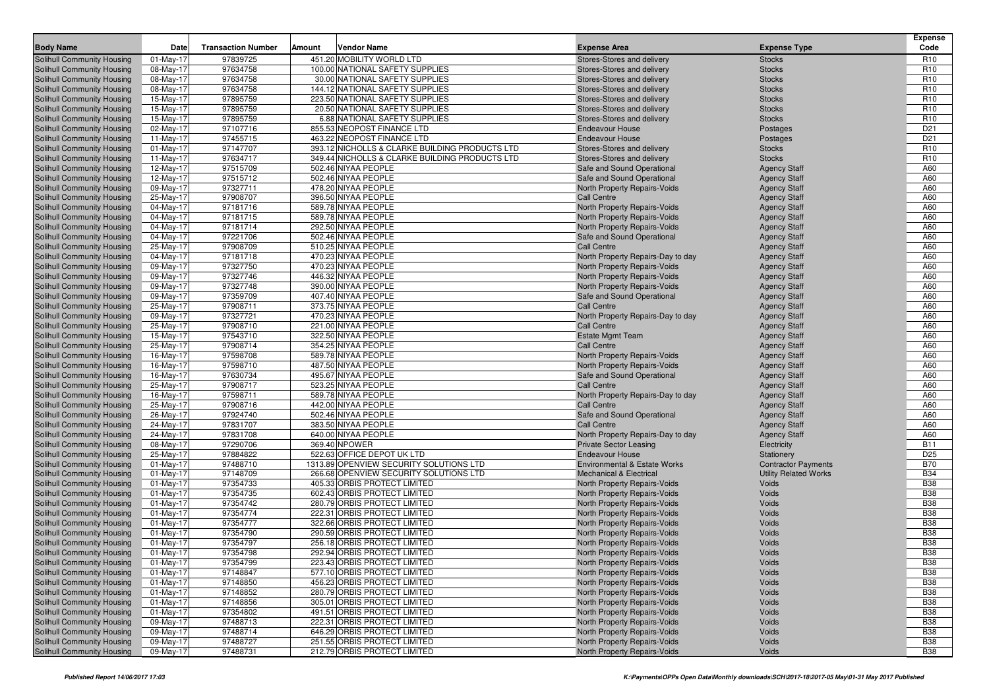| <b>Body Name</b>                                                | Date                   | <b>Transaction Number</b> | Amount | <b>Vendor Name</b>                             | <b>Expense Area</b>                       | <b>Expense Type</b>                        | <b>Expense</b><br>Code |
|-----------------------------------------------------------------|------------------------|---------------------------|--------|------------------------------------------------|-------------------------------------------|--------------------------------------------|------------------------|
| Solihull Community Housing                                      | $01$ -May-17           | 97839725                  |        | 451.20 MOBILITY WORLD LTD                      | Stores-Stores and delivery                | <b>Stocks</b>                              | R <sub>10</sub>        |
| Solihull Community Housing                                      | 08-May-17              | 97634758                  |        | 100.00 NATIONAL SAFETY SUPPLIES                | Stores-Stores and delivery                | <b>Stocks</b>                              | R <sub>10</sub>        |
| Solihull Community Housing                                      | 08-May-17              | 97634758                  |        | 30.00 NATIONAL SAFETY SUPPLIES                 | Stores-Stores and delivery                | <b>Stocks</b>                              | R <sub>10</sub>        |
| Solihull Community Housing                                      | 08-May-17              | 97634758                  |        | 144.12 NATIONAL SAFETY SUPPLIES                | Stores-Stores and delivery                | <b>Stocks</b>                              | R <sub>10</sub>        |
| Solihull Community Housing                                      | 15-May-17              | 97895759                  |        | 223.50 NATIONAL SAFETY SUPPLIES                | Stores-Stores and delivery                | <b>Stocks</b>                              | R <sub>10</sub>        |
| Solihull Community Housing                                      | 15-May-17              | 97895759                  |        | 20.50 NATIONAL SAFETY SUPPLIES                 | Stores-Stores and delivery                | <b>Stocks</b>                              | R <sub>10</sub>        |
| <b>Solihull Community Housing</b>                               | 15-May-17              | 97895759                  |        | 6.88 NATIONAL SAFETY SUPPLIES                  | Stores-Stores and delivery                | <b>Stocks</b>                              | R <sub>10</sub>        |
| Solihull Community Housing                                      | 02-May-17              | 97107716                  |        | 855.53 NEOPOST FINANCE LTD                     | <b>Endeavour House</b>                    | Postages                                   | D <sub>21</sub>        |
| Solihull Community Housing                                      | $11-May-17$            | 97455715                  |        | 463.22 NEOPOST FINANCE LTD                     | <b>Endeavour House</b>                    | Postages                                   | D <sub>21</sub>        |
| Solihull Community Housing                                      | 01-May-17              | 97147707                  |        | 393.12 NICHOLLS & CLARKE BUILDING PRODUCTS LTD | Stores-Stores and delivery                | <b>Stocks</b>                              | R <sub>10</sub>        |
| Solihull Community Housing                                      | $11-May-17$            | 97634717                  |        | 349.44 NICHOLLS & CLARKE BUILDING PRODUCTS LTD | Stores-Stores and delivery                | <b>Stocks</b>                              | R <sub>10</sub>        |
| <b>Solihull Community Housing</b>                               | 12-May-17              | 97515709                  |        | 502.46 NIYAA PEOPLE                            | Safe and Sound Operational                | <b>Agency Staff</b>                        | A60                    |
| Solihull Community Housing                                      | 12-May-17              | 97515712                  |        | 502.46 NIYAA PEOPLE                            | Safe and Sound Operational                | <b>Agency Staff</b>                        | A60                    |
| Solihull Community Housing                                      | 09-May-17              | 97327711                  |        | 478.20 NIYAA PEOPLE                            | North Property Repairs-Voids              | <b>Agency Staff</b>                        | A60                    |
| Solihull Community Housing                                      | 25-May-17              | 97908707                  |        | 396.50 NIYAA PEOPLE                            | <b>Call Centre</b>                        | <b>Agency Staff</b>                        | A60                    |
| <b>Solihull Community Housing</b>                               | 04-May-17              | 97181716                  |        | 589.78 NIYAA PEOPLE                            | North Property Repairs-Voids              | <b>Agency Staff</b>                        | A60                    |
| <b>Solihull Community Housing</b>                               | 04-May-17              | 97181715                  |        | 589.78 NIYAA PEOPLE                            | North Property Repairs-Voids              | <b>Agency Staff</b>                        | A60                    |
| Solihull Community Housing                                      | 04-May-17              | 97181714                  |        | 292.50 NIYAA PEOPLE                            | North Property Repairs-Voids              | <b>Agency Staff</b>                        | A60                    |
| Solihull Community Housing                                      | 04-May-17              | 97221706                  |        | 502.46 NIYAA PEOPLE                            | Safe and Sound Operational                | <b>Agency Staff</b>                        | A60                    |
| Solihull Community Housing                                      | 25-May-17              | 97908709                  |        | 510.25 NIYAA PEOPLE                            | <b>Call Centre</b>                        | <b>Agency Staff</b>                        | A60                    |
| <b>Solihull Community Housing</b>                               | 04-May-17              | 97181718                  |        | 470.23 NIYAA PEOPLE                            | North Property Repairs-Day to day         | <b>Agency Staff</b>                        | A60                    |
| <b>Solihull Community Housing</b>                               | 09-May-17              | 97327750                  |        | 470.23 NIYAA PEOPLE                            | North Property Repairs-Voids              | <b>Agency Staff</b>                        | A60                    |
| Solihull Community Housing                                      | 09-May-17              | 97327746                  |        | 446.32 NIYAA PEOPLE                            | North Property Repairs-Voids              | <b>Agency Staff</b>                        | A60                    |
| Solihull Community Housing                                      | 09-May-17              | 97327748                  |        | 390.00 NIYAA PEOPLE                            | North Property Repairs-Voids              | <b>Agency Staff</b>                        | A60                    |
| Solihull Community Housing                                      | 09-May-17              | 97359709                  |        | 407.40 NIYAA PEOPLE                            | Safe and Sound Operational                | <b>Agency Staff</b>                        | A60                    |
| <b>Solihull Community Housing</b>                               | 25-May-17              | 97908711                  |        | 373.75 NIYAA PEOPLE                            | Call Centre                               | <b>Agency Staff</b>                        | A60                    |
| <b>Solihull Community Housing</b>                               | 09-May-17              | 97327721                  |        | 470.23 NIYAA PEOPLE                            | North Property Repairs-Day to day         | <b>Agency Staff</b>                        | A60                    |
| Solihull Community Housing                                      | 25-May-17              | 97908710                  |        | 221.00 NIYAA PEOPLE                            | <b>Call Centre</b>                        | <b>Agency Staff</b>                        | A60                    |
| Solihull Community Housing                                      | 15-May-17              | 97543710                  |        | 322.50 NIYAA PEOPLE                            | <b>Estate Mgmt Team</b>                   | <b>Agency Staff</b>                        | A60                    |
| Solihull Community Housing                                      | 25-May-17              | 97908714                  |        | 354.25 NIYAA PEOPLE                            | <b>Call Centre</b>                        | <b>Agency Staff</b>                        | A60                    |
| <b>Solihull Community Housing</b>                               | 16-May-17              | 97598708                  |        | 589.78 NIYAA PEOPLE                            | North Property Repairs-Voids              | <b>Agency Staff</b>                        | A60                    |
| <b>Solihull Community Housing</b>                               | 16-May-17              | 97598710                  |        | 487.50 NIYAA PEOPLE                            | North Property Repairs-Voids              | <b>Agency Staff</b>                        | A60                    |
| Solihull Community Housing                                      | 16-May-17              | 97630734                  |        | 495.67 NIYAA PEOPLE                            | Safe and Sound Operational                | <b>Agency Staff</b>                        | A60                    |
| Solihull Community Housing                                      | 25-May-17              | 97908717                  |        | 523.25 NIYAA PEOPLE                            | <b>Call Centre</b>                        | <b>Agency Staff</b>                        | A60                    |
| Solihull Community Housing                                      | 16-May-17              | 97598711                  |        | 589.78 NIYAA PEOPLE                            | North Property Repairs-Day to day         | <b>Agency Staff</b>                        | A60                    |
| Solihull Community Housing                                      | 25-May-17              | 97908716<br>97924740      |        | 442.00 NIYAA PEOPLE<br>502.46 NIYAA PEOPLE     | <b>Call Centre</b>                        | <b>Agency Staff</b>                        | A60<br>A60             |
| <b>Solihull Community Housing</b><br>Solihull Community Housing | 26-May-17<br>24-May-17 | 97831707                  |        | 383.50 NIYAA PEOPLE                            | Safe and Sound Operational<br>Call Centre | <b>Agency Staff</b><br><b>Agency Staff</b> | A60                    |
| Solihull Community Housing                                      | 24-May-17              | 97831708                  |        | 640.00 NIYAA PEOPLE                            | North Property Repairs-Day to day         |                                            | A60                    |
| Solihull Community Housing                                      | 08-May-17              | 97290706                  |        | 369.40 NPOWER                                  | <b>Private Sector Leasing</b>             | <b>Agency Staff</b><br>Electricity         | <b>B11</b>             |
| Solihull Community Housing                                      | 25-May-17              | 97884822                  |        | 522.63 OFFICE DEPOT UK LTD                     | <b>Endeavour House</b>                    | Stationery                                 | D <sub>25</sub>        |
| <b>Solihull Community Housing</b>                               | 01-May-17              | 97488710                  |        | 1313.89 OPENVIEW SECURITY SOLUTIONS LTD        | <b>Environmental &amp; Estate Works</b>   | <b>Contractor Payments</b>                 | <b>B70</b>             |
| Solihull Community Housing                                      | $01-May-17$            | 97148709                  |        | 266.68 OPENVIEW SECURITY SOLUTIONS LTD         | <b>Mechanical &amp; Electrical</b>        | <b>Utility Related Works</b>               | <b>B34</b>             |
| Solihull Community Housing                                      | $01-May-17$            | 97354733                  |        | 405.33 ORBIS PROTECT LIMITED                   | North Property Repairs-Voids              | <b>Voids</b>                               | <b>B38</b>             |
| Solihull Community Housing                                      | 01-May-17              | 97354735                  |        | 602.43 ORBIS PROTECT LIMITED                   | North Property Repairs-Voids              | <b>Voids</b>                               | <b>B38</b>             |
| Solihull Community Housing                                      | $01$ -May-17           | 97354742                  |        | 280.79 ORBIS PROTECT LIMITED                   | North Property Repairs-Voids              | <b>Voids</b>                               | <b>B38</b>             |
| <b>Solihull Community Housing</b>                               | 01-May-17              | 97354774                  |        | 222.31 ORBIS PROTECT LIMITED                   | North Property Repairs-Voids              | <b>Voids</b>                               | <b>B38</b>             |
| Solihull Community Housing                                      | $01$ -May-17           | 97354777                  |        | 322.66 ORBIS PROTECT LIMITED                   | North Property Repairs-Voids              | Voids                                      | <b>B38</b>             |
| Solihull Community Housing                                      | $01$ -May-17           | 97354790                  |        | 290.59 ORBIS PROTECT LIMITED                   | North Property Repairs-Voids              | Voids                                      | <b>B38</b>             |
| Solihull Community Housing                                      | 01-May-17              | 97354797                  |        | 256.18 ORBIS PROTECT LIMITED                   | North Property Repairs-Voids              | Voids                                      | <b>B38</b>             |
| Solihull Community Housing                                      | 01-May-17              | 97354798                  |        | 292.94 ORBIS PROTECT LIMITED                   | North Property Repairs-Voids              | <b>Voids</b>                               | <b>B38</b>             |
| Solihull Community Housing                                      | 01-May-17              | 97354799                  |        | 223.43 ORBIS PROTECT LIMITED                   | North Property Repairs-Voids              | Voids                                      | <b>B38</b>             |
| Solihull Community Housing                                      | 01-May-17              | 97148847                  |        | 577.10 ORBIS PROTECT LIMITED                   | North Property Repairs-Voids              | Voids                                      | <b>B38</b>             |
| Solihull Community Housing                                      | 01-May-17              | 97148850                  |        | 456.23 ORBIS PROTECT LIMITED                   | North Property Repairs-Voids              | Voids                                      | <b>B38</b>             |
| Solihull Community Housing                                      | 01-May-17              | 97148852                  |        | 280.79 ORBIS PROTECT LIMITED                   | North Property Repairs-Voids              | Voids                                      | <b>B38</b>             |
| <b>Solihull Community Housing</b>                               | 01-May-17              | 97148856                  |        | 305.01 ORBIS PROTECT LIMITED                   | North Property Repairs-Voids              | Voids                                      | <b>B38</b>             |
| Solihull Community Housing                                      | 01-May-17              | 97354802                  |        | 491.51 ORBIS PROTECT LIMITED                   | North Property Repairs-Voids              | Voids                                      | <b>B38</b>             |
| Solihull Community Housing                                      | 09-May-17              | 97488713                  |        | 222.31 ORBIS PROTECT LIMITED                   | North Property Repairs-Voids              | Voids                                      | <b>B38</b>             |
| Solihull Community Housing                                      | 09-May-17              | 97488714                  |        | 646.29 ORBIS PROTECT LIMITED                   | North Property Repairs-Voids              | Voids                                      | <b>B38</b>             |
| Solihull Community Housing                                      | 09-May-17              | 97488727                  |        | 251.55 ORBIS PROTECT LIMITED                   | North Property Repairs-Voids              | Voids                                      | <b>B38</b>             |
| Solihull Community Housing                                      | 09-May-17              | 97488731                  |        | 212.79 ORBIS PROTECT LIMITED                   | North Property Repairs-Voids              | Voids                                      | <b>B38</b>             |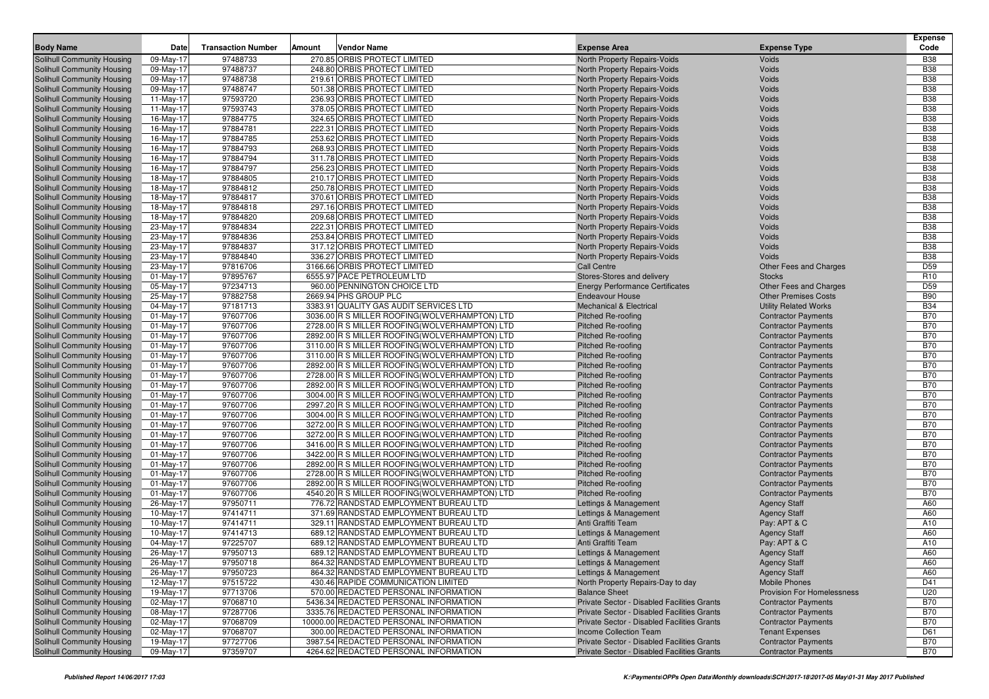| 97488733<br>Solihull Community Housing<br>09-May-17<br>270.85 ORBIS PROTECT LIMITED<br>North Property Repairs-Voids<br><b>Voids</b><br><b>B38</b><br>97488737<br><b>B38</b><br>09-May-17<br>248.80 ORBIS PROTECT LIMITED<br>North Property Repairs-Voids<br><b>Voids</b><br>Solihull Community Housing<br>09-May-17<br>97488738<br>219.61 ORBIS PROTECT LIMITED<br><b>Voids</b><br><b>B38</b><br><b>Solihull Community Housing</b><br>North Property Repairs-Voids<br>97488747<br><b>B38</b><br><b>Solihull Community Housing</b><br>09-May-17<br>501.38 ORBIS PROTECT LIMITED<br>North Property Repairs-Voids<br>Voids<br>97593720<br><b>B38</b><br>11-May-17<br>236.93 ORBIS PROTECT LIMITED<br>Voids<br><b>Solihull Community Housing</b><br>North Property Repairs-Voids<br><b>B38</b><br>97593743<br>378.05 ORBIS PROTECT LIMITED<br>Voids<br><b>Solihull Community Housing</b><br>11-May-17<br>North Property Repairs-Voids<br><b>B38</b><br>16-May-17<br>97884775<br>324.65 ORBIS PROTECT LIMITED<br>North Property Repairs-Voids<br>Voids<br>Solihull Community Housing<br>16-May-17<br>97884781<br>222.31 ORBIS PROTECT LIMITED<br>Voids<br><b>B38</b><br><b>Solihull Community Housing</b><br>North Property Repairs-Voids<br><b>B38</b><br><b>Solihull Community Housing</b><br>16-May-17<br>97884785<br>253.62 ORBIS PROTECT LIMITED<br>North Property Repairs-Voids<br><b>Voids</b><br><b>B38</b><br>16-May-17<br>97884793<br>268.93 ORBIS PROTECT LIMITED<br>Voids<br><b>Solihull Community Housing</b><br>North Property Repairs-Voids<br>97884794<br><b>B38</b><br><b>Solihull Community Housing</b><br>16-May-17<br>311.78 ORBIS PROTECT LIMITED<br>North Property Repairs-Voids<br>Voids<br>97884797<br><b>B38</b><br>16-May-17<br>256.23 ORBIS PROTECT LIMITED<br>Voids<br><b>Solihull Community Housing</b><br>North Property Repairs-Voids<br>18-May-17<br>97884805<br>210.17 ORBIS PROTECT LIMITED<br>Voids<br><b>B38</b><br><b>Solihull Community Housing</b><br>North Property Repairs-Voids<br><b>B38</b><br><b>Solihull Community Housing</b><br>18-May-17<br>97884812<br>250.78 ORBIS PROTECT LIMITED<br>North Property Repairs-Voids<br>Voids<br><b>B38</b><br>97884817<br>370.61 ORBIS PROTECT LIMITED<br>Voids<br><b>Solihull Community Housing</b><br>18-May-17<br>North Property Repairs-Voids<br>97884818<br><b>B38</b><br><b>Solihull Community Housing</b><br>18-May-17<br>297.16 ORBIS PROTECT LIMITED<br>North Property Repairs-Voids<br>Voids<br><b>B38</b><br>18-May-17<br>97884820<br>209.68 ORBIS PROTECT LIMITED<br>Voids<br><b>Solihull Community Housing</b><br>North Property Repairs-Voids<br><b>B38</b><br>23-May-17<br>97884834<br>222.31 ORBIS PROTECT LIMITED<br>Voids<br><b>Solihull Community Housing</b><br>North Property Repairs-Voids<br><b>B38</b><br><b>Solihull Community Housing</b><br>23-May-17<br>97884836<br>253.84 ORBIS PROTECT LIMITED<br>North Property Repairs-Voids<br>Voids<br><b>B38</b><br>97884837<br>317.12 ORBIS PROTECT LIMITED<br>Voids<br><b>Solihull Community Housing</b><br>23-May-17<br>North Property Repairs-Voids<br>97884840<br><b>B38</b><br><b>Solihull Community Housing</b><br>23-May-17<br>336.27 ORBIS PROTECT LIMITED<br>North Property Repairs-Voids<br>Voids<br>D <sub>59</sub><br>97816706<br>3166.66 ORBIS PROTECT LIMITED<br>Solihull Community Housing<br>23-May-17<br>Call Centre<br><b>Other Fees and Charges</b><br>$01$ -May-17<br>97895767<br>6555.97 PACE PETROLEUM LTD<br>Stores-Stores and delivery<br>R <sub>10</sub><br><b>Solihull Community Housing</b><br><b>Stocks</b><br>D <sub>59</sub><br><b>Solihull Community Housing</b><br>05-May-17<br>97234713<br>960.00 PENNINGTON CHOICE LTD<br><b>Energy Performance Certificates</b><br><b>Other Fees and Charges</b><br><b>B90</b><br>97882758<br>2669.94 PHS GROUP PLC<br>Solihull Community Housing<br>25-May-17<br><b>Endeavour House</b><br><b>Other Premises Costs</b><br>97181713<br><b>B34</b><br><b>Solihull Community Housing</b><br>04-May-17<br>3383.91 QUALITY GAS AUDIT SERVICES LTD<br><b>Mechanical &amp; Electrical</b><br><b>Utility Related Works</b><br><b>B70</b><br>$01$ -May-17<br>97607706<br>3036.00 R S MILLER ROOFING (WOLVERHAMPTON) LTD<br><b>Solihull Community Housing</b><br><b>Pitched Re-roofing</b><br><b>Contractor Payments</b><br><b>B70</b><br>$01$ -May-17<br>97607706<br>2728.00 R S MILLER ROOFING(WOLVERHAMPTON) LTD<br><b>Solihull Community Housing</b><br><b>Pitched Re-roofing</b><br><b>Contractor Payments</b><br><b>B70</b><br><b>Solihull Community Housing</b><br>$01$ -May-17<br>97607706<br>2892.00 R S MILLER ROOFING(WOLVERHAMPTON) LTD<br>Pitched Re-roofing<br><b>Contractor Payments</b><br><b>B70</b><br>97607706<br>3110.00 R S MILLER ROOFING (WOLVERHAMPTON) LTD<br><b>Solihull Community Housing</b><br>01-May-17<br><b>Pitched Re-roofing</b><br><b>Contractor Payments</b><br>97607706<br><b>B70</b><br>$01$ -May-17<br>3110.00 R S MILLER ROOFING (WOLVERHAMPTON) LTD<br>Pitched Re-roofing<br><b>Solihull Community Housing</b><br><b>Contractor Payments</b><br><b>B70</b><br>$01$ -May-17<br>97607706<br>2892.00 R S MILLER ROOFING(WOLVERHAMPTON) LTD<br>Solihull Community Housing<br><b>Pitched Re-roofing</b><br><b>Contractor Payments</b><br><b>B70</b><br>$01$ -May-17<br>97607706<br>2728.00 R S MILLER ROOFING(WOLVERHAMPTON) LTD<br><b>Solihull Community Housing</b><br><b>Pitched Re-roofing</b><br><b>Contractor Payments</b><br><b>B70</b><br><b>Solihull Community Housing</b><br>$01$ -May-17<br>97607706<br>2892.00 R S MILLER ROOFING(WOLVERHAMPTON) LTD<br>Pitched Re-roofing<br><b>Contractor Payments</b><br><b>B70</b><br>01-May-17<br>97607706<br>3004.00 R S MILLER ROOFING (WOLVERHAMPTON) LTD<br><b>Solihull Community Housing</b><br><b>Pitched Re-roofing</b><br><b>Contractor Payments</b><br>97607706<br><b>B70</b><br>$01$ -May-17<br>2997.20 R S MILLER ROOFING (WOLVERHAMPTON) LTD<br>Pitched Re-roofing<br><b>Solihull Community Housing</b><br><b>Contractor Payments</b><br><b>B70</b><br>$01$ -May-17<br>97607706<br>3004.00 R S MILLER ROOFING (WOLVERHAMPTON) LTD<br><b>Solihull Community Housing</b><br><b>Pitched Re-roofing</b><br><b>Contractor Payments</b><br><b>B70</b><br>$01$ -May-17<br>97607706<br>3272.00 R S MILLER ROOFING(WOLVERHAMPTON) LTD<br><b>Solihull Community Housing</b><br><b>Pitched Re-roofing</b><br><b>Contractor Payments</b><br><b>B70</b><br><b>Solihull Community Housing</b><br>$01$ -May-17<br>97607706<br>3272.00 R S MILLER ROOFING(WOLVERHAMPTON) LTD<br>Pitched Re-roofing<br><b>Contractor Payments</b><br><b>B70</b><br>01-May-17<br>97607706<br>3416.00 R S MILLER ROOFING (WOLVERHAMPTON) LTD<br><b>Solihull Community Housing</b><br><b>Pitched Re-roofing</b><br><b>Contractor Payments</b><br>97607706<br><b>B70</b><br>$01$ -May-17<br>3422.00 R S MILLER ROOFING (WOLVERHAMPTON) LTD<br>Pitched Re-roofing<br><b>Solihull Community Housing</b><br><b>Contractor Payments</b><br><b>B70</b><br>01-May-17<br>97607706<br>2892.00 R S MILLER ROOFING(WOLVERHAMPTON) LTD<br><b>Solihull Community Housing</b><br><b>Pitched Re-roofing</b><br><b>Contractor Payments</b><br><b>B70</b><br>$01$ -May-17<br>97607706<br>2728.00 R S MILLER ROOFING(WOLVERHAMPTON) LTD<br><b>Solihull Community Housing</b><br><b>Pitched Re-roofing</b><br><b>Contractor Payments</b><br><b>Solihull Community Housing</b><br>$01-May-17$<br>97607706<br>2892.00 R S MILLER ROOFING(WOLVERHAMPTON) LTD<br><b>B70</b><br><b>Pitched Re-roofing</b><br><b>Contractor Payments</b><br><b>B70</b><br>01-May-17<br>97607706<br>4540.20 R S MILLER ROOFING(WOLVERHAMPTON) LTD<br><b>Solihull Community Housing</b><br><b>Pitched Re-roofing</b><br><b>Contractor Payments</b><br>97950711<br>A60<br>26-May-17<br>776.72 RANDSTAD EMPLOYMENT BUREAU LTD<br><b>Solihull Community Housing</b><br>Lettings & Management<br><b>Agency Staff</b><br>A60<br>10-May-17<br>97414711<br>371.69 RANDSTAD EMPLOYMENT BUREAU LTD<br><b>Solihull Community Housing</b><br>Lettings & Management<br><b>Agency Staff</b><br>10-May-17<br>97414711<br>329.11 RANDSTAD EMPLOYMENT BUREAU LTD<br>Anti Graffiti Team<br>Pay: APT & C<br>A10<br><b>Solihull Community Housing</b><br>A60<br><b>Solihull Community Housing</b><br>10-May-17<br>97414713<br>689.12 RANDSTAD EMPLOYMENT BUREAU LTD<br>Lettings & Management<br><b>Agency Staff</b><br>97225707<br>689.12 RANDSTAD EMPLOYMENT BUREAU LTD<br>A10<br><b>Solihull Community Housing</b><br>04-May-17<br>Anti Graffiti Team<br>Pay: APT & C<br>97950713<br>A60<br><b>Solihull Community Housing</b><br>26-May-17<br>689.12 RANDSTAD EMPLOYMENT BUREAU LTD<br>Lettings & Management<br><b>Agency Staff</b><br><b>Agency Staff</b><br><b>Solihull Community Housing</b><br>26-May-17<br>97950718<br>864.32 RANDSTAD EMPLOYMENT BUREAU LTD<br>Lettings & Management<br>A60<br>$26$ -May- $17$<br>97950723<br><b>Solihull Community Housing</b><br>864.32 RANDSTAD EMPLOYMENT BUREAU LTD<br>Lettings & Management<br><b>Agency Staff</b><br>A60<br>12-May-17<br>97515722<br>D41<br><b>Solihull Community Housing</b><br>430.46 RAPIDE COMMUNICATION LIMITED<br>North Property Repairs-Day to day<br><b>Mobile Phones</b><br>U20<br><b>Solihull Community Housing</b><br>19-May-17<br>97713706<br>570.00 REDACTED PERSONAL INFORMATION<br><b>Balance Sheet</b><br>Provision For Homelessness<br>97068710<br>5436.34 REDACTED PERSONAL INFORMATION<br><b>B70</b><br><b>Solihull Community Housing</b><br>02-May-17<br>Private Sector - Disabled Facilities Grants<br><b>Contractor Payments</b><br>3335.76 REDACTED PERSONAL INFORMATION<br><b>B70</b><br><b>Solihull Community Housing</b><br>08-May-17<br>97287706<br>Private Sector - Disabled Facilities Grants<br><b>Contractor Payments</b><br>97068709<br>10000.00 REDACTED PERSONAL INFORMATION<br><b>B70</b><br><b>Solihull Community Housing</b><br>02-May-17<br>Private Sector - Disabled Facilities Grants<br><b>Contractor Payments</b><br>97068707<br>Solihull Community Housing<br>02-May-17<br>300.00 REDACTED PERSONAL INFORMATION<br>Income Collection Team<br><b>Tenant Expenses</b><br>D61<br><b>B70</b><br><b>Solihull Community Housing</b><br>19-May-17<br>97727706<br>3987.54 REDACTED PERSONAL INFORMATION<br>Private Sector - Disabled Facilities Grants<br><b>Contractor Payments</b><br>4264.62 REDACTED PERSONAL INFORMATION | <b>Body Name</b>           | <b>Date</b> | <b>Transaction Number</b> | Amount | <b>Vendor Name</b> | <b>Expense Area</b>                         | <b>Expense Type</b>        | <b>Expense</b><br>Code |
|-------------------------------------------------------------------------------------------------------------------------------------------------------------------------------------------------------------------------------------------------------------------------------------------------------------------------------------------------------------------------------------------------------------------------------------------------------------------------------------------------------------------------------------------------------------------------------------------------------------------------------------------------------------------------------------------------------------------------------------------------------------------------------------------------------------------------------------------------------------------------------------------------------------------------------------------------------------------------------------------------------------------------------------------------------------------------------------------------------------------------------------------------------------------------------------------------------------------------------------------------------------------------------------------------------------------------------------------------------------------------------------------------------------------------------------------------------------------------------------------------------------------------------------------------------------------------------------------------------------------------------------------------------------------------------------------------------------------------------------------------------------------------------------------------------------------------------------------------------------------------------------------------------------------------------------------------------------------------------------------------------------------------------------------------------------------------------------------------------------------------------------------------------------------------------------------------------------------------------------------------------------------------------------------------------------------------------------------------------------------------------------------------------------------------------------------------------------------------------------------------------------------------------------------------------------------------------------------------------------------------------------------------------------------------------------------------------------------------------------------------------------------------------------------------------------------------------------------------------------------------------------------------------------------------------------------------------------------------------------------------------------------------------------------------------------------------------------------------------------------------------------------------------------------------------------------------------------------------------------------------------------------------------------------------------------------------------------------------------------------------------------------------------------------------------------------------------------------------------------------------------------------------------------------------------------------------------------------------------------------------------------------------------------------------------------------------------------------------------------------------------------------------------------------------------------------------------------------------------------------------------------------------------------------------------------------------------------------------------------------------------------------------------------------------------------------------------------------------------------------------------------------------------------------------------------------------------------------------------------------------------------------------------------------------------------------------------------------------------------------------------------------------------------------------------------------------------------------------------------------------------------------------------------------------------------------------------------------------------------------------------------------------------------------------------------------------------------------------------------------------------------------------------------------------------------------------------------------------------------------------------------------------------------------------------------------------------------------------------------------------------------------------------------------------------------------------------------------------------------------------------------------------------------------------------------------------------------------------------------------------------------------------------------------------------------------------------------------------------------------------------------------------------------------------------------------------------------------------------------------------------------------------------------------------------------------------------------------------------------------------------------------------------------------------------------------------------------------------------------------------------------------------------------------------------------------------------------------------------------------------------------------------------------------------------------------------------------------------------------------------------------------------------------------------------------------------------------------------------------------------------------------------------------------------------------------------------------------------------------------------------------------------------------------------------------------------------------------------------------------------------------------------------------------------------------------------------------------------------------------------------------------------------------------------------------------------------------------------------------------------------------------------------------------------------------------------------------------------------------------------------------------------------------------------------------------------------------------------------------------------------------------------------------------------------------------------------------------------------------------------------------------------------------------------------------------------------------------------------------------------------------------------------------------------------------------------------------------------------------------------------------------------------------------------------------------------------------------------------------------------------------------------------------------------------------------------------------------------------------------------------------------------------------------------------------------------------------------------------------------------------------------------------------------------------------------------------------------------------------------------------------------------------------------------------------------------------------------------------------------------------------------------------------------------------------------------------------------------------------------------------------------------------------------------------------------------------------------------------------------------------------------------------------------------------------------------------------------------------------------------------------------------------------------------------------------------------------------------------------------------------------------------------------------------------------------------------------------------------------------------------------------------------------------------------------------------------------------------------------------------------------------------------------------------------------------------------------------------------------------------------------------------------------------------------------------------------------------------------------------------------------------------------------------------------------------------------------------------------------------------------------------------------------------------------------------------------------------------------------------------------------------------------------------------------------------------------------------------------------------------------------------------------------------------------------------------------------------------------------------------------------------------------------------------------------------------------------------------------------------------------------------------------------------------------------------------------------------------------------------------------------------------------------------------------------------------------------------------------------------------------------------------------------------------------------------------------------------------------------------------------------------------------------------------------------------------------------------------------------------------------------------------------------------------------------------------------------------------------------------------------------------------------------------------------------------------------------------------------------------------------------------------------------------------------------------------------------------------------------------------------------------------------------------------------------------|----------------------------|-------------|---------------------------|--------|--------------------|---------------------------------------------|----------------------------|------------------------|
|                                                                                                                                                                                                                                                                                                                                                                                                                                                                                                                                                                                                                                                                                                                                                                                                                                                                                                                                                                                                                                                                                                                                                                                                                                                                                                                                                                                                                                                                                                                                                                                                                                                                                                                                                                                                                                                                                                                                                                                                                                                                                                                                                                                                                                                                                                                                                                                                                                                                                                                                                                                                                                                                                                                                                                                                                                                                                                                                                                                                                                                                                                                                                                                                                                                                                                                                                                                                                                                                                                                                                                                                                                                                                                                                                                                                                                                                                                                                                                                                                                                                                                                                                                                                                                                                                                                                                                                                                                                                                                                                                                                                                                                                                                                                                                                                                                                                                                                                                                                                                                                                                                                                                                                                                                                                                                                                                                                                                                                                                                                                                                                                                                                                                                                                                                                                                                                                                                                                                                                                                                                                                                                                                                                                                                                                                                                                                                                                                                                                                                                                                                                                                                                                                                                                                                                                                                                                                                                                                                                                                                                                                                                                                                                                                                                                                                                                                                                                                                                                                                                                                                                                                                                                                                                                                                                                                                                                                                                                                                                                                                                                                                                                                                                                                                                                                                                                                                                                                                                                                                                                                                                                                                                                                                                                                                                                                                                                                                                                                                                                                                                                                                                                                                                                                                                                                                                                                                                                                                                                                                                                                                                                                                                                                                                                                                                                                                                                                                                                                                                                                                                                                                                                                                                                                                                                                                                                                                                                                                           |                            |             |                           |        |                    |                                             |                            |                        |
|                                                                                                                                                                                                                                                                                                                                                                                                                                                                                                                                                                                                                                                                                                                                                                                                                                                                                                                                                                                                                                                                                                                                                                                                                                                                                                                                                                                                                                                                                                                                                                                                                                                                                                                                                                                                                                                                                                                                                                                                                                                                                                                                                                                                                                                                                                                                                                                                                                                                                                                                                                                                                                                                                                                                                                                                                                                                                                                                                                                                                                                                                                                                                                                                                                                                                                                                                                                                                                                                                                                                                                                                                                                                                                                                                                                                                                                                                                                                                                                                                                                                                                                                                                                                                                                                                                                                                                                                                                                                                                                                                                                                                                                                                                                                                                                                                                                                                                                                                                                                                                                                                                                                                                                                                                                                                                                                                                                                                                                                                                                                                                                                                                                                                                                                                                                                                                                                                                                                                                                                                                                                                                                                                                                                                                                                                                                                                                                                                                                                                                                                                                                                                                                                                                                                                                                                                                                                                                                                                                                                                                                                                                                                                                                                                                                                                                                                                                                                                                                                                                                                                                                                                                                                                                                                                                                                                                                                                                                                                                                                                                                                                                                                                                                                                                                                                                                                                                                                                                                                                                                                                                                                                                                                                                                                                                                                                                                                                                                                                                                                                                                                                                                                                                                                                                                                                                                                                                                                                                                                                                                                                                                                                                                                                                                                                                                                                                                                                                                                                                                                                                                                                                                                                                                                                                                                                                                                                                                                                                           |                            |             |                           |        |                    |                                             |                            |                        |
|                                                                                                                                                                                                                                                                                                                                                                                                                                                                                                                                                                                                                                                                                                                                                                                                                                                                                                                                                                                                                                                                                                                                                                                                                                                                                                                                                                                                                                                                                                                                                                                                                                                                                                                                                                                                                                                                                                                                                                                                                                                                                                                                                                                                                                                                                                                                                                                                                                                                                                                                                                                                                                                                                                                                                                                                                                                                                                                                                                                                                                                                                                                                                                                                                                                                                                                                                                                                                                                                                                                                                                                                                                                                                                                                                                                                                                                                                                                                                                                                                                                                                                                                                                                                                                                                                                                                                                                                                                                                                                                                                                                                                                                                                                                                                                                                                                                                                                                                                                                                                                                                                                                                                                                                                                                                                                                                                                                                                                                                                                                                                                                                                                                                                                                                                                                                                                                                                                                                                                                                                                                                                                                                                                                                                                                                                                                                                                                                                                                                                                                                                                                                                                                                                                                                                                                                                                                                                                                                                                                                                                                                                                                                                                                                                                                                                                                                                                                                                                                                                                                                                                                                                                                                                                                                                                                                                                                                                                                                                                                                                                                                                                                                                                                                                                                                                                                                                                                                                                                                                                                                                                                                                                                                                                                                                                                                                                                                                                                                                                                                                                                                                                                                                                                                                                                                                                                                                                                                                                                                                                                                                                                                                                                                                                                                                                                                                                                                                                                                                                                                                                                                                                                                                                                                                                                                                                                                                                                                                                           |                            |             |                           |        |                    |                                             |                            |                        |
|                                                                                                                                                                                                                                                                                                                                                                                                                                                                                                                                                                                                                                                                                                                                                                                                                                                                                                                                                                                                                                                                                                                                                                                                                                                                                                                                                                                                                                                                                                                                                                                                                                                                                                                                                                                                                                                                                                                                                                                                                                                                                                                                                                                                                                                                                                                                                                                                                                                                                                                                                                                                                                                                                                                                                                                                                                                                                                                                                                                                                                                                                                                                                                                                                                                                                                                                                                                                                                                                                                                                                                                                                                                                                                                                                                                                                                                                                                                                                                                                                                                                                                                                                                                                                                                                                                                                                                                                                                                                                                                                                                                                                                                                                                                                                                                                                                                                                                                                                                                                                                                                                                                                                                                                                                                                                                                                                                                                                                                                                                                                                                                                                                                                                                                                                                                                                                                                                                                                                                                                                                                                                                                                                                                                                                                                                                                                                                                                                                                                                                                                                                                                                                                                                                                                                                                                                                                                                                                                                                                                                                                                                                                                                                                                                                                                                                                                                                                                                                                                                                                                                                                                                                                                                                                                                                                                                                                                                                                                                                                                                                                                                                                                                                                                                                                                                                                                                                                                                                                                                                                                                                                                                                                                                                                                                                                                                                                                                                                                                                                                                                                                                                                                                                                                                                                                                                                                                                                                                                                                                                                                                                                                                                                                                                                                                                                                                                                                                                                                                                                                                                                                                                                                                                                                                                                                                                                                                                                                                                           |                            |             |                           |        |                    |                                             |                            |                        |
|                                                                                                                                                                                                                                                                                                                                                                                                                                                                                                                                                                                                                                                                                                                                                                                                                                                                                                                                                                                                                                                                                                                                                                                                                                                                                                                                                                                                                                                                                                                                                                                                                                                                                                                                                                                                                                                                                                                                                                                                                                                                                                                                                                                                                                                                                                                                                                                                                                                                                                                                                                                                                                                                                                                                                                                                                                                                                                                                                                                                                                                                                                                                                                                                                                                                                                                                                                                                                                                                                                                                                                                                                                                                                                                                                                                                                                                                                                                                                                                                                                                                                                                                                                                                                                                                                                                                                                                                                                                                                                                                                                                                                                                                                                                                                                                                                                                                                                                                                                                                                                                                                                                                                                                                                                                                                                                                                                                                                                                                                                                                                                                                                                                                                                                                                                                                                                                                                                                                                                                                                                                                                                                                                                                                                                                                                                                                                                                                                                                                                                                                                                                                                                                                                                                                                                                                                                                                                                                                                                                                                                                                                                                                                                                                                                                                                                                                                                                                                                                                                                                                                                                                                                                                                                                                                                                                                                                                                                                                                                                                                                                                                                                                                                                                                                                                                                                                                                                                                                                                                                                                                                                                                                                                                                                                                                                                                                                                                                                                                                                                                                                                                                                                                                                                                                                                                                                                                                                                                                                                                                                                                                                                                                                                                                                                                                                                                                                                                                                                                                                                                                                                                                                                                                                                                                                                                                                                                                                                                                           |                            |             |                           |        |                    |                                             |                            |                        |
|                                                                                                                                                                                                                                                                                                                                                                                                                                                                                                                                                                                                                                                                                                                                                                                                                                                                                                                                                                                                                                                                                                                                                                                                                                                                                                                                                                                                                                                                                                                                                                                                                                                                                                                                                                                                                                                                                                                                                                                                                                                                                                                                                                                                                                                                                                                                                                                                                                                                                                                                                                                                                                                                                                                                                                                                                                                                                                                                                                                                                                                                                                                                                                                                                                                                                                                                                                                                                                                                                                                                                                                                                                                                                                                                                                                                                                                                                                                                                                                                                                                                                                                                                                                                                                                                                                                                                                                                                                                                                                                                                                                                                                                                                                                                                                                                                                                                                                                                                                                                                                                                                                                                                                                                                                                                                                                                                                                                                                                                                                                                                                                                                                                                                                                                                                                                                                                                                                                                                                                                                                                                                                                                                                                                                                                                                                                                                                                                                                                                                                                                                                                                                                                                                                                                                                                                                                                                                                                                                                                                                                                                                                                                                                                                                                                                                                                                                                                                                                                                                                                                                                                                                                                                                                                                                                                                                                                                                                                                                                                                                                                                                                                                                                                                                                                                                                                                                                                                                                                                                                                                                                                                                                                                                                                                                                                                                                                                                                                                                                                                                                                                                                                                                                                                                                                                                                                                                                                                                                                                                                                                                                                                                                                                                                                                                                                                                                                                                                                                                                                                                                                                                                                                                                                                                                                                                                                                                                                                                                           |                            |             |                           |        |                    |                                             |                            |                        |
|                                                                                                                                                                                                                                                                                                                                                                                                                                                                                                                                                                                                                                                                                                                                                                                                                                                                                                                                                                                                                                                                                                                                                                                                                                                                                                                                                                                                                                                                                                                                                                                                                                                                                                                                                                                                                                                                                                                                                                                                                                                                                                                                                                                                                                                                                                                                                                                                                                                                                                                                                                                                                                                                                                                                                                                                                                                                                                                                                                                                                                                                                                                                                                                                                                                                                                                                                                                                                                                                                                                                                                                                                                                                                                                                                                                                                                                                                                                                                                                                                                                                                                                                                                                                                                                                                                                                                                                                                                                                                                                                                                                                                                                                                                                                                                                                                                                                                                                                                                                                                                                                                                                                                                                                                                                                                                                                                                                                                                                                                                                                                                                                                                                                                                                                                                                                                                                                                                                                                                                                                                                                                                                                                                                                                                                                                                                                                                                                                                                                                                                                                                                                                                                                                                                                                                                                                                                                                                                                                                                                                                                                                                                                                                                                                                                                                                                                                                                                                                                                                                                                                                                                                                                                                                                                                                                                                                                                                                                                                                                                                                                                                                                                                                                                                                                                                                                                                                                                                                                                                                                                                                                                                                                                                                                                                                                                                                                                                                                                                                                                                                                                                                                                                                                                                                                                                                                                                                                                                                                                                                                                                                                                                                                                                                                                                                                                                                                                                                                                                                                                                                                                                                                                                                                                                                                                                                                                                                                                                                           |                            |             |                           |        |                    |                                             |                            |                        |
|                                                                                                                                                                                                                                                                                                                                                                                                                                                                                                                                                                                                                                                                                                                                                                                                                                                                                                                                                                                                                                                                                                                                                                                                                                                                                                                                                                                                                                                                                                                                                                                                                                                                                                                                                                                                                                                                                                                                                                                                                                                                                                                                                                                                                                                                                                                                                                                                                                                                                                                                                                                                                                                                                                                                                                                                                                                                                                                                                                                                                                                                                                                                                                                                                                                                                                                                                                                                                                                                                                                                                                                                                                                                                                                                                                                                                                                                                                                                                                                                                                                                                                                                                                                                                                                                                                                                                                                                                                                                                                                                                                                                                                                                                                                                                                                                                                                                                                                                                                                                                                                                                                                                                                                                                                                                                                                                                                                                                                                                                                                                                                                                                                                                                                                                                                                                                                                                                                                                                                                                                                                                                                                                                                                                                                                                                                                                                                                                                                                                                                                                                                                                                                                                                                                                                                                                                                                                                                                                                                                                                                                                                                                                                                                                                                                                                                                                                                                                                                                                                                                                                                                                                                                                                                                                                                                                                                                                                                                                                                                                                                                                                                                                                                                                                                                                                                                                                                                                                                                                                                                                                                                                                                                                                                                                                                                                                                                                                                                                                                                                                                                                                                                                                                                                                                                                                                                                                                                                                                                                                                                                                                                                                                                                                                                                                                                                                                                                                                                                                                                                                                                                                                                                                                                                                                                                                                                                                                                                                                           |                            |             |                           |        |                    |                                             |                            |                        |
|                                                                                                                                                                                                                                                                                                                                                                                                                                                                                                                                                                                                                                                                                                                                                                                                                                                                                                                                                                                                                                                                                                                                                                                                                                                                                                                                                                                                                                                                                                                                                                                                                                                                                                                                                                                                                                                                                                                                                                                                                                                                                                                                                                                                                                                                                                                                                                                                                                                                                                                                                                                                                                                                                                                                                                                                                                                                                                                                                                                                                                                                                                                                                                                                                                                                                                                                                                                                                                                                                                                                                                                                                                                                                                                                                                                                                                                                                                                                                                                                                                                                                                                                                                                                                                                                                                                                                                                                                                                                                                                                                                                                                                                                                                                                                                                                                                                                                                                                                                                                                                                                                                                                                                                                                                                                                                                                                                                                                                                                                                                                                                                                                                                                                                                                                                                                                                                                                                                                                                                                                                                                                                                                                                                                                                                                                                                                                                                                                                                                                                                                                                                                                                                                                                                                                                                                                                                                                                                                                                                                                                                                                                                                                                                                                                                                                                                                                                                                                                                                                                                                                                                                                                                                                                                                                                                                                                                                                                                                                                                                                                                                                                                                                                                                                                                                                                                                                                                                                                                                                                                                                                                                                                                                                                                                                                                                                                                                                                                                                                                                                                                                                                                                                                                                                                                                                                                                                                                                                                                                                                                                                                                                                                                                                                                                                                                                                                                                                                                                                                                                                                                                                                                                                                                                                                                                                                                                                                                                                                           |                            |             |                           |        |                    |                                             |                            |                        |
|                                                                                                                                                                                                                                                                                                                                                                                                                                                                                                                                                                                                                                                                                                                                                                                                                                                                                                                                                                                                                                                                                                                                                                                                                                                                                                                                                                                                                                                                                                                                                                                                                                                                                                                                                                                                                                                                                                                                                                                                                                                                                                                                                                                                                                                                                                                                                                                                                                                                                                                                                                                                                                                                                                                                                                                                                                                                                                                                                                                                                                                                                                                                                                                                                                                                                                                                                                                                                                                                                                                                                                                                                                                                                                                                                                                                                                                                                                                                                                                                                                                                                                                                                                                                                                                                                                                                                                                                                                                                                                                                                                                                                                                                                                                                                                                                                                                                                                                                                                                                                                                                                                                                                                                                                                                                                                                                                                                                                                                                                                                                                                                                                                                                                                                                                                                                                                                                                                                                                                                                                                                                                                                                                                                                                                                                                                                                                                                                                                                                                                                                                                                                                                                                                                                                                                                                                                                                                                                                                                                                                                                                                                                                                                                                                                                                                                                                                                                                                                                                                                                                                                                                                                                                                                                                                                                                                                                                                                                                                                                                                                                                                                                                                                                                                                                                                                                                                                                                                                                                                                                                                                                                                                                                                                                                                                                                                                                                                                                                                                                                                                                                                                                                                                                                                                                                                                                                                                                                                                                                                                                                                                                                                                                                                                                                                                                                                                                                                                                                                                                                                                                                                                                                                                                                                                                                                                                                                                                                                                           |                            |             |                           |        |                    |                                             |                            |                        |
|                                                                                                                                                                                                                                                                                                                                                                                                                                                                                                                                                                                                                                                                                                                                                                                                                                                                                                                                                                                                                                                                                                                                                                                                                                                                                                                                                                                                                                                                                                                                                                                                                                                                                                                                                                                                                                                                                                                                                                                                                                                                                                                                                                                                                                                                                                                                                                                                                                                                                                                                                                                                                                                                                                                                                                                                                                                                                                                                                                                                                                                                                                                                                                                                                                                                                                                                                                                                                                                                                                                                                                                                                                                                                                                                                                                                                                                                                                                                                                                                                                                                                                                                                                                                                                                                                                                                                                                                                                                                                                                                                                                                                                                                                                                                                                                                                                                                                                                                                                                                                                                                                                                                                                                                                                                                                                                                                                                                                                                                                                                                                                                                                                                                                                                                                                                                                                                                                                                                                                                                                                                                                                                                                                                                                                                                                                                                                                                                                                                                                                                                                                                                                                                                                                                                                                                                                                                                                                                                                                                                                                                                                                                                                                                                                                                                                                                                                                                                                                                                                                                                                                                                                                                                                                                                                                                                                                                                                                                                                                                                                                                                                                                                                                                                                                                                                                                                                                                                                                                                                                                                                                                                                                                                                                                                                                                                                                                                                                                                                                                                                                                                                                                                                                                                                                                                                                                                                                                                                                                                                                                                                                                                                                                                                                                                                                                                                                                                                                                                                                                                                                                                                                                                                                                                                                                                                                                                                                                                                                           |                            |             |                           |        |                    |                                             |                            |                        |
|                                                                                                                                                                                                                                                                                                                                                                                                                                                                                                                                                                                                                                                                                                                                                                                                                                                                                                                                                                                                                                                                                                                                                                                                                                                                                                                                                                                                                                                                                                                                                                                                                                                                                                                                                                                                                                                                                                                                                                                                                                                                                                                                                                                                                                                                                                                                                                                                                                                                                                                                                                                                                                                                                                                                                                                                                                                                                                                                                                                                                                                                                                                                                                                                                                                                                                                                                                                                                                                                                                                                                                                                                                                                                                                                                                                                                                                                                                                                                                                                                                                                                                                                                                                                                                                                                                                                                                                                                                                                                                                                                                                                                                                                                                                                                                                                                                                                                                                                                                                                                                                                                                                                                                                                                                                                                                                                                                                                                                                                                                                                                                                                                                                                                                                                                                                                                                                                                                                                                                                                                                                                                                                                                                                                                                                                                                                                                                                                                                                                                                                                                                                                                                                                                                                                                                                                                                                                                                                                                                                                                                                                                                                                                                                                                                                                                                                                                                                                                                                                                                                                                                                                                                                                                                                                                                                                                                                                                                                                                                                                                                                                                                                                                                                                                                                                                                                                                                                                                                                                                                                                                                                                                                                                                                                                                                                                                                                                                                                                                                                                                                                                                                                                                                                                                                                                                                                                                                                                                                                                                                                                                                                                                                                                                                                                                                                                                                                                                                                                                                                                                                                                                                                                                                                                                                                                                                                                                                                                                                           |                            |             |                           |        |                    |                                             |                            |                        |
|                                                                                                                                                                                                                                                                                                                                                                                                                                                                                                                                                                                                                                                                                                                                                                                                                                                                                                                                                                                                                                                                                                                                                                                                                                                                                                                                                                                                                                                                                                                                                                                                                                                                                                                                                                                                                                                                                                                                                                                                                                                                                                                                                                                                                                                                                                                                                                                                                                                                                                                                                                                                                                                                                                                                                                                                                                                                                                                                                                                                                                                                                                                                                                                                                                                                                                                                                                                                                                                                                                                                                                                                                                                                                                                                                                                                                                                                                                                                                                                                                                                                                                                                                                                                                                                                                                                                                                                                                                                                                                                                                                                                                                                                                                                                                                                                                                                                                                                                                                                                                                                                                                                                                                                                                                                                                                                                                                                                                                                                                                                                                                                                                                                                                                                                                                                                                                                                                                                                                                                                                                                                                                                                                                                                                                                                                                                                                                                                                                                                                                                                                                                                                                                                                                                                                                                                                                                                                                                                                                                                                                                                                                                                                                                                                                                                                                                                                                                                                                                                                                                                                                                                                                                                                                                                                                                                                                                                                                                                                                                                                                                                                                                                                                                                                                                                                                                                                                                                                                                                                                                                                                                                                                                                                                                                                                                                                                                                                                                                                                                                                                                                                                                                                                                                                                                                                                                                                                                                                                                                                                                                                                                                                                                                                                                                                                                                                                                                                                                                                                                                                                                                                                                                                                                                                                                                                                                                                                                                                                           |                            |             |                           |        |                    |                                             |                            |                        |
|                                                                                                                                                                                                                                                                                                                                                                                                                                                                                                                                                                                                                                                                                                                                                                                                                                                                                                                                                                                                                                                                                                                                                                                                                                                                                                                                                                                                                                                                                                                                                                                                                                                                                                                                                                                                                                                                                                                                                                                                                                                                                                                                                                                                                                                                                                                                                                                                                                                                                                                                                                                                                                                                                                                                                                                                                                                                                                                                                                                                                                                                                                                                                                                                                                                                                                                                                                                                                                                                                                                                                                                                                                                                                                                                                                                                                                                                                                                                                                                                                                                                                                                                                                                                                                                                                                                                                                                                                                                                                                                                                                                                                                                                                                                                                                                                                                                                                                                                                                                                                                                                                                                                                                                                                                                                                                                                                                                                                                                                                                                                                                                                                                                                                                                                                                                                                                                                                                                                                                                                                                                                                                                                                                                                                                                                                                                                                                                                                                                                                                                                                                                                                                                                                                                                                                                                                                                                                                                                                                                                                                                                                                                                                                                                                                                                                                                                                                                                                                                                                                                                                                                                                                                                                                                                                                                                                                                                                                                                                                                                                                                                                                                                                                                                                                                                                                                                                                                                                                                                                                                                                                                                                                                                                                                                                                                                                                                                                                                                                                                                                                                                                                                                                                                                                                                                                                                                                                                                                                                                                                                                                                                                                                                                                                                                                                                                                                                                                                                                                                                                                                                                                                                                                                                                                                                                                                                                                                                                                                           |                            |             |                           |        |                    |                                             |                            |                        |
|                                                                                                                                                                                                                                                                                                                                                                                                                                                                                                                                                                                                                                                                                                                                                                                                                                                                                                                                                                                                                                                                                                                                                                                                                                                                                                                                                                                                                                                                                                                                                                                                                                                                                                                                                                                                                                                                                                                                                                                                                                                                                                                                                                                                                                                                                                                                                                                                                                                                                                                                                                                                                                                                                                                                                                                                                                                                                                                                                                                                                                                                                                                                                                                                                                                                                                                                                                                                                                                                                                                                                                                                                                                                                                                                                                                                                                                                                                                                                                                                                                                                                                                                                                                                                                                                                                                                                                                                                                                                                                                                                                                                                                                                                                                                                                                                                                                                                                                                                                                                                                                                                                                                                                                                                                                                                                                                                                                                                                                                                                                                                                                                                                                                                                                                                                                                                                                                                                                                                                                                                                                                                                                                                                                                                                                                                                                                                                                                                                                                                                                                                                                                                                                                                                                                                                                                                                                                                                                                                                                                                                                                                                                                                                                                                                                                                                                                                                                                                                                                                                                                                                                                                                                                                                                                                                                                                                                                                                                                                                                                                                                                                                                                                                                                                                                                                                                                                                                                                                                                                                                                                                                                                                                                                                                                                                                                                                                                                                                                                                                                                                                                                                                                                                                                                                                                                                                                                                                                                                                                                                                                                                                                                                                                                                                                                                                                                                                                                                                                                                                                                                                                                                                                                                                                                                                                                                                                                                                                                                           |                            |             |                           |        |                    |                                             |                            |                        |
|                                                                                                                                                                                                                                                                                                                                                                                                                                                                                                                                                                                                                                                                                                                                                                                                                                                                                                                                                                                                                                                                                                                                                                                                                                                                                                                                                                                                                                                                                                                                                                                                                                                                                                                                                                                                                                                                                                                                                                                                                                                                                                                                                                                                                                                                                                                                                                                                                                                                                                                                                                                                                                                                                                                                                                                                                                                                                                                                                                                                                                                                                                                                                                                                                                                                                                                                                                                                                                                                                                                                                                                                                                                                                                                                                                                                                                                                                                                                                                                                                                                                                                                                                                                                                                                                                                                                                                                                                                                                                                                                                                                                                                                                                                                                                                                                                                                                                                                                                                                                                                                                                                                                                                                                                                                                                                                                                                                                                                                                                                                                                                                                                                                                                                                                                                                                                                                                                                                                                                                                                                                                                                                                                                                                                                                                                                                                                                                                                                                                                                                                                                                                                                                                                                                                                                                                                                                                                                                                                                                                                                                                                                                                                                                                                                                                                                                                                                                                                                                                                                                                                                                                                                                                                                                                                                                                                                                                                                                                                                                                                                                                                                                                                                                                                                                                                                                                                                                                                                                                                                                                                                                                                                                                                                                                                                                                                                                                                                                                                                                                                                                                                                                                                                                                                                                                                                                                                                                                                                                                                                                                                                                                                                                                                                                                                                                                                                                                                                                                                                                                                                                                                                                                                                                                                                                                                                                                                                                                                                           |                            |             |                           |        |                    |                                             |                            |                        |
|                                                                                                                                                                                                                                                                                                                                                                                                                                                                                                                                                                                                                                                                                                                                                                                                                                                                                                                                                                                                                                                                                                                                                                                                                                                                                                                                                                                                                                                                                                                                                                                                                                                                                                                                                                                                                                                                                                                                                                                                                                                                                                                                                                                                                                                                                                                                                                                                                                                                                                                                                                                                                                                                                                                                                                                                                                                                                                                                                                                                                                                                                                                                                                                                                                                                                                                                                                                                                                                                                                                                                                                                                                                                                                                                                                                                                                                                                                                                                                                                                                                                                                                                                                                                                                                                                                                                                                                                                                                                                                                                                                                                                                                                                                                                                                                                                                                                                                                                                                                                                                                                                                                                                                                                                                                                                                                                                                                                                                                                                                                                                                                                                                                                                                                                                                                                                                                                                                                                                                                                                                                                                                                                                                                                                                                                                                                                                                                                                                                                                                                                                                                                                                                                                                                                                                                                                                                                                                                                                                                                                                                                                                                                                                                                                                                                                                                                                                                                                                                                                                                                                                                                                                                                                                                                                                                                                                                                                                                                                                                                                                                                                                                                                                                                                                                                                                                                                                                                                                                                                                                                                                                                                                                                                                                                                                                                                                                                                                                                                                                                                                                                                                                                                                                                                                                                                                                                                                                                                                                                                                                                                                                                                                                                                                                                                                                                                                                                                                                                                                                                                                                                                                                                                                                                                                                                                                                                                                                                                                           |                            |             |                           |        |                    |                                             |                            |                        |
|                                                                                                                                                                                                                                                                                                                                                                                                                                                                                                                                                                                                                                                                                                                                                                                                                                                                                                                                                                                                                                                                                                                                                                                                                                                                                                                                                                                                                                                                                                                                                                                                                                                                                                                                                                                                                                                                                                                                                                                                                                                                                                                                                                                                                                                                                                                                                                                                                                                                                                                                                                                                                                                                                                                                                                                                                                                                                                                                                                                                                                                                                                                                                                                                                                                                                                                                                                                                                                                                                                                                                                                                                                                                                                                                                                                                                                                                                                                                                                                                                                                                                                                                                                                                                                                                                                                                                                                                                                                                                                                                                                                                                                                                                                                                                                                                                                                                                                                                                                                                                                                                                                                                                                                                                                                                                                                                                                                                                                                                                                                                                                                                                                                                                                                                                                                                                                                                                                                                                                                                                                                                                                                                                                                                                                                                                                                                                                                                                                                                                                                                                                                                                                                                                                                                                                                                                                                                                                                                                                                                                                                                                                                                                                                                                                                                                                                                                                                                                                                                                                                                                                                                                                                                                                                                                                                                                                                                                                                                                                                                                                                                                                                                                                                                                                                                                                                                                                                                                                                                                                                                                                                                                                                                                                                                                                                                                                                                                                                                                                                                                                                                                                                                                                                                                                                                                                                                                                                                                                                                                                                                                                                                                                                                                                                                                                                                                                                                                                                                                                                                                                                                                                                                                                                                                                                                                                                                                                                                                                           |                            |             |                           |        |                    |                                             |                            |                        |
|                                                                                                                                                                                                                                                                                                                                                                                                                                                                                                                                                                                                                                                                                                                                                                                                                                                                                                                                                                                                                                                                                                                                                                                                                                                                                                                                                                                                                                                                                                                                                                                                                                                                                                                                                                                                                                                                                                                                                                                                                                                                                                                                                                                                                                                                                                                                                                                                                                                                                                                                                                                                                                                                                                                                                                                                                                                                                                                                                                                                                                                                                                                                                                                                                                                                                                                                                                                                                                                                                                                                                                                                                                                                                                                                                                                                                                                                                                                                                                                                                                                                                                                                                                                                                                                                                                                                                                                                                                                                                                                                                                                                                                                                                                                                                                                                                                                                                                                                                                                                                                                                                                                                                                                                                                                                                                                                                                                                                                                                                                                                                                                                                                                                                                                                                                                                                                                                                                                                                                                                                                                                                                                                                                                                                                                                                                                                                                                                                                                                                                                                                                                                                                                                                                                                                                                                                                                                                                                                                                                                                                                                                                                                                                                                                                                                                                                                                                                                                                                                                                                                                                                                                                                                                                                                                                                                                                                                                                                                                                                                                                                                                                                                                                                                                                                                                                                                                                                                                                                                                                                                                                                                                                                                                                                                                                                                                                                                                                                                                                                                                                                                                                                                                                                                                                                                                                                                                                                                                                                                                                                                                                                                                                                                                                                                                                                                                                                                                                                                                                                                                                                                                                                                                                                                                                                                                                                                                                                                                                           |                            |             |                           |        |                    |                                             |                            |                        |
|                                                                                                                                                                                                                                                                                                                                                                                                                                                                                                                                                                                                                                                                                                                                                                                                                                                                                                                                                                                                                                                                                                                                                                                                                                                                                                                                                                                                                                                                                                                                                                                                                                                                                                                                                                                                                                                                                                                                                                                                                                                                                                                                                                                                                                                                                                                                                                                                                                                                                                                                                                                                                                                                                                                                                                                                                                                                                                                                                                                                                                                                                                                                                                                                                                                                                                                                                                                                                                                                                                                                                                                                                                                                                                                                                                                                                                                                                                                                                                                                                                                                                                                                                                                                                                                                                                                                                                                                                                                                                                                                                                                                                                                                                                                                                                                                                                                                                                                                                                                                                                                                                                                                                                                                                                                                                                                                                                                                                                                                                                                                                                                                                                                                                                                                                                                                                                                                                                                                                                                                                                                                                                                                                                                                                                                                                                                                                                                                                                                                                                                                                                                                                                                                                                                                                                                                                                                                                                                                                                                                                                                                                                                                                                                                                                                                                                                                                                                                                                                                                                                                                                                                                                                                                                                                                                                                                                                                                                                                                                                                                                                                                                                                                                                                                                                                                                                                                                                                                                                                                                                                                                                                                                                                                                                                                                                                                                                                                                                                                                                                                                                                                                                                                                                                                                                                                                                                                                                                                                                                                                                                                                                                                                                                                                                                                                                                                                                                                                                                                                                                                                                                                                                                                                                                                                                                                                                                                                                                                                           |                            |             |                           |        |                    |                                             |                            |                        |
|                                                                                                                                                                                                                                                                                                                                                                                                                                                                                                                                                                                                                                                                                                                                                                                                                                                                                                                                                                                                                                                                                                                                                                                                                                                                                                                                                                                                                                                                                                                                                                                                                                                                                                                                                                                                                                                                                                                                                                                                                                                                                                                                                                                                                                                                                                                                                                                                                                                                                                                                                                                                                                                                                                                                                                                                                                                                                                                                                                                                                                                                                                                                                                                                                                                                                                                                                                                                                                                                                                                                                                                                                                                                                                                                                                                                                                                                                                                                                                                                                                                                                                                                                                                                                                                                                                                                                                                                                                                                                                                                                                                                                                                                                                                                                                                                                                                                                                                                                                                                                                                                                                                                                                                                                                                                                                                                                                                                                                                                                                                                                                                                                                                                                                                                                                                                                                                                                                                                                                                                                                                                                                                                                                                                                                                                                                                                                                                                                                                                                                                                                                                                                                                                                                                                                                                                                                                                                                                                                                                                                                                                                                                                                                                                                                                                                                                                                                                                                                                                                                                                                                                                                                                                                                                                                                                                                                                                                                                                                                                                                                                                                                                                                                                                                                                                                                                                                                                                                                                                                                                                                                                                                                                                                                                                                                                                                                                                                                                                                                                                                                                                                                                                                                                                                                                                                                                                                                                                                                                                                                                                                                                                                                                                                                                                                                                                                                                                                                                                                                                                                                                                                                                                                                                                                                                                                                                                                                                                                                           |                            |             |                           |        |                    |                                             |                            |                        |
|                                                                                                                                                                                                                                                                                                                                                                                                                                                                                                                                                                                                                                                                                                                                                                                                                                                                                                                                                                                                                                                                                                                                                                                                                                                                                                                                                                                                                                                                                                                                                                                                                                                                                                                                                                                                                                                                                                                                                                                                                                                                                                                                                                                                                                                                                                                                                                                                                                                                                                                                                                                                                                                                                                                                                                                                                                                                                                                                                                                                                                                                                                                                                                                                                                                                                                                                                                                                                                                                                                                                                                                                                                                                                                                                                                                                                                                                                                                                                                                                                                                                                                                                                                                                                                                                                                                                                                                                                                                                                                                                                                                                                                                                                                                                                                                                                                                                                                                                                                                                                                                                                                                                                                                                                                                                                                                                                                                                                                                                                                                                                                                                                                                                                                                                                                                                                                                                                                                                                                                                                                                                                                                                                                                                                                                                                                                                                                                                                                                                                                                                                                                                                                                                                                                                                                                                                                                                                                                                                                                                                                                                                                                                                                                                                                                                                                                                                                                                                                                                                                                                                                                                                                                                                                                                                                                                                                                                                                                                                                                                                                                                                                                                                                                                                                                                                                                                                                                                                                                                                                                                                                                                                                                                                                                                                                                                                                                                                                                                                                                                                                                                                                                                                                                                                                                                                                                                                                                                                                                                                                                                                                                                                                                                                                                                                                                                                                                                                                                                                                                                                                                                                                                                                                                                                                                                                                                                                                                                                                           |                            |             |                           |        |                    |                                             |                            |                        |
|                                                                                                                                                                                                                                                                                                                                                                                                                                                                                                                                                                                                                                                                                                                                                                                                                                                                                                                                                                                                                                                                                                                                                                                                                                                                                                                                                                                                                                                                                                                                                                                                                                                                                                                                                                                                                                                                                                                                                                                                                                                                                                                                                                                                                                                                                                                                                                                                                                                                                                                                                                                                                                                                                                                                                                                                                                                                                                                                                                                                                                                                                                                                                                                                                                                                                                                                                                                                                                                                                                                                                                                                                                                                                                                                                                                                                                                                                                                                                                                                                                                                                                                                                                                                                                                                                                                                                                                                                                                                                                                                                                                                                                                                                                                                                                                                                                                                                                                                                                                                                                                                                                                                                                                                                                                                                                                                                                                                                                                                                                                                                                                                                                                                                                                                                                                                                                                                                                                                                                                                                                                                                                                                                                                                                                                                                                                                                                                                                                                                                                                                                                                                                                                                                                                                                                                                                                                                                                                                                                                                                                                                                                                                                                                                                                                                                                                                                                                                                                                                                                                                                                                                                                                                                                                                                                                                                                                                                                                                                                                                                                                                                                                                                                                                                                                                                                                                                                                                                                                                                                                                                                                                                                                                                                                                                                                                                                                                                                                                                                                                                                                                                                                                                                                                                                                                                                                                                                                                                                                                                                                                                                                                                                                                                                                                                                                                                                                                                                                                                                                                                                                                                                                                                                                                                                                                                                                                                                                                                                           |                            |             |                           |        |                    |                                             |                            |                        |
|                                                                                                                                                                                                                                                                                                                                                                                                                                                                                                                                                                                                                                                                                                                                                                                                                                                                                                                                                                                                                                                                                                                                                                                                                                                                                                                                                                                                                                                                                                                                                                                                                                                                                                                                                                                                                                                                                                                                                                                                                                                                                                                                                                                                                                                                                                                                                                                                                                                                                                                                                                                                                                                                                                                                                                                                                                                                                                                                                                                                                                                                                                                                                                                                                                                                                                                                                                                                                                                                                                                                                                                                                                                                                                                                                                                                                                                                                                                                                                                                                                                                                                                                                                                                                                                                                                                                                                                                                                                                                                                                                                                                                                                                                                                                                                                                                                                                                                                                                                                                                                                                                                                                                                                                                                                                                                                                                                                                                                                                                                                                                                                                                                                                                                                                                                                                                                                                                                                                                                                                                                                                                                                                                                                                                                                                                                                                                                                                                                                                                                                                                                                                                                                                                                                                                                                                                                                                                                                                                                                                                                                                                                                                                                                                                                                                                                                                                                                                                                                                                                                                                                                                                                                                                                                                                                                                                                                                                                                                                                                                                                                                                                                                                                                                                                                                                                                                                                                                                                                                                                                                                                                                                                                                                                                                                                                                                                                                                                                                                                                                                                                                                                                                                                                                                                                                                                                                                                                                                                                                                                                                                                                                                                                                                                                                                                                                                                                                                                                                                                                                                                                                                                                                                                                                                                                                                                                                                                                                                                           |                            |             |                           |        |                    |                                             |                            |                        |
|                                                                                                                                                                                                                                                                                                                                                                                                                                                                                                                                                                                                                                                                                                                                                                                                                                                                                                                                                                                                                                                                                                                                                                                                                                                                                                                                                                                                                                                                                                                                                                                                                                                                                                                                                                                                                                                                                                                                                                                                                                                                                                                                                                                                                                                                                                                                                                                                                                                                                                                                                                                                                                                                                                                                                                                                                                                                                                                                                                                                                                                                                                                                                                                                                                                                                                                                                                                                                                                                                                                                                                                                                                                                                                                                                                                                                                                                                                                                                                                                                                                                                                                                                                                                                                                                                                                                                                                                                                                                                                                                                                                                                                                                                                                                                                                                                                                                                                                                                                                                                                                                                                                                                                                                                                                                                                                                                                                                                                                                                                                                                                                                                                                                                                                                                                                                                                                                                                                                                                                                                                                                                                                                                                                                                                                                                                                                                                                                                                                                                                                                                                                                                                                                                                                                                                                                                                                                                                                                                                                                                                                                                                                                                                                                                                                                                                                                                                                                                                                                                                                                                                                                                                                                                                                                                                                                                                                                                                                                                                                                                                                                                                                                                                                                                                                                                                                                                                                                                                                                                                                                                                                                                                                                                                                                                                                                                                                                                                                                                                                                                                                                                                                                                                                                                                                                                                                                                                                                                                                                                                                                                                                                                                                                                                                                                                                                                                                                                                                                                                                                                                                                                                                                                                                                                                                                                                                                                                                                                                           |                            |             |                           |        |                    |                                             |                            |                        |
|                                                                                                                                                                                                                                                                                                                                                                                                                                                                                                                                                                                                                                                                                                                                                                                                                                                                                                                                                                                                                                                                                                                                                                                                                                                                                                                                                                                                                                                                                                                                                                                                                                                                                                                                                                                                                                                                                                                                                                                                                                                                                                                                                                                                                                                                                                                                                                                                                                                                                                                                                                                                                                                                                                                                                                                                                                                                                                                                                                                                                                                                                                                                                                                                                                                                                                                                                                                                                                                                                                                                                                                                                                                                                                                                                                                                                                                                                                                                                                                                                                                                                                                                                                                                                                                                                                                                                                                                                                                                                                                                                                                                                                                                                                                                                                                                                                                                                                                                                                                                                                                                                                                                                                                                                                                                                                                                                                                                                                                                                                                                                                                                                                                                                                                                                                                                                                                                                                                                                                                                                                                                                                                                                                                                                                                                                                                                                                                                                                                                                                                                                                                                                                                                                                                                                                                                                                                                                                                                                                                                                                                                                                                                                                                                                                                                                                                                                                                                                                                                                                                                                                                                                                                                                                                                                                                                                                                                                                                                                                                                                                                                                                                                                                                                                                                                                                                                                                                                                                                                                                                                                                                                                                                                                                                                                                                                                                                                                                                                                                                                                                                                                                                                                                                                                                                                                                                                                                                                                                                                                                                                                                                                                                                                                                                                                                                                                                                                                                                                                                                                                                                                                                                                                                                                                                                                                                                                                                                                                                           |                            |             |                           |        |                    |                                             |                            |                        |
|                                                                                                                                                                                                                                                                                                                                                                                                                                                                                                                                                                                                                                                                                                                                                                                                                                                                                                                                                                                                                                                                                                                                                                                                                                                                                                                                                                                                                                                                                                                                                                                                                                                                                                                                                                                                                                                                                                                                                                                                                                                                                                                                                                                                                                                                                                                                                                                                                                                                                                                                                                                                                                                                                                                                                                                                                                                                                                                                                                                                                                                                                                                                                                                                                                                                                                                                                                                                                                                                                                                                                                                                                                                                                                                                                                                                                                                                                                                                                                                                                                                                                                                                                                                                                                                                                                                                                                                                                                                                                                                                                                                                                                                                                                                                                                                                                                                                                                                                                                                                                                                                                                                                                                                                                                                                                                                                                                                                                                                                                                                                                                                                                                                                                                                                                                                                                                                                                                                                                                                                                                                                                                                                                                                                                                                                                                                                                                                                                                                                                                                                                                                                                                                                                                                                                                                                                                                                                                                                                                                                                                                                                                                                                                                                                                                                                                                                                                                                                                                                                                                                                                                                                                                                                                                                                                                                                                                                                                                                                                                                                                                                                                                                                                                                                                                                                                                                                                                                                                                                                                                                                                                                                                                                                                                                                                                                                                                                                                                                                                                                                                                                                                                                                                                                                                                                                                                                                                                                                                                                                                                                                                                                                                                                                                                                                                                                                                                                                                                                                                                                                                                                                                                                                                                                                                                                                                                                                                                                                                           |                            |             |                           |        |                    |                                             |                            |                        |
|                                                                                                                                                                                                                                                                                                                                                                                                                                                                                                                                                                                                                                                                                                                                                                                                                                                                                                                                                                                                                                                                                                                                                                                                                                                                                                                                                                                                                                                                                                                                                                                                                                                                                                                                                                                                                                                                                                                                                                                                                                                                                                                                                                                                                                                                                                                                                                                                                                                                                                                                                                                                                                                                                                                                                                                                                                                                                                                                                                                                                                                                                                                                                                                                                                                                                                                                                                                                                                                                                                                                                                                                                                                                                                                                                                                                                                                                                                                                                                                                                                                                                                                                                                                                                                                                                                                                                                                                                                                                                                                                                                                                                                                                                                                                                                                                                                                                                                                                                                                                                                                                                                                                                                                                                                                                                                                                                                                                                                                                                                                                                                                                                                                                                                                                                                                                                                                                                                                                                                                                                                                                                                                                                                                                                                                                                                                                                                                                                                                                                                                                                                                                                                                                                                                                                                                                                                                                                                                                                                                                                                                                                                                                                                                                                                                                                                                                                                                                                                                                                                                                                                                                                                                                                                                                                                                                                                                                                                                                                                                                                                                                                                                                                                                                                                                                                                                                                                                                                                                                                                                                                                                                                                                                                                                                                                                                                                                                                                                                                                                                                                                                                                                                                                                                                                                                                                                                                                                                                                                                                                                                                                                                                                                                                                                                                                                                                                                                                                                                                                                                                                                                                                                                                                                                                                                                                                                                                                                                                                           |                            |             |                           |        |                    |                                             |                            |                        |
|                                                                                                                                                                                                                                                                                                                                                                                                                                                                                                                                                                                                                                                                                                                                                                                                                                                                                                                                                                                                                                                                                                                                                                                                                                                                                                                                                                                                                                                                                                                                                                                                                                                                                                                                                                                                                                                                                                                                                                                                                                                                                                                                                                                                                                                                                                                                                                                                                                                                                                                                                                                                                                                                                                                                                                                                                                                                                                                                                                                                                                                                                                                                                                                                                                                                                                                                                                                                                                                                                                                                                                                                                                                                                                                                                                                                                                                                                                                                                                                                                                                                                                                                                                                                                                                                                                                                                                                                                                                                                                                                                                                                                                                                                                                                                                                                                                                                                                                                                                                                                                                                                                                                                                                                                                                                                                                                                                                                                                                                                                                                                                                                                                                                                                                                                                                                                                                                                                                                                                                                                                                                                                                                                                                                                                                                                                                                                                                                                                                                                                                                                                                                                                                                                                                                                                                                                                                                                                                                                                                                                                                                                                                                                                                                                                                                                                                                                                                                                                                                                                                                                                                                                                                                                                                                                                                                                                                                                                                                                                                                                                                                                                                                                                                                                                                                                                                                                                                                                                                                                                                                                                                                                                                                                                                                                                                                                                                                                                                                                                                                                                                                                                                                                                                                                                                                                                                                                                                                                                                                                                                                                                                                                                                                                                                                                                                                                                                                                                                                                                                                                                                                                                                                                                                                                                                                                                                                                                                                                                           |                            |             |                           |        |                    |                                             |                            |                        |
|                                                                                                                                                                                                                                                                                                                                                                                                                                                                                                                                                                                                                                                                                                                                                                                                                                                                                                                                                                                                                                                                                                                                                                                                                                                                                                                                                                                                                                                                                                                                                                                                                                                                                                                                                                                                                                                                                                                                                                                                                                                                                                                                                                                                                                                                                                                                                                                                                                                                                                                                                                                                                                                                                                                                                                                                                                                                                                                                                                                                                                                                                                                                                                                                                                                                                                                                                                                                                                                                                                                                                                                                                                                                                                                                                                                                                                                                                                                                                                                                                                                                                                                                                                                                                                                                                                                                                                                                                                                                                                                                                                                                                                                                                                                                                                                                                                                                                                                                                                                                                                                                                                                                                                                                                                                                                                                                                                                                                                                                                                                                                                                                                                                                                                                                                                                                                                                                                                                                                                                                                                                                                                                                                                                                                                                                                                                                                                                                                                                                                                                                                                                                                                                                                                                                                                                                                                                                                                                                                                                                                                                                                                                                                                                                                                                                                                                                                                                                                                                                                                                                                                                                                                                                                                                                                                                                                                                                                                                                                                                                                                                                                                                                                                                                                                                                                                                                                                                                                                                                                                                                                                                                                                                                                                                                                                                                                                                                                                                                                                                                                                                                                                                                                                                                                                                                                                                                                                                                                                                                                                                                                                                                                                                                                                                                                                                                                                                                                                                                                                                                                                                                                                                                                                                                                                                                                                                                                                                                                                           |                            |             |                           |        |                    |                                             |                            |                        |
|                                                                                                                                                                                                                                                                                                                                                                                                                                                                                                                                                                                                                                                                                                                                                                                                                                                                                                                                                                                                                                                                                                                                                                                                                                                                                                                                                                                                                                                                                                                                                                                                                                                                                                                                                                                                                                                                                                                                                                                                                                                                                                                                                                                                                                                                                                                                                                                                                                                                                                                                                                                                                                                                                                                                                                                                                                                                                                                                                                                                                                                                                                                                                                                                                                                                                                                                                                                                                                                                                                                                                                                                                                                                                                                                                                                                                                                                                                                                                                                                                                                                                                                                                                                                                                                                                                                                                                                                                                                                                                                                                                                                                                                                                                                                                                                                                                                                                                                                                                                                                                                                                                                                                                                                                                                                                                                                                                                                                                                                                                                                                                                                                                                                                                                                                                                                                                                                                                                                                                                                                                                                                                                                                                                                                                                                                                                                                                                                                                                                                                                                                                                                                                                                                                                                                                                                                                                                                                                                                                                                                                                                                                                                                                                                                                                                                                                                                                                                                                                                                                                                                                                                                                                                                                                                                                                                                                                                                                                                                                                                                                                                                                                                                                                                                                                                                                                                                                                                                                                                                                                                                                                                                                                                                                                                                                                                                                                                                                                                                                                                                                                                                                                                                                                                                                                                                                                                                                                                                                                                                                                                                                                                                                                                                                                                                                                                                                                                                                                                                                                                                                                                                                                                                                                                                                                                                                                                                                                                                                           |                            |             |                           |        |                    |                                             |                            |                        |
|                                                                                                                                                                                                                                                                                                                                                                                                                                                                                                                                                                                                                                                                                                                                                                                                                                                                                                                                                                                                                                                                                                                                                                                                                                                                                                                                                                                                                                                                                                                                                                                                                                                                                                                                                                                                                                                                                                                                                                                                                                                                                                                                                                                                                                                                                                                                                                                                                                                                                                                                                                                                                                                                                                                                                                                                                                                                                                                                                                                                                                                                                                                                                                                                                                                                                                                                                                                                                                                                                                                                                                                                                                                                                                                                                                                                                                                                                                                                                                                                                                                                                                                                                                                                                                                                                                                                                                                                                                                                                                                                                                                                                                                                                                                                                                                                                                                                                                                                                                                                                                                                                                                                                                                                                                                                                                                                                                                                                                                                                                                                                                                                                                                                                                                                                                                                                                                                                                                                                                                                                                                                                                                                                                                                                                                                                                                                                                                                                                                                                                                                                                                                                                                                                                                                                                                                                                                                                                                                                                                                                                                                                                                                                                                                                                                                                                                                                                                                                                                                                                                                                                                                                                                                                                                                                                                                                                                                                                                                                                                                                                                                                                                                                                                                                                                                                                                                                                                                                                                                                                                                                                                                                                                                                                                                                                                                                                                                                                                                                                                                                                                                                                                                                                                                                                                                                                                                                                                                                                                                                                                                                                                                                                                                                                                                                                                                                                                                                                                                                                                                                                                                                                                                                                                                                                                                                                                                                                                                                                           |                            |             |                           |        |                    |                                             |                            |                        |
|                                                                                                                                                                                                                                                                                                                                                                                                                                                                                                                                                                                                                                                                                                                                                                                                                                                                                                                                                                                                                                                                                                                                                                                                                                                                                                                                                                                                                                                                                                                                                                                                                                                                                                                                                                                                                                                                                                                                                                                                                                                                                                                                                                                                                                                                                                                                                                                                                                                                                                                                                                                                                                                                                                                                                                                                                                                                                                                                                                                                                                                                                                                                                                                                                                                                                                                                                                                                                                                                                                                                                                                                                                                                                                                                                                                                                                                                                                                                                                                                                                                                                                                                                                                                                                                                                                                                                                                                                                                                                                                                                                                                                                                                                                                                                                                                                                                                                                                                                                                                                                                                                                                                                                                                                                                                                                                                                                                                                                                                                                                                                                                                                                                                                                                                                                                                                                                                                                                                                                                                                                                                                                                                                                                                                                                                                                                                                                                                                                                                                                                                                                                                                                                                                                                                                                                                                                                                                                                                                                                                                                                                                                                                                                                                                                                                                                                                                                                                                                                                                                                                                                                                                                                                                                                                                                                                                                                                                                                                                                                                                                                                                                                                                                                                                                                                                                                                                                                                                                                                                                                                                                                                                                                                                                                                                                                                                                                                                                                                                                                                                                                                                                                                                                                                                                                                                                                                                                                                                                                                                                                                                                                                                                                                                                                                                                                                                                                                                                                                                                                                                                                                                                                                                                                                                                                                                                                                                                                                                                           |                            |             |                           |        |                    |                                             |                            |                        |
|                                                                                                                                                                                                                                                                                                                                                                                                                                                                                                                                                                                                                                                                                                                                                                                                                                                                                                                                                                                                                                                                                                                                                                                                                                                                                                                                                                                                                                                                                                                                                                                                                                                                                                                                                                                                                                                                                                                                                                                                                                                                                                                                                                                                                                                                                                                                                                                                                                                                                                                                                                                                                                                                                                                                                                                                                                                                                                                                                                                                                                                                                                                                                                                                                                                                                                                                                                                                                                                                                                                                                                                                                                                                                                                                                                                                                                                                                                                                                                                                                                                                                                                                                                                                                                                                                                                                                                                                                                                                                                                                                                                                                                                                                                                                                                                                                                                                                                                                                                                                                                                                                                                                                                                                                                                                                                                                                                                                                                                                                                                                                                                                                                                                                                                                                                                                                                                                                                                                                                                                                                                                                                                                                                                                                                                                                                                                                                                                                                                                                                                                                                                                                                                                                                                                                                                                                                                                                                                                                                                                                                                                                                                                                                                                                                                                                                                                                                                                                                                                                                                                                                                                                                                                                                                                                                                                                                                                                                                                                                                                                                                                                                                                                                                                                                                                                                                                                                                                                                                                                                                                                                                                                                                                                                                                                                                                                                                                                                                                                                                                                                                                                                                                                                                                                                                                                                                                                                                                                                                                                                                                                                                                                                                                                                                                                                                                                                                                                                                                                                                                                                                                                                                                                                                                                                                                                                                                                                                                                                           |                            |             |                           |        |                    |                                             |                            |                        |
|                                                                                                                                                                                                                                                                                                                                                                                                                                                                                                                                                                                                                                                                                                                                                                                                                                                                                                                                                                                                                                                                                                                                                                                                                                                                                                                                                                                                                                                                                                                                                                                                                                                                                                                                                                                                                                                                                                                                                                                                                                                                                                                                                                                                                                                                                                                                                                                                                                                                                                                                                                                                                                                                                                                                                                                                                                                                                                                                                                                                                                                                                                                                                                                                                                                                                                                                                                                                                                                                                                                                                                                                                                                                                                                                                                                                                                                                                                                                                                                                                                                                                                                                                                                                                                                                                                                                                                                                                                                                                                                                                                                                                                                                                                                                                                                                                                                                                                                                                                                                                                                                                                                                                                                                                                                                                                                                                                                                                                                                                                                                                                                                                                                                                                                                                                                                                                                                                                                                                                                                                                                                                                                                                                                                                                                                                                                                                                                                                                                                                                                                                                                                                                                                                                                                                                                                                                                                                                                                                                                                                                                                                                                                                                                                                                                                                                                                                                                                                                                                                                                                                                                                                                                                                                                                                                                                                                                                                                                                                                                                                                                                                                                                                                                                                                                                                                                                                                                                                                                                                                                                                                                                                                                                                                                                                                                                                                                                                                                                                                                                                                                                                                                                                                                                                                                                                                                                                                                                                                                                                                                                                                                                                                                                                                                                                                                                                                                                                                                                                                                                                                                                                                                                                                                                                                                                                                                                                                                                                                           |                            |             |                           |        |                    |                                             |                            |                        |
|                                                                                                                                                                                                                                                                                                                                                                                                                                                                                                                                                                                                                                                                                                                                                                                                                                                                                                                                                                                                                                                                                                                                                                                                                                                                                                                                                                                                                                                                                                                                                                                                                                                                                                                                                                                                                                                                                                                                                                                                                                                                                                                                                                                                                                                                                                                                                                                                                                                                                                                                                                                                                                                                                                                                                                                                                                                                                                                                                                                                                                                                                                                                                                                                                                                                                                                                                                                                                                                                                                                                                                                                                                                                                                                                                                                                                                                                                                                                                                                                                                                                                                                                                                                                                                                                                                                                                                                                                                                                                                                                                                                                                                                                                                                                                                                                                                                                                                                                                                                                                                                                                                                                                                                                                                                                                                                                                                                                                                                                                                                                                                                                                                                                                                                                                                                                                                                                                                                                                                                                                                                                                                                                                                                                                                                                                                                                                                                                                                                                                                                                                                                                                                                                                                                                                                                                                                                                                                                                                                                                                                                                                                                                                                                                                                                                                                                                                                                                                                                                                                                                                                                                                                                                                                                                                                                                                                                                                                                                                                                                                                                                                                                                                                                                                                                                                                                                                                                                                                                                                                                                                                                                                                                                                                                                                                                                                                                                                                                                                                                                                                                                                                                                                                                                                                                                                                                                                                                                                                                                                                                                                                                                                                                                                                                                                                                                                                                                                                                                                                                                                                                                                                                                                                                                                                                                                                                                                                                                                                           |                            |             |                           |        |                    |                                             |                            |                        |
|                                                                                                                                                                                                                                                                                                                                                                                                                                                                                                                                                                                                                                                                                                                                                                                                                                                                                                                                                                                                                                                                                                                                                                                                                                                                                                                                                                                                                                                                                                                                                                                                                                                                                                                                                                                                                                                                                                                                                                                                                                                                                                                                                                                                                                                                                                                                                                                                                                                                                                                                                                                                                                                                                                                                                                                                                                                                                                                                                                                                                                                                                                                                                                                                                                                                                                                                                                                                                                                                                                                                                                                                                                                                                                                                                                                                                                                                                                                                                                                                                                                                                                                                                                                                                                                                                                                                                                                                                                                                                                                                                                                                                                                                                                                                                                                                                                                                                                                                                                                                                                                                                                                                                                                                                                                                                                                                                                                                                                                                                                                                                                                                                                                                                                                                                                                                                                                                                                                                                                                                                                                                                                                                                                                                                                                                                                                                                                                                                                                                                                                                                                                                                                                                                                                                                                                                                                                                                                                                                                                                                                                                                                                                                                                                                                                                                                                                                                                                                                                                                                                                                                                                                                                                                                                                                                                                                                                                                                                                                                                                                                                                                                                                                                                                                                                                                                                                                                                                                                                                                                                                                                                                                                                                                                                                                                                                                                                                                                                                                                                                                                                                                                                                                                                                                                                                                                                                                                                                                                                                                                                                                                                                                                                                                                                                                                                                                                                                                                                                                                                                                                                                                                                                                                                                                                                                                                                                                                                                                                           |                            |             |                           |        |                    |                                             |                            |                        |
|                                                                                                                                                                                                                                                                                                                                                                                                                                                                                                                                                                                                                                                                                                                                                                                                                                                                                                                                                                                                                                                                                                                                                                                                                                                                                                                                                                                                                                                                                                                                                                                                                                                                                                                                                                                                                                                                                                                                                                                                                                                                                                                                                                                                                                                                                                                                                                                                                                                                                                                                                                                                                                                                                                                                                                                                                                                                                                                                                                                                                                                                                                                                                                                                                                                                                                                                                                                                                                                                                                                                                                                                                                                                                                                                                                                                                                                                                                                                                                                                                                                                                                                                                                                                                                                                                                                                                                                                                                                                                                                                                                                                                                                                                                                                                                                                                                                                                                                                                                                                                                                                                                                                                                                                                                                                                                                                                                                                                                                                                                                                                                                                                                                                                                                                                                                                                                                                                                                                                                                                                                                                                                                                                                                                                                                                                                                                                                                                                                                                                                                                                                                                                                                                                                                                                                                                                                                                                                                                                                                                                                                                                                                                                                                                                                                                                                                                                                                                                                                                                                                                                                                                                                                                                                                                                                                                                                                                                                                                                                                                                                                                                                                                                                                                                                                                                                                                                                                                                                                                                                                                                                                                                                                                                                                                                                                                                                                                                                                                                                                                                                                                                                                                                                                                                                                                                                                                                                                                                                                                                                                                                                                                                                                                                                                                                                                                                                                                                                                                                                                                                                                                                                                                                                                                                                                                                                                                                                                                                                           |                            |             |                           |        |                    |                                             |                            |                        |
|                                                                                                                                                                                                                                                                                                                                                                                                                                                                                                                                                                                                                                                                                                                                                                                                                                                                                                                                                                                                                                                                                                                                                                                                                                                                                                                                                                                                                                                                                                                                                                                                                                                                                                                                                                                                                                                                                                                                                                                                                                                                                                                                                                                                                                                                                                                                                                                                                                                                                                                                                                                                                                                                                                                                                                                                                                                                                                                                                                                                                                                                                                                                                                                                                                                                                                                                                                                                                                                                                                                                                                                                                                                                                                                                                                                                                                                                                                                                                                                                                                                                                                                                                                                                                                                                                                                                                                                                                                                                                                                                                                                                                                                                                                                                                                                                                                                                                                                                                                                                                                                                                                                                                                                                                                                                                                                                                                                                                                                                                                                                                                                                                                                                                                                                                                                                                                                                                                                                                                                                                                                                                                                                                                                                                                                                                                                                                                                                                                                                                                                                                                                                                                                                                                                                                                                                                                                                                                                                                                                                                                                                                                                                                                                                                                                                                                                                                                                                                                                                                                                                                                                                                                                                                                                                                                                                                                                                                                                                                                                                                                                                                                                                                                                                                                                                                                                                                                                                                                                                                                                                                                                                                                                                                                                                                                                                                                                                                                                                                                                                                                                                                                                                                                                                                                                                                                                                                                                                                                                                                                                                                                                                                                                                                                                                                                                                                                                                                                                                                                                                                                                                                                                                                                                                                                                                                                                                                                                                                                           |                            |             |                           |        |                    |                                             |                            |                        |
|                                                                                                                                                                                                                                                                                                                                                                                                                                                                                                                                                                                                                                                                                                                                                                                                                                                                                                                                                                                                                                                                                                                                                                                                                                                                                                                                                                                                                                                                                                                                                                                                                                                                                                                                                                                                                                                                                                                                                                                                                                                                                                                                                                                                                                                                                                                                                                                                                                                                                                                                                                                                                                                                                                                                                                                                                                                                                                                                                                                                                                                                                                                                                                                                                                                                                                                                                                                                                                                                                                                                                                                                                                                                                                                                                                                                                                                                                                                                                                                                                                                                                                                                                                                                                                                                                                                                                                                                                                                                                                                                                                                                                                                                                                                                                                                                                                                                                                                                                                                                                                                                                                                                                                                                                                                                                                                                                                                                                                                                                                                                                                                                                                                                                                                                                                                                                                                                                                                                                                                                                                                                                                                                                                                                                                                                                                                                                                                                                                                                                                                                                                                                                                                                                                                                                                                                                                                                                                                                                                                                                                                                                                                                                                                                                                                                                                                                                                                                                                                                                                                                                                                                                                                                                                                                                                                                                                                                                                                                                                                                                                                                                                                                                                                                                                                                                                                                                                                                                                                                                                                                                                                                                                                                                                                                                                                                                                                                                                                                                                                                                                                                                                                                                                                                                                                                                                                                                                                                                                                                                                                                                                                                                                                                                                                                                                                                                                                                                                                                                                                                                                                                                                                                                                                                                                                                                                                                                                                                                                           |                            |             |                           |        |                    |                                             |                            |                        |
|                                                                                                                                                                                                                                                                                                                                                                                                                                                                                                                                                                                                                                                                                                                                                                                                                                                                                                                                                                                                                                                                                                                                                                                                                                                                                                                                                                                                                                                                                                                                                                                                                                                                                                                                                                                                                                                                                                                                                                                                                                                                                                                                                                                                                                                                                                                                                                                                                                                                                                                                                                                                                                                                                                                                                                                                                                                                                                                                                                                                                                                                                                                                                                                                                                                                                                                                                                                                                                                                                                                                                                                                                                                                                                                                                                                                                                                                                                                                                                                                                                                                                                                                                                                                                                                                                                                                                                                                                                                                                                                                                                                                                                                                                                                                                                                                                                                                                                                                                                                                                                                                                                                                                                                                                                                                                                                                                                                                                                                                                                                                                                                                                                                                                                                                                                                                                                                                                                                                                                                                                                                                                                                                                                                                                                                                                                                                                                                                                                                                                                                                                                                                                                                                                                                                                                                                                                                                                                                                                                                                                                                                                                                                                                                                                                                                                                                                                                                                                                                                                                                                                                                                                                                                                                                                                                                                                                                                                                                                                                                                                                                                                                                                                                                                                                                                                                                                                                                                                                                                                                                                                                                                                                                                                                                                                                                                                                                                                                                                                                                                                                                                                                                                                                                                                                                                                                                                                                                                                                                                                                                                                                                                                                                                                                                                                                                                                                                                                                                                                                                                                                                                                                                                                                                                                                                                                                                                                                                                                                           |                            |             |                           |        |                    |                                             |                            |                        |
|                                                                                                                                                                                                                                                                                                                                                                                                                                                                                                                                                                                                                                                                                                                                                                                                                                                                                                                                                                                                                                                                                                                                                                                                                                                                                                                                                                                                                                                                                                                                                                                                                                                                                                                                                                                                                                                                                                                                                                                                                                                                                                                                                                                                                                                                                                                                                                                                                                                                                                                                                                                                                                                                                                                                                                                                                                                                                                                                                                                                                                                                                                                                                                                                                                                                                                                                                                                                                                                                                                                                                                                                                                                                                                                                                                                                                                                                                                                                                                                                                                                                                                                                                                                                                                                                                                                                                                                                                                                                                                                                                                                                                                                                                                                                                                                                                                                                                                                                                                                                                                                                                                                                                                                                                                                                                                                                                                                                                                                                                                                                                                                                                                                                                                                                                                                                                                                                                                                                                                                                                                                                                                                                                                                                                                                                                                                                                                                                                                                                                                                                                                                                                                                                                                                                                                                                                                                                                                                                                                                                                                                                                                                                                                                                                                                                                                                                                                                                                                                                                                                                                                                                                                                                                                                                                                                                                                                                                                                                                                                                                                                                                                                                                                                                                                                                                                                                                                                                                                                                                                                                                                                                                                                                                                                                                                                                                                                                                                                                                                                                                                                                                                                                                                                                                                                                                                                                                                                                                                                                                                                                                                                                                                                                                                                                                                                                                                                                                                                                                                                                                                                                                                                                                                                                                                                                                                                                                                                                                                           |                            |             |                           |        |                    |                                             |                            |                        |
|                                                                                                                                                                                                                                                                                                                                                                                                                                                                                                                                                                                                                                                                                                                                                                                                                                                                                                                                                                                                                                                                                                                                                                                                                                                                                                                                                                                                                                                                                                                                                                                                                                                                                                                                                                                                                                                                                                                                                                                                                                                                                                                                                                                                                                                                                                                                                                                                                                                                                                                                                                                                                                                                                                                                                                                                                                                                                                                                                                                                                                                                                                                                                                                                                                                                                                                                                                                                                                                                                                                                                                                                                                                                                                                                                                                                                                                                                                                                                                                                                                                                                                                                                                                                                                                                                                                                                                                                                                                                                                                                                                                                                                                                                                                                                                                                                                                                                                                                                                                                                                                                                                                                                                                                                                                                                                                                                                                                                                                                                                                                                                                                                                                                                                                                                                                                                                                                                                                                                                                                                                                                                                                                                                                                                                                                                                                                                                                                                                                                                                                                                                                                                                                                                                                                                                                                                                                                                                                                                                                                                                                                                                                                                                                                                                                                                                                                                                                                                                                                                                                                                                                                                                                                                                                                                                                                                                                                                                                                                                                                                                                                                                                                                                                                                                                                                                                                                                                                                                                                                                                                                                                                                                                                                                                                                                                                                                                                                                                                                                                                                                                                                                                                                                                                                                                                                                                                                                                                                                                                                                                                                                                                                                                                                                                                                                                                                                                                                                                                                                                                                                                                                                                                                                                                                                                                                                                                                                                                                                           |                            |             |                           |        |                    |                                             |                            |                        |
|                                                                                                                                                                                                                                                                                                                                                                                                                                                                                                                                                                                                                                                                                                                                                                                                                                                                                                                                                                                                                                                                                                                                                                                                                                                                                                                                                                                                                                                                                                                                                                                                                                                                                                                                                                                                                                                                                                                                                                                                                                                                                                                                                                                                                                                                                                                                                                                                                                                                                                                                                                                                                                                                                                                                                                                                                                                                                                                                                                                                                                                                                                                                                                                                                                                                                                                                                                                                                                                                                                                                                                                                                                                                                                                                                                                                                                                                                                                                                                                                                                                                                                                                                                                                                                                                                                                                                                                                                                                                                                                                                                                                                                                                                                                                                                                                                                                                                                                                                                                                                                                                                                                                                                                                                                                                                                                                                                                                                                                                                                                                                                                                                                                                                                                                                                                                                                                                                                                                                                                                                                                                                                                                                                                                                                                                                                                                                                                                                                                                                                                                                                                                                                                                                                                                                                                                                                                                                                                                                                                                                                                                                                                                                                                                                                                                                                                                                                                                                                                                                                                                                                                                                                                                                                                                                                                                                                                                                                                                                                                                                                                                                                                                                                                                                                                                                                                                                                                                                                                                                                                                                                                                                                                                                                                                                                                                                                                                                                                                                                                                                                                                                                                                                                                                                                                                                                                                                                                                                                                                                                                                                                                                                                                                                                                                                                                                                                                                                                                                                                                                                                                                                                                                                                                                                                                                                                                                                                                                                                           |                            |             |                           |        |                    |                                             |                            |                        |
|                                                                                                                                                                                                                                                                                                                                                                                                                                                                                                                                                                                                                                                                                                                                                                                                                                                                                                                                                                                                                                                                                                                                                                                                                                                                                                                                                                                                                                                                                                                                                                                                                                                                                                                                                                                                                                                                                                                                                                                                                                                                                                                                                                                                                                                                                                                                                                                                                                                                                                                                                                                                                                                                                                                                                                                                                                                                                                                                                                                                                                                                                                                                                                                                                                                                                                                                                                                                                                                                                                                                                                                                                                                                                                                                                                                                                                                                                                                                                                                                                                                                                                                                                                                                                                                                                                                                                                                                                                                                                                                                                                                                                                                                                                                                                                                                                                                                                                                                                                                                                                                                                                                                                                                                                                                                                                                                                                                                                                                                                                                                                                                                                                                                                                                                                                                                                                                                                                                                                                                                                                                                                                                                                                                                                                                                                                                                                                                                                                                                                                                                                                                                                                                                                                                                                                                                                                                                                                                                                                                                                                                                                                                                                                                                                                                                                                                                                                                                                                                                                                                                                                                                                                                                                                                                                                                                                                                                                                                                                                                                                                                                                                                                                                                                                                                                                                                                                                                                                                                                                                                                                                                                                                                                                                                                                                                                                                                                                                                                                                                                                                                                                                                                                                                                                                                                                                                                                                                                                                                                                                                                                                                                                                                                                                                                                                                                                                                                                                                                                                                                                                                                                                                                                                                                                                                                                                                                                                                                                                           |                            |             |                           |        |                    |                                             |                            |                        |
|                                                                                                                                                                                                                                                                                                                                                                                                                                                                                                                                                                                                                                                                                                                                                                                                                                                                                                                                                                                                                                                                                                                                                                                                                                                                                                                                                                                                                                                                                                                                                                                                                                                                                                                                                                                                                                                                                                                                                                                                                                                                                                                                                                                                                                                                                                                                                                                                                                                                                                                                                                                                                                                                                                                                                                                                                                                                                                                                                                                                                                                                                                                                                                                                                                                                                                                                                                                                                                                                                                                                                                                                                                                                                                                                                                                                                                                                                                                                                                                                                                                                                                                                                                                                                                                                                                                                                                                                                                                                                                                                                                                                                                                                                                                                                                                                                                                                                                                                                                                                                                                                                                                                                                                                                                                                                                                                                                                                                                                                                                                                                                                                                                                                                                                                                                                                                                                                                                                                                                                                                                                                                                                                                                                                                                                                                                                                                                                                                                                                                                                                                                                                                                                                                                                                                                                                                                                                                                                                                                                                                                                                                                                                                                                                                                                                                                                                                                                                                                                                                                                                                                                                                                                                                                                                                                                                                                                                                                                                                                                                                                                                                                                                                                                                                                                                                                                                                                                                                                                                                                                                                                                                                                                                                                                                                                                                                                                                                                                                                                                                                                                                                                                                                                                                                                                                                                                                                                                                                                                                                                                                                                                                                                                                                                                                                                                                                                                                                                                                                                                                                                                                                                                                                                                                                                                                                                                                                                                                                                           |                            |             |                           |        |                    |                                             |                            |                        |
|                                                                                                                                                                                                                                                                                                                                                                                                                                                                                                                                                                                                                                                                                                                                                                                                                                                                                                                                                                                                                                                                                                                                                                                                                                                                                                                                                                                                                                                                                                                                                                                                                                                                                                                                                                                                                                                                                                                                                                                                                                                                                                                                                                                                                                                                                                                                                                                                                                                                                                                                                                                                                                                                                                                                                                                                                                                                                                                                                                                                                                                                                                                                                                                                                                                                                                                                                                                                                                                                                                                                                                                                                                                                                                                                                                                                                                                                                                                                                                                                                                                                                                                                                                                                                                                                                                                                                                                                                                                                                                                                                                                                                                                                                                                                                                                                                                                                                                                                                                                                                                                                                                                                                                                                                                                                                                                                                                                                                                                                                                                                                                                                                                                                                                                                                                                                                                                                                                                                                                                                                                                                                                                                                                                                                                                                                                                                                                                                                                                                                                                                                                                                                                                                                                                                                                                                                                                                                                                                                                                                                                                                                                                                                                                                                                                                                                                                                                                                                                                                                                                                                                                                                                                                                                                                                                                                                                                                                                                                                                                                                                                                                                                                                                                                                                                                                                                                                                                                                                                                                                                                                                                                                                                                                                                                                                                                                                                                                                                                                                                                                                                                                                                                                                                                                                                                                                                                                                                                                                                                                                                                                                                                                                                                                                                                                                                                                                                                                                                                                                                                                                                                                                                                                                                                                                                                                                                                                                                                                                           |                            |             |                           |        |                    |                                             |                            |                        |
|                                                                                                                                                                                                                                                                                                                                                                                                                                                                                                                                                                                                                                                                                                                                                                                                                                                                                                                                                                                                                                                                                                                                                                                                                                                                                                                                                                                                                                                                                                                                                                                                                                                                                                                                                                                                                                                                                                                                                                                                                                                                                                                                                                                                                                                                                                                                                                                                                                                                                                                                                                                                                                                                                                                                                                                                                                                                                                                                                                                                                                                                                                                                                                                                                                                                                                                                                                                                                                                                                                                                                                                                                                                                                                                                                                                                                                                                                                                                                                                                                                                                                                                                                                                                                                                                                                                                                                                                                                                                                                                                                                                                                                                                                                                                                                                                                                                                                                                                                                                                                                                                                                                                                                                                                                                                                                                                                                                                                                                                                                                                                                                                                                                                                                                                                                                                                                                                                                                                                                                                                                                                                                                                                                                                                                                                                                                                                                                                                                                                                                                                                                                                                                                                                                                                                                                                                                                                                                                                                                                                                                                                                                                                                                                                                                                                                                                                                                                                                                                                                                                                                                                                                                                                                                                                                                                                                                                                                                                                                                                                                                                                                                                                                                                                                                                                                                                                                                                                                                                                                                                                                                                                                                                                                                                                                                                                                                                                                                                                                                                                                                                                                                                                                                                                                                                                                                                                                                                                                                                                                                                                                                                                                                                                                                                                                                                                                                                                                                                                                                                                                                                                                                                                                                                                                                                                                                                                                                                                                                           |                            |             |                           |        |                    |                                             |                            |                        |
|                                                                                                                                                                                                                                                                                                                                                                                                                                                                                                                                                                                                                                                                                                                                                                                                                                                                                                                                                                                                                                                                                                                                                                                                                                                                                                                                                                                                                                                                                                                                                                                                                                                                                                                                                                                                                                                                                                                                                                                                                                                                                                                                                                                                                                                                                                                                                                                                                                                                                                                                                                                                                                                                                                                                                                                                                                                                                                                                                                                                                                                                                                                                                                                                                                                                                                                                                                                                                                                                                                                                                                                                                                                                                                                                                                                                                                                                                                                                                                                                                                                                                                                                                                                                                                                                                                                                                                                                                                                                                                                                                                                                                                                                                                                                                                                                                                                                                                                                                                                                                                                                                                                                                                                                                                                                                                                                                                                                                                                                                                                                                                                                                                                                                                                                                                                                                                                                                                                                                                                                                                                                                                                                                                                                                                                                                                                                                                                                                                                                                                                                                                                                                                                                                                                                                                                                                                                                                                                                                                                                                                                                                                                                                                                                                                                                                                                                                                                                                                                                                                                                                                                                                                                                                                                                                                                                                                                                                                                                                                                                                                                                                                                                                                                                                                                                                                                                                                                                                                                                                                                                                                                                                                                                                                                                                                                                                                                                                                                                                                                                                                                                                                                                                                                                                                                                                                                                                                                                                                                                                                                                                                                                                                                                                                                                                                                                                                                                                                                                                                                                                                                                                                                                                                                                                                                                                                                                                                                                                                           |                            |             |                           |        |                    |                                             |                            |                        |
|                                                                                                                                                                                                                                                                                                                                                                                                                                                                                                                                                                                                                                                                                                                                                                                                                                                                                                                                                                                                                                                                                                                                                                                                                                                                                                                                                                                                                                                                                                                                                                                                                                                                                                                                                                                                                                                                                                                                                                                                                                                                                                                                                                                                                                                                                                                                                                                                                                                                                                                                                                                                                                                                                                                                                                                                                                                                                                                                                                                                                                                                                                                                                                                                                                                                                                                                                                                                                                                                                                                                                                                                                                                                                                                                                                                                                                                                                                                                                                                                                                                                                                                                                                                                                                                                                                                                                                                                                                                                                                                                                                                                                                                                                                                                                                                                                                                                                                                                                                                                                                                                                                                                                                                                                                                                                                                                                                                                                                                                                                                                                                                                                                                                                                                                                                                                                                                                                                                                                                                                                                                                                                                                                                                                                                                                                                                                                                                                                                                                                                                                                                                                                                                                                                                                                                                                                                                                                                                                                                                                                                                                                                                                                                                                                                                                                                                                                                                                                                                                                                                                                                                                                                                                                                                                                                                                                                                                                                                                                                                                                                                                                                                                                                                                                                                                                                                                                                                                                                                                                                                                                                                                                                                                                                                                                                                                                                                                                                                                                                                                                                                                                                                                                                                                                                                                                                                                                                                                                                                                                                                                                                                                                                                                                                                                                                                                                                                                                                                                                                                                                                                                                                                                                                                                                                                                                                                                                                                                                                           |                            |             |                           |        |                    |                                             |                            |                        |
|                                                                                                                                                                                                                                                                                                                                                                                                                                                                                                                                                                                                                                                                                                                                                                                                                                                                                                                                                                                                                                                                                                                                                                                                                                                                                                                                                                                                                                                                                                                                                                                                                                                                                                                                                                                                                                                                                                                                                                                                                                                                                                                                                                                                                                                                                                                                                                                                                                                                                                                                                                                                                                                                                                                                                                                                                                                                                                                                                                                                                                                                                                                                                                                                                                                                                                                                                                                                                                                                                                                                                                                                                                                                                                                                                                                                                                                                                                                                                                                                                                                                                                                                                                                                                                                                                                                                                                                                                                                                                                                                                                                                                                                                                                                                                                                                                                                                                                                                                                                                                                                                                                                                                                                                                                                                                                                                                                                                                                                                                                                                                                                                                                                                                                                                                                                                                                                                                                                                                                                                                                                                                                                                                                                                                                                                                                                                                                                                                                                                                                                                                                                                                                                                                                                                                                                                                                                                                                                                                                                                                                                                                                                                                                                                                                                                                                                                                                                                                                                                                                                                                                                                                                                                                                                                                                                                                                                                                                                                                                                                                                                                                                                                                                                                                                                                                                                                                                                                                                                                                                                                                                                                                                                                                                                                                                                                                                                                                                                                                                                                                                                                                                                                                                                                                                                                                                                                                                                                                                                                                                                                                                                                                                                                                                                                                                                                                                                                                                                                                                                                                                                                                                                                                                                                                                                                                                                                                                                                                                           |                            |             |                           |        |                    |                                             |                            |                        |
|                                                                                                                                                                                                                                                                                                                                                                                                                                                                                                                                                                                                                                                                                                                                                                                                                                                                                                                                                                                                                                                                                                                                                                                                                                                                                                                                                                                                                                                                                                                                                                                                                                                                                                                                                                                                                                                                                                                                                                                                                                                                                                                                                                                                                                                                                                                                                                                                                                                                                                                                                                                                                                                                                                                                                                                                                                                                                                                                                                                                                                                                                                                                                                                                                                                                                                                                                                                                                                                                                                                                                                                                                                                                                                                                                                                                                                                                                                                                                                                                                                                                                                                                                                                                                                                                                                                                                                                                                                                                                                                                                                                                                                                                                                                                                                                                                                                                                                                                                                                                                                                                                                                                                                                                                                                                                                                                                                                                                                                                                                                                                                                                                                                                                                                                                                                                                                                                                                                                                                                                                                                                                                                                                                                                                                                                                                                                                                                                                                                                                                                                                                                                                                                                                                                                                                                                                                                                                                                                                                                                                                                                                                                                                                                                                                                                                                                                                                                                                                                                                                                                                                                                                                                                                                                                                                                                                                                                                                                                                                                                                                                                                                                                                                                                                                                                                                                                                                                                                                                                                                                                                                                                                                                                                                                                                                                                                                                                                                                                                                                                                                                                                                                                                                                                                                                                                                                                                                                                                                                                                                                                                                                                                                                                                                                                                                                                                                                                                                                                                                                                                                                                                                                                                                                                                                                                                                                                                                                                                                           |                            |             |                           |        |                    |                                             |                            |                        |
|                                                                                                                                                                                                                                                                                                                                                                                                                                                                                                                                                                                                                                                                                                                                                                                                                                                                                                                                                                                                                                                                                                                                                                                                                                                                                                                                                                                                                                                                                                                                                                                                                                                                                                                                                                                                                                                                                                                                                                                                                                                                                                                                                                                                                                                                                                                                                                                                                                                                                                                                                                                                                                                                                                                                                                                                                                                                                                                                                                                                                                                                                                                                                                                                                                                                                                                                                                                                                                                                                                                                                                                                                                                                                                                                                                                                                                                                                                                                                                                                                                                                                                                                                                                                                                                                                                                                                                                                                                                                                                                                                                                                                                                                                                                                                                                                                                                                                                                                                                                                                                                                                                                                                                                                                                                                                                                                                                                                                                                                                                                                                                                                                                                                                                                                                                                                                                                                                                                                                                                                                                                                                                                                                                                                                                                                                                                                                                                                                                                                                                                                                                                                                                                                                                                                                                                                                                                                                                                                                                                                                                                                                                                                                                                                                                                                                                                                                                                                                                                                                                                                                                                                                                                                                                                                                                                                                                                                                                                                                                                                                                                                                                                                                                                                                                                                                                                                                                                                                                                                                                                                                                                                                                                                                                                                                                                                                                                                                                                                                                                                                                                                                                                                                                                                                                                                                                                                                                                                                                                                                                                                                                                                                                                                                                                                                                                                                                                                                                                                                                                                                                                                                                                                                                                                                                                                                                                                                                                                                                           |                            |             |                           |        |                    |                                             |                            |                        |
|                                                                                                                                                                                                                                                                                                                                                                                                                                                                                                                                                                                                                                                                                                                                                                                                                                                                                                                                                                                                                                                                                                                                                                                                                                                                                                                                                                                                                                                                                                                                                                                                                                                                                                                                                                                                                                                                                                                                                                                                                                                                                                                                                                                                                                                                                                                                                                                                                                                                                                                                                                                                                                                                                                                                                                                                                                                                                                                                                                                                                                                                                                                                                                                                                                                                                                                                                                                                                                                                                                                                                                                                                                                                                                                                                                                                                                                                                                                                                                                                                                                                                                                                                                                                                                                                                                                                                                                                                                                                                                                                                                                                                                                                                                                                                                                                                                                                                                                                                                                                                                                                                                                                                                                                                                                                                                                                                                                                                                                                                                                                                                                                                                                                                                                                                                                                                                                                                                                                                                                                                                                                                                                                                                                                                                                                                                                                                                                                                                                                                                                                                                                                                                                                                                                                                                                                                                                                                                                                                                                                                                                                                                                                                                                                                                                                                                                                                                                                                                                                                                                                                                                                                                                                                                                                                                                                                                                                                                                                                                                                                                                                                                                                                                                                                                                                                                                                                                                                                                                                                                                                                                                                                                                                                                                                                                                                                                                                                                                                                                                                                                                                                                                                                                                                                                                                                                                                                                                                                                                                                                                                                                                                                                                                                                                                                                                                                                                                                                                                                                                                                                                                                                                                                                                                                                                                                                                                                                                                                                           |                            |             |                           |        |                    |                                             |                            |                        |
|                                                                                                                                                                                                                                                                                                                                                                                                                                                                                                                                                                                                                                                                                                                                                                                                                                                                                                                                                                                                                                                                                                                                                                                                                                                                                                                                                                                                                                                                                                                                                                                                                                                                                                                                                                                                                                                                                                                                                                                                                                                                                                                                                                                                                                                                                                                                                                                                                                                                                                                                                                                                                                                                                                                                                                                                                                                                                                                                                                                                                                                                                                                                                                                                                                                                                                                                                                                                                                                                                                                                                                                                                                                                                                                                                                                                                                                                                                                                                                                                                                                                                                                                                                                                                                                                                                                                                                                                                                                                                                                                                                                                                                                                                                                                                                                                                                                                                                                                                                                                                                                                                                                                                                                                                                                                                                                                                                                                                                                                                                                                                                                                                                                                                                                                                                                                                                                                                                                                                                                                                                                                                                                                                                                                                                                                                                                                                                                                                                                                                                                                                                                                                                                                                                                                                                                                                                                                                                                                                                                                                                                                                                                                                                                                                                                                                                                                                                                                                                                                                                                                                                                                                                                                                                                                                                                                                                                                                                                                                                                                                                                                                                                                                                                                                                                                                                                                                                                                                                                                                                                                                                                                                                                                                                                                                                                                                                                                                                                                                                                                                                                                                                                                                                                                                                                                                                                                                                                                                                                                                                                                                                                                                                                                                                                                                                                                                                                                                                                                                                                                                                                                                                                                                                                                                                                                                                                                                                                                                                           |                            |             |                           |        |                    |                                             |                            |                        |
|                                                                                                                                                                                                                                                                                                                                                                                                                                                                                                                                                                                                                                                                                                                                                                                                                                                                                                                                                                                                                                                                                                                                                                                                                                                                                                                                                                                                                                                                                                                                                                                                                                                                                                                                                                                                                                                                                                                                                                                                                                                                                                                                                                                                                                                                                                                                                                                                                                                                                                                                                                                                                                                                                                                                                                                                                                                                                                                                                                                                                                                                                                                                                                                                                                                                                                                                                                                                                                                                                                                                                                                                                                                                                                                                                                                                                                                                                                                                                                                                                                                                                                                                                                                                                                                                                                                                                                                                                                                                                                                                                                                                                                                                                                                                                                                                                                                                                                                                                                                                                                                                                                                                                                                                                                                                                                                                                                                                                                                                                                                                                                                                                                                                                                                                                                                                                                                                                                                                                                                                                                                                                                                                                                                                                                                                                                                                                                                                                                                                                                                                                                                                                                                                                                                                                                                                                                                                                                                                                                                                                                                                                                                                                                                                                                                                                                                                                                                                                                                                                                                                                                                                                                                                                                                                                                                                                                                                                                                                                                                                                                                                                                                                                                                                                                                                                                                                                                                                                                                                                                                                                                                                                                                                                                                                                                                                                                                                                                                                                                                                                                                                                                                                                                                                                                                                                                                                                                                                                                                                                                                                                                                                                                                                                                                                                                                                                                                                                                                                                                                                                                                                                                                                                                                                                                                                                                                                                                                                                                           |                            |             |                           |        |                    |                                             |                            |                        |
|                                                                                                                                                                                                                                                                                                                                                                                                                                                                                                                                                                                                                                                                                                                                                                                                                                                                                                                                                                                                                                                                                                                                                                                                                                                                                                                                                                                                                                                                                                                                                                                                                                                                                                                                                                                                                                                                                                                                                                                                                                                                                                                                                                                                                                                                                                                                                                                                                                                                                                                                                                                                                                                                                                                                                                                                                                                                                                                                                                                                                                                                                                                                                                                                                                                                                                                                                                                                                                                                                                                                                                                                                                                                                                                                                                                                                                                                                                                                                                                                                                                                                                                                                                                                                                                                                                                                                                                                                                                                                                                                                                                                                                                                                                                                                                                                                                                                                                                                                                                                                                                                                                                                                                                                                                                                                                                                                                                                                                                                                                                                                                                                                                                                                                                                                                                                                                                                                                                                                                                                                                                                                                                                                                                                                                                                                                                                                                                                                                                                                                                                                                                                                                                                                                                                                                                                                                                                                                                                                                                                                                                                                                                                                                                                                                                                                                                                                                                                                                                                                                                                                                                                                                                                                                                                                                                                                                                                                                                                                                                                                                                                                                                                                                                                                                                                                                                                                                                                                                                                                                                                                                                                                                                                                                                                                                                                                                                                                                                                                                                                                                                                                                                                                                                                                                                                                                                                                                                                                                                                                                                                                                                                                                                                                                                                                                                                                                                                                                                                                                                                                                                                                                                                                                                                                                                                                                                                                                                                                                           |                            |             |                           |        |                    |                                             |                            |                        |
|                                                                                                                                                                                                                                                                                                                                                                                                                                                                                                                                                                                                                                                                                                                                                                                                                                                                                                                                                                                                                                                                                                                                                                                                                                                                                                                                                                                                                                                                                                                                                                                                                                                                                                                                                                                                                                                                                                                                                                                                                                                                                                                                                                                                                                                                                                                                                                                                                                                                                                                                                                                                                                                                                                                                                                                                                                                                                                                                                                                                                                                                                                                                                                                                                                                                                                                                                                                                                                                                                                                                                                                                                                                                                                                                                                                                                                                                                                                                                                                                                                                                                                                                                                                                                                                                                                                                                                                                                                                                                                                                                                                                                                                                                                                                                                                                                                                                                                                                                                                                                                                                                                                                                                                                                                                                                                                                                                                                                                                                                                                                                                                                                                                                                                                                                                                                                                                                                                                                                                                                                                                                                                                                                                                                                                                                                                                                                                                                                                                                                                                                                                                                                                                                                                                                                                                                                                                                                                                                                                                                                                                                                                                                                                                                                                                                                                                                                                                                                                                                                                                                                                                                                                                                                                                                                                                                                                                                                                                                                                                                                                                                                                                                                                                                                                                                                                                                                                                                                                                                                                                                                                                                                                                                                                                                                                                                                                                                                                                                                                                                                                                                                                                                                                                                                                                                                                                                                                                                                                                                                                                                                                                                                                                                                                                                                                                                                                                                                                                                                                                                                                                                                                                                                                                                                                                                                                                                                                                                                                           |                            |             |                           |        |                    |                                             |                            |                        |
|                                                                                                                                                                                                                                                                                                                                                                                                                                                                                                                                                                                                                                                                                                                                                                                                                                                                                                                                                                                                                                                                                                                                                                                                                                                                                                                                                                                                                                                                                                                                                                                                                                                                                                                                                                                                                                                                                                                                                                                                                                                                                                                                                                                                                                                                                                                                                                                                                                                                                                                                                                                                                                                                                                                                                                                                                                                                                                                                                                                                                                                                                                                                                                                                                                                                                                                                                                                                                                                                                                                                                                                                                                                                                                                                                                                                                                                                                                                                                                                                                                                                                                                                                                                                                                                                                                                                                                                                                                                                                                                                                                                                                                                                                                                                                                                                                                                                                                                                                                                                                                                                                                                                                                                                                                                                                                                                                                                                                                                                                                                                                                                                                                                                                                                                                                                                                                                                                                                                                                                                                                                                                                                                                                                                                                                                                                                                                                                                                                                                                                                                                                                                                                                                                                                                                                                                                                                                                                                                                                                                                                                                                                                                                                                                                                                                                                                                                                                                                                                                                                                                                                                                                                                                                                                                                                                                                                                                                                                                                                                                                                                                                                                                                                                                                                                                                                                                                                                                                                                                                                                                                                                                                                                                                                                                                                                                                                                                                                                                                                                                                                                                                                                                                                                                                                                                                                                                                                                                                                                                                                                                                                                                                                                                                                                                                                                                                                                                                                                                                                                                                                                                                                                                                                                                                                                                                                                                                                                                                                           | Solihull Community Housing | 09-May-17   | 97359707                  |        |                    | Private Sector - Disabled Facilities Grants | <b>Contractor Payments</b> | <b>B70</b>             |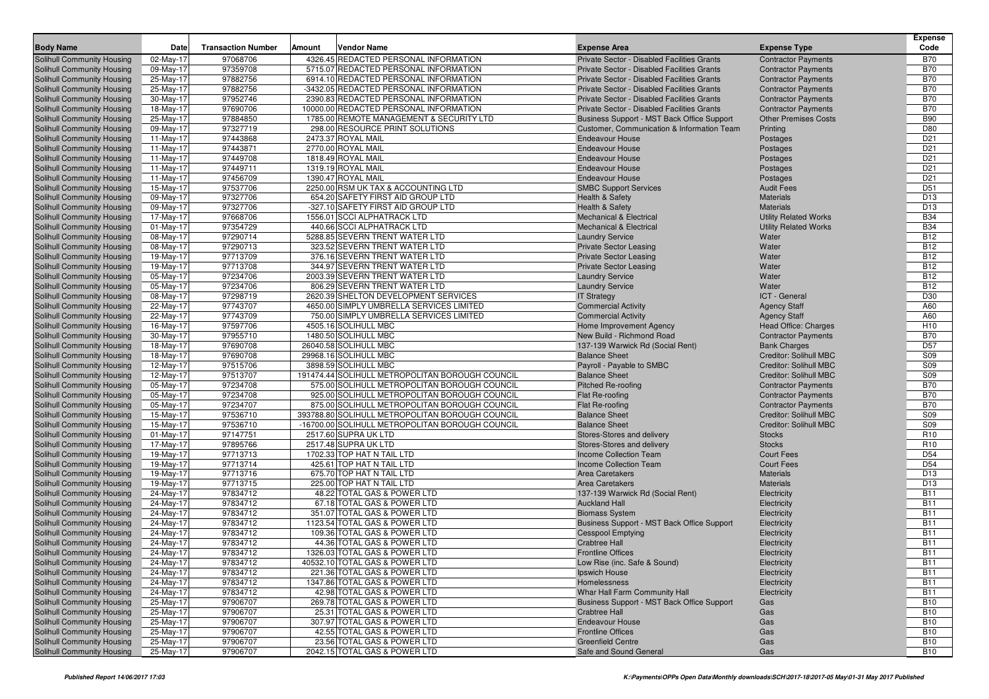| <b>Body Name</b>                                                | Date                   | <b>Transaction Number</b> | Amount | <b>Vendor Name</b>                                             | <b>Expense Area</b>                                            | <b>Expense Type</b>           | <b>Expense</b><br>Code   |
|-----------------------------------------------------------------|------------------------|---------------------------|--------|----------------------------------------------------------------|----------------------------------------------------------------|-------------------------------|--------------------------|
| Solihull Community Housing                                      | 02-May-17              | 97068706                  |        | 4326.45 REDACTED PERSONAL INFORMATION                          | Private Sector - Disabled Facilities Grants                    | <b>Contractor Payments</b>    | <b>B70</b>               |
| Solihull Community Housing                                      | 09-May-17              | 97359708                  |        | 5715.07 REDACTED PERSONAL INFORMATION                          | Private Sector - Disabled Facilities Grants                    | <b>Contractor Payments</b>    | <b>B70</b>               |
| Solihull Community Housing                                      | 25-May-17              | 97882756                  |        | 6914.10 REDACTED PERSONAL INFORMATION                          | Private Sector - Disabled Facilities Grants                    | <b>Contractor Payments</b>    | <b>B70</b>               |
| Solihull Community Housing                                      | 25-May-17              | 97882756                  |        | -3432.05 REDACTED PERSONAL INFORMATION                         | Private Sector - Disabled Facilities Grants                    | <b>Contractor Payments</b>    | <b>B70</b>               |
| Solihull Community Housing                                      | 30-May-17              | 97952746                  |        | 2390.83 REDACTED PERSONAL INFORMATION                          | Private Sector - Disabled Facilities Grants                    | <b>Contractor Payments</b>    | <b>B70</b>               |
| Solihull Community Housing                                      | 18-May-17              | 97690706                  |        | 10000.00 REDACTED PERSONAL INFORMATION                         | Private Sector - Disabled Facilities Grants                    | <b>Contractor Payments</b>    | <b>B70</b>               |
| Solihull Community Housing                                      | 25-May-17              | 97884850                  |        | 1785.00 REMOTE MANAGEMENT & SECURITY LTD                       | Business Support - MST Back Office Support                     | <b>Other Premises Costs</b>   | <b>B90</b>               |
| Solihull Community Housing                                      | 09-May-17              | 97327719                  |        | 298.00 RESOURCE PRINT SOLUTIONS                                | Customer, Communication & Information Team                     | Printing                      | D80                      |
| Solihull Community Housing                                      | 11-May-17              | 97443868                  |        | 2473.37 ROYAL MAIL                                             | <b>Endeavour House</b>                                         | Postages                      | D <sub>21</sub>          |
| Solihull Community Housing                                      | $11-May-17$            | 97443871                  |        | 2770.00 ROYAL MAIL                                             | <b>Endeavour House</b>                                         | Postages                      | D <sub>21</sub>          |
| Solihull Community Housing                                      | 11-May-17              | 97449708                  |        | 1818.49 ROYAL MAIL                                             | <b>Endeavour House</b>                                         | Postages                      | D <sub>21</sub>          |
| Solihull Community Housing                                      | $11-May-17$            | 97449711                  |        | 1319.19 ROYAL MAIL                                             | <b>Endeavour House</b>                                         | Postages                      | D <sub>21</sub>          |
| Solihull Community Housing                                      | $11-May-17$            | 97456709                  |        | 1390.47 ROYAL MAIL                                             | <b>Endeavour House</b>                                         | Postages                      | D <sub>21</sub>          |
| Solihull Community Housing                                      | 15-May-17              | 97537706                  |        | 2250.00 RSM UK TAX & ACCOUNTING LTD                            | <b>SMBC Support Services</b>                                   | <b>Audit Fees</b>             | D51                      |
| Solihull Community Housing                                      | 09-May-17              | 97327706                  |        | 654.20 SAFETY FIRST AID GROUP LTD                              | Health & Safety                                                | <b>Materials</b>              | D13                      |
| <b>Solihull Community Housing</b>                               | 09-May-17              | 97327706                  |        | -327.10 SAFETY FIRST AID GROUP LTD                             | <b>Health &amp; Safety</b>                                     | <b>Materials</b>              | D13                      |
| Solihull Community Housing                                      | 17-May-17              | 97668706                  |        | 1556.01 SCCI ALPHATRACK LTD                                    | <b>Mechanical &amp; Electrical</b>                             | <b>Utility Related Works</b>  | <b>B34</b>               |
| Solihull Community Housing                                      | $01$ -May-17           | 97354729                  |        | 440.66 SCCI ALPHATRACK LTD                                     | <b>Mechanical &amp; Electrical</b>                             | <b>Utility Related Works</b>  | <b>B34</b>               |
| Solihull Community Housing                                      | 08-May-17              | 97290714<br>97290713      |        | 5288.85 SEVERN TRENT WATER LTD                                 | <b>Laundry Service</b>                                         | Water<br>Water                | <b>B12</b><br><b>B12</b> |
| Solihull Community Housing                                      | 08-May-17              | 97713709                  |        | 323.52 SEVERN TRENT WATER LTD<br>376.16 SEVERN TRENT WATER LTD | <b>Private Sector Leasing</b>                                  | Water                         | <b>B12</b>               |
| <b>Solihull Community Housing</b><br>Solihull Community Housing | 19-May-17<br>19-May-17 | 97713708                  |        | 344.97 SEVERN TRENT WATER LTD                                  | <b>Private Sector Leasing</b><br><b>Private Sector Leasing</b> | Water                         | <b>B12</b>               |
| Solihull Community Housing                                      | 05-May-17              | 97234706                  |        | 2003.39 SEVERN TRENT WATER LTD                                 | <b>Laundry Service</b>                                         | Water                         | <b>B12</b>               |
| <b>Solihull Community Housing</b>                               | 05-May-17              | 97234706                  |        | 806.29 SEVERN TRENT WATER LTD                                  | <b>Laundry Service</b>                                         | Water                         | <b>B12</b>               |
| Solihull Community Housing                                      | 08-May-17              | 97298719                  |        | 2620.39 SHELTON DEVELOPMENT SERVICES                           | <b>IT Strategy</b>                                             | ICT - General                 | D30                      |
| <b>Solihull Community Housing</b>                               | 22-May-17              | 97743707                  |        | 4650.00 SIMPLY UMBRELLA SERVICES LIMITED                       | <b>Commercial Activity</b>                                     | <b>Agency Staff</b>           | A60                      |
| Solihull Community Housing                                      | 22-May-17              | 97743709                  |        | 750.00 SIMPLY UMBRELLA SERVICES LIMITED                        | <b>Commercial Activity</b>                                     | <b>Agency Staff</b>           | A60                      |
| Solihull Community Housing                                      | 16-May-17              | 97597706                  |        | 4505.16 SOLIHULL MBC                                           | Home Improvement Agency                                        | Head Office: Charges          | H10                      |
| Solihull Community Housing                                      | 30-May-17              | 97955710                  |        | 1480.50 SOLIHULL MBC                                           | New Build - Richmond Road                                      | <b>Contractor Payments</b>    | <b>B70</b>               |
| Solihull Community Housing                                      | 18-May-17              | 97690708                  |        | 26040.58 SOLIHULL MBC                                          | 137-139 Warwick Rd (Social Rent)                               | <b>Bank Charges</b>           | D <sub>57</sub>          |
| <b>Solihull Community Housing</b>                               | 18-May-17              | 97690708                  |        | 29968.16 SOLIHULL MBC                                          | <b>Balance Sheet</b>                                           | Creditor: Solihull MBC        | S09                      |
| Solihull Community Housing                                      | 12-May-17              | 97515706                  |        | 3898.59 SOLIHULL MBC                                           | Payroll - Payable to SMBC                                      | Creditor: Solihull MBC        | S09                      |
| Solihull Community Housing                                      | 12-May-17              | 97513707                  |        | 191474.44 SOLIHULL METROPOLITAN BOROUGH COUNCIL                | <b>Balance Sheet</b>                                           | Creditor: Solihull MBC        | S09                      |
| <b>Solihull Community Housing</b>                               | 05-May-17              | 97234708                  |        | 575.00 SOLIHULL METROPOLITAN BOROUGH COUNCIL                   | Pitched Re-roofing                                             | <b>Contractor Payments</b>    | <b>B70</b>               |
| Solihull Community Housing                                      | 05-May-17              | 97234708                  |        | 925.00 SOLIHULL METROPOLITAN BOROUGH COUNCIL                   | Flat Re-roofing                                                | <b>Contractor Payments</b>    | <b>B70</b>               |
| <b>Solihull Community Housing</b>                               | 05-May-17              | 97234707                  |        | 875.00 SOLIHULL METROPOLITAN BOROUGH COUNCIL                   | Flat Re-roofing                                                | <b>Contractor Payments</b>    | <b>B70</b>               |
| Solihull Community Housing                                      | 15-May-17              | 97536710                  |        | 393788.80 SOLIHULL METROPOLITAN BOROUGH COUNCIL                | <b>Balance Sheet</b>                                           | <b>Creditor: Solihull MBC</b> | S09                      |
| Solihull Community Housing                                      | 15-May-17              | 97536710                  |        | -16700.00 SOLIHULL METROPOLITAN BOROUGH COUNCIL                | <b>Balance Sheet</b>                                           | Creditor: Solihull MBC        | S09                      |
| Solihull Community Housing                                      | $01$ -May-17           | 97147751                  |        | 2517.60 SUPRA UK LTD                                           | Stores-Stores and delivery                                     | <b>Stocks</b>                 | R <sub>10</sub>          |
| Solihull Community Housing                                      | 17-May-17              | 97895766                  |        | 2517.48 SUPRA UK LTD                                           | Stores-Stores and delivery                                     | <b>Stocks</b>                 | R <sub>10</sub>          |
| <b>Solihull Community Housing</b>                               | 19-May-17              | 97713713                  |        | 1702.33 TOP HAT N TAIL LTD                                     | <b>Income Collection Team</b>                                  | <b>Court Fees</b>             | D <sub>54</sub>          |
| Solihull Community Housing                                      | 19-May-17              | 97713714                  |        | 425.61 TOP HAT N TAIL LTD                                      | <b>Income Collection Team</b>                                  | <b>Court Fees</b>             | D <sub>54</sub>          |
| Solihull Community Housing                                      | 19-May-17              | 97713716                  |        | 675.70 TOP HAT N TAIL LTD                                      | <b>Area Caretakers</b>                                         | <b>Materials</b>              | D13                      |
| <b>Solihull Community Housing</b>                               | 19-May-17              | 97713715<br>97834712      |        | 225.00 TOP HAT N TAIL LTD                                      | <b>Area Caretakers</b>                                         | <b>Materials</b>              | D13<br><b>B11</b>        |
| Solihull Community Housing<br><b>Solihull Community Housing</b> | 24-May-17              | 97834712                  |        | 48.22 TOTAL GAS & POWER LTD<br>67.18 TOTAL GAS & POWER LTD     | 137-139 Warwick Rd (Social Rent)<br><b>Auckland Hall</b>       | Electricity                   | <b>B11</b>               |
| Solihull Community Housing                                      | 24-May-17<br>24-May-17 | 97834712                  |        | 351.07 TOTAL GAS & POWER LTD                                   | <b>Biomass System</b>                                          | Electricity<br>Electricity    | <b>B11</b>               |
| Solihull Community Housing                                      | 24-May-17              | 97834712                  |        | 1123.54 TOTAL GAS & POWER LTD                                  | Business Support - MST Back Office Support                     | Electricity                   | <b>B11</b>               |
| Solihull Community Housing                                      | 24-May-17              | 97834712                  |        | 109.36 TOTAL GAS & POWER LTD                                   | <b>Cesspool Emptying</b>                                       | Electricity                   | <b>B11</b>               |
| Solihull Community Housing                                      | 24-May-17              | 97834712                  |        | 44.36 TOTAL GAS & POWER LTD                                    | <b>Crabtree Hall</b>                                           | Electricity                   | <b>B11</b>               |
| Solihull Community Housing                                      | 24-May-17              | 97834712                  |        | 1326.03 TOTAL GAS & POWER LTD                                  | <b>Frontline Offices</b>                                       | Electricity                   | <b>B11</b>               |
| Solihull Community Housing                                      | 24-May-17              | 97834712                  |        | 40532.10 TOTAL GAS & POWER LTD                                 | Low Rise (inc. Safe & Sound)                                   | Electricity                   | <b>B11</b>               |
| Solihull Community Housing                                      | 24-May-17              | 97834712                  |        | 221.36 TOTAL GAS & POWER LTD                                   | Ipswich House                                                  | Electricity                   | <b>B11</b>               |
| Solihull Community Housing                                      | 24-May-17              | 97834712                  |        | 1347.86 TOTAL GAS & POWER LTD                                  | Homelessness                                                   | Electricity                   | <b>B11</b>               |
| Solihull Community Housing                                      | 24-May-17              | 97834712                  |        | 42.98 TOTAL GAS & POWER LTD                                    | Whar Hall Farm Community Hall                                  | Electricity                   | <b>B11</b>               |
| Solihull Community Housing                                      | 25-May-17              | 97906707                  |        | 269.78 TOTAL GAS & POWER LTD                                   | Business Support - MST Back Office Support                     | Gas                           | <b>B10</b>               |
| Solihull Community Housing                                      | 25-May-17              | 97906707                  |        | 25.31 TOTAL GAS & POWER LTD                                    | <b>Crabtree Hall</b>                                           | Gas                           | <b>B10</b>               |
| Solihull Community Housing                                      | 25-May-17              | 97906707                  |        | 307.97 TOTAL GAS & POWER LTD                                   | <b>Endeavour House</b>                                         | Gas                           | <b>B10</b>               |
| Solihull Community Housing                                      | 25-May-17              | 97906707                  |        | 42.55 TOTAL GAS & POWER LTD                                    | <b>Frontline Offices</b>                                       | Gas                           | <b>B10</b>               |
| Solihull Community Housing                                      | 25-May-17              | 97906707                  |        | 23.56 TOTAL GAS & POWER LTD                                    | <b>Greenfield Centre</b>                                       | Gas                           | <b>B10</b>               |
| Solihull Community Housing                                      | 25-May-17              | 97906707                  |        | 2042.15 TOTAL GAS & POWER LTD                                  | Safe and Sound General                                         | Gas                           | <b>B10</b>               |